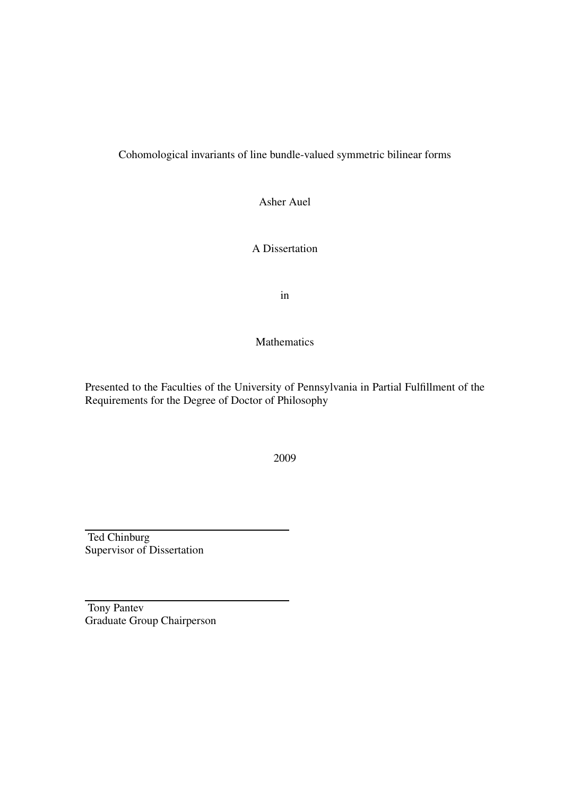#### Cohomological invariants of line bundle-valued symmetric bilinear forms

Asher Auel

A Dissertation

in

Mathematics

Presented to the Faculties of the University of Pennsylvania in Partial Fulfillment of the Requirements for the Degree of Doctor of Philosophy

2009

Ted Chinburg Supervisor of Dissertation

Tony Pantev Graduate Group Chairperson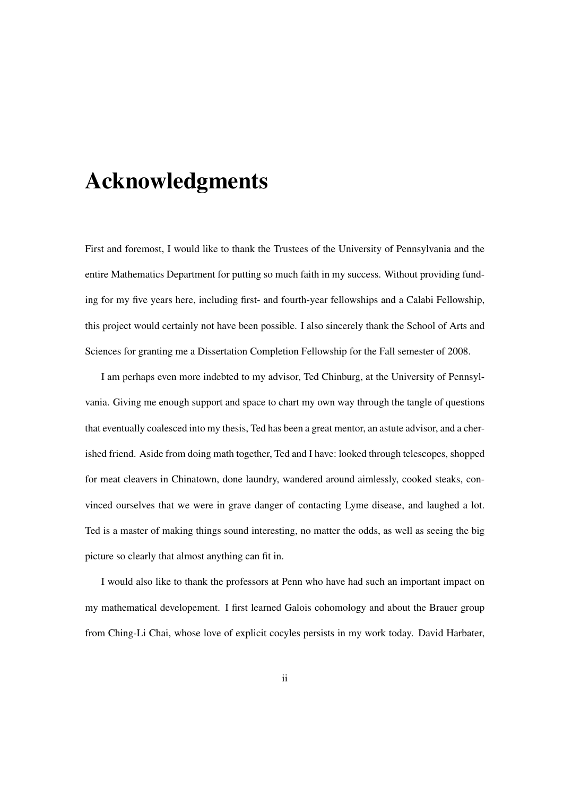## Acknowledgments

First and foremost, I would like to thank the Trustees of the University of Pennsylvania and the entire Mathematics Department for putting so much faith in my success. Without providing funding for my five years here, including first- and fourth-year fellowships and a Calabi Fellowship, this project would certainly not have been possible. I also sincerely thank the School of Arts and Sciences for granting me a Dissertation Completion Fellowship for the Fall semester of 2008.

I am perhaps even more indebted to my advisor, Ted Chinburg, at the University of Pennsylvania. Giving me enough support and space to chart my own way through the tangle of questions that eventually coalesced into my thesis, Ted has been a great mentor, an astute advisor, and a cherished friend. Aside from doing math together, Ted and I have: looked through telescopes, shopped for meat cleavers in Chinatown, done laundry, wandered around aimlessly, cooked steaks, convinced ourselves that we were in grave danger of contacting Lyme disease, and laughed a lot. Ted is a master of making things sound interesting, no matter the odds, as well as seeing the big picture so clearly that almost anything can fit in.

I would also like to thank the professors at Penn who have had such an important impact on my mathematical developement. I first learned Galois cohomology and about the Brauer group from Ching-Li Chai, whose love of explicit cocyles persists in my work today. David Harbater,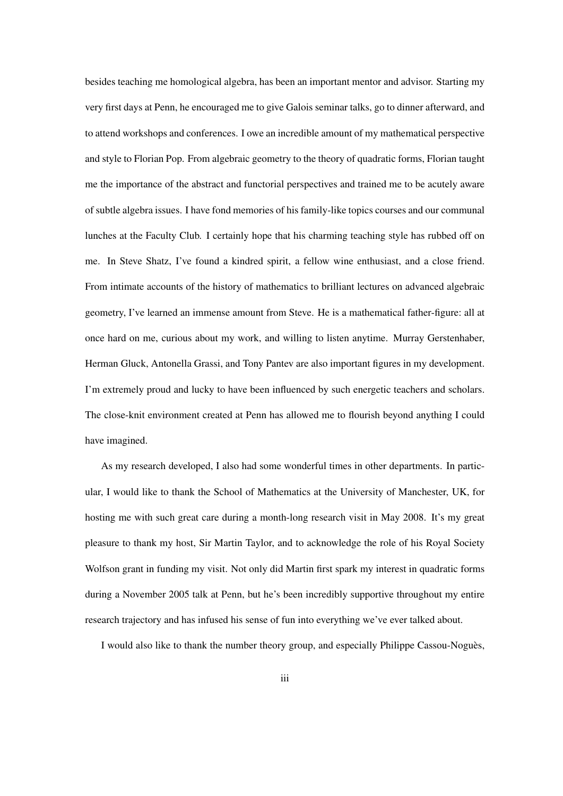besides teaching me homological algebra, has been an important mentor and advisor. Starting my very first days at Penn, he encouraged me to give Galois seminar talks, go to dinner afterward, and to attend workshops and conferences. I owe an incredible amount of my mathematical perspective and style to Florian Pop. From algebraic geometry to the theory of quadratic forms, Florian taught me the importance of the abstract and functorial perspectives and trained me to be acutely aware of subtle algebra issues. I have fond memories of his family-like topics courses and our communal lunches at the Faculty Club. I certainly hope that his charming teaching style has rubbed off on me. In Steve Shatz, I've found a kindred spirit, a fellow wine enthusiast, and a close friend. From intimate accounts of the history of mathematics to brilliant lectures on advanced algebraic geometry, I've learned an immense amount from Steve. He is a mathematical father-figure: all at once hard on me, curious about my work, and willing to listen anytime. Murray Gerstenhaber, Herman Gluck, Antonella Grassi, and Tony Pantev are also important figures in my development. I'm extremely proud and lucky to have been influenced by such energetic teachers and scholars. The close-knit environment created at Penn has allowed me to flourish beyond anything I could have imagined.

As my research developed, I also had some wonderful times in other departments. In particular, I would like to thank the School of Mathematics at the University of Manchester, UK, for hosting me with such great care during a month-long research visit in May 2008. It's my great pleasure to thank my host, Sir Martin Taylor, and to acknowledge the role of his Royal Society Wolfson grant in funding my visit. Not only did Martin first spark my interest in quadratic forms during a November 2005 talk at Penn, but he's been incredibly supportive throughout my entire research trajectory and has infused his sense of fun into everything we've ever talked about.

I would also like to thank the number theory group, and especially Philippe Cassou-Noguès,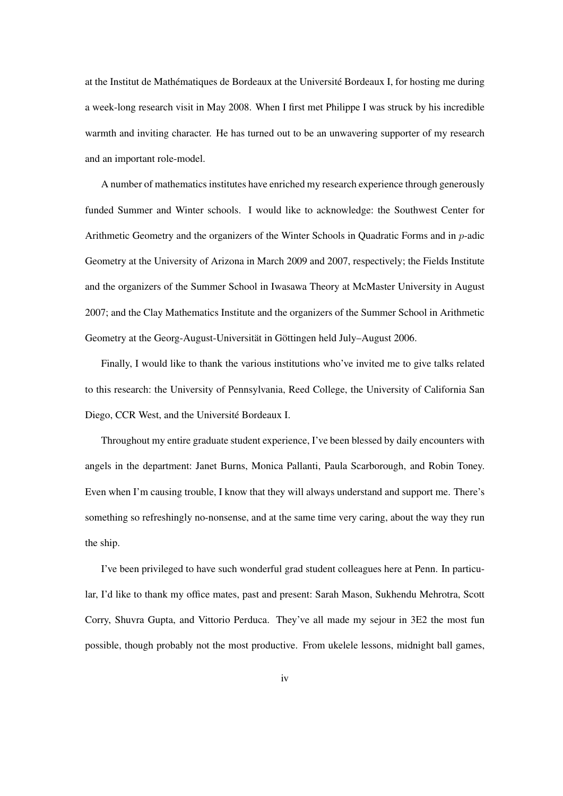at the Institut de Mathématiques de Bordeaux at the Université Bordeaux I, for hosting me during a week-long research visit in May 2008. When I first met Philippe I was struck by his incredible warmth and inviting character. He has turned out to be an unwavering supporter of my research and an important role-model.

A number of mathematics institutes have enriched my research experience through generously funded Summer and Winter schools. I would like to acknowledge: the Southwest Center for Arithmetic Geometry and the organizers of the Winter Schools in Quadratic Forms and in p-adic Geometry at the University of Arizona in March 2009 and 2007, respectively; the Fields Institute and the organizers of the Summer School in Iwasawa Theory at McMaster University in August 2007; and the Clay Mathematics Institute and the organizers of the Summer School in Arithmetic Geometry at the Georg-August-Universität in Göttingen held July–August 2006.

Finally, I would like to thank the various institutions who've invited me to give talks related to this research: the University of Pennsylvania, Reed College, the University of California San Diego, CCR West, and the Université Bordeaux I.

Throughout my entire graduate student experience, I've been blessed by daily encounters with angels in the department: Janet Burns, Monica Pallanti, Paula Scarborough, and Robin Toney. Even when I'm causing trouble, I know that they will always understand and support me. There's something so refreshingly no-nonsense, and at the same time very caring, about the way they run the ship.

I've been privileged to have such wonderful grad student colleagues here at Penn. In particular, I'd like to thank my office mates, past and present: Sarah Mason, Sukhendu Mehrotra, Scott Corry, Shuvra Gupta, and Vittorio Perduca. They've all made my sejour in 3E2 the most fun possible, though probably not the most productive. From ukelele lessons, midnight ball games,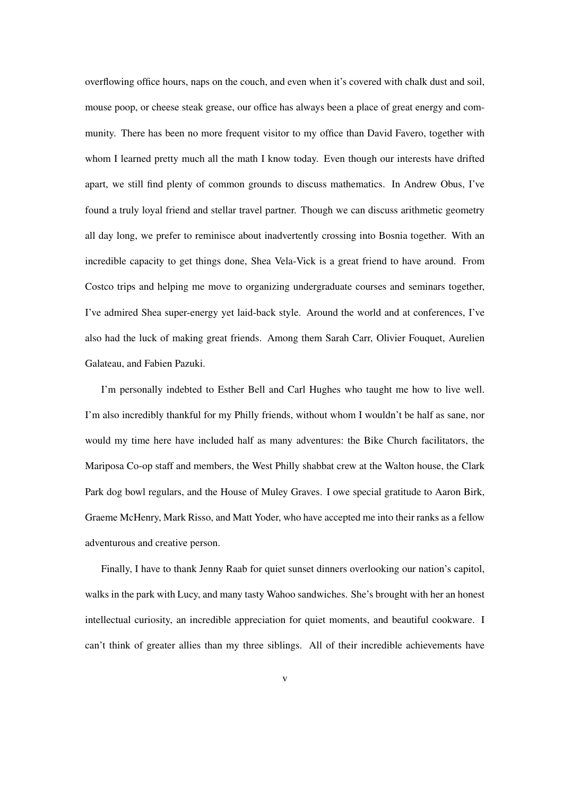overflowing office hours, naps on the couch, and even when it's covered with chalk dust and soil, mouse poop, or cheese steak grease, our office has always been a place of great energy and community. There has been no more frequent visitor to my office than David Favero, together with whom I learned pretty much all the math I know today. Even though our interests have drifted apart, we still find plenty of common grounds to discuss mathematics. In Andrew Obus, I've found a truly loyal friend and stellar travel partner. Though we can discuss arithmetic geometry all day long, we prefer to reminisce about inadvertently crossing into Bosnia together. With an incredible capacity to get things done, Shea Vela-Vick is a great friend to have around. From Costco trips and helping me move to organizing undergraduate courses and seminars together, I've admired Shea super-energy yet laid-back style. Around the world and at conferences, I've also had the luck of making great friends. Among them Sarah Carr, Olivier Fouquet, Aurelien Galateau, and Fabien Pazuki.

I'm personally indebted to Esther Bell and Carl Hughes who taught me how to live well. I'm also incredibly thankful for my Philly friends, without whom I wouldn't be half as sane, nor would my time here have included half as many adventures: the Bike Church facilitators, the Mariposa Co-op staff and members, the West Philly shabbat crew at the Walton house, the Clark Park dog bowl regulars, and the House of Muley Graves. I owe special gratitude to Aaron Birk, Graeme McHenry, Mark Risso, and Matt Yoder, who have accepted me into their ranks as a fellow adventurous and creative person.

Finally, I have to thank Jenny Raab for quiet sunset dinners overlooking our nation's capitol, walks in the park with Lucy, and many tasty Wahoo sandwiches. She's brought with her an honest intellectual curiosity, an incredible appreciation for quiet moments, and beautiful cookware. I can't think of greater allies than my three siblings. All of their incredible achievements have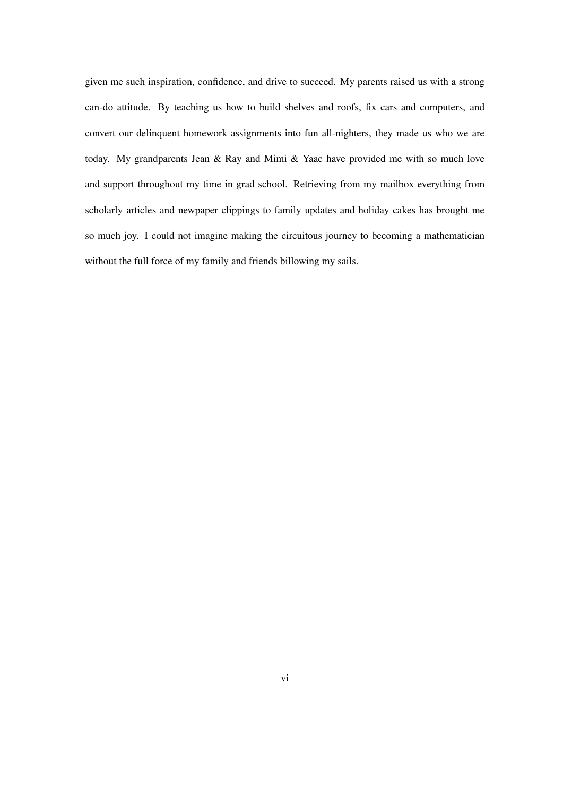given me such inspiration, confidence, and drive to succeed. My parents raised us with a strong can-do attitude. By teaching us how to build shelves and roofs, fix cars and computers, and convert our delinquent homework assignments into fun all-nighters, they made us who we are today. My grandparents Jean & Ray and Mimi & Yaac have provided me with so much love and support throughout my time in grad school. Retrieving from my mailbox everything from scholarly articles and newpaper clippings to family updates and holiday cakes has brought me so much joy. I could not imagine making the circuitous journey to becoming a mathematician without the full force of my family and friends billowing my sails.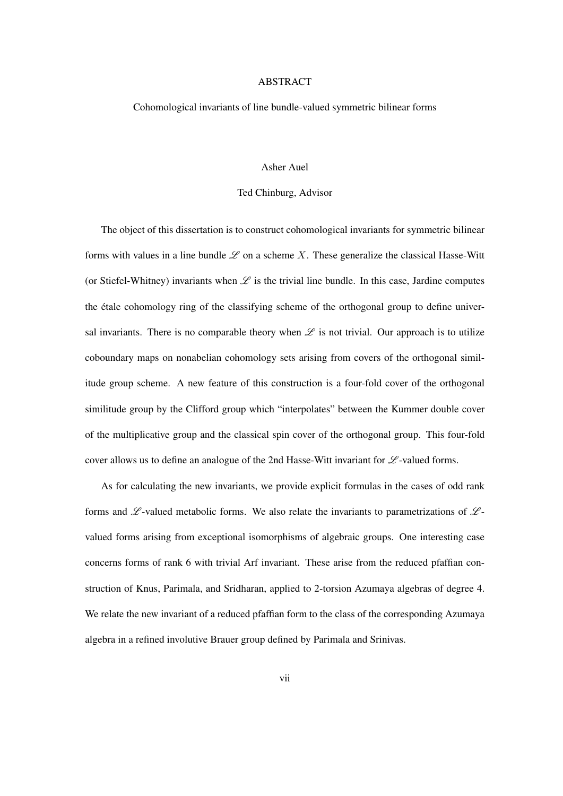#### ABSTRACT

#### Cohomological invariants of line bundle-valued symmetric bilinear forms

#### Asher Auel

#### Ted Chinburg, Advisor

The object of this dissertation is to construct cohomological invariants for symmetric bilinear forms with values in a line bundle  $\mathscr L$  on a scheme X. These generalize the classical Hasse-Witt (or Stiefel-Whitney) invariants when  $\mathscr L$  is the trivial line bundle. In this case, Jardine computes the étale cohomology ring of the classifying scheme of the orthogonal group to define universal invariants. There is no comparable theory when  $\mathscr L$  is not trivial. Our approach is to utilize coboundary maps on nonabelian cohomology sets arising from covers of the orthogonal similitude group scheme. A new feature of this construction is a four-fold cover of the orthogonal similitude group by the Clifford group which "interpolates" between the Kummer double cover of the multiplicative group and the classical spin cover of the orthogonal group. This four-fold cover allows us to define an analogue of the 2nd Hasse-Witt invariant for  $\mathscr{L}\text{-valued forms.}$ 

As for calculating the new invariants, we provide explicit formulas in the cases of odd rank forms and  $\mathscr L$ -valued metabolic forms. We also relate the invariants to parametrizations of  $\mathscr L$ valued forms arising from exceptional isomorphisms of algebraic groups. One interesting case concerns forms of rank 6 with trivial Arf invariant. These arise from the reduced pfaffian construction of Knus, Parimala, and Sridharan, applied to 2-torsion Azumaya algebras of degree 4. We relate the new invariant of a reduced pfaffian form to the class of the corresponding Azumaya algebra in a refined involutive Brauer group defined by Parimala and Srinivas.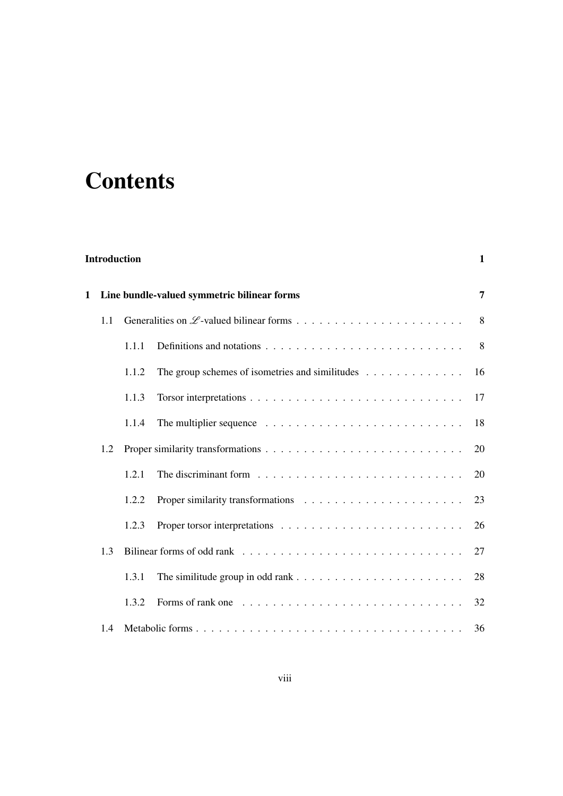## **Contents**

| <b>Introduction</b> |                                             |       |                                                                                            |    |  |  |  |
|---------------------|---------------------------------------------|-------|--------------------------------------------------------------------------------------------|----|--|--|--|
| 1                   | Line bundle-valued symmetric bilinear forms |       |                                                                                            |    |  |  |  |
|                     | 1.1                                         |       |                                                                                            | 8  |  |  |  |
|                     |                                             | 1.1.1 | Definitions and notations $\ldots \ldots \ldots \ldots \ldots \ldots \ldots \ldots \ldots$ | 8  |  |  |  |
|                     |                                             | 1.1.2 | The group schemes of isometries and similitudes $\dots \dots \dots \dots$                  | 16 |  |  |  |
|                     |                                             | 1.1.3 |                                                                                            | 17 |  |  |  |
|                     |                                             | 1.1.4 |                                                                                            | 18 |  |  |  |
|                     | 1.2                                         |       |                                                                                            | 20 |  |  |  |
|                     |                                             | 1.2.1 | The discriminant form $\ldots \ldots \ldots \ldots \ldots \ldots \ldots \ldots \ldots$     | 20 |  |  |  |
|                     |                                             | 1.2.2 |                                                                                            | 23 |  |  |  |
|                     |                                             | 1.2.3 |                                                                                            | 26 |  |  |  |
| 1.3                 |                                             |       | 27                                                                                         |    |  |  |  |
|                     |                                             | 1.3.1 |                                                                                            | 28 |  |  |  |
|                     |                                             | 1.3.2 | Forms of rank one $\ldots \ldots \ldots \ldots \ldots \ldots \ldots \ldots \ldots$         | 32 |  |  |  |
|                     | 1.4                                         |       |                                                                                            | 36 |  |  |  |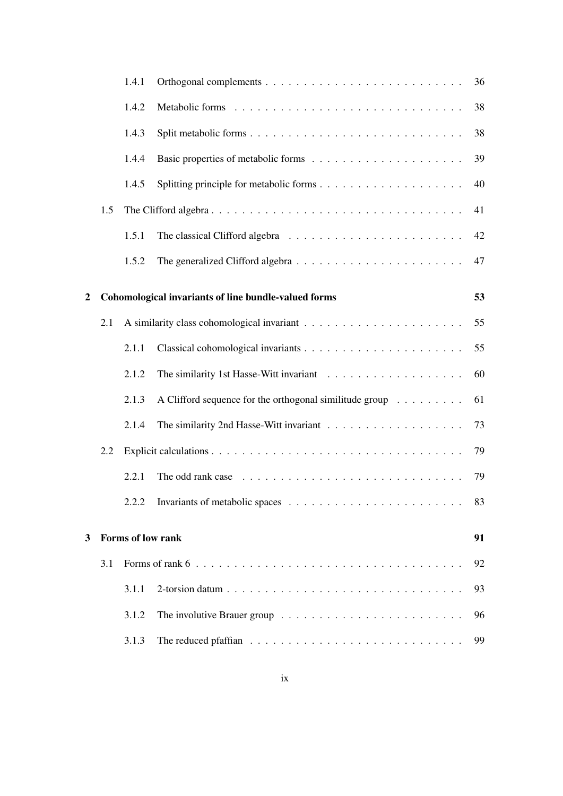|                |     | 1.4.1             |                                                                                           | 36 |  |  |
|----------------|-----|-------------------|-------------------------------------------------------------------------------------------|----|--|--|
|                |     | 1.4.2             |                                                                                           | 38 |  |  |
|                |     | 1.4.3             |                                                                                           | 38 |  |  |
|                |     | 1.4.4             |                                                                                           | 39 |  |  |
|                |     | 1.4.5             |                                                                                           | 40 |  |  |
|                | 1.5 |                   |                                                                                           |    |  |  |
|                |     | 1.5.1             |                                                                                           | 42 |  |  |
|                |     | 1.5.2             |                                                                                           | 47 |  |  |
| $\overline{2}$ |     |                   | Cohomological invariants of line bundle-valued forms                                      | 53 |  |  |
|                |     |                   |                                                                                           |    |  |  |
|                | 2.1 |                   |                                                                                           | 55 |  |  |
|                |     | 2.1.1             |                                                                                           | 55 |  |  |
|                |     | 2.1.2             |                                                                                           | 60 |  |  |
|                |     | 2.1.3             | A Clifford sequence for the orthogonal similitude group $\dots \dots$                     | 61 |  |  |
|                |     | 2.1.4             |                                                                                           | 73 |  |  |
|                | 2.2 |                   |                                                                                           |    |  |  |
|                |     | 2.2.1             | The odd rank case $\ldots \ldots \ldots \ldots \ldots \ldots \ldots \ldots \ldots \ldots$ | 79 |  |  |
|                |     |                   |                                                                                           | 83 |  |  |
|                |     |                   |                                                                                           | 91 |  |  |
| 3              |     | Forms of low rank |                                                                                           |    |  |  |
|                | 3.1 |                   |                                                                                           |    |  |  |
|                |     | 3.1.1             |                                                                                           | 93 |  |  |
|                |     | 3.1.2             |                                                                                           | 96 |  |  |
|                |     | 3.1.3             |                                                                                           | 99 |  |  |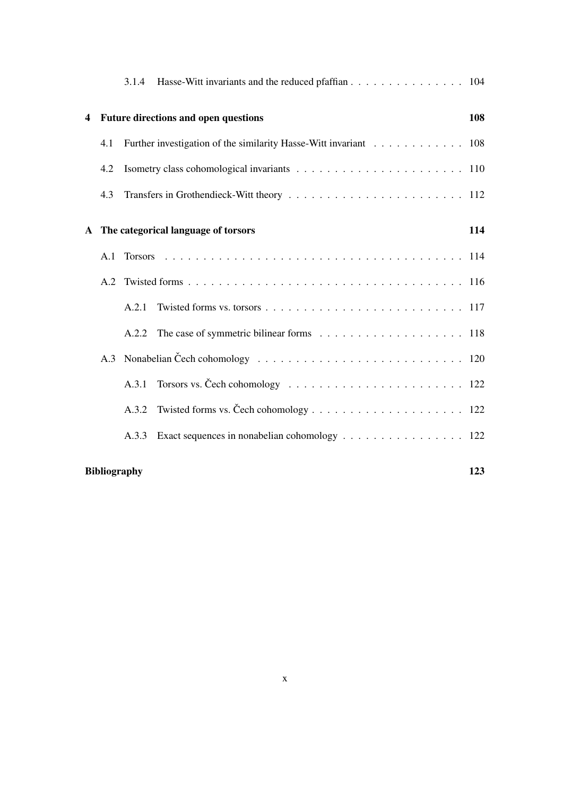|                                                     |                                             | 3.1.4 | Hasse-Witt invariants and the reduced pfaffian 104               |     |  |  |  |  |  |  |  |
|-----------------------------------------------------|---------------------------------------------|-------|------------------------------------------------------------------|-----|--|--|--|--|--|--|--|
| $\overline{\mathbf{4}}$                             | <b>Future directions and open questions</b> |       |                                                                  |     |  |  |  |  |  |  |  |
|                                                     | 4.1                                         |       | Further investigation of the similarity Hasse-Witt invariant 108 |     |  |  |  |  |  |  |  |
|                                                     | 4.2                                         |       |                                                                  |     |  |  |  |  |  |  |  |
|                                                     | 4.3                                         |       |                                                                  |     |  |  |  |  |  |  |  |
| The categorical language of torsors<br>$\mathbf{A}$ |                                             |       |                                                                  | 114 |  |  |  |  |  |  |  |
|                                                     | A.1                                         |       |                                                                  |     |  |  |  |  |  |  |  |
|                                                     |                                             |       |                                                                  |     |  |  |  |  |  |  |  |
|                                                     |                                             | A.2.1 |                                                                  |     |  |  |  |  |  |  |  |
|                                                     |                                             | A.2.2 |                                                                  |     |  |  |  |  |  |  |  |
|                                                     | A.3                                         |       |                                                                  |     |  |  |  |  |  |  |  |
|                                                     |                                             | A.3.1 |                                                                  |     |  |  |  |  |  |  |  |
|                                                     |                                             | A.3.2 |                                                                  |     |  |  |  |  |  |  |  |
|                                                     |                                             | A.3.3 | Exact sequences in nonabelian cohomology 122                     |     |  |  |  |  |  |  |  |
|                                                     | 123<br><b>Bibliography</b>                  |       |                                                                  |     |  |  |  |  |  |  |  |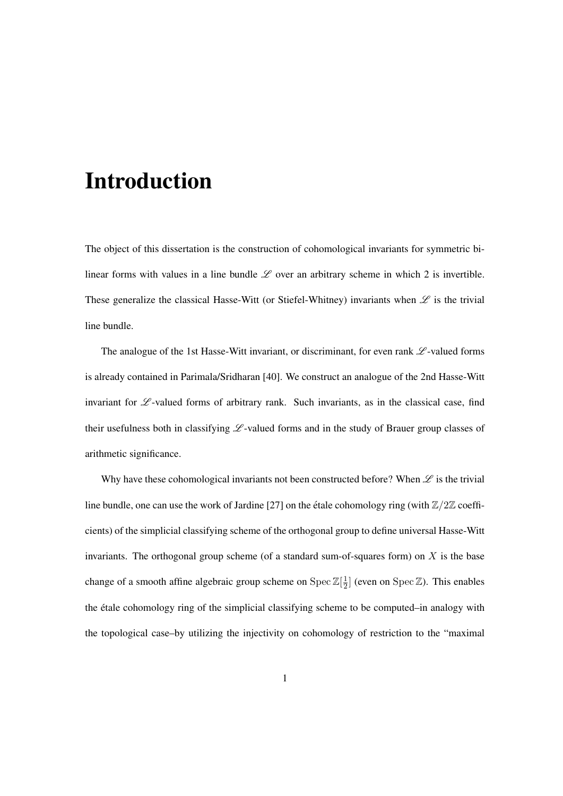## Introduction

The object of this dissertation is the construction of cohomological invariants for symmetric bilinear forms with values in a line bundle  $\mathscr L$  over an arbitrary scheme in which 2 is invertible. These generalize the classical Hasse-Witt (or Stiefel-Whitney) invariants when  $\mathscr L$  is the trivial line bundle.

The analogue of the 1st Hasse-Witt invariant, or discriminant, for even rank  $\mathscr L$ -valued forms is already contained in Parimala/Sridharan [40]. We construct an analogue of the 2nd Hasse-Witt invariant for  $\mathscr L$ -valued forms of arbitrary rank. Such invariants, as in the classical case, find their usefulness both in classifying  $L$ -valued forms and in the study of Brauer group classes of arithmetic significance.

Why have these cohomological invariants not been constructed before? When  $\mathscr L$  is the trivial line bundle, one can use the work of Jardine [27] on the étale cohomology ring (with  $\mathbb{Z}/2\mathbb{Z}$  coefficients) of the simplicial classifying scheme of the orthogonal group to define universal Hasse-Witt invariants. The orthogonal group scheme (of a standard sum-of-squares form) on  $X$  is the base change of a smooth affine algebraic group scheme on Spec  $\mathbb{Z}[\frac{1}{2}]$  $\frac{1}{2}$  (even on Spec Z). This enables the etale cohomology ring of the simplicial classifying scheme to be computed–in analogy with ´ the topological case–by utilizing the injectivity on cohomology of restriction to the "maximal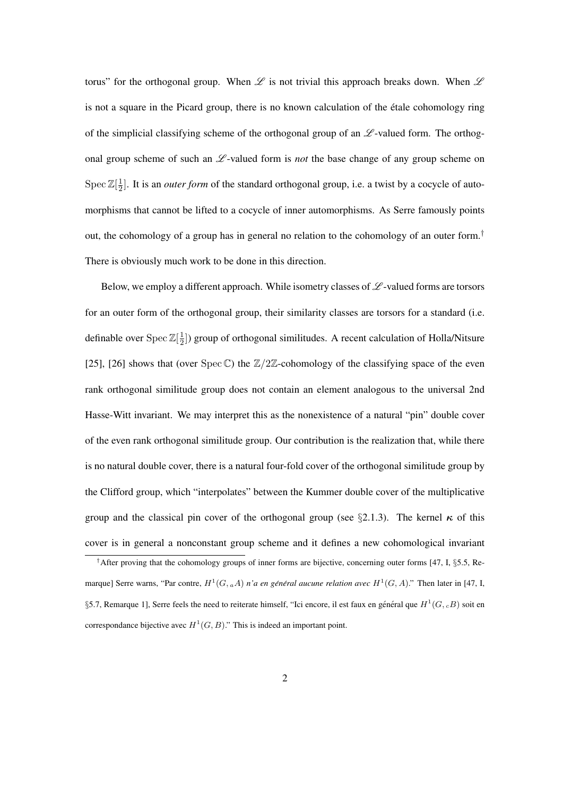torus" for the orthogonal group. When  $\mathscr L$  is not trivial this approach breaks down. When  $\mathscr L$ is not a square in the Picard group, there is no known calculation of the étale cohomology ring of the simplicial classifying scheme of the orthogonal group of an  $\mathscr{L}$ -valued form. The orthogonal group scheme of such an  $\mathscr{L}$ -valued form is *not* the base change of any group scheme on  $\operatorname{Spec} \mathbb{Z}[\frac{1}{2}]$  $\frac{1}{2}$ . It is an *outer form* of the standard orthogonal group, i.e. a twist by a cocycle of automorphisms that cannot be lifted to a cocycle of inner automorphisms. As Serre famously points out, the cohomology of a group has in general no relation to the cohomology of an outer form.<sup>†</sup> There is obviously much work to be done in this direction.

Below, we employ a different approach. While isometry classes of  $\mathscr{L}$ -valued forms are torsors for an outer form of the orthogonal group, their similarity classes are torsors for a standard (i.e. definable over  $\text{Spec } \mathbb{Z}[\frac{1}{2}]$  $\frac{1}{2}$ ]) group of orthogonal similitudes. A recent calculation of Holla/Nitsure [25], [26] shows that (over Spec  $\mathbb{C}$ ) the  $\mathbb{Z}/2\mathbb{Z}$ -cohomology of the classifying space of the even rank orthogonal similitude group does not contain an element analogous to the universal 2nd Hasse-Witt invariant. We may interpret this as the nonexistence of a natural "pin" double cover of the even rank orthogonal similitude group. Our contribution is the realization that, while there is no natural double cover, there is a natural four-fold cover of the orthogonal similitude group by the Clifford group, which "interpolates" between the Kummer double cover of the multiplicative group and the classical pin cover of the orthogonal group (see §2.1.3). The kernel  $\kappa$  of this cover is in general a nonconstant group scheme and it defines a new cohomological invariant

<sup>&</sup>lt;sup>†</sup>After proving that the cohomology groups of inner forms are bijective, concerning outer forms [47, I, §5.5, Remarque] Serre warns, "Par contre,  $H^1(G, {}_a A)$  n'a en général aucune relation avec  $H^1(G, A)$ ." Then later in [47, I, §5.7, Remarque 1], Serre feels the need to reiterate himself, "Ici encore, il est faux en général que  $H^1(G, {}_cB)$  soit en correspondance bijective avec  $H^1(G, B)$ ." This is indeed an important point.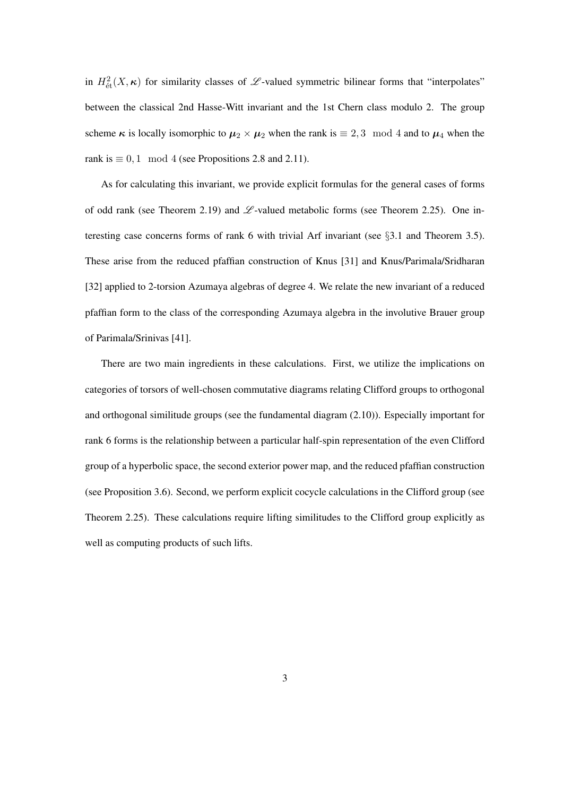in  $H^2_{\text{\'et}}(X,\kappa)$  for similarity classes of  $\mathscr L$ -valued symmetric bilinear forms that "interpolates" between the classical 2nd Hasse-Witt invariant and the 1st Chern class modulo 2. The group scheme  $\kappa$  is locally isomorphic to  $\mu_2 \times \mu_2$  when the rank is  $\equiv 2, 3 \mod 4$  and to  $\mu_4$  when the rank is  $\equiv 0, 1 \mod 4$  (see Propositions 2.8 and 2.11).

As for calculating this invariant, we provide explicit formulas for the general cases of forms of odd rank (see Theorem 2.19) and  $\mathscr L$ -valued metabolic forms (see Theorem 2.25). One interesting case concerns forms of rank 6 with trivial Arf invariant (see  $\S$ 3.1 and Theorem 3.5). These arise from the reduced pfaffian construction of Knus [31] and Knus/Parimala/Sridharan [32] applied to 2-torsion Azumaya algebras of degree 4. We relate the new invariant of a reduced pfaffian form to the class of the corresponding Azumaya algebra in the involutive Brauer group of Parimala/Srinivas [41].

There are two main ingredients in these calculations. First, we utilize the implications on categories of torsors of well-chosen commutative diagrams relating Clifford groups to orthogonal and orthogonal similitude groups (see the fundamental diagram (2.10)). Especially important for rank 6 forms is the relationship between a particular half-spin representation of the even Clifford group of a hyperbolic space, the second exterior power map, and the reduced pfaffian construction (see Proposition 3.6). Second, we perform explicit cocycle calculations in the Clifford group (see Theorem 2.25). These calculations require lifting similitudes to the Clifford group explicitly as well as computing products of such lifts.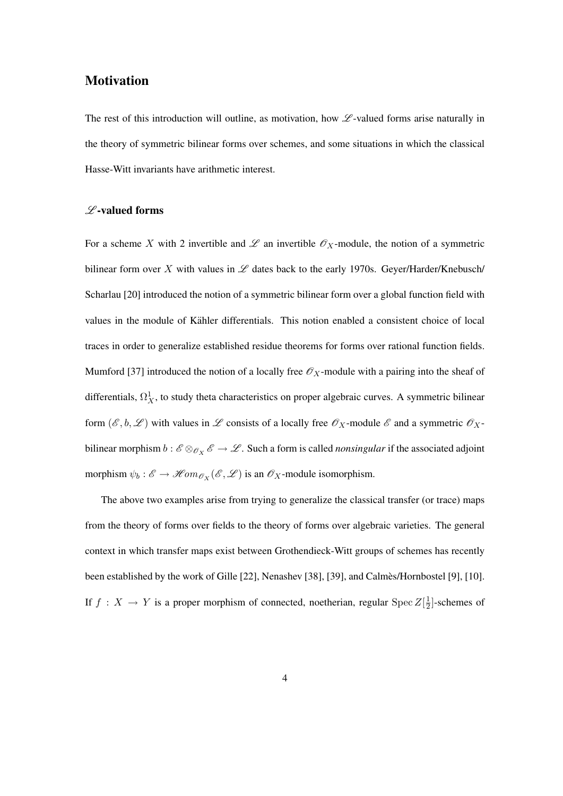#### **Motivation**

The rest of this introduction will outline, as motivation, how  $\mathscr L$ -valued forms arise naturally in the theory of symmetric bilinear forms over schemes, and some situations in which the classical Hasse-Witt invariants have arithmetic interest.

#### $L$ -valued forms

For a scheme X with 2 invertible and  $\mathscr L$  an invertible  $\mathscr O_X$ -module, the notion of a symmetric bilinear form over X with values in  $\mathscr L$  dates back to the early 1970s. Geyer/Harder/Knebusch/ Scharlau [20] introduced the notion of a symmetric bilinear form over a global function field with values in the module of Kahler differentials. This notion enabled a consistent choice of local ¨ traces in order to generalize established residue theorems for forms over rational function fields. Mumford [37] introduced the notion of a locally free  $\mathscr{O}_X$ -module with a pairing into the sheaf of differentials,  $\Omega^1_X$ , to study theta characteristics on proper algebraic curves. A symmetric bilinear form  $(\mathscr{E}, b, \mathscr{L})$  with values in  $\mathscr{L}$  consists of a locally free  $\mathscr{O}_X$ -module  $\mathscr{E}$  and a symmetric  $\mathscr{O}_X$ bilinear morphism  $b: \mathscr{E} \otimes_{\mathscr{O}_X} \mathscr{E} \to \mathscr{L}$ . Such a form is called *nonsingular* if the associated adjoint morphism  $\psi_b : \mathscr{E} \to \mathscr{H}om_{\mathscr{O}_X}(\mathscr{E}, \mathscr{L})$  is an  $\mathscr{O}_X$ -module isomorphism.

The above two examples arise from trying to generalize the classical transfer (or trace) maps from the theory of forms over fields to the theory of forms over algebraic varieties. The general context in which transfer maps exist between Grothendieck-Witt groups of schemes has recently been established by the work of Gille [22], Nenashev [38], [39], and Calmets/Hornbostel [9], [10]. If  $f: X \to Y$  is a proper morphism of connected, noetherian, regular Spec  $Z[\frac{1}{2}]$  $\frac{1}{2}$ ]-schemes of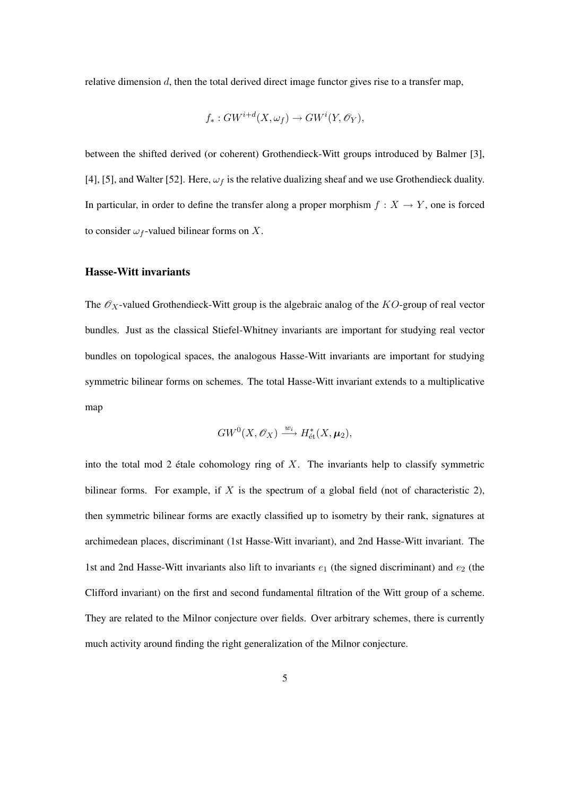relative dimension d, then the total derived direct image functor gives rise to a transfer map,

$$
f_*: GW^{i+d}(X, \omega_f) \to GW^i(Y, \mathscr{O}_Y),
$$

between the shifted derived (or coherent) Grothendieck-Witt groups introduced by Balmer [3], [4], [5], and Walter [52]. Here,  $\omega_f$  is the relative dualizing sheaf and we use Grothendieck duality. In particular, in order to define the transfer along a proper morphism  $f : X \to Y$ , one is forced to consider  $\omega_f$ -valued bilinear forms on X.

#### Hasse-Witt invariants

The  $\mathscr{O}_X$ -valued Grothendieck-Witt group is the algebraic analog of the KO-group of real vector bundles. Just as the classical Stiefel-Whitney invariants are important for studying real vector bundles on topological spaces, the analogous Hasse-Witt invariants are important for studying symmetric bilinear forms on schemes. The total Hasse-Witt invariant extends to a multiplicative map

$$
GW^0(X, \mathscr{O}_X) \xrightarrow{w_i} H^*_{\text{\'et}}(X, \mu_2),
$$

into the total mod 2 étale cohomology ring of  $X$ . The invariants help to classify symmetric bilinear forms. For example, if X is the spectrum of a global field (not of characteristic 2), then symmetric bilinear forms are exactly classified up to isometry by their rank, signatures at archimedean places, discriminant (1st Hasse-Witt invariant), and 2nd Hasse-Witt invariant. The 1st and 2nd Hasse-Witt invariants also lift to invariants  $e_1$  (the signed discriminant) and  $e_2$  (the Clifford invariant) on the first and second fundamental filtration of the Witt group of a scheme. They are related to the Milnor conjecture over fields. Over arbitrary schemes, there is currently much activity around finding the right generalization of the Milnor conjecture.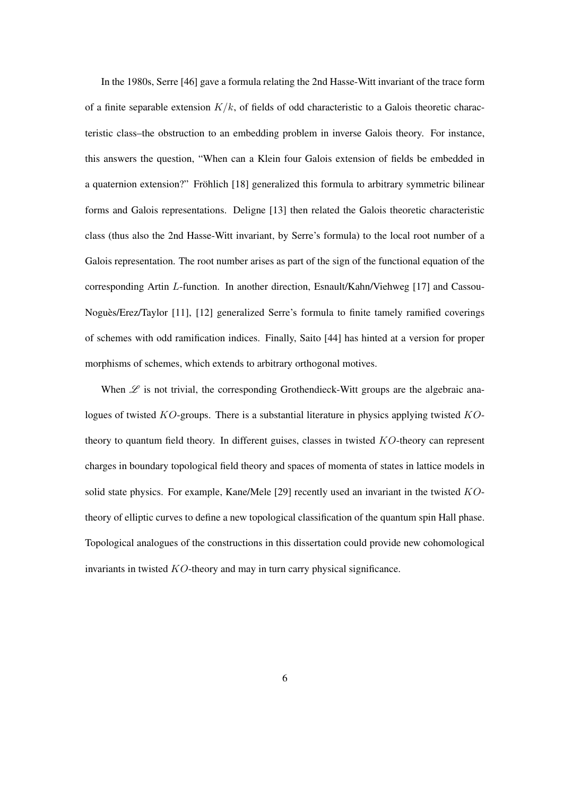In the 1980s, Serre [46] gave a formula relating the 2nd Hasse-Witt invariant of the trace form of a finite separable extension  $K/k$ , of fields of odd characteristic to a Galois theoretic characteristic class–the obstruction to an embedding problem in inverse Galois theory. For instance, this answers the question, "When can a Klein four Galois extension of fields be embedded in a quaternion extension?" Fröhlich [18] generalized this formula to arbitrary symmetric bilinear forms and Galois representations. Deligne [13] then related the Galois theoretic characteristic class (thus also the 2nd Hasse-Witt invariant, by Serre's formula) to the local root number of a Galois representation. The root number arises as part of the sign of the functional equation of the corresponding Artin L-function. In another direction, Esnault/Kahn/Viehweg [17] and Cassou-Nogues/Erez/Taylor [11], [12] generalized Serre's formula to finite tamely ramified coverings ` of schemes with odd ramification indices. Finally, Saito [44] has hinted at a version for proper morphisms of schemes, which extends to arbitrary orthogonal motives.

When  $\mathscr L$  is not trivial, the corresponding Grothendieck-Witt groups are the algebraic analogues of twisted  $KO$ -groups. There is a substantial literature in physics applying twisted  $KO$ theory to quantum field theory. In different guises, classes in twisted KO-theory can represent charges in boundary topological field theory and spaces of momenta of states in lattice models in solid state physics. For example, Kane/Mele [29] recently used an invariant in the twisted KOtheory of elliptic curves to define a new topological classification of the quantum spin Hall phase. Topological analogues of the constructions in this dissertation could provide new cohomological invariants in twisted KO-theory and may in turn carry physical significance.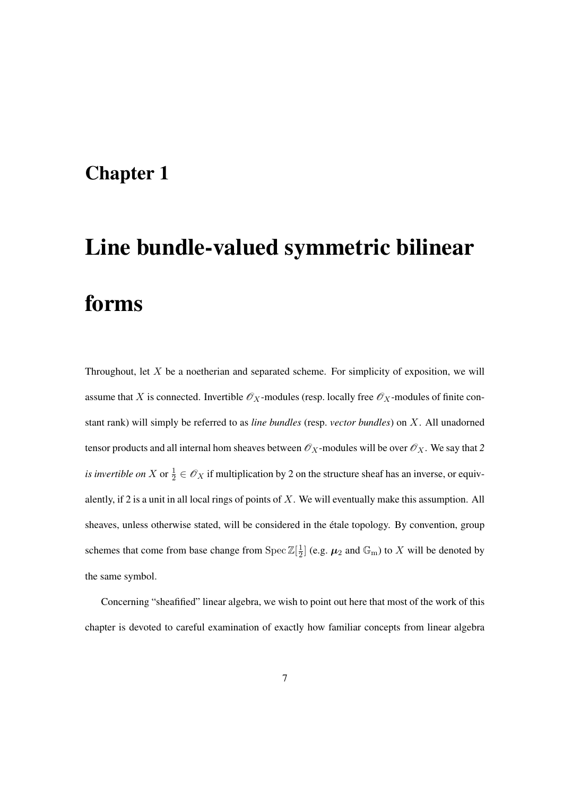## Chapter 1

# Line bundle-valued symmetric bilinear forms

Throughout, let  $X$  be a noetherian and separated scheme. For simplicity of exposition, we will assume that X is connected. Invertible  $\mathcal{O}_X$ -modules (resp. locally free  $\mathcal{O}_X$ -modules of finite constant rank) will simply be referred to as *line bundles* (resp. *vector bundles*) on X. All unadorned tensor products and all internal hom sheaves between  $\mathscr{O}_X$ -modules will be over  $\mathscr{O}_X$ . We say that 2 *is invertible on* X or  $\frac{1}{2} \in \mathcal{O}_X$  if multiplication by 2 on the structure sheaf has an inverse, or equivalently, if 2 is a unit in all local rings of points of  $X$ . We will eventually make this assumption. All sheaves, unless otherwise stated, will be considered in the étale topology. By convention, group schemes that come from base change from Spec  $\mathbb{Z}[\frac{1}{2}]$  $\frac{1}{2}$ ] (e.g.  $\mu_2$  and  $\mathbb{G}_{\mathrm{m}}$ ) to X will be denoted by the same symbol.

Concerning "sheafified" linear algebra, we wish to point out here that most of the work of this chapter is devoted to careful examination of exactly how familiar concepts from linear algebra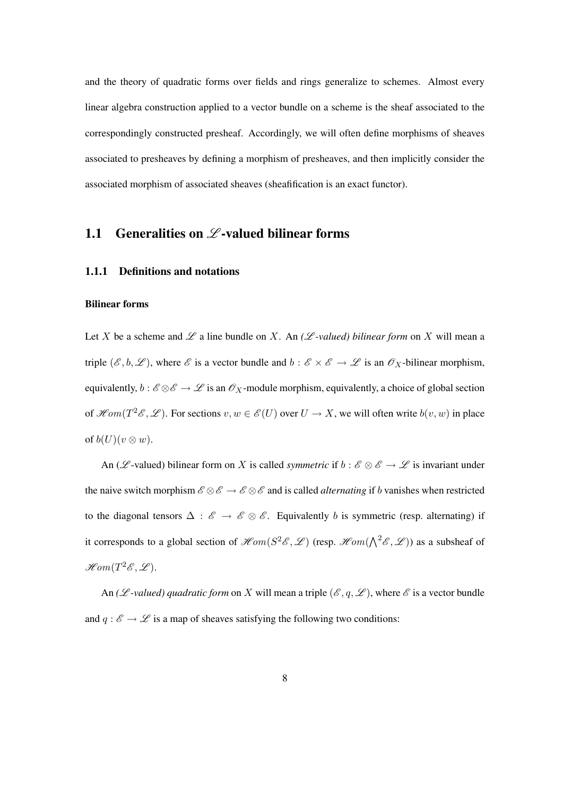and the theory of quadratic forms over fields and rings generalize to schemes. Almost every linear algebra construction applied to a vector bundle on a scheme is the sheaf associated to the correspondingly constructed presheaf. Accordingly, we will often define morphisms of sheaves associated to presheaves by defining a morphism of presheaves, and then implicitly consider the associated morphism of associated sheaves (sheafification is an exact functor).

### 1.1 Generalities on  $\mathscr{L}\text{-valued bilinear forms}$

#### 1.1.1 Definitions and notations

#### Bilinear forms

Let X be a scheme and  $\mathscr L$  a line bundle on X. An  $(\mathscr L$ -valued) bilinear form on X will mean a triple  $(\mathscr{E}, b, \mathscr{L})$ , where  $\mathscr{E}$  is a vector bundle and  $b : \mathscr{E} \times \mathscr{E} \to \mathscr{L}$  is an  $\mathscr{O}_X$ -bilinear morphism, equivalently,  $b : \mathscr{E} \otimes \mathscr{E} \to \mathscr{L}$  is an  $\mathscr{O}_X$ -module morphism, equivalently, a choice of global section of  $\mathscr{H}om(T^2\mathscr{E},\mathscr{L})$ . For sections  $v, w \in \mathscr{E}(U)$  over  $U \to X$ , we will often write  $b(v, w)$  in place of  $b(U)(v \otimes w)$ .

An ( $\mathscr{L}$ -valued) bilinear form on X is called *symmetric* if  $b : \mathscr{E} \otimes \mathscr{E} \to \mathscr{L}$  is invariant under the naive switch morphism  $\mathscr{E} \otimes \mathscr{E} \to \mathscr{E} \otimes \mathscr{E}$  and is called *alternating* if b vanishes when restricted to the diagonal tensors  $\Delta : \mathscr{E} \to \mathscr{E} \otimes \mathscr{E}$ . Equivalently b is symmetric (resp. alternating) if it corresponds to a global section of  $\mathcal{H}om(S^2 \mathcal{E}, \mathcal{L})$  (resp.  $\mathcal{H}om(\bigwedge^2 \mathcal{E}, \mathcal{L})$ ) as a subsheaf of  $\mathscr{H}\!\mathit{om}(T^2\mathscr{E},\mathscr{L}).$ 

An (*L -valued)* quadratic form on X will mean a triple ( $\mathscr{E}, q, \mathscr{L}$ ), where  $\mathscr{E}$  is a vector bundle and  $q : \mathscr{E} \to \mathscr{L}$  is a map of sheaves satisfying the following two conditions: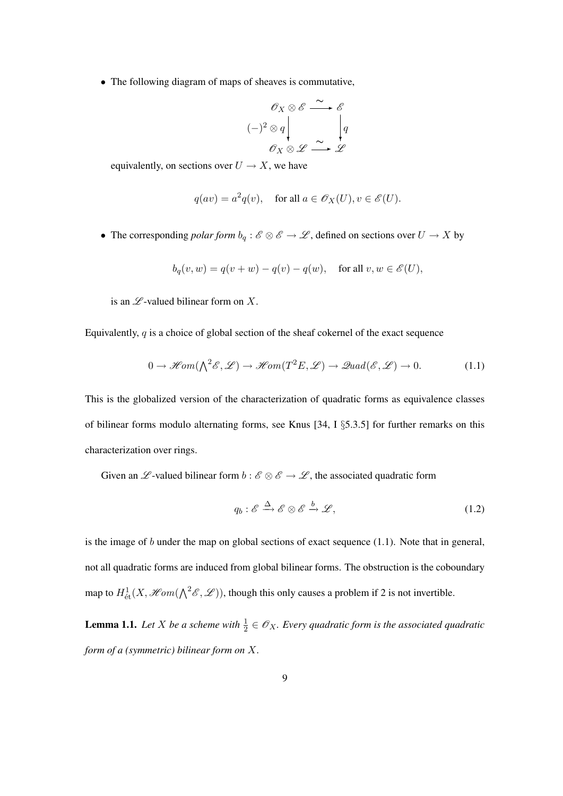• The following diagram of maps of sheaves is commutative,

$$
\begin{array}{ccc}\n & \mathscr{O}_X \otimes \mathscr{E} \xrightarrow{\sim} \mathscr{E} \\
 & \mathscr{O}_X \otimes \mathscr{L} \xrightarrow{\sim} \mathscr{L} \\
 & \mathscr{O}_X \otimes \mathscr{L} \xrightarrow{\sim} \mathscr{L}\n\end{array}
$$

equivalently, on sections over  $U \to X$ , we have

$$
q(av) = a^2q(v)
$$
, for all  $a \in \mathcal{O}_X(U)$ ,  $v \in \mathcal{E}(U)$ .

• The corresponding *polar form*  $b_q : \mathscr{E} \otimes \mathscr{E} \to \mathscr{L}$ , defined on sections over  $U \to X$  by

$$
b_q(v, w) = q(v + w) - q(v) - q(w), \quad \text{for all } v, w \in \mathscr{E}(U),
$$

is an  $\mathscr L$ -valued bilinear form on X.

Equivalently,  $q$  is a choice of global section of the sheaf cokernel of the exact sequence

$$
0 \to \mathcal{H}om(\bigwedge^2 \mathcal{E}, \mathcal{L}) \to \mathcal{H}om(T^2E, \mathcal{L}) \to \mathcal{Q}uad(\mathcal{E}, \mathcal{L}) \to 0. \tag{1.1}
$$

This is the globalized version of the characterization of quadratic forms as equivalence classes of bilinear forms modulo alternating forms, see Knus [34, I §5.3.5] for further remarks on this characterization over rings.

Given an  $\mathscr L$ -valued bilinear form  $b : \mathscr E \otimes \mathscr E \to \mathscr L$ , the associated quadratic form

$$
q_b: \mathscr{E} \xrightarrow{\Delta} \mathscr{E} \otimes \mathscr{E} \xrightarrow{b} \mathscr{L}, \tag{1.2}
$$

is the image of  $b$  under the map on global sections of exact sequence  $(1.1)$ . Note that in general, not all quadratic forms are induced from global bilinear forms. The obstruction is the coboundary map to  $H^1_{\text{\'et}}(X, \mathcal{H}om(\bigwedge^2 \mathcal{E}, \mathcal{L}))$ , though this only causes a problem if 2 is not invertible.

**Lemma 1.1.** Let X be a scheme with  $\frac{1}{2} \in \mathscr{O}_X$ . Every quadratic form is the associated quadratic *form of a (symmetric) bilinear form on* X*.*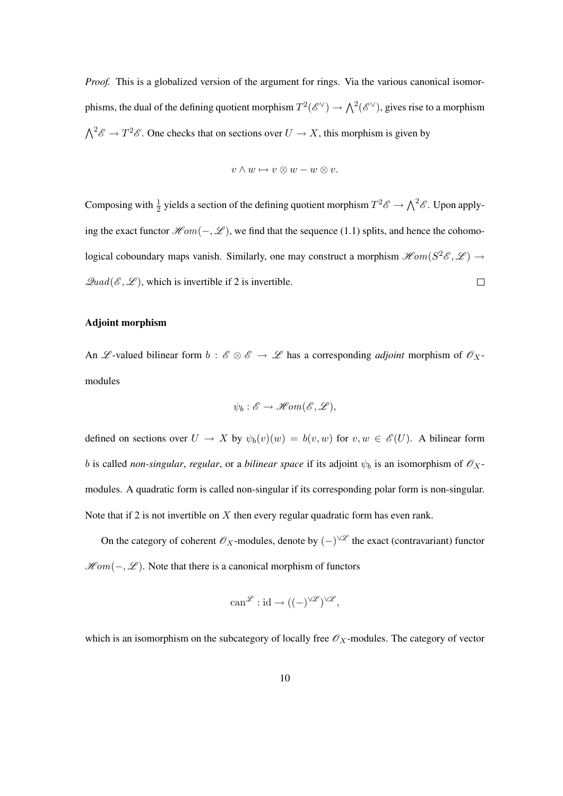*Proof.* This is a globalized version of the argument for rings. Via the various canonical isomorphisms, the dual of the defining quotient morphism  $T^2(\mathscr{E}^{\vee}) \to \bigwedge^2(\mathscr{E}^{\vee})$ , gives rise to a morphism  $\bigwedge^2 \mathscr{E} \to T^2 \mathscr{E}$ . One checks that on sections over  $U \to X$ , this morphism is given by

$$
v\wedge w\mapsto v\otimes w-w\otimes v.
$$

Composing with  $\frac{1}{2}$  yields a section of the defining quotient morphism  $T^2 \mathscr{E} \to \bigwedge^2 \mathscr{E}$ . Upon applying the exact functor  $\mathscr{H}\!om(-,\mathscr{L})$ , we find that the sequence (1.1) splits, and hence the cohomological coboundary maps vanish. Similarly, one may construct a morphism  $\mathscr{H}\!om(S^2\mathscr{E},\mathscr{L}) \to$  $\mathscr{Q}uad(\mathscr{E},\mathscr{L})$ , which is invertible if 2 is invertible.  $\Box$ 

#### Adjoint morphism

An L -valued bilinear form  $b : \mathscr{E} \otimes \mathscr{E} \to \mathscr{L}$  has a corresponding *adjoint* morphism of  $\mathscr{O}_X$ modules

$$
\psi_b : \mathscr{E} \to \mathscr{H}\!om(\mathscr{E}, \mathscr{L}),
$$

defined on sections over  $U \to X$  by  $\psi_b(v)(w) = b(v, w)$  for  $v, w \in \mathscr{E}(U)$ . A bilinear form b is called *non-singular*, *regular*, or a *bilinear space* if its adjoint  $\psi_b$  is an isomorphism of  $\mathscr{O}_X$ modules. A quadratic form is called non-singular if its corresponding polar form is non-singular. Note that if 2 is not invertible on  $X$  then every regular quadratic form has even rank.

On the category of coherent  $\mathscr{O}_X$ -modules, denote by  $(-)^{\vee\mathscr{L}}$  the exact (contravariant) functor  $\mathcal{H}om(-, \mathcal{L})$ . Note that there is a canonical morphism of functors

$$
\operatorname{can}^{\mathscr{L}}: \operatorname{id} \to ((-)^{\vee \mathscr{L}})^{\vee \mathscr{L}},
$$

which is an isomorphism on the subcategory of locally free  $\mathcal{O}_X$ -modules. The category of vector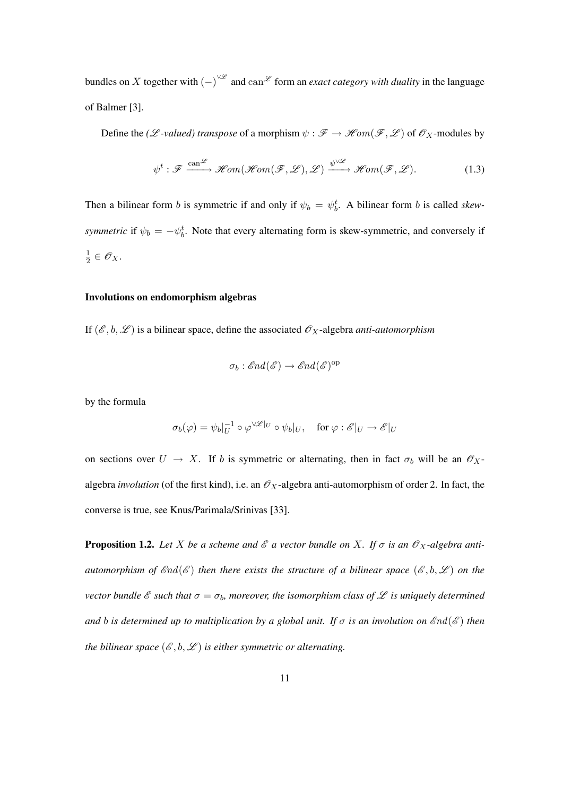bundles on X together with  $(-)^{\vee\mathscr{L}}$  and  $\text{can}^{\mathscr{L}}$  form an *exact category with duality* in the language of Balmer [3].

Define the *(L*-*valued)* transpose of a morphism  $\psi : \mathscr{F} \to \mathscr{H}om(\mathscr{F}, \mathscr{L})$  of  $\mathscr{O}_X$ -modules by

$$
\psi^t : \mathscr{F} \xrightarrow{\operatorname{can} \mathscr{L}} \mathscr{H}om(\mathscr{H}om(\mathscr{F}, \mathscr{L}), \mathscr{L}) \xrightarrow{\psi^{\vee \mathscr{L}}} \mathscr{H}om(\mathscr{F}, \mathscr{L}). \tag{1.3}
$$

Then a bilinear form b is symmetric if and only if  $\psi_b = \psi_b^t$ . A bilinear form b is called *skewsymmetric* if  $\psi_b = -\psi_b^t$ . Note that every alternating form is skew-symmetric, and conversely if 1  $\frac{1}{2} \in \mathscr{O}_X$ .

#### Involutions on endomorphism algebras

If  $(\mathscr{E}, b, \mathscr{L})$  is a bilinear space, define the associated  $\mathscr{O}_X$ -algebra *anti-automorphism* 

$$
\sigma_b : \mathcal{E}nd(\mathcal{E}) \to \mathcal{E}nd(\mathcal{E})^{op}
$$

by the formula

$$
\sigma_b(\varphi) = \psi_b|_U^{-1} \circ \varphi^{\vee \mathscr{L}|_U} \circ \psi_b|_U, \quad \text{for } \varphi: \mathscr{E}|_U \to \mathscr{E}|_U
$$

on sections over  $U \to X$ . If b is symmetric or alternating, then in fact  $\sigma_b$  will be an  $\mathscr{O}_X$ algebra *involution* (of the first kind), i.e. an  $\mathcal{O}_X$ -algebra anti-automorphism of order 2. In fact, the converse is true, see Knus/Parimala/Srinivas [33].

**Proposition 1.2.** Let X be a scheme and  $\mathcal{E}$  a vector bundle on X. If  $\sigma$  is an  $\mathcal{O}_X$ -algebra anti*automorphism of*  $\mathscr{E}nd(\mathscr{E})$  *then there exists the structure of a bilinear space*  $(\mathscr{E}, b, \mathscr{L})$  *on the vector bundle*  $\mathscr E$  *such that*  $\sigma = \sigma_b$ *, moreover, the isomorphism class of*  $\mathscr L$  *is uniquely determined and b is determined up to multiplication by a global unit. If*  $\sigma$  *is an involution on*  $\mathscr{E}nd(\mathscr{E})$  *then the bilinear space*  $(\mathscr{E}, b, \mathscr{L})$  *is either symmetric or alternating.*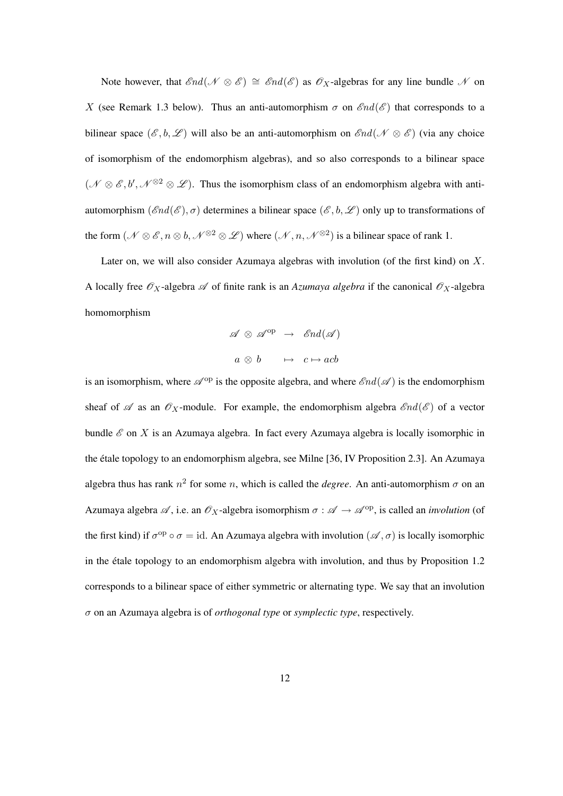Note however, that  $\mathcal{E}nd(\mathcal{N}\otimes\mathcal{E})\cong \mathcal{E}nd(\mathcal{E})$  as  $\mathcal{O}_X$ -algebras for any line bundle N on X (see Remark 1.3 below). Thus an anti-automorphism  $\sigma$  on  $\mathscr{E}nd(\mathscr{E})$  that corresponds to a bilinear space  $(\mathscr{E}, b, \mathscr{L})$  will also be an anti-automorphism on  $\mathscr{E}nd(\mathscr{N} \otimes \mathscr{E})$  (via any choice of isomorphism of the endomorphism algebras), and so also corresponds to a bilinear space  $(\mathscr{N} \otimes \mathscr{E}, b', \mathscr{N}^{\otimes 2} \otimes \mathscr{L})$ . Thus the isomorphism class of an endomorphism algebra with antiautomorphism  $(\mathcal{E}nd(\mathcal{E}), \sigma)$  determines a bilinear space  $(\mathcal{E}, b, \mathcal{L})$  only up to transformations of the form  $(\mathcal{N} \otimes \mathcal{E}, n \otimes b, \mathcal{N}^{\otimes 2} \otimes \mathcal{L})$  where  $(\mathcal{N}, n, \mathcal{N}^{\otimes 2})$  is a bilinear space of rank 1.

Later on, we will also consider Azumaya algebras with involution (of the first kind) on X. A locally free  $\mathscr{O}_X$ -algebra  $\mathscr A$  of finite rank is an *Azumaya algebra* if the canonical  $\mathscr O_X$ -algebra homomorphism

$$
\mathscr{A} \otimes \mathscr{A}^{op} \rightarrow \mathscr{E}nd(\mathscr{A})
$$

$$
a \otimes b \qquad \mapsto \ c \mapsto acb
$$

is an isomorphism, where  $\mathscr{A}^{op}$  is the opposite algebra, and where  $\mathscr{E}nd(\mathscr{A})$  is the endomorphism sheaf of  $\mathscr A$  as an  $\mathscr O_X$ -module. For example, the endomorphism algebra  $\mathscr End(\mathscr E)$  of a vector bundle  $\mathscr E$  on  $X$  is an Azumaya algebra. In fact every Azumaya algebra is locally isomorphic in the etale topology to an endomorphism algebra, see Milne [36, IV Proposition 2.3]. An Azumaya ´ algebra thus has rank  $n^2$  for some n, which is called the *degree*. An anti-automorphism  $\sigma$  on an Azumaya algebra  $\mathscr A$ , i.e. an  $\mathscr O_X$ -algebra isomorphism  $\sigma : \mathscr A \to \mathscr A^{\mathrm{op}}$ , is called an *involution* (of the first kind) if  $\sigma^{op} \circ \sigma = id$ . An Azumaya algebra with involution  $(\mathscr{A}, \sigma)$  is locally isomorphic in the étale topology to an endomorphism algebra with involution, and thus by Proposition 1.2 corresponds to a bilinear space of either symmetric or alternating type. We say that an involution σ on an Azumaya algebra is of *orthogonal type* or *symplectic type*, respectively.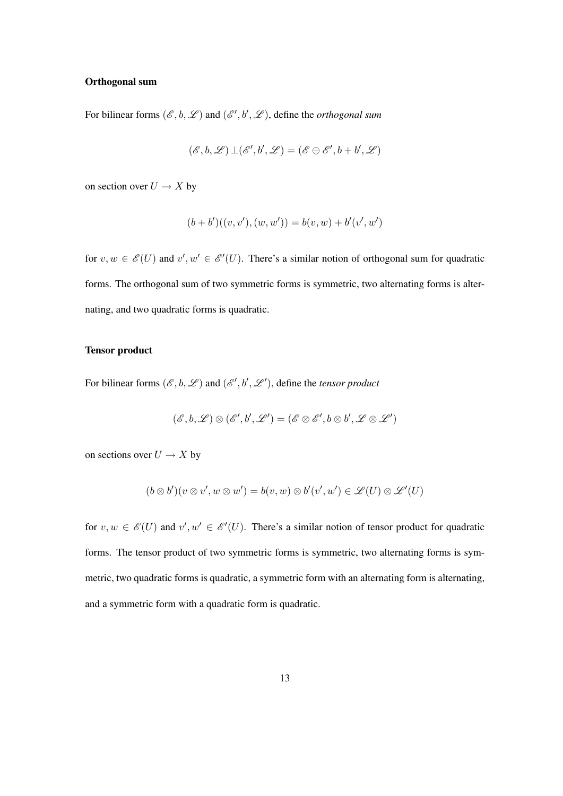#### Orthogonal sum

For bilinear forms  $(\mathscr{E}, b, \mathscr{L})$  and  $(\mathscr{E}', b', \mathscr{L})$ , define the *orthogonal sum* 

$$
({\mathscr E}, b, {\mathscr L})\,\bot ({\mathscr E}', b', {\mathscr L})=({\mathscr E}\oplus {\mathscr E}', b+ b', {\mathscr L})
$$

on section over  $U \to X$  by

$$
(b + b')((v, v'), (w, w')) = b(v, w) + b'(v', w')
$$

for  $v, w \in \mathscr{E}(U)$  and  $v', w' \in \mathscr{E}'(U)$ . There's a similar notion of orthogonal sum for quadratic forms. The orthogonal sum of two symmetric forms is symmetric, two alternating forms is alternating, and two quadratic forms is quadratic.

#### Tensor product

For bilinear forms  $(\mathscr{E}, b, \mathscr{L})$  and  $(\mathscr{E}', b', \mathscr{L}')$ , define the *tensor product* 

$$
({\mathscr E}, b, {\mathscr L})\otimes ({\mathscr E}', b', {\mathscr L}')=({\mathscr E}\otimes {\mathscr E}', b\otimes b', {\mathscr L}\otimes {\mathscr L}')
$$

on sections over  $U \to X$  by

$$
(b \otimes b')(v \otimes v', w \otimes w') = b(v, w) \otimes b'(v', w') \in \mathscr{L}(U) \otimes \mathscr{L}'(U)
$$

for  $v, w \in \mathscr{E}(U)$  and  $v', w' \in \mathscr{E}'(U)$ . There's a similar notion of tensor product for quadratic forms. The tensor product of two symmetric forms is symmetric, two alternating forms is symmetric, two quadratic forms is quadratic, a symmetric form with an alternating form is alternating, and a symmetric form with a quadratic form is quadratic.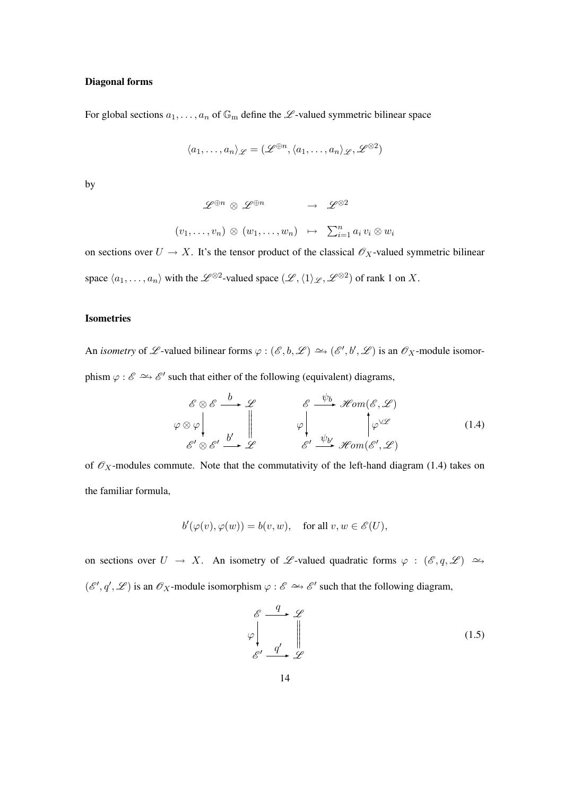#### Diagonal forms

For global sections  $a_1, \ldots, a_n$  of  $\mathbb{G}_m$  define the  $\mathscr{L}$ -valued symmetric bilinear space

$$
\langle a_1, \ldots, a_n \rangle_{\mathscr{L}} = (\mathscr{L}^{\oplus n}, \langle a_1, \ldots, a_n \rangle_{\mathscr{L}}, \mathscr{L}^{\otimes 2})
$$

by

 $\mathscr{L}^{\oplus n} \otimes \mathscr{L}^{\oplus n} \longrightarrow \mathscr{L}^{\otimes 2}$  $(v_1,\ldots,v_n)\otimes(w_1,\ldots,w_n)\mapsto \sum_{i=1}^n a_i v_i\otimes w_i$ 

on sections over  $U \to X$ . It's the tensor product of the classical  $\mathscr{O}_X$ -valued symmetric bilinear space  $\langle a_1, \ldots, a_n \rangle$  with the  $\mathscr{L}^{\otimes 2}$ -valued space  $(\mathscr{L}, \langle 1 \rangle_{\mathscr{L}}, \mathscr{L}^{\otimes 2})$  of rank 1 on X.

#### Isometries

An *isometry* of L-valued bilinear forms  $\varphi : (\mathscr{E}, b, \mathscr{L}) \to (\mathscr{E}', b', \mathscr{L})$  is an  $\mathscr{O}_X$ -module isomorphism  $\varphi : \mathscr{E} \to \mathscr{E}'$  such that either of the following (equivalent) diagrams,

$$
\begin{array}{ccc}\n\mathscr{E} \otimes \mathscr{E} & \xrightarrow{b} & \mathscr{L} & \mathscr{E} \xrightarrow{\psi_b} \mathscr{H}om(\mathscr{E}, \mathscr{L}) \\
\varphi \otimes \varphi & & \downarrow & \varphi \\
\mathscr{E}' \otimes \mathscr{E}' & \xrightarrow{b'} & \mathscr{L} & \mathscr{E}' \xrightarrow{\psi_{b'}} \mathscr{H}om(\mathscr{E}', \mathscr{L})\n\end{array} \tag{1.4}
$$

of  $\mathcal{O}_X$ -modules commute. Note that the commutativity of the left-hand diagram (1.4) takes on the familiar formula,

$$
b'(\varphi(v), \varphi(w)) = b(v, w), \quad \text{for all } v, w \in \mathscr{E}(U),
$$

on sections over  $U \to X$ . An isometry of L-valued quadratic forms  $\varphi : (\mathscr{E}, q, \mathscr{L}) \longrightarrow$  $(\mathscr{E}', q', \mathscr{L})$  is an  $\mathscr{O}_X$ -module isomorphism  $\varphi : \mathscr{E} \longrightarrow \mathscr{E}'$  such that the following diagram,

$$
\begin{array}{ccc}\n\mathcal{E} & \xrightarrow{q} & \mathcal{L} \\
\varphi & \downarrow & \downarrow \\
\mathcal{E}' & \xrightarrow{q'} & \mathcal{L}\n\end{array} \tag{1.5}
$$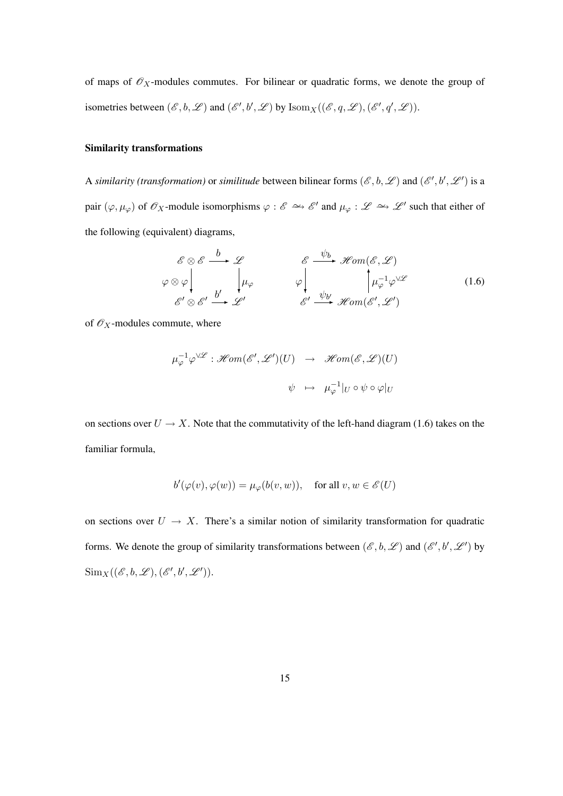of maps of  $\mathcal{O}_X$ -modules commutes. For bilinear or quadratic forms, we denote the group of isometries between  $(\mathscr{E}, b, \mathscr{L})$  and  $(\mathscr{E}', b', \mathscr{L})$  by  $\text{Isom}_X((\mathscr{E}, q, \mathscr{L}), (\mathscr{E}', q', \mathscr{L}))$ .

#### Similarity transformations

A *similarity (transformation)* or *similitude* between bilinear forms  $(\mathscr{E}, b, \mathscr{L})$  and  $(\mathscr{E}', b', \mathscr{L}')$  is a pair  $(\varphi, \mu_{\varphi})$  of  $\mathscr{O}_X$ -module isomorphisms  $\varphi : \mathscr{E} \implies \mathscr{E}'$  and  $\mu_{\varphi} : \mathscr{L} \implies \mathscr{L}'$  such that either of the following (equivalent) diagrams,

$$
\begin{array}{ccc}\n\mathscr{E} \otimes \mathscr{E} & \xrightarrow{b} \mathscr{L} & \mathscr{E} & \xrightarrow{\psi_b} \mathscr{H}om(\mathscr{E}, \mathscr{L}) \\
\varphi \otimes \varphi & & \downarrow \mu_{\varphi} & \varphi & \downarrow \mu_{\varphi}^{-1} \varphi^{\vee \mathscr{L}} \\
\mathscr{E}' \otimes \mathscr{E}' & \xrightarrow{b'} & \mathscr{L'} & \mathscr{E}' & \xrightarrow{\psi_{b'}} \mathscr{H}om(\mathscr{E}', \mathscr{L}')\n\end{array} \tag{1.6}
$$

of  $\mathcal{O}_X$ -modules commute, where

$$
\mu_{\varphi}^{-1} \varphi^{\vee \mathscr{L}} : \mathscr{H}om(\mathscr{E}', \mathscr{L}')(U) \rightarrow \mathscr{H}om(\mathscr{E}, \mathscr{L})(U)
$$
  

$$
\psi \mapsto \mu_{\varphi}^{-1} |_{U} \circ \psi \circ \varphi |_{U}
$$

on sections over  $U \rightarrow X$ . Note that the commutativity of the left-hand diagram (1.6) takes on the familiar formula,

$$
b'(\varphi(v), \varphi(w)) = \mu_{\varphi}(b(v, w)), \quad \text{for all } v, w \in \mathscr{E}(U)
$$

on sections over  $U \to X$ . There's a similar notion of similarity transformation for quadratic forms. We denote the group of similarity transformations between  $(\mathscr{E}, b, \mathscr{L})$  and  $(\mathscr{E}', b', \mathscr{L}')$  by  $\text{Sim}_X((\mathscr{E}, b, \mathscr{L}),(\mathscr{E}', b', \mathscr{L}')).$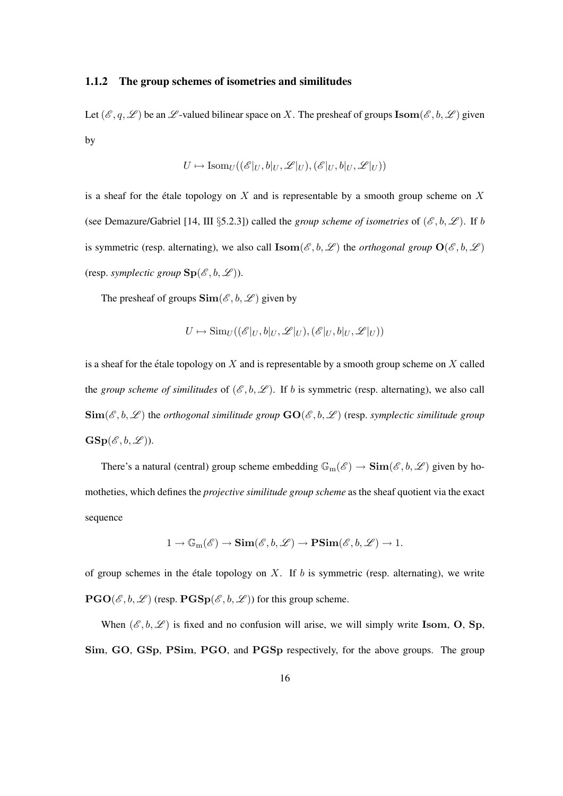#### 1.1.2 The group schemes of isometries and similitudes

Let  $(\mathscr{E}, q, \mathscr{L})$  be an  $\mathscr{L}$ -valued bilinear space on X. The presheaf of groups  $\mathbf{Isom}(\mathscr{E}, b, \mathscr{L})$  given by

$$
U \mapsto \text{Isom}_U((\mathscr{E}|_U, b|_U, \mathscr{L}|_U), (\mathscr{E}|_U, b|_U, \mathscr{L}|_U))
$$

is a sheaf for the étale topology on X and is representable by a smooth group scheme on X (see Demazure/Gabriel [14, III §5.2.3]) called the *group scheme of isometries* of  $(\mathscr{E}, b, \mathscr{L})$ . If b is symmetric (resp. alternating), we also call  $\textbf{Isom}(\mathscr{E}, b, \mathscr{L})$  the *orthogonal group*  $\textbf{O}(\mathscr{E}, b, \mathscr{L})$ (resp. *symplectic group*  $\text{Sp}(\mathscr{E},b,\mathscr{L})$ ).

The presheaf of groups  $\text{Sim}(\mathcal{E}, b, \mathcal{L})$  given by

$$
U \mapsto \mathrm{Sim}_U((\mathscr{E}|_U, b|_U, \mathscr{L}|_U), (\mathscr{E}|_U, b|_U, \mathscr{L}|_U))
$$

is a sheaf for the étale topology on  $X$  and is representable by a smooth group scheme on  $X$  called the *group scheme of similitudes* of  $(\mathscr{E}, b, \mathscr{L})$ . If b is symmetric (resp. alternating), we also call  $\text{Sim}(\mathscr{E}, b, \mathscr{L})$  the *orthogonal similitude group*  $\text{GO}(\mathscr{E}, b, \mathscr{L})$  (resp. *symplectic similitude group*  $\mathbf{GSp}(\mathscr{E},b,\mathscr{L})$ ).

There's a natural (central) group scheme embedding  $\mathbb{G}_{m}(\mathscr{E}) \to \text{Sim}(\mathscr{E},b,\mathscr{L})$  given by homotheties, which defines the *projective similitude group scheme* as the sheaf quotient via the exact sequence

$$
1 \to \mathbb{G}_{\mathrm{m}}(\mathscr{E}) \to \mathbf{Sim}(\mathscr{E}, b, \mathscr{L}) \to \mathbf{PSim}(\mathscr{E}, b, \mathscr{L}) \to 1.
$$

of group schemes in the étale topology on  $X$ . If  $b$  is symmetric (resp. alternating), we write  $PGO(\mathcal{E}, b, \mathcal{L})$  (resp.  $PGSp(\mathcal{E}, b, \mathcal{L})$ ) for this group scheme.

When  $(\mathscr{E}, b, \mathscr{L})$  is fixed and no confusion will arise, we will simply write Isom, O, Sp, Sim, GO, GSp, PSim, PGO, and PGSp respectively, for the above groups. The group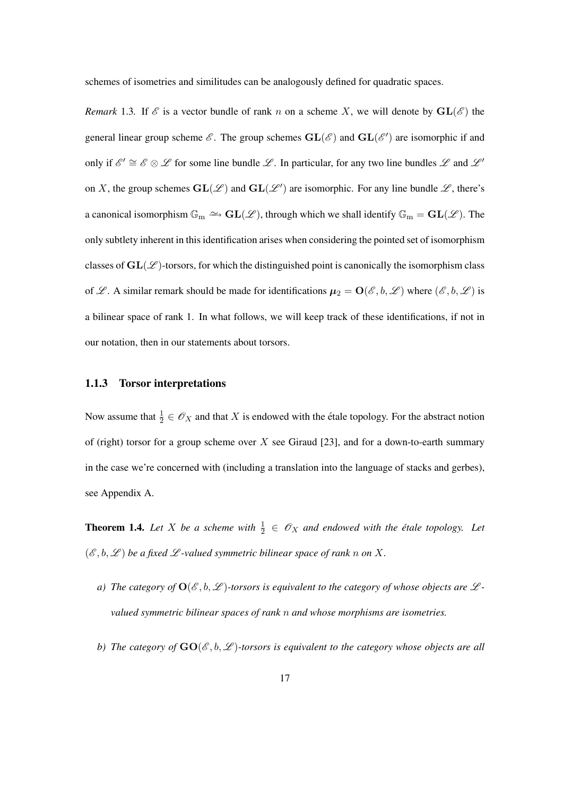schemes of isometries and similitudes can be analogously defined for quadratic spaces.

*Remark* 1.3. If  $\mathcal{E}$  is a vector bundle of rank n on a scheme X, we will denote by  $GL(\mathcal{E})$  the general linear group scheme  $\mathscr{E}$ . The group schemes  $GL(\mathscr{E})$  and  $GL(\mathscr{E}')$  are isomorphic if and only if  $\mathscr{E}' \cong \mathscr{E} \otimes \mathscr{L}$  for some line bundle  $\mathscr{L}$ . In particular, for any two line bundles  $\mathscr{L}$  and  $\mathscr{L}'$ on X, the group schemes  $GL(\mathcal{L})$  and  $GL(\mathcal{L}')$  are isomorphic. For any line bundle  $\mathcal{L}$ , there's a canonical isomorphism  $\mathbb{G}_m \simeq \text{GL}(\mathscr{L})$ , through which we shall identify  $\mathbb{G}_m = \text{GL}(\mathscr{L})$ . The only subtlety inherent in this identification arises when considering the pointed set of isomorphism classes of  $GL(\mathscr{L})$ -torsors, for which the distinguished point is canonically the isomorphism class of L. A similar remark should be made for identifications  $\mu_2 = O(\mathscr{E}, \mathscr{b}, \mathscr{L})$  where  $(\mathscr{E}, \mathscr{b}, \mathscr{L})$  is a bilinear space of rank 1. In what follows, we will keep track of these identifications, if not in our notation, then in our statements about torsors.

#### 1.1.3 Torsor interpretations

Now assume that  $\frac{1}{2} \in \mathscr{O}_X$  and that X is endowed with the étale topology. For the abstract notion of (right) torsor for a group scheme over X see Giraud [23], and for a down-to-earth summary in the case we're concerned with (including a translation into the language of stacks and gerbes), see Appendix A.

**Theorem 1.4.** Let X be a scheme with  $\frac{1}{2} \in \mathcal{O}_X$  and endowed with the étale topology. Let  $(\mathscr{E}, b, \mathscr{L})$  *be a fixed*  $\mathscr{L}$ *-valued symmetric bilinear space of rank n on* X.

- *a)* The category of  $O(\mathcal{E}, b, \mathcal{L})$ -torsors is equivalent to the category of whose objects are  $\mathcal{L}$ *valued symmetric bilinear spaces of rank* n *and whose morphisms are isometries.*
- *b)* The category of  $GO(\mathcal{E}, b, \mathcal{L})$ -torsors is equivalent to the category whose objects are all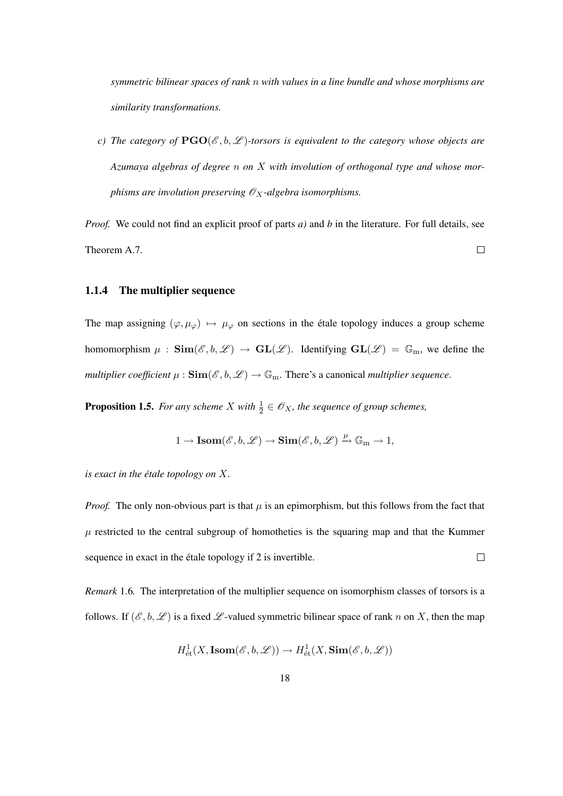*symmetric bilinear spaces of rank* n *with values in a line bundle and whose morphisms are similarity transformations.*

*c)* The category of  $PGO(\mathcal{E}, b, \mathcal{L})$ -torsors is equivalent to the category whose objects are *Azumaya algebras of degree* n *on* X *with involution of orthogonal type and whose morphisms are involution preserving*  $O_X$ -algebra isomorphisms.

*Proof.* We could not find an explicit proof of parts *a*) and *b* in the literature. For full details, see Theorem A.7.  $\Box$ 

#### 1.1.4 The multiplier sequence

The map assigning  $(\varphi, \mu_{\varphi}) \mapsto \mu_{\varphi}$  on sections in the étale topology induces a group scheme homomorphism  $\mu$  :  $\text{Sim}(\mathscr{E}, b, \mathscr{L}) \to \text{GL}(\mathscr{L})$ . Identifying  $\text{GL}(\mathscr{L}) = \mathbb{G}_m$ , we define the *multiplier coefficient*  $\mu$  :  $\text{Sim}(\mathcal{E}, b, \mathcal{L}) \to \mathbb{G}_m$ . There's a canonical *multiplier sequence*.

**Proposition 1.5.** For any scheme X with  $\frac{1}{2} \in \mathscr{O}_X$ , the sequence of group schemes,

$$
1 \to \text{Isom}(\mathscr{E}, b, \mathscr{L}) \to \text{Sim}(\mathscr{E}, b, \mathscr{L}) \xrightarrow{\mu} \mathbb{G}_{m} \to 1,
$$

*is exact in the étale topology on*  $X$ *.* 

*Proof.* The only non-obvious part is that  $\mu$  is an epimorphism, but this follows from the fact that  $\mu$  restricted to the central subgroup of homotheties is the squaring map and that the Kummer sequence in exact in the étale topology if 2 is invertible.  $\Box$ 

*Remark* 1.6*.* The interpretation of the multiplier sequence on isomorphism classes of torsors is a follows. If  $(\mathscr{E}, b, \mathscr{L})$  is a fixed  $\mathscr{L}$ -valued symmetric bilinear space of rank n on X, then the map

$$
H^1_{\text{\'et}}(X,\text{Isom}(\mathscr{E},b,\mathscr{L}))\to H^1_{\text{\'et}}(X,\text{Sim}(\mathscr{E},b,\mathscr{L}))
$$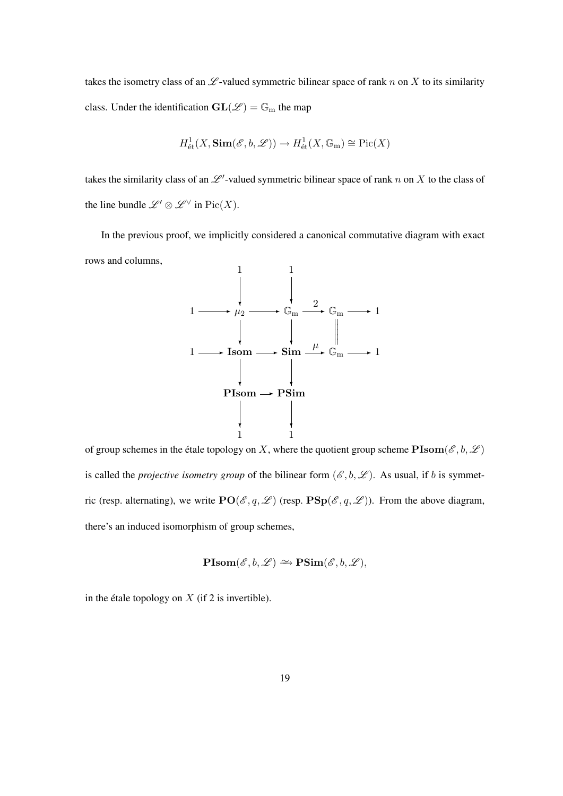takes the isometry class of an  $\mathscr L$ -valued symmetric bilinear space of rank n on X to its similarity class. Under the identification  $GL(\mathscr{L}) = \mathbb{G}_{m}$  the map

$$
H^1_{\text{\'et}}(X,\mathbf{Sim}(\mathscr{E},b,\mathscr{L}))\to H^1_{\text{\'et}}(X,\mathbb{G}_{\mathrm{m}})\cong \mathrm{Pic}(X)
$$

takes the similarity class of an  $\mathscr{L}'$ -valued symmetric bilinear space of rank n on X to the class of the line bundle  $\mathscr{L}' \otimes \mathscr{L}^\vee$  in  $\text{Pic}(X)$ .

In the previous proof, we implicitly considered a canonical commutative diagram with exact rows and columns,



of group schemes in the étale topology on X, where the quotient group scheme  $\text{PIsom}(\mathscr{E}, b, \mathscr{L})$ is called the *projective isometry group* of the bilinear form  $(\mathscr{E}, b, \mathscr{L})$ . As usual, if b is symmetric (resp. alternating), we write  $PO(\mathscr{E}, q, \mathscr{L})$  (resp.  $PSp(\mathscr{E}, q, \mathscr{L})$ ). From the above diagram, there's an induced isomorphism of group schemes,

$$
\mathbf{PIsom}(\mathscr{E}, b, \mathscr{L}) \simeq \mathbf{PSim}(\mathscr{E}, b, \mathscr{L}),
$$

in the étale topology on  $X$  (if 2 is invertible).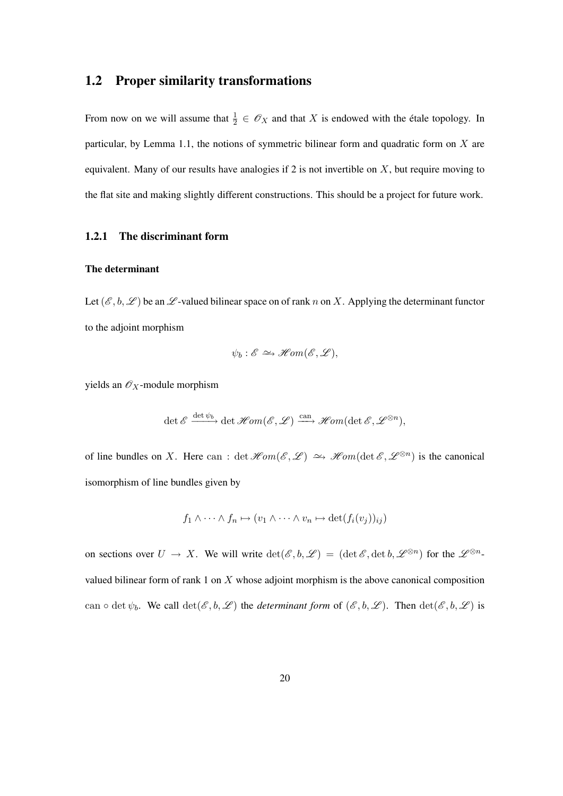#### 1.2 Proper similarity transformations

From now on we will assume that  $\frac{1}{2} \in \mathcal{O}_X$  and that X is endowed with the étale topology. In particular, by Lemma 1.1, the notions of symmetric bilinear form and quadratic form on  $X$  are equivalent. Many of our results have analogies if 2 is not invertible on  $X$ , but require moving to the flat site and making slightly different constructions. This should be a project for future work.

#### 1.2.1 The discriminant form

#### The determinant

Let  $(\mathscr{E}, b, \mathscr{L})$  be an  $\mathscr{L}$ -valued bilinear space on of rank n on X. Applying the determinant functor to the adjoint morphism

$$
\psi_b: \mathscr{E} \longrightarrow \mathscr{H}\!\mathit{om}(\mathscr{E}, \mathscr{L}),
$$

yields an  $\mathcal{O}_X$ -module morphism

$$
\det \mathscr{E} \xrightarrow{\det \psi_b} \det \mathscr{H}om(\mathscr{E}, \mathscr{L}) \xrightarrow{\operatorname{can}} \mathscr{H}om(\det \mathscr{E}, \mathscr{L}^{\otimes n}),
$$

of line bundles on X. Here can: det  $\text{Hom}(\mathscr{E}, \mathscr{L}) \simeq \text{Hom}(\det \mathscr{E}, \mathscr{L}^{\otimes n})$  is the canonical isomorphism of line bundles given by

$$
f_1 \wedge \cdots \wedge f_n \mapsto (v_1 \wedge \cdots \wedge v_n \mapsto \det(f_i(v_j))_{ij})
$$

on sections over  $U \to X$ . We will write  $\det(\mathscr{E}, b, \mathscr{L}) = (\det \mathscr{E}, \det b, \mathscr{L}^{\otimes n})$  for the  $\mathscr{L}^{\otimes n}$ valued bilinear form of rank 1 on X whose adjoint morphism is the above canonical composition can  $\circ$  det  $\psi_b$ . We call  $\det(\mathscr{E}, b, \mathscr{L})$  the *determinant form* of  $(\mathscr{E}, b, \mathscr{L})$ . Then  $\det(\mathscr{E}, b, \mathscr{L})$  is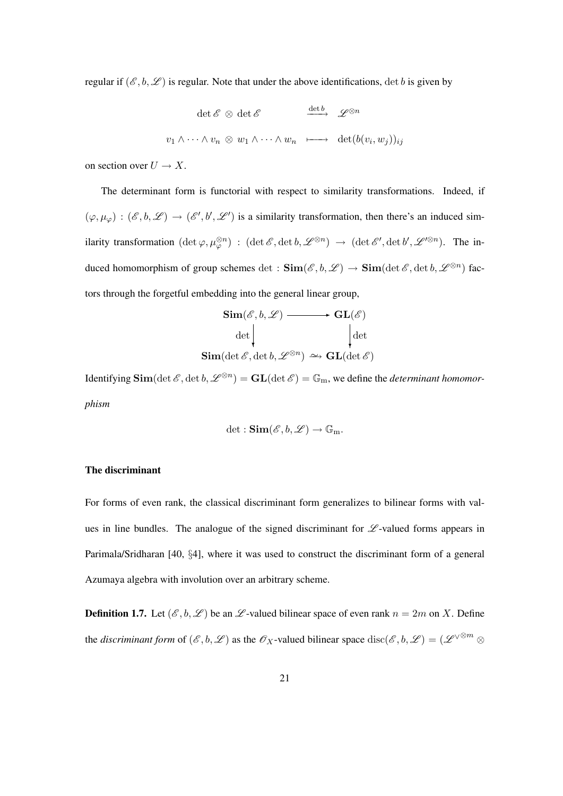regular if  $(\mathscr{E}, b, \mathscr{L})$  is regular. Note that under the above identifications, det b is given by

$$
\det \mathscr{E} \otimes \det \mathscr{E} \qquad \xrightarrow{\det b} \qquad \mathscr{L}^{\otimes n}
$$
  

$$
v_1 \wedge \cdots \wedge v_n \otimes w_1 \wedge \cdots \wedge w_n \qquad \longmapsto \qquad \det(b(v_i, w_j))_{ij}
$$

on section over  $U \to X$ .

The determinant form is functorial with respect to similarity transformations. Indeed, if  $(\varphi, \mu_{\varphi}) : (\mathscr{E}, b, \mathscr{L}) \to (\mathscr{E}', b', \mathscr{L}')$  is a similarity transformation, then there's an induced similarity transformation  $(\det \varphi, \mu_{\varphi}^{\otimes n}) : (\det \mathscr{E}, \det b, \mathscr{L}^{\otimes n}) \to (\det \mathscr{E}', \det b', \mathscr{L}'^{\otimes n})$ . The induced homomorphism of group schemes  $\det$  :  $\text{Sim}(\mathscr{E}, b, \mathscr{L}) \to \text{Sim}(\det \mathscr{E}, \det b, \mathscr{L}^{\otimes n})$  factors through the forgetful embedding into the general linear group,

$$
\begin{array}{c}\n\operatorname{Sim}(\mathscr{E}, b, \mathscr{L}) \longrightarrow \operatorname{GL}(\mathscr{E}) \\
\operatorname{det}\Big| \\
\operatorname{Sim}(\operatorname{det}\mathscr{E}, \operatorname{det}b, \mathscr{L}^{\otimes n}) \simeq \operatorname{GL}(\operatorname{det}\mathscr{E})\n\end{array}
$$

Identifying  $\text{Sim}(\det \mathscr{E}, \det b, \mathscr{L}^{\otimes n}) = \text{GL}(\det \mathscr{E}) = \mathbb{G}_m$ , we define the *determinant homomorphism*

$$
\det: \mathbf{Sim}(\mathscr{E}, b, \mathscr{L}) \to \mathbb{G}_m.
$$

#### The discriminant

For forms of even rank, the classical discriminant form generalizes to bilinear forms with values in line bundles. The analogue of the signed discriminant for  $\mathscr L$ -valued forms appears in Parimala/Sridharan [40, §4], where it was used to construct the discriminant form of a general Azumaya algebra with involution over an arbitrary scheme.

**Definition 1.7.** Let  $(\mathcal{E}, b, \mathcal{L})$  be an  $\mathcal{L}$ -valued bilinear space of even rank  $n = 2m$  on X. Define the *discriminant form* of  $(\mathscr{E}, b, \mathscr{L})$  as the  $\mathscr{O}_X$ -valued bilinear space  $\text{disc}(\mathscr{E}, b, \mathscr{L}) = (\mathscr{L}^{\vee \otimes m} \otimes$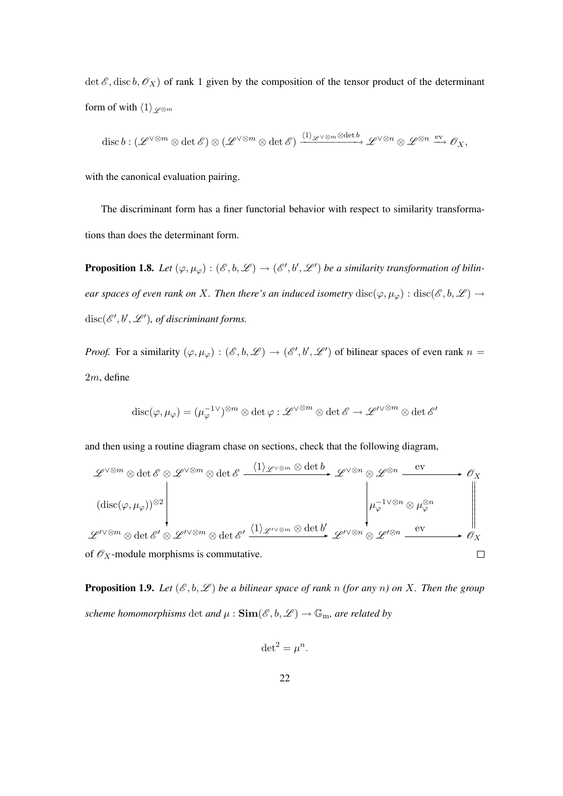det  $\mathscr{E}$ , disc  $b$ ,  $\mathscr{O}_X$ ) of rank 1 given by the composition of the tensor product of the determinant form of with  $\langle 1 \rangle_{\mathscr{L}^{\otimes m}}$ 

$$
\operatorname{disc} b: (\mathscr{L}^{\vee\otimes m}\otimes \det \mathscr{E})\otimes (\mathscr{L}^{\vee\otimes m}\otimes \det \mathscr{E}) \xrightarrow{(1)_{\mathscr{L}}\vee\otimes m\otimes \det b} \mathscr{L}^{\vee\otimes n}\otimes \mathscr{L}^{\otimes n} \xrightarrow{\operatorname{ev}} \mathscr{O}_X,
$$

with the canonical evaluation pairing.

The discriminant form has a finer functorial behavior with respect to similarity transformations than does the determinant form.

**Proposition 1.8.** Let  $(\varphi, \mu_{\varphi}) : (\mathscr{E}, b, \mathscr{L}) \to (\mathscr{E}', b', \mathscr{L}')$  be a similarity transformation of bilin*ear spaces of even rank on* X. Then there's an induced isometry  $\text{disc}(\varphi, \mu_{\varphi}) : \text{disc}(\mathscr{E}, b, \mathscr{L}) \to$  $disc(\mathscr{E}', b', \mathscr{L}')$ , of discriminant forms.

*Proof.* For a similarity  $(\varphi, \mu_{\varphi}) : (\mathscr{E}, b, \mathscr{L}) \to (\mathscr{E}', b', \mathscr{L}')$  of bilinear spaces of even rank  $n =$  $2m$ , define

$$
\mathrm{disc}(\varphi,\mu_\varphi)=(\mu_\varphi^{-1\vee})^{\otimes m}\otimes\det\varphi:\mathscr{L}^{\vee\otimes m}\otimes\det\mathscr{E}\to\mathscr{L}'^{\vee\otimes m}\otimes\det\mathscr{E}'
$$

and then using a routine diagram chase on sections, check that the following diagram,

$$
\mathscr{L}^{\vee\otimes m}\otimes\det\mathscr{E}\otimes\mathscr{L}^{\vee\otimes m}\otimes\det\mathscr{E}\xrightarrow{\langle 1\rangle_{\mathscr{L}^{\vee\otimes m}}\otimes\det b}\mathscr{L}^{\vee\otimes n}\otimes\mathscr{L}^{\otimes n}\xrightarrow{\text{ev}}\mathscr{O}_X
$$
\n
$$
\left(\text{disc}(\varphi,\mu_{\varphi}))^{\otimes 2}\right|\n\downarrow\qquad\qquad\downarrow\qquad\qquad\downarrow\qquad\qquad\downarrow\qquad\qquad\downarrow\qquad\qquad\downarrow\qquad\qquad\downarrow\qquad\qquad\downarrow\qquad\qquad\downarrow\qquad\qquad\downarrow\qquad\qquad\downarrow\qquad\qquad\downarrow\qquad\qquad\downarrow\qquad\qquad\downarrow\qquad\qquad\downarrow\qquad\qquad\downarrow\qquad\qquad\downarrow\qquad\qquad\downarrow\qquad\qquad\downarrow\qquad\qquad\downarrow\qquad\qquad\downarrow\qquad\qquad\downarrow\qquad\qquad\downarrow\qquad\qquad\downarrow\qquad\qquad\downarrow\qquad\qquad\downarrow\qquad\qquad\downarrow\qquad\qquad\downarrow\qquad\qquad\downarrow\qquad\qquad\downarrow\qquad\qquad\downarrow\qquad\qquad\downarrow\qquad\qquad\downarrow\qquad\qquad\downarrow\qquad\qquad\downarrow\qquad\qquad\downarrow\qquad\qquad\downarrow\qquad\qquad\downarrow\qquad\qquad\downarrow\qquad\qquad\downarrow\qquad\qquad\downarrow\qquad\qquad\downarrow\qquad\qquad\downarrow\qquad\qquad\downarrow\qquad\qquad\downarrow\qquad\qquad\downarrow\qquad\qquad\downarrow\qquad\qquad\downarrow\qquad\qquad\downarrow\qquad\qquad\downarrow\qquad\qquad\downarrow\qquad\qquad\downarrow\qquad\qquad\downarrow\qquad\qquad\downarrow\qquad\qquad\downarrow\qquad\qquad\downarrow\qquad\qquad\downarrow\qquad\qquad\downarrow\qquad\qquad\downarrow\qquad\qquad\downarrow\qquad\qquad\downarrow\qquad\qquad\downarrow\qquad\qquad\downarrow\qquad\downarrow\qquad\qquad\downarrow\qquad\downarrow\qquad\downarrow\qquad\qquad\downarrow\q
$$

**Proposition 1.9.** Let  $(\mathcal{E}, b, \mathcal{L})$  be a bilinear space of rank n *(for any n)* on X. Then the group *scheme homomorphisms* det *and*  $\mu$  :  $\text{Sim}(\mathcal{E}, b, \mathcal{L}) \rightarrow \mathbb{G}_m$ , are related by

$$
\det^2 = \mu^n.
$$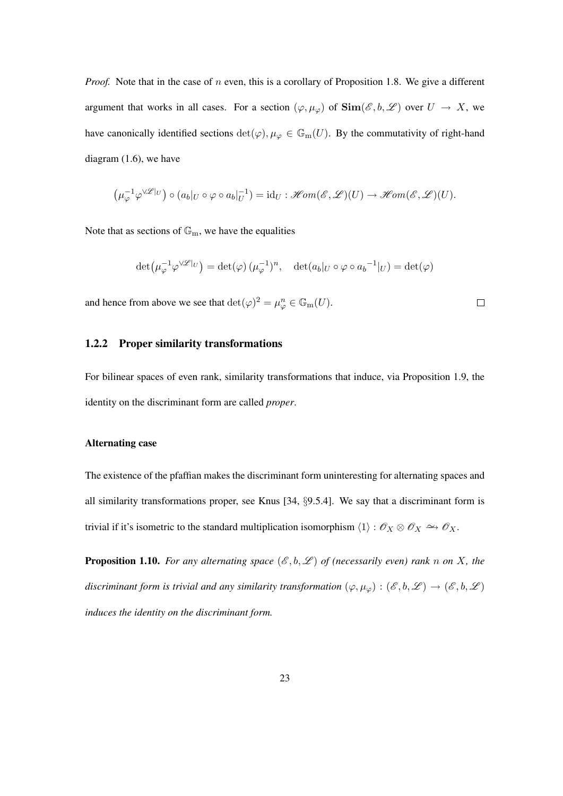*Proof.* Note that in the case of n even, this is a corollary of Proposition 1.8. We give a different argument that works in all cases. For a section  $(\varphi, \mu_{\varphi})$  of  $\text{Sim}(\mathscr{E}, b, \mathscr{L})$  over  $U \to X$ , we have canonically identified sections  $\det(\varphi), \mu_{\varphi} \in \mathbb{G}_{m}(U)$ . By the commutativity of right-hand diagram (1.6), we have

$$
\left(\mu_{\varphi}^{-1}\varphi^{\vee\mathscr{L}|_U}\right)\circ (a_b|_U\circ\varphi\circ a_b|_U^{-1})=\mathrm{id}_U:\mathscr{H}\mathscr{om}(\mathscr{E},\mathscr{L})(U)\to\mathscr{H}\mathscr{om}(\mathscr{E},\mathscr{L})(U).
$$

Note that as sections of  $\mathbb{G}_{m}$ , we have the equalities

$$
\det(\mu_{\varphi}^{-1}\varphi^{\vee\mathscr{L}|_U}) = \det(\varphi) \, (\mu_{\varphi}^{-1})^n, \quad \det(a_b|_U \circ \varphi \circ a_b^{-1}|_U) = \det(\varphi)
$$

 $\Box$ 

and hence from above we see that  $\det(\varphi)^2 = \mu_{\varphi}^n \in \mathbb{G}_{\mathrm{m}}(U)$ .

#### 1.2.2 Proper similarity transformations

For bilinear spaces of even rank, similarity transformations that induce, via Proposition 1.9, the identity on the discriminant form are called *proper*.

#### Alternating case

The existence of the pfaffian makes the discriminant form uninteresting for alternating spaces and all similarity transformations proper, see Knus [34, §9.5.4]. We say that a discriminant form is trivial if it's isometric to the standard multiplication isomorphism  $\langle 1 \rangle : \mathcal{O}_X \otimes \mathcal{O}_X \to \mathcal{O}_X$ .

**Proposition 1.10.** For any alternating space  $(\mathscr{E}, b, \mathscr{L})$  of (necessarily even) rank n on X, the *discriminant form is trivial and any similarity transformation*  $(\varphi, \mu_{\varphi}) : (\mathscr{E}, b, \mathscr{L}) \to (\mathscr{E}, b, \mathscr{L})$ *induces the identity on the discriminant form.*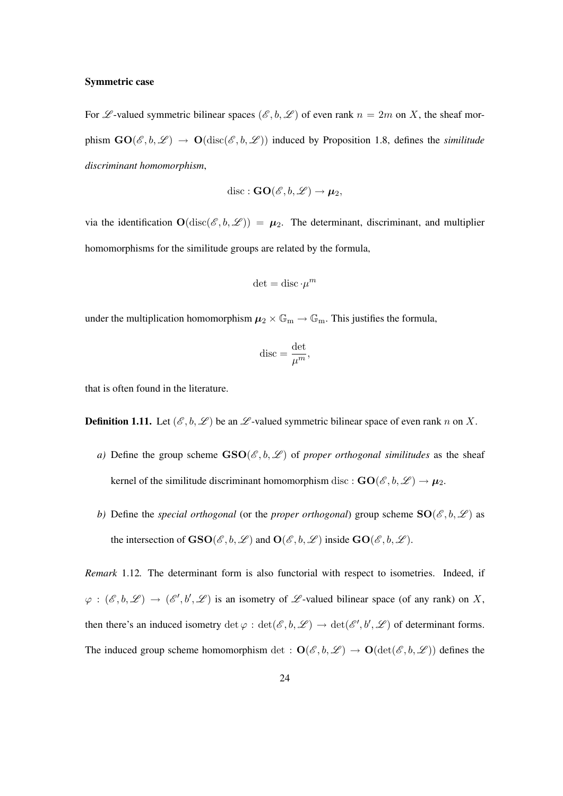#### Symmetric case

For  $\mathscr L$ -valued symmetric bilinear spaces  $(\mathscr E, b, \mathscr L)$  of even rank  $n = 2m$  on X, the sheaf morphism  $GO(\mathscr{E}, b, \mathscr{L}) \rightarrow O(disc(\mathscr{E}, b, \mathscr{L}))$  induced by Proposition 1.8, defines the *similitude discriminant homomorphism*,

$$
\mathrm{disc} : \mathbf{GO}(\mathscr{E}, b, \mathscr{L}) \to \boldsymbol{\mu}_2,
$$

via the identification  $O(disc(\mathscr{E}, b, \mathscr{L})) = \mu_2$ . The determinant, discriminant, and multiplier homomorphisms for the similitude groups are related by the formula,

$$
\det = \operatorname{disc} \cdot \mu^m
$$

under the multiplication homomorphism  $\mu_2 \times \mathbb{G}_{m} \to \mathbb{G}_{m}$ . This justifies the formula,

$$
\mathrm{disc}=\frac{\det}{\mu^m},
$$

that is often found in the literature.

**Definition 1.11.** Let  $(\mathcal{E}, b, \mathcal{L})$  be an  $\mathcal{L}$ -valued symmetric bilinear space of even rank n on X.

- *a)* Define the group scheme  $\text{GSO}(\mathcal{E},b,\mathcal{L})$  of *proper orthogonal similitudes* as the sheaf kernel of the similitude discriminant homomorphism disc :  $\mathbf{GO}(\mathscr{E},b,\mathscr{L}) \to \mu_2$ .
- *b*) Define the *special orthogonal* (or the *proper orthogonal*) group scheme  $SO(\mathcal{E},b,\mathcal{L})$  as the intersection of  $\mathbf{GSO}(\mathscr{E},b,\mathscr{L})$  and  $\mathbf{O}(\mathscr{E},b,\mathscr{L})$  inside  $\mathbf{GO}(\mathscr{E},b,\mathscr{L})$ .

*Remark* 1.12*.* The determinant form is also functorial with respect to isometries. Indeed, if  $\varphi : (\mathscr{E}, b, \mathscr{L}) \to (\mathscr{E}', b', \mathscr{L})$  is an isometry of  $\mathscr{L}$ -valued bilinear space (of any rank) on X, then there's an induced isometry  $\det \varphi : \det(\mathscr{E}, b, \mathscr{L}) \to \det(\mathscr{E}', b', \mathscr{L})$  of determinant forms. The induced group scheme homomorphism det :  $O(\mathscr{E}, b, \mathscr{L}) \to O(\det(\mathscr{E}, b, \mathscr{L}))$  defines the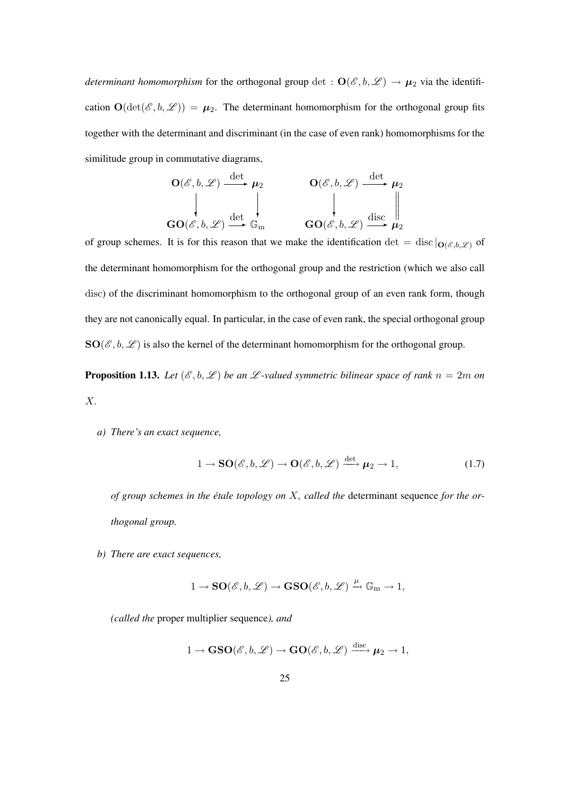*determinant homomorphism* for the orthogonal group det :  $O(\mathscr{E}, b, \mathscr{L}) \to \mu_2$  via the identification  $\mathbf{O}(\det(\mathscr{E}, b, \mathscr{L})) = \mu_2$ . The determinant homomorphism for the orthogonal group fits together with the determinant and discriminant (in the case of even rank) homomorphisms for the similitude group in commutative diagrams,

$$
\mathbf{O}(\mathscr{E}, b, \mathscr{L}) \xrightarrow{\det} \mu_2 \qquad \qquad \mathbf{O}(\mathscr{E}, b, \mathscr{L}) \xrightarrow{\det} \mu_2
$$
\n
$$
\downarrow \qquad \qquad \downarrow \qquad \qquad \downarrow \qquad \qquad \downarrow
$$
\n
$$
\mathbf{GO}(\mathscr{E}, b, \mathscr{L}) \xrightarrow{\det} \mathbb{G}_m \qquad \qquad \mathbf{GO}(\mathscr{E}, b, \mathscr{L}) \xrightarrow{\text{disc}} \mu_2
$$

of group schemes. It is for this reason that we make the identification det = disc  $|_{\mathbf{O}(\mathscr{E},b,\mathscr{L})}$  of the determinant homomorphism for the orthogonal group and the restriction (which we also call disc) of the discriminant homomorphism to the orthogonal group of an even rank form, though they are not canonically equal. In particular, in the case of even rank, the special orthogonal group  $SO(\mathscr{E},b,\mathscr{L})$  is also the kernel of the determinant homomorphism for the orthogonal group.

**Proposition 1.13.** Let  $(\mathscr{E}, b, \mathscr{L})$  be an  $\mathscr{L}$ -valued symmetric bilinear space of rank  $n = 2m$  on X*.*

*a) There's an exact sequence,*

$$
1 \to \mathbf{SO}(\mathscr{E}, b, \mathscr{L}) \to \mathbf{O}(\mathscr{E}, b, \mathscr{L}) \xrightarrow{\det} \mu_2 \to 1,
$$
 (1.7)

*of group schemes in the etale topology on ´* X*, called the* determinant sequence *for the orthogonal group.*

*b) There are exact sequences,*

$$
1 \to \mathbf{SO}(\mathscr{E},b,\mathscr{L}) \to \mathbf{GSO}(\mathscr{E},b,\mathscr{L}) \xrightarrow{\mu} \mathbb{G}_{m} \to 1,
$$

*(called the* proper multiplier sequence*), and*

$$
1 \to \mathbf{GSO}(\mathscr{E}, b, \mathscr{L}) \to \mathbf{GO}(\mathscr{E}, b, \mathscr{L}) \xrightarrow{\mathrm{disc}} \mu_2 \to 1,
$$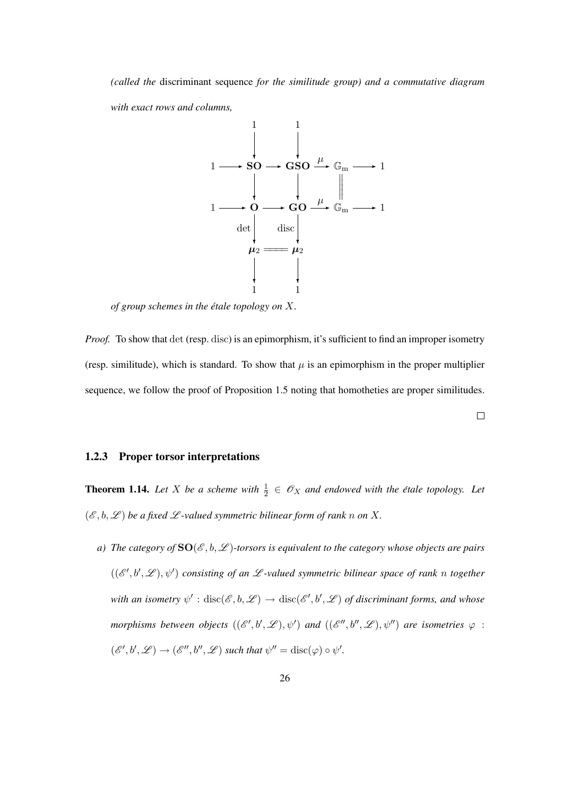*(called the* discriminant sequence *for the similitude group) and a commutative diagram with exact rows and columns,*



*of group schemes in the etale topology on ´* X*.*

*Proof.* To show that det (resp. disc) is an epimorphism, it's sufficient to find an improper isometry (resp. similitude), which is standard. To show that  $\mu$  is an epimorphism in the proper multiplier sequence, we follow the proof of Proposition 1.5 noting that homotheties are proper similitudes.

 $\Box$ 

#### 1.2.3 Proper torsor interpretations

**Theorem 1.14.** Let X be a scheme with  $\frac{1}{2} \in \mathcal{O}_X$  and endowed with the étale topology. Let  $(\mathscr{E}, b, \mathscr{L})$  *be a fixed*  $\mathscr{L}$ *-valued symmetric bilinear form of rank n on* X.

*a)* The category of  $SO(\mathcal{E},b,\mathcal{L})$ -torsors is equivalent to the category whose objects are pairs  $((\mathscr{E}',\mathscr{b}',\mathscr{L}),\psi')$  consisting of an  $\mathscr{L}$ -valued symmetric bilinear space of rank n together with an isometry  $\psi':\operatorname{disc}(\mathscr{E},b,\mathscr{L})\to\operatorname{disc}(\mathscr{E}',b',\mathscr{L})$  of discriminant forms, and whose morphisms between objects  $((\mathscr{E}',b',\mathscr{L}),\psi')$  and  $((\mathscr{E}'',b'',\mathscr{L}),\psi'')$  are isometries  $\varphi$  :  $(\mathscr{E}', b', \mathscr{L}) \to (\mathscr{E}'', b'', \mathscr{L})$  such that  $\psi'' = \text{disc}(\varphi) \circ \psi'.$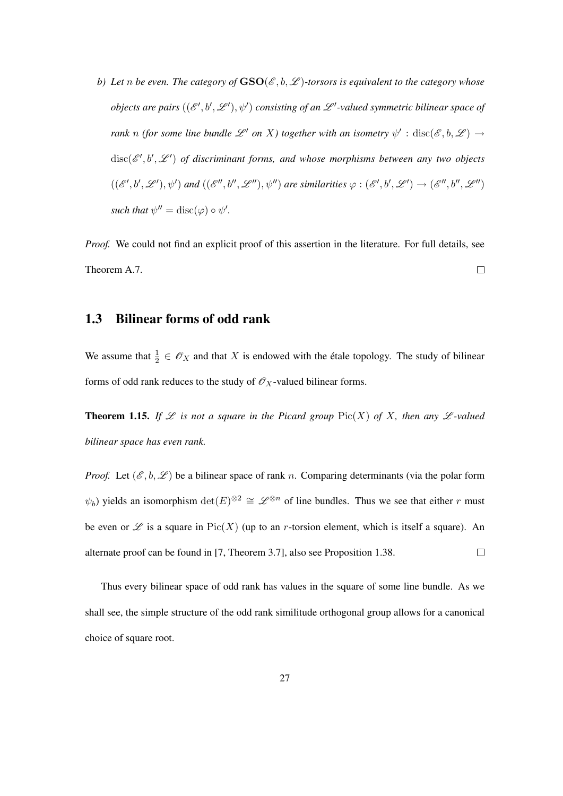*b)* Let *n* be even. The category of  $\text{GSO}(\mathscr{E},b,\mathscr{L})$ -torsors is equivalent to the category whose *objects are pairs*  $((\mathscr{E}', b', \mathscr{L}'), \psi')$  consisting of an  $\mathscr{L}'$ -valued symmetric bilinear space of *rank* n (for some line bundle  $\mathscr{L}'$  on X) together with an isometry  $\psi'$  :  $\text{disc}(\mathscr{E},b,\mathscr{L}) \to$  $disc(\mathscr{E}',b',\mathscr{L}')$  of discriminant forms, and whose morphisms between any two objects  $((\mathscr{E}',b',\mathscr{L}'),\psi')$  and  $((\mathscr{E}'',b'',\mathscr{L}''),\psi'')$  are similarities  $\varphi : (\mathscr{E}',b',\mathscr{L}') \to (\mathscr{E}'',b'',\mathscr{L}'')$ *such that*  $\psi'' = \text{disc}(\varphi) \circ \psi'.$ 

*Proof.* We could not find an explicit proof of this assertion in the literature. For full details, see Theorem A.7.  $\Box$ 

# 1.3 Bilinear forms of odd rank

We assume that  $\frac{1}{2} \in \mathscr{O}_X$  and that X is endowed with the étale topology. The study of bilinear forms of odd rank reduces to the study of  $\mathcal{O}_X$ -valued bilinear forms.

**Theorem 1.15.** If  $\mathcal{L}$  is not a square in the Picard group  $Pic(X)$  of X, then any  $\mathcal{L}$ -valued *bilinear space has even rank.*

*Proof.* Let  $(\mathscr{E}, b, \mathscr{L})$  be a bilinear space of rank n. Comparing determinants (via the polar form  $\psi_b$ ) yields an isomorphism  $\det(E)^{\otimes 2} \cong \mathscr{L}^{\otimes n}$  of line bundles. Thus we see that either r must be even or  $\mathscr L$  is a square in Pic(X) (up to an r-torsion element, which is itself a square). An alternate proof can be found in [7, Theorem 3.7], also see Proposition 1.38.  $\Box$ 

Thus every bilinear space of odd rank has values in the square of some line bundle. As we shall see, the simple structure of the odd rank similitude orthogonal group allows for a canonical choice of square root.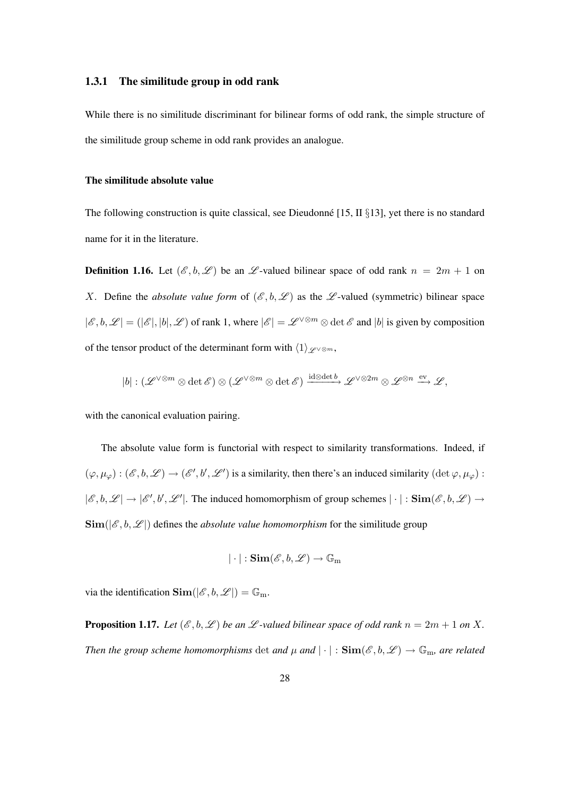#### 1.3.1 The similitude group in odd rank

While there is no similitude discriminant for bilinear forms of odd rank, the simple structure of the similitude group scheme in odd rank provides an analogue.

#### The similitude absolute value

The following construction is quite classical, see Dieudonne [15, II  $\S13$ ], yet there is no standard name for it in the literature.

**Definition 1.16.** Let  $(\mathcal{E}, b, \mathcal{L})$  be an  $\mathcal{L}$ -valued bilinear space of odd rank  $n = 2m + 1$  on X. Define the *absolute value form* of  $(\mathscr{E}, b, \mathscr{L})$  as the  $\mathscr{L}$ -valued (symmetric) bilinear space  $|\mathscr{E}, b, \mathscr{L}| = (|\mathscr{E}|, |b|, \mathscr{L})$  of rank 1, where  $|\mathscr{E}| = \mathscr{L}^{\vee \otimes m} \otimes \det \mathscr{E}$  and  $|b|$  is given by composition of the tensor product of the determinant form with  $\langle 1 \rangle_{\mathscr{L}^{\vee} \otimes m}$ ,

$$
|b|:(\mathscr{L}^{\vee\otimes m}\otimes\det\mathscr{E})\otimes(\mathscr{L}^{\vee\otimes m}\otimes\det\mathscr{E})\xrightarrow{{\rm id}\otimes{\rm det}\,b}\mathscr{L}^{\vee\otimes 2m}\otimes\mathscr{L}^{\otimes n}\xrightarrow{{\rm ev}}\mathscr{L},
$$

with the canonical evaluation pairing.

The absolute value form is functorial with respect to similarity transformations. Indeed, if  $(\varphi, \mu_{\varphi}) : (\mathscr{E}, b, \mathscr{L}) \to (\mathscr{E}', b', \mathscr{L}')$  is a similarity, then there's an induced similarity  $(\det \varphi, \mu_{\varphi})$ :  $|\mathscr{E}, \mathfrak{b}, \mathscr{L}| \to |\mathscr{E}', \mathfrak{b}', \mathscr{L}'|$ . The induced homomorphism of group schemes  $|\cdot|: \text{Sim}(\mathscr{E}, \mathfrak{b}, \mathscr{L}) \to$  $\text{Sim}(|\mathcal{E}, b, \mathcal{L}|)$  defines the *absolute value homomorphism* for the similitude group

$$
|\cdot|: \mathbf{Sim}(\mathscr{E}, b, \mathscr{L}) \to \mathbb{G}_{m}
$$

via the identification  $\text{Sim}(|\mathscr{E}, b, \mathscr{L}|) = \mathbb{G}_m$ .

**Proposition 1.17.** Let  $(\mathscr{E}, b, \mathscr{L})$  be an  $\mathscr{L}$ -valued bilinear space of odd rank  $n = 2m + 1$  on X. *Then the group scheme homomorphisms* det *and*  $\mu$  *and*  $|\cdot|$  :  $\text{Sim}(\mathscr{E},b,\mathscr{L}) \to \mathbb{G}_m$ , *are related*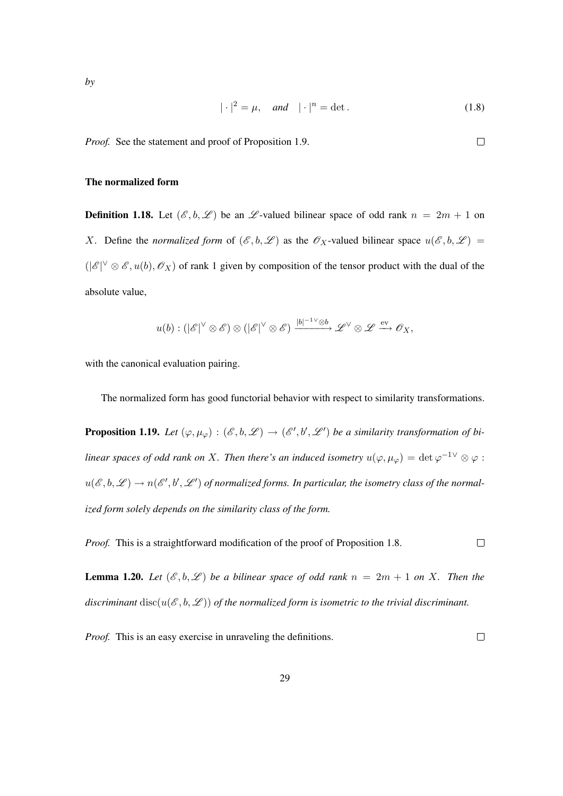$$
|\cdot|^2 = \mu, \quad \text{and} \quad |\cdot|^n = \det. \tag{1.8}
$$

*Proof.* See the statement and proof of Proposition 1.9.

#### The normalized form

**Definition 1.18.** Let  $(\mathcal{E}, b, \mathcal{L})$  be an  $\mathcal{L}$ -valued bilinear space of odd rank  $n = 2m + 1$  on X. Define the *normalized form* of  $(\mathscr{E}, b, \mathscr{L})$  as the  $\mathscr{O}_X$ -valued bilinear space  $u(\mathscr{E}, b, \mathscr{L}) =$  $(|\mathscr{E}|^{\vee} \otimes \mathscr{E}, u(b), \mathscr{O}_X)$  of rank 1 given by composition of the tensor product with the dual of the absolute value,

$$
u(b): (|\mathscr{E}|^\vee\otimes \mathscr{E})\otimes (|\mathscr{E}|^\vee\otimes \mathscr{E})\xrightarrow{|b|^{-1}\vee\otimes b} \mathscr{L}^\vee\otimes \mathscr{L} \xrightarrow{\mathrm{ev}} \mathscr{O}_X,
$$

with the canonical evaluation pairing.

The normalized form has good functorial behavior with respect to similarity transformations.

**Proposition 1.19.** Let  $(\varphi, \mu_{\varphi}) : (\mathscr{E}, b, \mathscr{L}) \to (\mathscr{E}', b', \mathscr{L}')$  be a similarity transformation of bi*linear spaces of odd rank on X. Then there's an induced isometry*  $u(\varphi, \mu_\varphi) = \det \varphi^{-1}{}^{\vee} \otimes \varphi$ :  $u(\mathscr{E},b,\mathscr{L})\to n(\mathscr{E}',b',\mathscr{L}')$  of normalized forms. In particular, the isometry class of the normal*ized form solely depends on the similarity class of the form.*

*Proof.* This is a straightforward modification of the proof of Proposition 1.8.  $\Box$ 

**Lemma 1.20.** Let  $(\mathcal{E}, b, \mathcal{L})$  be a bilinear space of odd rank  $n = 2m + 1$  on X. Then the *discriminant* disc( $u(\mathcal{E},b,\mathcal{L})$ ) of the normalized form is isometric to the trivial discriminant.

*Proof.* This is an easy exercise in unraveling the definitions.

 $\Box$ 

 $\Box$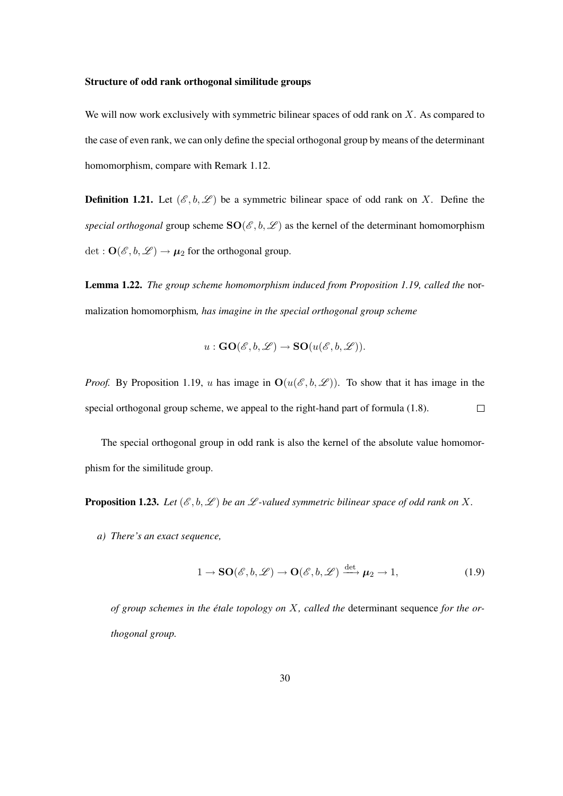#### Structure of odd rank orthogonal similitude groups

We will now work exclusively with symmetric bilinear spaces of odd rank on  $X$ . As compared to the case of even rank, we can only define the special orthogonal group by means of the determinant homomorphism, compare with Remark 1.12.

**Definition 1.21.** Let  $(\mathcal{E}, b, \mathcal{L})$  be a symmetric bilinear space of odd rank on X. Define the *special orthogonal* group scheme  $SO(\mathcal{E}, b, \mathcal{L})$  as the kernel of the determinant homomorphism det :  $\mathbf{O}(\mathscr{E}, b, \mathscr{L}) \rightarrow \mu_2$  for the orthogonal group.

Lemma 1.22. *The group scheme homomorphism induced from Proposition 1.19, called the* normalization homomorphism*, has imagine in the special orthogonal group scheme*

$$
u: \mathbf{GO}(\mathscr{E},b,\mathscr{L}) \to \mathbf{SO}(u(\mathscr{E},b,\mathscr{L})).
$$

*Proof.* By Proposition 1.19, u has image in  $O(u(\mathscr{E},b,\mathscr{L}))$ . To show that it has image in the special orthogonal group scheme, we appeal to the right-hand part of formula (1.8).  $\Box$ 

The special orthogonal group in odd rank is also the kernel of the absolute value homomorphism for the similitude group.

**Proposition 1.23.** Let  $(\mathcal{E}, b, \mathcal{L})$  be an  $\mathcal{L}$ -valued symmetric bilinear space of odd rank on X.

*a) There's an exact sequence,*

$$
1 \to \mathbf{SO}(\mathscr{E}, b, \mathscr{L}) \to \mathbf{O}(\mathscr{E}, b, \mathscr{L}) \xrightarrow{\det} \mu_2 \to 1,
$$
 (1.9)

of group schemes in the étale topology on *X*, called the determinant sequence for the or*thogonal group.*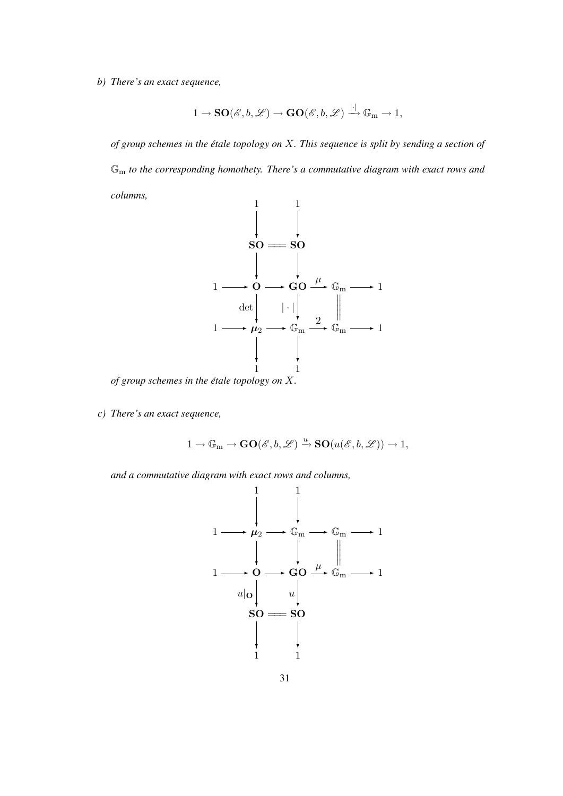*b) There's an exact sequence,*

$$
1\to {\bf SO}(\mathscr{E},b,\mathscr{L})\to {\bf GO}(\mathscr{E},b,\mathscr{L})\stackrel{|\cdot|}{\longrightarrow} \mathbb{G}_{\mathrm{m}}\to 1,
$$

*of group schemes in the etale topology on ´* X*. This sequence is split by sending a section of* G<sup>m</sup> *to the corresponding homothety. There's a commutative diagram with exact rows and columns,*



*of group schemes in the etale topology on ´* X*.*

*c) There's an exact sequence,*

$$
1 \rightarrow \mathbb{G}_m \rightarrow \mathbf{GO}(\mathscr{E}, b, \mathscr{L}) \xrightarrow{u} \mathbf{SO}(u(\mathscr{E}, b, \mathscr{L})) \rightarrow 1,
$$

*and a commutative diagram with exact rows and columns,*

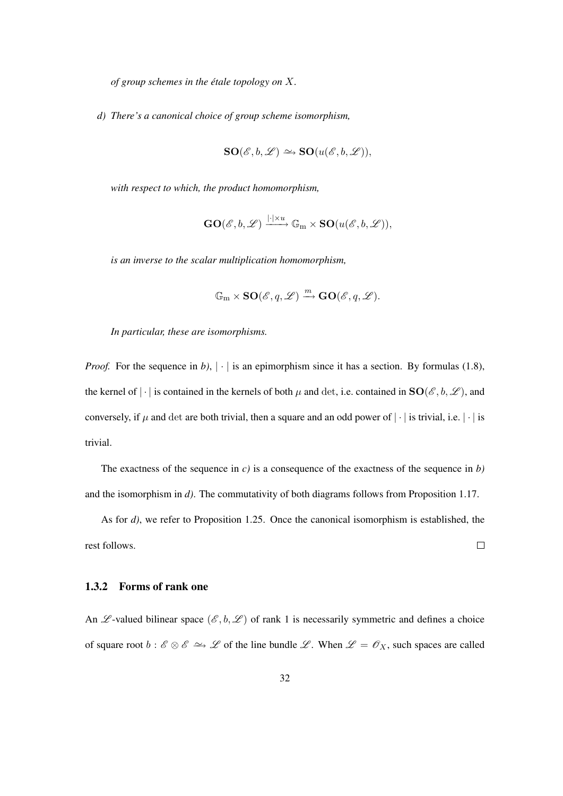*of group schemes in the etale topology on ´* X*.*

*d) There's a canonical choice of group scheme isomorphism,*

$$
\mathbf{SO}(\mathscr{E},b,\mathscr{L})\simeq\mathbf{SO}(u(\mathscr{E},b,\mathscr{L})),
$$

*with respect to which, the product homomorphism,*

$$
\mathbf{GO}(\mathscr{E},b,\mathscr{L})\xrightarrow{|\cdot|\times u}\mathbb{G}_{\mathrm{m}}\times\mathbf{SO}(u(\mathscr{E},b,\mathscr{L})),
$$

*is an inverse to the scalar multiplication homomorphism,*

$$
\mathbb{G}_{\mathrm{m}} \times \mathbf{SO}(\mathscr{E},q,\mathscr{L}) \xrightarrow{m} \mathbf{GO}(\mathscr{E},q,\mathscr{L}).
$$

*In particular, these are isomorphisms.*

*Proof.* For the sequence in *b*),  $|\cdot|$  is an epimorphism since it has a section. By formulas (1.8), the kernel of | · | is contained in the kernels of both  $\mu$  and det, i.e. contained in  $SO(\mathscr{E},b,\mathscr{L})$ , and conversely, if  $\mu$  and det are both trivial, then a square and an odd power of  $|\cdot|$  is trivial, i.e.  $|\cdot|$  is trivial.

The exactness of the sequence in *c)* is a consequence of the exactness of the sequence in *b)* and the isomorphism in *d)*. The commutativity of both diagrams follows from Proposition 1.17.

As for *d)*, we refer to Proposition 1.25. Once the canonical isomorphism is established, the rest follows.  $\Box$ 

#### 1.3.2 Forms of rank one

An  $\mathscr L$ -valued bilinear space  $(\mathscr E, b, \mathscr L)$  of rank 1 is necessarily symmetric and defines a choice of square root  $b : \mathscr{E} \otimes \mathscr{E} \to \mathscr{L}$  of the line bundle  $\mathscr{L}$ . When  $\mathscr{L} = \mathscr{O}_X$ , such spaces are called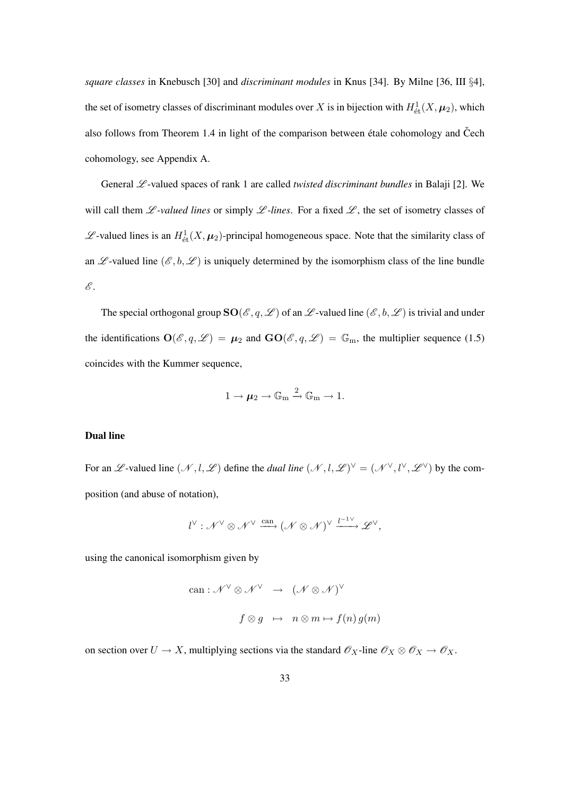*square classes* in Knebusch [30] and *discriminant modules* in Knus [34]. By Milne [36, III §4], the set of isometry classes of discriminant modules over X is in bijection with  $H^1_{\text{\'et}}(X,\mu_2)$ , which also follows from Theorem 1.4 in light of the comparison between étale cohomology and Čech cohomology, see Appendix A.

General  $\mathscr L$ -valued spaces of rank 1 are called *twisted discriminant bundles* in Balaji [2]. We will call them  $\mathscr L$ -valued lines or simply  $\mathscr L$ -lines. For a fixed  $\mathscr L$ , the set of isometry classes of  $\mathscr{L}$ -valued lines is an  $H^1_{\text{\'et}}(X, \mu_2)$ -principal homogeneous space. Note that the similarity class of an  $\mathscr{L}$ -valued line  $(\mathscr{E}, b, \mathscr{L})$  is uniquely determined by the isomorphism class of the line bundle  $\mathscr{E}.$ 

The special orthogonal group  $SO(\mathscr{E}, q, \mathscr{L})$  of an  $\mathscr{L}$ -valued line  $(\mathscr{E}, b, \mathscr{L})$  is trivial and under the identifications  $\mathbf{O}(\mathscr{E}, q, \mathscr{L}) = \boldsymbol{\mu}_2$  and  $\mathbf{GO}(\mathscr{E}, q, \mathscr{L}) = \mathbb{G}_m$ , the multiplier sequence (1.5) coincides with the Kummer sequence,

$$
1\to \pmb{\mu}_2\to \mathbb{G}_m\xrightarrow{2}\mathbb{G}_m\to 1.
$$

#### Dual line

For an L-valued line  $(\mathcal{N}, l, \mathcal{L})$  define the *dual line*  $(\mathcal{N}, l, \mathcal{L})^{\vee} = (\mathcal{N}^{\vee}, l^{\vee}, \mathcal{L}^{\vee})$  by the composition (and abuse of notation),

$$
l^{\vee}: \mathscr{N}^{\vee} \otimes \mathscr{N}^{\vee} \xrightarrow{\mathrm{can}} (\mathscr{N} \otimes \mathscr{N})^{\vee} \xrightarrow{l^{-1}^{\vee}} \mathscr{L}^{\vee},
$$

using the canonical isomorphism given by

can: 
$$
\mathcal{N}^{\vee} \otimes \mathcal{N}^{\vee} \rightarrow (\mathcal{N} \otimes \mathcal{N})^{\vee}
$$
  
 $f \otimes g \mapsto n \otimes m \mapsto f(n) g(m)$ 

on section over  $U \to X$ , multiplying sections via the standard  $\mathscr{O}_X$ -line  $\mathscr{O}_X \otimes \mathscr{O}_X \to \mathscr{O}_X$ .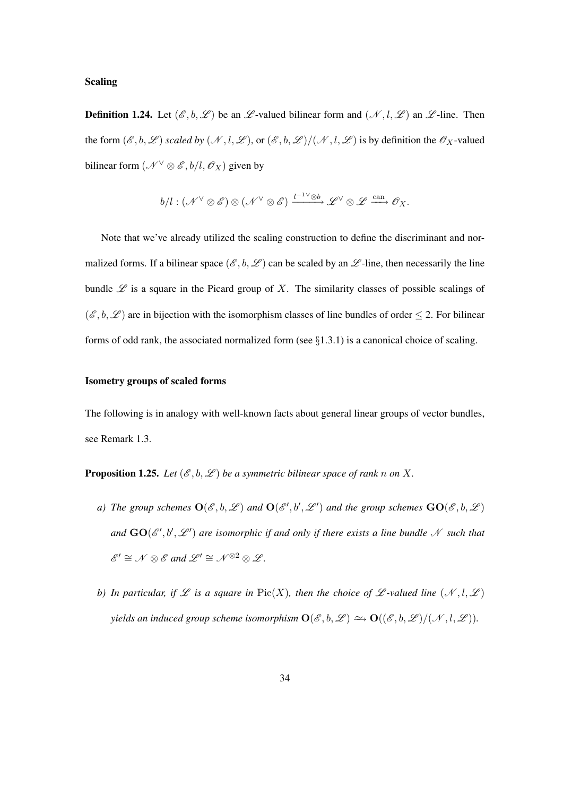#### Scaling

**Definition 1.24.** Let  $(\mathscr{E}, b, \mathscr{L})$  be an  $\mathscr{L}$ -valued bilinear form and  $(\mathscr{N}, l, \mathscr{L})$  an  $\mathscr{L}$ -line. Then the form  $(\mathscr{E}, b, \mathscr{L})$  *scaled by*  $(\mathscr{N}, l, \mathscr{L})$ , or  $(\mathscr{E}, b, \mathscr{L})/(\mathscr{N}, l, \mathscr{L})$  is by definition the  $\mathscr{O}_X$ -valued bilinear form  $(\mathcal{N} \vee \otimes \mathcal{E}, b/l, \mathcal{O}_X)$  given by

$$
b/l: (\mathscr{N}^\vee \otimes \mathscr{E}) \otimes (\mathscr{N}^\vee \otimes \mathscr{E}) \xrightarrow{l^{-1}{}^\vee \otimes b} \mathscr{L}^\vee \otimes \mathscr{L} \xrightarrow{\text{can}} \mathscr{O}_X.
$$

Note that we've already utilized the scaling construction to define the discriminant and normalized forms. If a bilinear space  $(\mathscr{E}, b, \mathscr{L})$  can be scaled by an  $\mathscr{L}$ -line, then necessarily the line bundle  $\mathscr L$  is a square in the Picard group of X. The similarity classes of possible scalings of  $(\mathscr{E}, b, \mathscr{L})$  are in bijection with the isomorphism classes of line bundles of order  $\leq 2$ . For bilinear forms of odd rank, the associated normalized form (see  $\S1.3.1$ ) is a canonical choice of scaling.

#### Isometry groups of scaled forms

The following is in analogy with well-known facts about general linear groups of vector bundles, see Remark 1.3.

**Proposition 1.25.** Let  $(\mathcal{E}, b, \mathcal{L})$  be a symmetric bilinear space of rank n on X.

- *a*) The group schemes  $O(\mathscr{E}, b, \mathscr{L})$  and  $O(\mathscr{E}', b', \mathscr{L}')$  and the group schemes  $GO(\mathscr{E}, b, \mathscr{L})$ and  $GO(\mathscr{E}',b',\mathscr{L}')$  are isomorphic if and only if there exists a line bundle  $\mathscr{N}$  such that  $\mathscr{E}' \cong \mathscr{N} \otimes \mathscr{E}$  and  $\mathscr{L}' \cong \mathscr{N}^{\otimes 2} \otimes \mathscr{L}$ *.*
- *b)* In particular, if  $\mathscr L$  is a square in Pic(X), then the choice of  $\mathscr L$ -valued line  $(\mathscr N, l, \mathscr L)$ *yields an induced group scheme isomorphism*  $\mathbf{O}(\mathscr{E},b,\mathscr{L}) \simeq \mathbf{O}((\mathscr{E},b,\mathscr{L})/(\mathscr{N},l,\mathscr{L}))$ .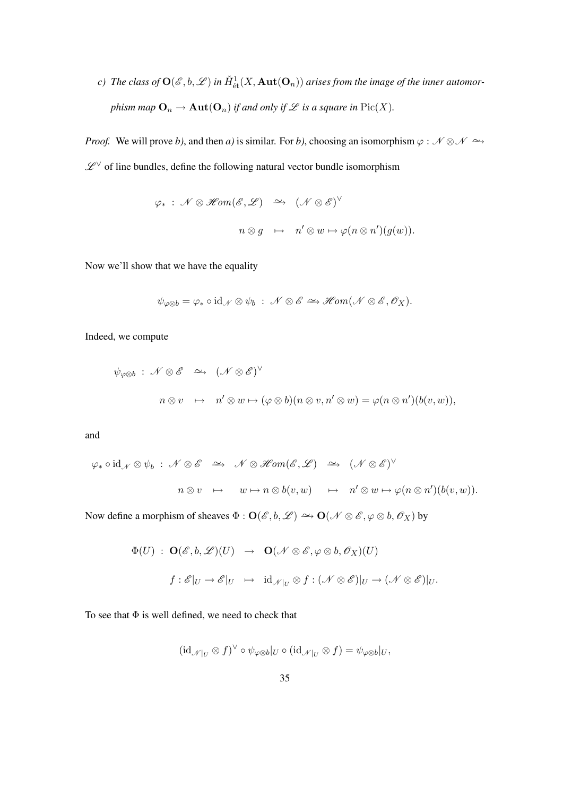*c*) The class of  $\mathbf{O}(\mathscr{E},b,\mathscr{L})$  in  $\check{H}^{1}_{\text{\'{e}t}}(X,\mathbf{Aut}(\mathbf{O}_n))$  arises from the image of the inner automor*phism map*  $\mathbf{O}_n \to \mathbf{Aut}(\mathbf{O}_n)$  *if and only if*  $\mathcal L$  *is a square in* Pic(X).

*Proof.* We will prove *b*), and then *a*) is similar. For *b*), choosing an isomorphism  $\varphi : \mathcal{N} \otimes \mathcal{N} \to \mathcal{N}$  $\mathscr{L}^\vee$  of line bundles, define the following natural vector bundle isomorphism

$$
\varphi_* : \mathcal{N} \otimes \mathscr{H}om(\mathscr{E}, \mathscr{L}) \quad \simeq \quad (\mathcal{N} \otimes \mathscr{E})^{\vee}
$$
\n
$$
n \otimes g \quad \mapsto \quad n' \otimes w \mapsto \varphi(n \otimes n')(g(w)).
$$

Now we'll show that we have the equality

$$
\psi_{\varphi\otimes b}=\varphi_*\circ \mathrm{id}_{\mathscr{N}}\otimes \psi_b\;:\; \mathscr{N}\otimes \mathscr{E}\simeq \mathscr{H}\!\mathit{om}(\mathscr{N}\otimes \mathscr{E},\mathscr{O}_X).
$$

Indeed, we compute

$$
\psi_{\varphi \otimes b} : \mathcal{N} \otimes \mathcal{E} \simeq (\mathcal{N} \otimes \mathcal{E})^{\vee}
$$
  

$$
n \otimes v \mapsto n' \otimes w \mapsto (\varphi \otimes b)(n \otimes v, n' \otimes w) = \varphi(n \otimes n')(b(v, w)),
$$

and

$$
\varphi_* \circ id_{\mathscr{N}} \otimes \psi_b : \mathscr{N} \otimes \mathscr{E} \quad \simeq \quad \mathscr{N} \otimes \mathscr{H}om(\mathscr{E}, \mathscr{L}) \quad \simeq \quad (\mathscr{N} \otimes \mathscr{E})^{\vee}
$$
\n
$$
n \otimes v \quad \mapsto \quad w \mapsto n \otimes b(v, w) \quad \mapsto \quad n' \otimes w \mapsto \varphi(n \otimes n')(b(v, w)).
$$

Now define a morphism of sheaves  $\Phi : \mathbf{O}(\mathscr{E}, b, \mathscr{L}) \to \mathbf{O}(\mathscr{N} \otimes \mathscr{E}, \varphi \otimes b, \mathscr{O}_X)$  by

$$
\Phi(U) : \mathbf{O}(\mathscr{E}, b, \mathscr{L})(U) \rightarrow \mathbf{O}(\mathscr{N} \otimes \mathscr{E}, \varphi \otimes b, \mathscr{O}_X)(U)
$$
  

$$
f : \mathscr{E}|_U \rightarrow \mathscr{E}|_U \rightarrow \mathrm{id}_{\mathscr{N}|_U} \otimes f : (\mathscr{N} \otimes \mathscr{E})|_U \rightarrow (\mathscr{N} \otimes \mathscr{E})|_U.
$$

To see that  $\Phi$  is well defined, we need to check that

$$
(\mathrm{id}_{\mathscr{N}|_{U}}\otimes f)^{\vee}\circ\psi_{\varphi\otimes b}|_{U}\circ(\mathrm{id}_{\mathscr{N}|_{U}}\otimes f)=\psi_{\varphi\otimes b}|_{U},
$$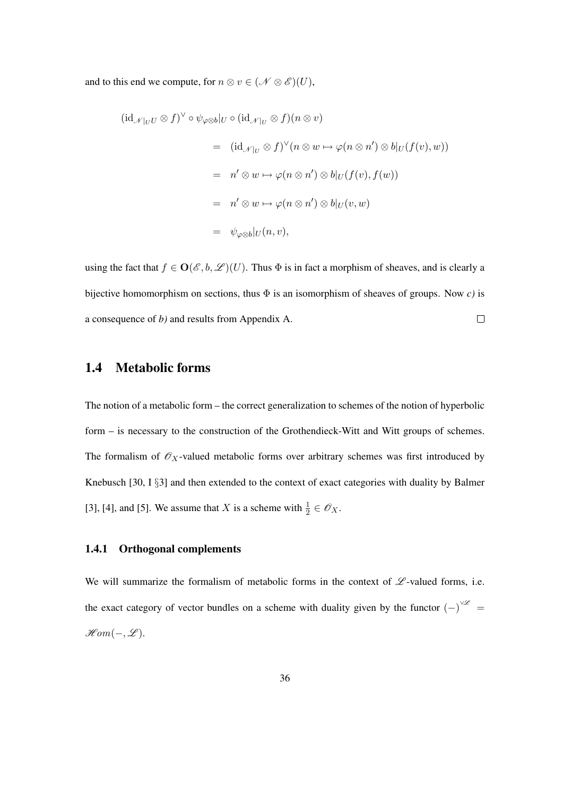and to this end we compute, for  $n \otimes v \in (\mathcal{N} \otimes \mathcal{E})(U)$ ,

$$
(\mathrm{id}_{\mathscr{N}|_{U}U} \otimes f)^{\vee} \circ \psi_{\varphi \otimes b}|_{U} \circ (\mathrm{id}_{\mathscr{N}|_{U}} \otimes f)(n \otimes v)
$$
\n
$$
= (\mathrm{id}_{\mathscr{N}|_{U}} \otimes f)^{\vee}(n \otimes w \mapsto \varphi(n \otimes n') \otimes b|_{U}(f(v), w))
$$
\n
$$
= n' \otimes w \mapsto \varphi(n \otimes n') \otimes b|_{U}(f(v), f(w))
$$
\n
$$
= n' \otimes w \mapsto \varphi(n \otimes n') \otimes b|_{U}(v, w)
$$
\n
$$
= \psi_{\varphi \otimes b}|_{U}(n, v),
$$

using the fact that  $f \in O(\mathscr{E}, b, \mathscr{L})(U)$ . Thus  $\Phi$  is in fact a morphism of sheaves, and is clearly a bijective homomorphism on sections, thus Φ is an isomorphism of sheaves of groups. Now *c)* is a consequence of *b)* and results from Appendix A.  $\Box$ 

# 1.4 Metabolic forms

The notion of a metabolic form – the correct generalization to schemes of the notion of hyperbolic form – is necessary to the construction of the Grothendieck-Witt and Witt groups of schemes. The formalism of  $\mathcal{O}_X$ -valued metabolic forms over arbitrary schemes was first introduced by Knebusch [30, I §3] and then extended to the context of exact categories with duality by Balmer [3], [4], and [5]. We assume that X is a scheme with  $\frac{1}{2} \in \mathcal{O}_X$ .

## 1.4.1 Orthogonal complements

We will summarize the formalism of metabolic forms in the context of  $L$ -valued forms, i.e. the exact category of vector bundles on a scheme with duality given by the functor  $(-)^{\vee\mathscr{L}}$  =  $\mathscr{H}\!\mathit{om}(-,\mathscr{L}).$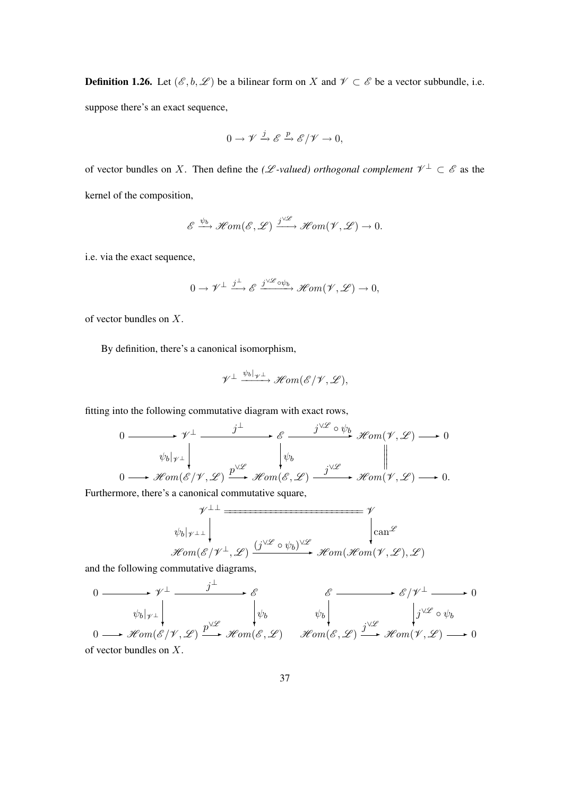**Definition 1.26.** Let  $(\mathcal{E}, b, \mathcal{L})$  be a bilinear form on X and  $\mathcal{V} \subset \mathcal{E}$  be a vector subbundle, i.e. suppose there's an exact sequence,

$$
0 \to \mathscr{V} \xrightarrow{j} \mathscr{E} \xrightarrow{p} \mathscr{E}/\mathscr{V} \to 0,
$$

of vector bundles on X. Then define the *(L*-valued) orthogonal complement  $\mathcal{V}^{\perp} \subset \mathcal{E}$  as the kernel of the composition,

$$
\mathscr{E} \xrightarrow{\psi_b} \mathscr{H}om(\mathscr{E}, \mathscr{L}) \xrightarrow{j\vee \mathscr{L}} \mathscr{H}om(\mathscr{V}, \mathscr{L}) \to 0.
$$

i.e. via the exact sequence,

$$
0 \to \mathscr{V}^\perp \xrightarrow{j^\perp} \mathscr{E} \xrightarrow{j \vee \mathscr{L}_{\text{op}}}\mathscr{H}\text{om}(\mathscr{V}, \mathscr{L}) \to 0,
$$

of vector bundles on X.

By definition, there's a canonical isomorphism,

$$
\mathscr{V}^\perp \xrightarrow{\psi_b|_{\mathscr{V}^\perp}} \mathscr{H}\!om(\mathscr{E}/\mathscr{V},\mathscr{L}),
$$

fitting into the following commutative diagram with exact rows,

$$
0 \longrightarrow \mathscr{V}^{\perp} \longrightarrow \mathscr{E} \longrightarrow \mathscr{E} \longrightarrow \mathscr{V}^{\mathscr{L}} \circ \psi_b \longrightarrow \mathscr{H}om(\mathscr{V}, \mathscr{L}) \longrightarrow 0
$$
  
\n
$$
\psi_b|_{\mathscr{V}^{\perp}} \downarrow \qquad \qquad \downarrow \qquad \qquad \psi_b \qquad \qquad \downarrow
$$
  
\n
$$
0 \longrightarrow \mathscr{H}om(\mathscr{E}/\mathscr{V}, \mathscr{L}) \longrightarrow \mathscr{H}om(\mathscr{E}, \mathscr{L}) \longrightarrow \mathscr{H}om(\mathscr{V}, \mathscr{L}) \longrightarrow 0.
$$

Furthermore, there's a canonical commutative square,

$$
\mathscr{W}^{\perp\perp}
$$
\n
$$
\downarrow^{\psi_b|\psi_{\perp\perp}}
$$
\n
$$
\downarrow^{\psi_b|\psi_{\perp\perp}}
$$
\n
$$
\downarrow^{\psi_b|\psi_{\perp\perp}}
$$
\n
$$
\downarrow^{\psi_{\perp}} \downarrow^{\psi_{\perp}} \downarrow^{\psi_{\perp}}
$$
\n
$$
\downarrow^{\psi_{\perp}} \downarrow^{\psi_{\perp}}
$$
\n
$$
\downarrow^{\psi_{\perp}} \downarrow^{\psi_{\perp}}
$$
\n
$$
\downarrow^{\psi_{\perp}} \downarrow^{\psi_{\perp}}
$$

and the following commutative diagrams,

$$
0 \longrightarrow \mathscr{V}^{\perp} \longrightarrow \mathscr{E} \qquad \qquad \mathscr{E} \longrightarrow \mathscr{E}/\mathscr{V}^{\perp} \longrightarrow 0
$$
  
\n
$$
\psi_b|_{\mathscr{V}^{\perp}} \downarrow \qquad \qquad \downarrow \psi_b \qquad \qquad \psi_b \downarrow \qquad \qquad \downarrow j^{\vee \mathscr{L}} \circ \psi_b
$$
  
\n
$$
0 \longrightarrow \mathscr{H}om(\mathscr{E}/\mathscr{V}, \mathscr{L}) \xrightarrow{p^{\vee \mathscr{L}}} \mathscr{H}om(\mathscr{E}, \mathscr{L}) \qquad \mathscr{H}om(\mathscr{E}, \mathscr{L}) \xrightarrow{j^{\vee \mathscr{L}}} \mathscr{H}om(\mathscr{V}, \mathscr{L}) \longrightarrow 0
$$
  
\nof vector bundles on X.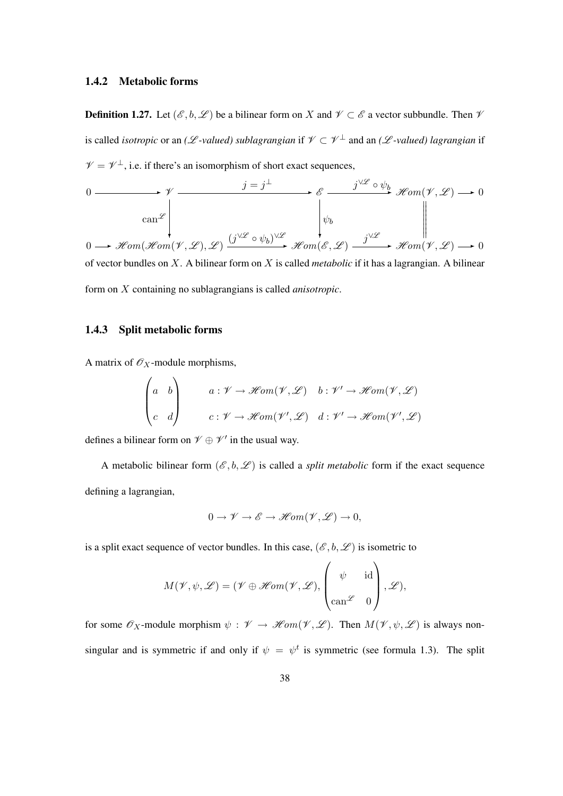#### 1.4.2 Metabolic forms

**Definition 1.27.** Let  $(\mathscr{E}, b, \mathscr{L})$  be a bilinear form on X and  $\mathscr{V} \subset \mathscr{E}$  a vector subbundle. Then  $\mathscr{V}$ is called *isotropic* or an *(L*-valued) sublagrangian if  $\mathscr{V} \subset \mathscr{V}^{\perp}$  and an *(L*-valued) lagrangian if  $\mathcal{V} = \mathcal{V}^{\perp}$ , i.e. if there's an isomorphism of short exact sequences,

$$
\begin{array}{ccc}\n0 & \xrightarrow{\qquad} & j = j^{\perp} & \xrightarrow{\qquad} & \xrightarrow{\qquad} & \mathscr{S} & \xrightarrow{\qquad} & \mathscr{H}om(\mathscr{V}, \mathscr{L}) \longrightarrow 0 \\
 & \xrightarrow{\qquad} & \downarrow \qquad & \downarrow \qquad & \mathscr{H}om(\mathscr{V}, \mathscr{L}) \longrightarrow 0 \\
 & \xrightarrow{\qquad} & \downarrow \qquad & \downarrow \qquad & \mathscr{H}om(\mathscr{V}, \mathscr{L}) \longrightarrow 0 \\
 & \xrightarrow{\qquad} & \mathscr{H}om(\mathscr{H}om(\mathscr{V}, \mathscr{L}), \mathscr{L}) & \xrightarrow{\qquad} & \mathscr{H}om(\mathscr{E}, \mathscr{L}) \longrightarrow \mathscr{H}om(\mathscr{V}, \mathscr{L}) \longrightarrow 0 \\
 & \text{of vector bundles on } X. \text{ A bilinear form on } X \text{ is called metabolic if it has a lagrangian. A bilinear form on  $X \text{ containing no sublagrangians is called anisotropic.\n\end{array}$ \n
$$
\begin{array}{ccc}\n\downarrow & \downarrow & \downarrow & \downarrow & \downarrow & \downarrow & \downarrow & \downarrow & \downarrow & \downarrow & \downarrow & \downarrow & \downarrow & \downarrow & \downarrow & \downarrow & \downarrow & \downarrow & \downarrow & \downarrow & \downarrow & \downarrow & \downarrow & \downarrow & \downarrow & \downarrow & \downarrow & \downarrow & \downarrow & \downarrow & \downarrow & \downarrow & \downarrow & \downarrow & \downarrow & \downarrow & \downarrow & \downarrow & \downarrow & \downarrow & \downarrow & \downarrow & \downarrow & \downarrow & \downarrow & \downarrow & \downarrow & \downarrow & \downarrow & \downarrow & \downarrow & \downarrow & \downarrow & \downarrow & \downarrow & \downarrow & \downarrow & \downarrow & \downarrow & \down
$$
$$

#### 1.4.3 Split metabolic forms

A matrix of  $\mathscr{O}_X$ -module morphisms,

$$
\begin{pmatrix} a & b \\ c & d \end{pmatrix} \qquad a: \mathcal{V} \to \mathcal{H}om(\mathcal{V}, \mathcal{L}) \quad b: \mathcal{V}' \to \mathcal{H}om(\mathcal{V}, \mathcal{L})
$$

$$
c: \mathcal{V} \to \mathcal{H}om(\mathcal{V}', \mathcal{L}) \quad d: \mathcal{V}' \to \mathcal{H}om(\mathcal{V}', \mathcal{L})
$$

defines a bilinear form on  $\mathcal{V} \oplus \mathcal{V}'$  in the usual way.

A metabolic bilinear form  $(\mathscr{E}, b, \mathscr{L})$  is called a *split metabolic* form if the exact sequence defining a lagrangian,

$$
0 \to \mathscr{V} \to \mathscr{E} \to \mathscr{H}\!om(\mathscr{V}, \mathscr{L}) \to 0,
$$

is a split exact sequence of vector bundles. In this case,  $(\mathscr{E}, b, \mathscr{L})$  is isometric to

$$
M(\mathscr{V}, \psi, \mathscr{L}) = (\mathscr{V} \oplus \mathscr{H}om(\mathscr{V}, \mathscr{L}), \begin{pmatrix} \psi & \text{id} \\ \cos \psi & 0 \\ \cos \psi & 0 \end{pmatrix}, \mathscr{L}),
$$

for some  $\mathscr{O}_X$ -module morphism  $\psi : \mathscr{V} \to \mathscr{H}\!om(\mathscr{V}, \mathscr{L})$ . Then  $M(\mathscr{V}, \psi, \mathscr{L})$  is always nonsingular and is symmetric if and only if  $\psi = \psi^t$  is symmetric (see formula 1.3). The split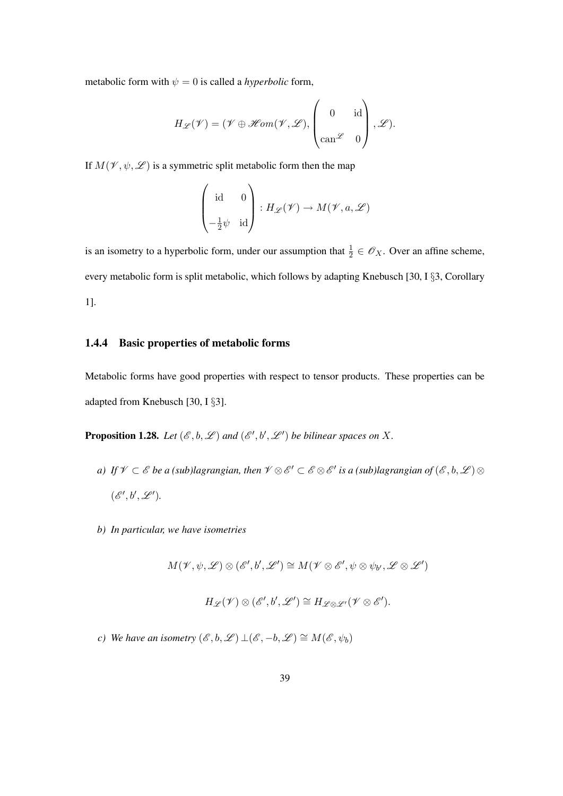metabolic form with  $\psi = 0$  is called a *hyperbolic* form,

$$
H_{\mathscr{L}}(\mathscr{V}) = (\mathscr{V} \oplus \mathscr{H}\mathit{om}(\mathscr{V}, \mathscr{L}), \begin{pmatrix} 0 & \text{id} \\ \text{can}^{\mathscr{L}} & 0 \end{pmatrix}, \mathscr{L}).
$$

If  $M(\mathcal{V}, \psi, \mathcal{L})$  is a symmetric split metabolic form then the map

$$
\begin{pmatrix} \mathrm{id} & 0 \\ \\ -\frac{1}{2}\psi & \mathrm{id} \end{pmatrix} : H_{\mathscr{L}}(\mathscr{V}) \to M(\mathscr{V}, a, \mathscr{L})
$$

is an isometry to a hyperbolic form, under our assumption that  $\frac{1}{2} \in \mathscr{O}_X$ . Over an affine scheme, every metabolic form is split metabolic, which follows by adapting Knebusch [30, I §3, Corollary 1].

#### 1.4.4 Basic properties of metabolic forms

Metabolic forms have good properties with respect to tensor products. These properties can be adapted from Knebusch [30, I §3].

**Proposition 1.28.** Let  $(\mathscr{E}, b, \mathscr{L})$  and  $(\mathscr{E}', b', \mathscr{L}')$  be bilinear spaces on X.

- a) If  $\mathscr{V} \subset \mathscr{E}$  be a (sub)lagrangian, then  $\mathscr{V} \otimes \mathscr{E}' \subset \mathscr{E} \otimes \mathscr{E}'$  is a (sub)lagrangian of  $(\mathscr{E}, b, \mathscr{L}) \otimes$  $(\mathscr{E}', b', \mathscr{L}').$
- *b) In particular, we have isometries*

 $M(\mathcal{V}, \psi, \mathcal{L}) \otimes (\mathcal{E}', \mathcal{b}', \mathcal{L}') \cong M(\mathcal{V} \otimes \mathcal{E}', \psi \otimes \psi_{\mathcal{b}'}, \mathcal{L} \otimes \mathcal{L}')$ 

$$
H_{\mathscr{L}}(\mathscr{V}) \otimes (\mathscr{E}', b', \mathscr{L}') \cong H_{\mathscr{L} \otimes \mathscr{L}'}(\mathscr{V} \otimes \mathscr{E}').
$$

*c)* We have an isometry  $(\mathscr{E}, b, \mathscr{L}) \perp (\mathscr{E}, -b, \mathscr{L}) \cong M(\mathscr{E}, \psi_b)$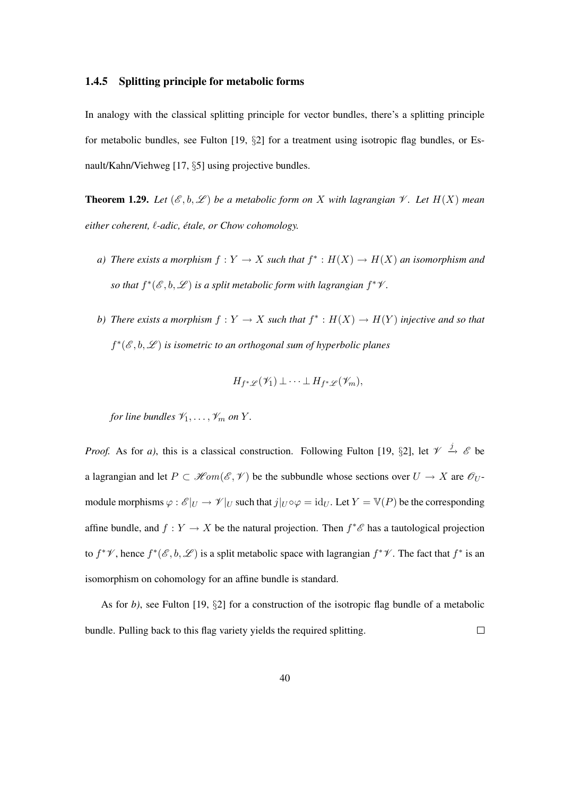#### 1.4.5 Splitting principle for metabolic forms

In analogy with the classical splitting principle for vector bundles, there's a splitting principle for metabolic bundles, see Fulton [19, §2] for a treatment using isotropic flag bundles, or Esnault/Kahn/Viehweg [17, §5] using projective bundles.

**Theorem 1.29.** Let  $(\mathcal{E}, b, \mathcal{L})$  be a metabolic form on X with lagrangian  $\mathcal{V}$ . Let  $H(X)$  mean *either coherent,*  $\ell$ *-adic, étale, or Chow cohomology.* 

- *a*) There exists a morphism  $f: Y \to X$  such that  $f^*: H(X) \to H(X)$  an isomorphism and so that  $f^*(\mathscr{E}, b, \mathscr{L})$  is a split metabolic form with lagrangian  $f^*\mathscr{V}$ .
- *b*) There exists a morphism  $f: Y \to X$  such that  $f^*: H(X) \to H(Y)$  injective and so that f<sup>\*</sup>(*€*, *b*,  $\mathscr{L}$ ) is isometric to an orthogonal sum of hyperbolic planes

$$
H_{f^*\mathscr{L}}(\mathscr{V}_1) \perp \cdots \perp H_{f^*\mathscr{L}}(\mathscr{V}_m),
$$

*for line bundles*  $\mathcal{V}_1, \ldots, \mathcal{V}_m$  *on*  $Y$ *.* 

*Proof.* As for *a*), this is a classical construction. Following Fulton [19, §2], let  $\mathcal{V} \stackrel{j}{\rightarrow} \mathcal{E}$  be a lagrangian and let  $P \subset \mathcal{H}om(\mathcal{E}, \mathcal{V})$  be the subbundle whose sections over  $U \to X$  are  $\mathcal{O}_U$ . module morphisms  $\varphi : \mathscr{E}|_U \to \mathscr{V}|_U$  such that  $j|_U \circ \varphi = id_U$ . Let  $Y = \mathbb{V}(P)$  be the corresponding affine bundle, and  $f: Y \to X$  be the natural projection. Then  $f^*{\mathscr E}$  has a tautological projection to  $f^*\mathscr{V}$ , hence  $f^*(\mathscr{E}, b, \mathscr{L})$  is a split metabolic space with lagrangian  $f^*\mathscr{V}$ . The fact that  $f^*$  is an isomorphism on cohomology for an affine bundle is standard.

As for *b*), see Fulton [19, §2] for a construction of the isotropic flag bundle of a metabolic bundle. Pulling back to this flag variety yields the required splitting.  $\Box$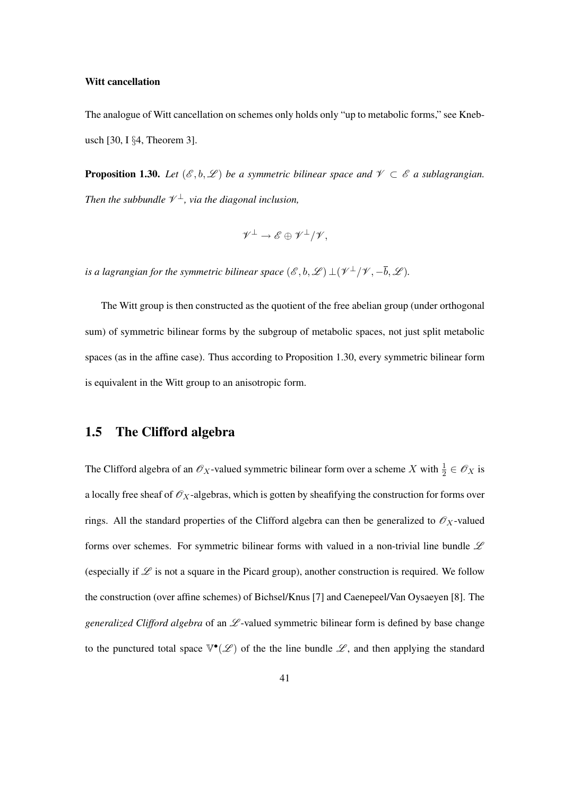#### Witt cancellation

The analogue of Witt cancellation on schemes only holds only "up to metabolic forms," see Knebusch [30, I §4, Theorem 3].

**Proposition 1.30.** *Let*  $(\mathscr{E}, b, \mathscr{L})$  *be a symmetric bilinear space and*  $\mathscr{V} \subset \mathscr{E}$  *a sublagrangian.* Then the subbundle  $\mathcal{V}^{\perp}$ , via the diagonal inclusion,

$$
\mathscr{V}^\perp \to \mathscr{E} \oplus \mathscr{V}^\perp/\mathscr{V},
$$

is a lagrangian for the symmetric bilinear space  $(\mathscr{E}, b, \mathscr{L}) \bot (\mathscr{V}^\bot / \mathscr{V}, -\overline{b}, \mathscr{L})$ .

The Witt group is then constructed as the quotient of the free abelian group (under orthogonal sum) of symmetric bilinear forms by the subgroup of metabolic spaces, not just split metabolic spaces (as in the affine case). Thus according to Proposition 1.30, every symmetric bilinear form is equivalent in the Witt group to an anisotropic form.

# 1.5 The Clifford algebra

The Clifford algebra of an  $\mathscr{O}_X$ -valued symmetric bilinear form over a scheme X with  $\frac{1}{2} \in \mathscr{O}_X$  is a locally free sheaf of  $\mathcal{O}_X$ -algebras, which is gotten by sheafifying the construction for forms over rings. All the standard properties of the Clifford algebra can then be generalized to  $\mathcal{O}_X$ -valued forms over schemes. For symmetric bilinear forms with valued in a non-trivial line bundle  $L$ (especially if  $\mathscr L$  is not a square in the Picard group), another construction is required. We follow the construction (over affine schemes) of Bichsel/Knus [7] and Caenepeel/Van Oysaeyen [8]. The *generalized Clifford algebra* of an  $\mathcal{L}$ -valued symmetric bilinear form is defined by base change to the punctured total space  $\mathbb{V}^{\bullet}(\mathscr{L})$  of the the line bundle  $\mathscr{L}$ , and then applying the standard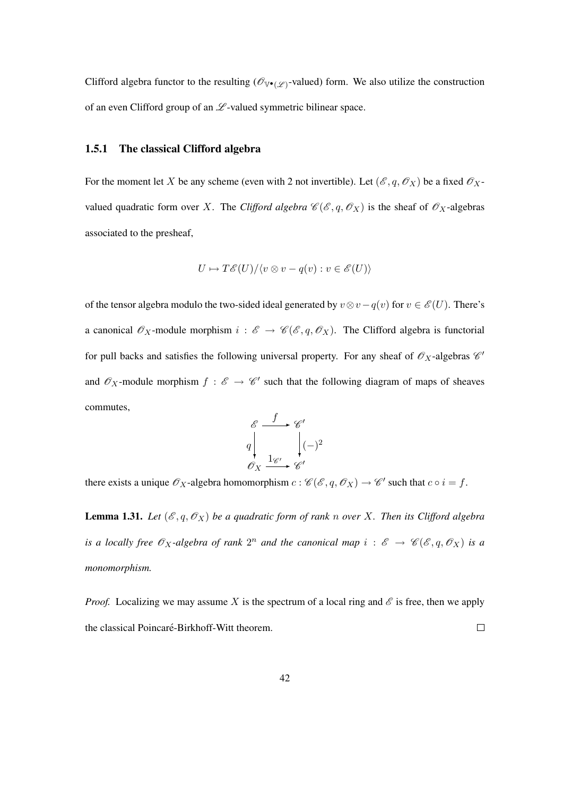Clifford algebra functor to the resulting ( $\mathcal{O}_{\mathbb{V}^\bullet(\mathscr{L})}$ -valued) form. We also utilize the construction of an even Clifford group of an  $\mathscr L$ -valued symmetric bilinear space.

#### 1.5.1 The classical Clifford algebra

For the moment let X be any scheme (even with 2 not invertible). Let  $(\mathscr{E}, q, \mathscr{O}_X)$  be a fixed  $\mathscr{O}_X$ valued quadratic form over X. The *Clifford algebra*  $\mathcal{C}(\mathcal{E}, q, \mathcal{O}_X)$  is the sheaf of  $\mathcal{O}_X$ -algebras associated to the presheaf,

$$
U \mapsto T\mathscr{E}(U)/\langle v \otimes v - q(v) : v \in \mathscr{E}(U) \rangle
$$

of the tensor algebra modulo the two-sided ideal generated by  $v \otimes v - q(v)$  for  $v \in \mathscr{E}(U)$ . There's a canonical  $\mathscr{O}_X$ -module morphism  $i : \mathscr{E} \to \mathscr{C}(\mathscr{E}, q, \mathscr{O}_X)$ . The Clifford algebra is functorial for pull backs and satisfies the following universal property. For any sheaf of  $\mathcal{O}_X$ -algebras  $\mathcal{C}$ and  $\mathscr{O}_X$ -module morphism  $f : \mathscr{E} \to \mathscr{C}'$  such that the following diagram of maps of sheaves commutes,



there exists a unique  $\mathscr{O}_X$ -algebra homomorphism  $c : \mathscr{C}(\mathscr{E}, q, \mathscr{O}_X) \to \mathscr{C}'$  such that  $c \circ i = f$ .

**Lemma 1.31.** Let  $(\mathcal{E}, q, \mathcal{O}_X)$  be a quadratic form of rank n over X. Then its Clifford algebra *is a locally free*  $\mathscr{O}_X$ -algebra of rank  $2^n$  and the canonical map  $i : \mathscr{E} \to \mathscr{C}(\mathscr{E},q,\mathscr{O}_X)$  *is a monomorphism.*

*Proof.* Localizing we may assume X is the spectrum of a local ring and  $\mathscr E$  is free, then we apply the classical Poincaré-Birkhoff-Witt theorem.  $\Box$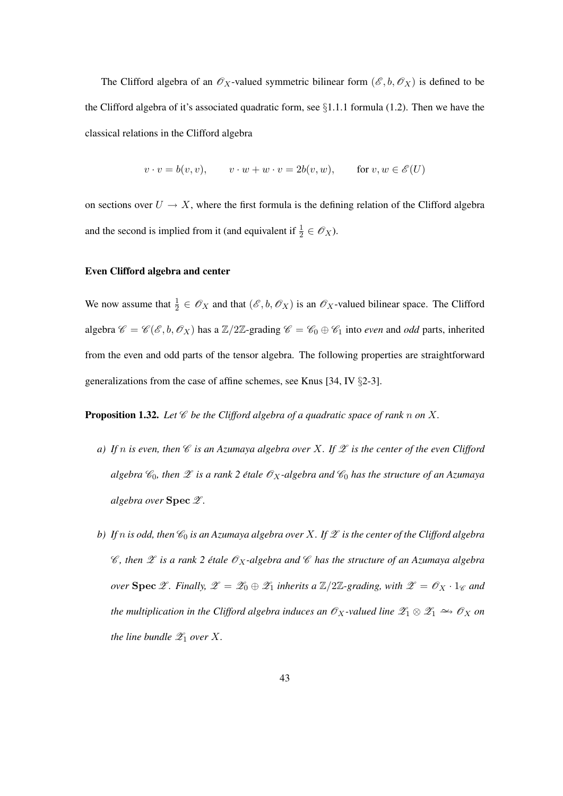The Clifford algebra of an  $\mathscr{O}_X$ -valued symmetric bilinear form  $(\mathscr{E}, b, \mathscr{O}_X)$  is defined to be the Clifford algebra of it's associated quadratic form, see §1.1.1 formula (1.2). Then we have the classical relations in the Clifford algebra

$$
v \cdot v = b(v, v), \qquad v \cdot w + w \cdot v = 2b(v, w), \qquad \text{for } v, w \in \mathscr{E}(U)
$$

on sections over  $U \rightarrow X$ , where the first formula is the defining relation of the Clifford algebra and the second is implied from it (and equivalent if  $\frac{1}{2} \in \mathcal{O}_X$ ).

#### Even Clifford algebra and center

We now assume that  $\frac{1}{2} \in \mathscr{O}_X$  and that  $(\mathscr{E}, b, \mathscr{O}_X)$  is an  $\mathscr{O}_X$ -valued bilinear space. The Clifford algebra  $\mathscr{C} = \mathscr{C}(\mathscr{E}, b, \mathscr{O}_X)$  has a  $\mathbb{Z}/2\mathbb{Z}$ -grading  $\mathscr{C} = \mathscr{C}_0 \oplus \mathscr{C}_1$  into *even* and *odd* parts, inherited from the even and odd parts of the tensor algebra. The following properties are straightforward generalizations from the case of affine schemes, see Knus [34, IV §2-3].

**Proposition 1.32.** Let  $\mathscr C$  be the Clifford algebra of a quadratic space of rank n on X.

- *a)* If n is even, then  $\mathscr C$  *is an Azumaya algebra over* X. If  $\mathscr Z$  *is the center of the even Clifford algebra*  $\mathcal{C}_0$ *, then*  $\mathcal X$  *is a rank* 2 *étale*  $\mathcal{O}_X$ -algebra and  $\mathcal{C}_0$  *has the structure of an Azumaya algebra over* Spec Z *.*
- *b)* If n is odd, then  $\mathcal{C}_0$  *is an Azumaya algebra over* X. If  $\mathcal{Z}$  *is the center of the Clifford algebra*  $\mathscr{C}$ , then  $\mathscr{Z}$  is a rank 2 étale  $\mathscr{O}_X$ -algebra and  $\mathscr{C}$  has the structure of an Azumaya algebra *over* Spec  $\mathscr{Z}$ *. Finally,*  $\mathscr{Z} = \mathscr{Z}_0 \oplus \mathscr{Z}_1$  *inherits a*  $\mathbb{Z}/2\mathbb{Z}$ -grading, with  $\mathscr{Z} = \mathscr{O}_X \cdot 1_{\mathscr{C}}$  and *the multiplication in the Clifford algebra induces an*  $\mathscr{O}_X$ -valued line  $\mathscr{Z}_1 \otimes \mathscr{Z}_1 \hookrightarrow \mathscr{O}_X$  *on the line bundle*  $\mathscr{Z}_1$  *over*  $X$ *.*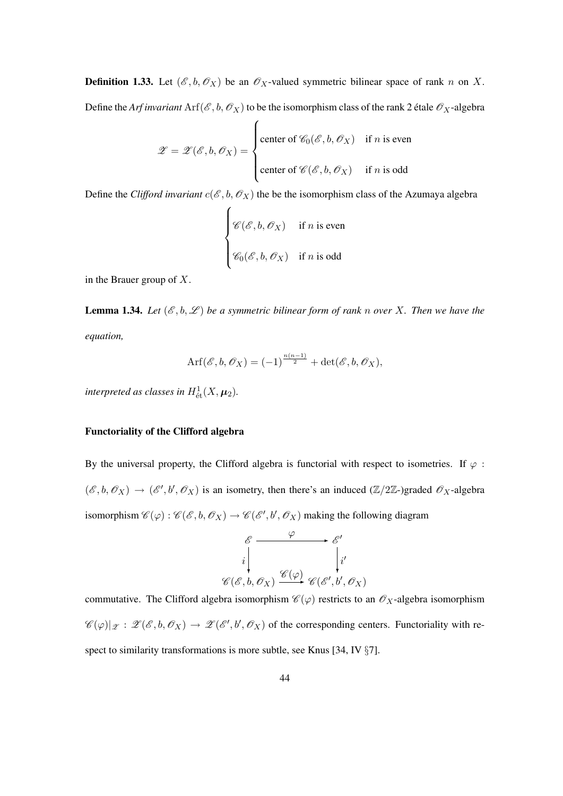**Definition 1.33.** Let  $(\mathcal{E}, b, \mathcal{O}_X)$  be an  $\mathcal{O}_X$ -valued symmetric bilinear space of rank n on X. Define the *Arf invariant*  $\text{Arf}(\mathcal{E}, b, \mathcal{O}_X)$  to be the isomorphism class of the rank 2 étale  $\mathcal{O}_X$ -algebra

$$
\mathscr{Z} = \mathscr{Z}(\mathscr{E}, b, \mathscr{O}_X) = \begin{cases} \text{center of } \mathscr{C}_0(\mathscr{E}, b, \mathscr{O}_X) & \text{if } n \text{ is even} \\ \text{center of } \mathscr{C}(\mathscr{E}, b, \mathscr{O}_X) & \text{if } n \text{ is odd} \end{cases}
$$

Define the *Clifford invariant*  $c(\mathcal{E}, b, \mathcal{O}_X)$  the be the isomorphism class of the Azumaya algebra

$$
\begin{cases}\n\mathscr{C}(\mathscr{E}, b, \mathscr{O}_X) & \text{if } n \text{ is even} \\
\mathscr{C}_0(\mathscr{E}, b, \mathscr{O}_X) & \text{if } n \text{ is odd}\n\end{cases}
$$

in the Brauer group of  $X$ .

**Lemma 1.34.** Let  $(\mathcal{E}, b, \mathcal{L})$  be a symmetric bilinear form of rank n over X. Then we have the *equation,*

$$
\text{Arf}(\mathscr{E}, b, \mathscr{O}_X) = (-1)^{\frac{n(n-1)}{2}} + \det(\mathscr{E}, b, \mathscr{O}_X),
$$

interpreted as classes in  $H^1_{\text{\'et}}(X,\pmb{\mu}_2).$ 

#### Functoriality of the Clifford algebra

By the universal property, the Clifford algebra is functorial with respect to isometries. If  $\varphi$ :  $(\mathscr{E}, b, \mathscr{O}_X) \to (\mathscr{E}', b', \mathscr{O}_X)$  is an isometry, then there's an induced  $(\mathbb{Z}/2\mathbb{Z})$ graded  $\mathscr{O}_X$ -algebra isomorphism  $\mathscr{C}(\varphi):\mathscr{C}(\mathscr{E},b,\mathscr{O}_X)\to\mathscr{C}(\mathscr{E}',b',\mathscr{O}_X)$  making the following diagram

$$
\begin{array}{ccc}\n\mathscr{E} & \xrightarrow{\varphi} & \mathscr{E}' \\
i & \downarrow & \downarrow i' \\
\mathscr{C}(\mathscr{E}, b, \mathscr{O}_X) & \xrightarrow{\mathscr{C}(\varphi)} & \mathscr{C}(\mathscr{E}', b', \mathscr{O}_X)\n\end{array}
$$

commutative. The Clifford algebra isomorphism  $\mathscr{C}(\varphi)$  restricts to an  $\mathscr{O}_X$ -algebra isomorphism  $\mathscr{C}(\varphi)|_{\mathscr{Z}} : \mathscr{Z}(\mathscr{E},b,\mathscr{O}_X) \to \mathscr{Z}(\mathscr{E}',b',\mathscr{O}_X)$  of the corresponding centers. Functoriality with respect to similarity transformations is more subtle, see Knus [34, IV  $\S$ 7].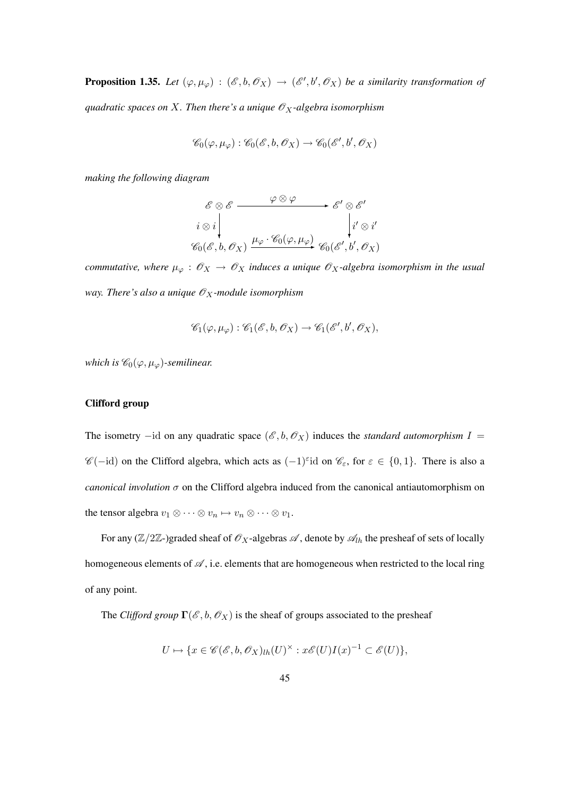**Proposition 1.35.** Let  $(\varphi, \mu_{\varphi})$  :  $(\mathscr{E}, b, \mathscr{O}_X) \to (\mathscr{E}', b', \mathscr{O}_X)$  be a similarity transformation of *quadratic spaces on*  $X$ *. Then there's a unique*  $\mathscr{O}_X$ -algebra isomorphism

$$
\mathscr{C}_0(\varphi,\mu_\varphi):\mathscr{C}_0(\mathscr{E},b,\mathscr{O}_X)\to\mathscr{C}_0(\mathscr{E}',b',\mathscr{O}_X)
$$

*making the following diagram*

$$
\begin{array}{ccc}\n\mathscr{E} \otimes \mathscr{E} & \xrightarrow{\varphi \otimes \varphi} & \mathscr{E}' \otimes \mathscr{E}' \\
i \otimes i & \downarrow i' \\
\mathscr{C}_0(\mathscr{E}, b, \mathscr{O}_X) & \xrightarrow{\mu_\varphi} \mathscr{C}_0(\varphi, \mu_\varphi) & \mathscr{C}_0(\mathscr{E}', b', \mathscr{O}_X)\n\end{array}
$$

*commutative, where*  $\mu_{\varphi}: \mathscr{O}_X \to \mathscr{O}_X$  *induces a unique*  $\mathscr{O}_X$ -algebra isomorphism in the usual *way. There's also a unique*  $\mathcal{O}_X$ -module isomorphism

$$
\mathscr{C}_1(\varphi,\mu_\varphi): \mathscr{C}_1(\mathscr{E},b,\mathscr{O}_X) \to \mathscr{C}_1(\mathscr{E}',b',\mathscr{O}_X),
$$

*which is*  $\mathscr{C}_0(\varphi, \mu_\varphi)$ *-semilinear.* 

#### Clifford group

The isometry –id on any quadratic space  $(\mathscr{E}, b, \mathscr{O}_X)$  induces the *standard automorphism*  $I =$  $\mathscr{C}(-id)$  on the Clifford algebra, which acts as  $(-1)^{\epsilon}id$  on  $\mathscr{C}_{\epsilon}$ , for  $\epsilon \in \{0,1\}$ . There is also a *canonical involution*  $\sigma$  on the Clifford algebra induced from the canonical antiautomorphism on the tensor algebra  $v_1 \otimes \cdots \otimes v_n \mapsto v_n \otimes \cdots \otimes v_1$ .

For any  $(\mathbb{Z}/2\mathbb{Z})$ graded sheaf of  $\mathcal{O}_X$ -algebras  $\mathcal{A}$ , denote by  $\mathcal{A}_{lh}$  the presheaf of sets of locally homogeneous elements of  $\mathscr A$ , i.e. elements that are homogeneous when restricted to the local ring of any point.

The *Clifford group*  $\Gamma(\mathcal{E}, b, \mathcal{O}_X)$  is the sheaf of groups associated to the presheaf

$$
U \mapsto \{ x \in \mathscr{C}(\mathscr{E}, b, \mathscr{O}_X)_{lh}(U)^\times : x\mathscr{E}(U)I(x)^{-1} \subset \mathscr{E}(U) \},
$$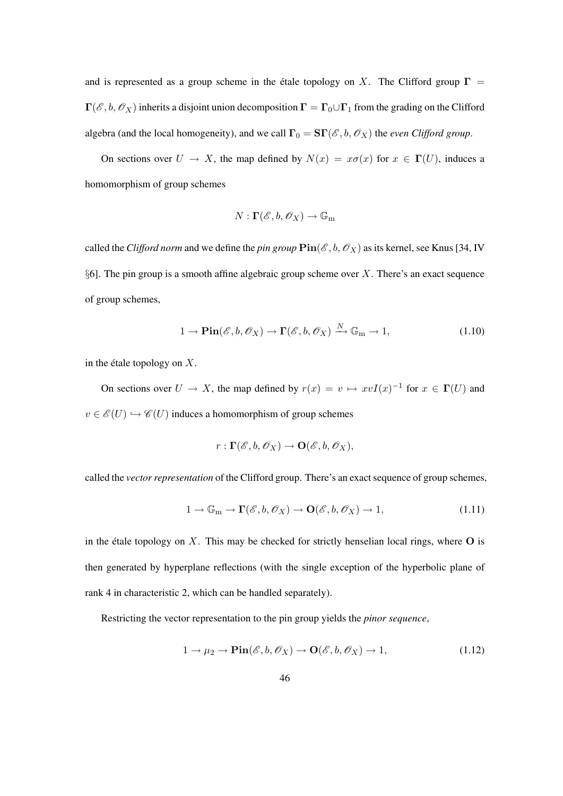and is represented as a group scheme in the étale topology on X. The Clifford group  $\Gamma$  =  $\Gamma(\mathscr{E}, b, \mathscr{O}_X)$  inherits a disjoint union decomposition  $\Gamma = \Gamma_0 \cup \Gamma_1$  from the grading on the Clifford algebra (and the local homogeneity), and we call  $\Gamma_0 = \mathbf{S} \Gamma(\mathscr{E}, b, \mathscr{O}_X)$  the *even Clifford group*.

On sections over  $U \to X$ , the map defined by  $N(x) = x\sigma(x)$  for  $x \in \Gamma(U)$ , induces a homomorphism of group schemes

$$
N:\mathbf{\Gamma}(\mathscr{E},b,\mathscr{O}_X)\to\mathbb{G}_{\mathrm{m}}
$$

called the *Clifford norm* and we define the *pin group*  $\text{Pin}(\mathcal{E}, b, \mathcal{O}_X)$  as its kernel, see Knus [34, IV §6]. The pin group is a smooth affine algebraic group scheme over  $X$ . There's an exact sequence of group schemes,

$$
1 \to \operatorname{Pin}(\mathscr{E}, b, \mathscr{O}_X) \to \Gamma(\mathscr{E}, b, \mathscr{O}_X) \xrightarrow{N} \mathbb{G}_{m} \to 1, \tag{1.10}
$$

in the étale topology on  $X$ .

On sections over  $U \to X$ , the map defined by  $r(x) = v \mapsto xvI(x)^{-1}$  for  $x \in \Gamma(U)$  and  $v \in \mathscr{E}(U) \hookrightarrow \mathscr{C}(U)$  induces a homomorphism of group schemes

$$
r: \Gamma(\mathscr{E},b,\mathscr{O}_X) \to \mathbf{O}(\mathscr{E},b,\mathscr{O}_X),
$$

called the *vector representation* of the Clifford group. There's an exact sequence of group schemes,

$$
1 \to \mathbb{G}_{\mathrm{m}} \to \Gamma(\mathscr{E}, b, \mathscr{O}_{X}) \to \mathbf{O}(\mathscr{E}, b, \mathscr{O}_{X}) \to 1, \tag{1.11}
$$

in the étale topology on  $X$ . This may be checked for strictly henselian local rings, where  $O$  is then generated by hyperplane reflections (with the single exception of the hyperbolic plane of rank 4 in characteristic 2, which can be handled separately).

Restricting the vector representation to the pin group yields the *pinor sequence*,

$$
1 \to \mu_2 \to \mathbf{Pin}(\mathscr{E}, b, \mathscr{O}_X) \to \mathbf{O}(\mathscr{E}, b, \mathscr{O}_X) \to 1,
$$
\n(1.12)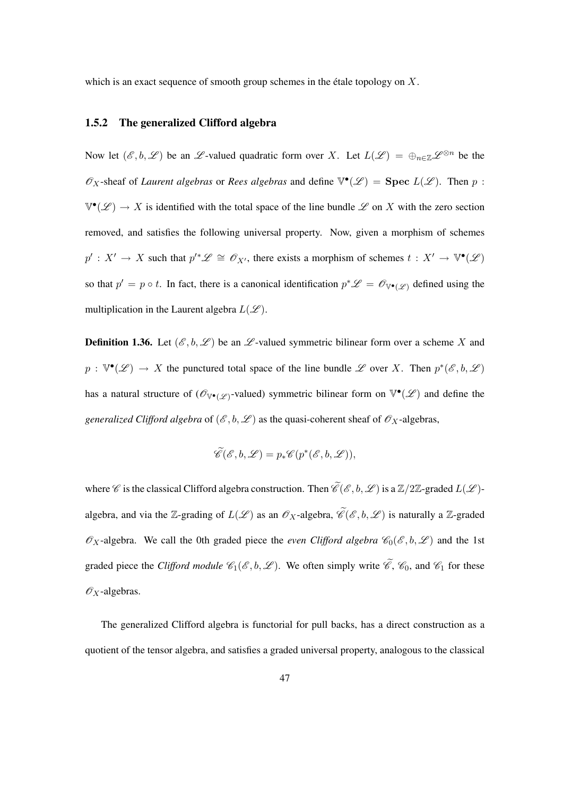which is an exact sequence of smooth group schemes in the étale topology on  $X$ .

### 1.5.2 The generalized Clifford algebra

Now let  $(\mathscr{E}, b, \mathscr{L})$  be an  $\mathscr{L}$ -valued quadratic form over X. Let  $L(\mathscr{L}) = \bigoplus_{n \in \mathbb{Z}} \mathscr{L}^{\otimes n}$  be the  $\mathscr{O}_X$ -sheaf of *Laurent algebras* or *Rees algebras* and define  $\mathbb{V}^{\bullet}(\mathscr{L})$  = **Spec**  $L(\mathscr{L})$ . Then p:  $\mathbb{V}^\bullet(\mathscr{L}) \to X$  is identified with the total space of the line bundle  $\mathscr{L}$  on X with the zero section removed, and satisfies the following universal property. Now, given a morphism of schemes  $p': X' \to X$  such that  $p'^* \mathscr{L} \cong \mathscr{O}_{X'}$ , there exists a morphism of schemes  $t: X' \to \mathbb{V}^{\bullet}(\mathscr{L})$ so that  $p' = p \circ t$ . In fact, there is a canonical identification  $p^* \mathscr{L} = \mathscr{O}_{\mathbb{V}^\bullet(\mathscr{L})}$  defined using the multiplication in the Laurent algebra  $L(\mathscr{L})$ .

**Definition 1.36.** Let  $(\mathscr{E}, b, \mathscr{L})$  be an  $\mathscr{L}$ -valued symmetric bilinear form over a scheme X and  $p: \mathbb{V}^{\bullet}(\mathscr{L}) \to X$  the punctured total space of the line bundle  $\mathscr{L}$  over X. Then  $p^*(\mathscr{E}, b, \mathscr{L})$ has a natural structure of  $(\mathscr{O}_{\mathbb{V}^{\bullet}(\mathscr{L})}$ -valued) symmetric bilinear form on  $\mathbb{V}^{\bullet}(\mathscr{L})$  and define the *generalized Clifford algebra* of  $(\mathscr{E}, b, \mathscr{L})$  as the quasi-coherent sheaf of  $\mathscr{O}_X$ -algebras,

$$
\widetilde{\mathscr{C}}(\mathscr{E},b,\mathscr{L})=p_*\mathscr{C}(p^*(\mathscr{E},b,\mathscr{L})),
$$

where  $\mathscr C$  is the classical Clifford algebra construction. Then  $\widetilde{\mathscr C}(\mathscr E,b,\mathscr L)$  is a  $\mathbb Z/2\mathbb Z$ -graded  $L(\mathscr L)$ algebra, and via the Z-grading of  $L(\mathcal{L})$  as an  $\mathcal{O}_X$ -algebra,  $\widetilde{\mathcal{C}}(\mathcal{E},b,\mathcal{L})$  is naturally a Z-graded  $\mathscr{O}_X$ -algebra. We call the 0th graded piece the *even Clifford algebra*  $\mathscr{C}_0(\mathscr{E}, b, \mathscr{L})$  and the 1st graded piece the *Clifford module*  $\mathcal{C}_1(\mathcal{E}, b, \mathcal{L})$ . We often simply write  $\widetilde{\mathcal{C}}$ ,  $\mathcal{C}_0$ , and  $\mathcal{C}_1$  for these  $\mathscr{O}_X$ -algebras.

The generalized Clifford algebra is functorial for pull backs, has a direct construction as a quotient of the tensor algebra, and satisfies a graded universal property, analogous to the classical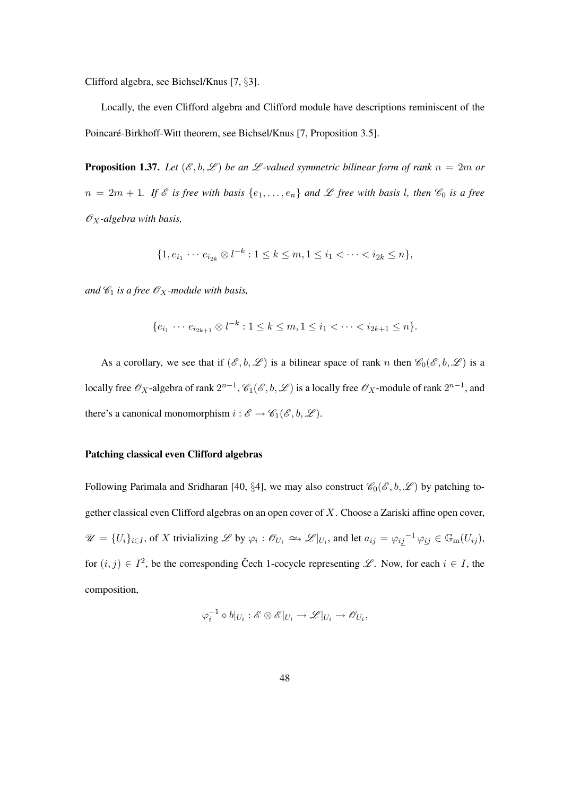Clifford algebra, see Bichsel/Knus [7, §3].

Locally, the even Clifford algebra and Clifford module have descriptions reminiscent of the Poincaré-Birkhoff-Witt theorem, see Bichsel/Knus [7, Proposition 3.5].

**Proposition 1.37.** Let  $(\mathscr{E}, b, \mathscr{L})$  be an  $\mathscr{L}$ -valued symmetric bilinear form of rank  $n = 2m$  or  $n = 2m + 1$ *. If*  $\&$  *is free with basis*  $\{e_1, \ldots, e_n\}$  *and*  $\&$  *free with basis l, then*  $\&_0$  *is a free*  $\mathscr{O}_X$ -algebra with basis,

$$
\{1, e_{i_1} \cdots e_{i_{2k}} \otimes l^{-k} : 1 \le k \le m, 1 \le i_1 < \cdots < i_{2k} \le n\},\
$$

*and*  $\mathcal{C}_1$  *is a free*  $\mathcal{O}_X$ *-module with basis,* 

$$
\{e_{i_1} \cdots e_{i_{2k+1}} \otimes l^{-k} : 1 \le k \le m, 1 \le i_1 < \cdots < i_{2k+1} \le n\}.
$$

As a corollary, we see that if  $(\mathscr{E}, b, \mathscr{L})$  is a bilinear space of rank n then  $\mathscr{C}_0(\mathscr{E}, b, \mathscr{L})$  is a locally free  $\mathscr{O}_X$ -algebra of rank  $2^{n-1}$ ,  $\mathscr{C}_1(\mathscr{E},b,\mathscr{L})$  is a locally free  $\mathscr{O}_X$ -module of rank  $2^{n-1}$ , and there's a canonical monomorphism  $i : \mathscr{E} \to \mathscr{C}_1(\mathscr{E}, b, \mathscr{L})$ .

#### Patching classical even Clifford algebras

Following Parimala and Sridharan [40, §4], we may also construct  $\mathcal{C}_0(\mathcal{E}, b, \mathcal{L})$  by patching together classical even Clifford algebras on an open cover of X. Choose a Zariski affine open cover,  $\mathscr{U} = \{U_i\}_{i \in I}$ , of X trivializing  $\mathscr{L}$  by  $\varphi_i : \mathscr{O}_{U_i} \longrightarrow \mathscr{L}|_{U_i}$ , and let  $a_{ij} = \varphi_{ij}^{-1} \varphi_{ij} \in \mathbb{G}_{m}(U_{ij}),$ for  $(i, j) \in I^2$ , be the corresponding Čech 1-cocycle representing  $\mathscr{L}$ . Now, for each  $i \in I$ , the composition,

$$
\varphi_i^{-1}\circ b|_{U_i}:\mathscr{E}\otimes\mathscr{E}|_{U_i}\to\mathscr{L}|_{U_i}\to\mathscr{O}_{U_i},
$$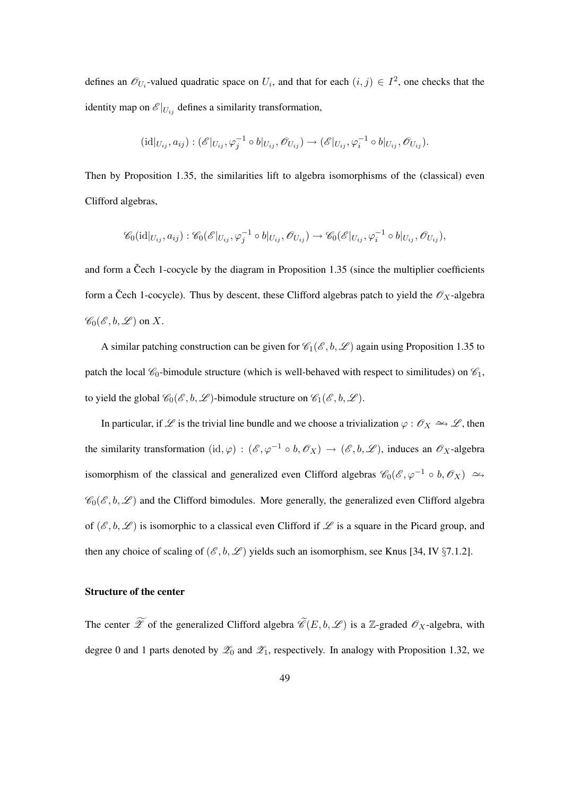defines an  $\mathcal{O}_{U_i}$ -valued quadratic space on  $U_i$ , and that for each  $(i, j) \in I^2$ , one checks that the identity map on  $\mathscr{E}|_{U_{ij}}$  defines a similarity transformation,

$$
(\mathrm{id}|_{U_{ij}}, a_{ij}) : (\mathscr{E}|_{U_{ij}}, \varphi_j^{-1} \circ b|_{U_{ij}}, \mathscr{O}_{U_{ij}}) \to (\mathscr{E}|_{U_{ij}}, \varphi_i^{-1} \circ b|_{U_{ij}}, \mathscr{O}_{U_{ij}}).
$$

Then by Proposition 1.35, the similarities lift to algebra isomorphisms of the (classical) even Clifford algebras,

$$
\mathscr{C}_0(\mathrm{id}|_{U_{ij}},a_{ij}): \mathscr{C}_0(\mathscr{E}|_{U_{ij}},\varphi_j^{-1}\circ b|_{U_{ij}},\mathscr{O}_{U_{ij}})\rightarrow \mathscr{C}_0(\mathscr{E}|_{U_{ij}},\varphi_i^{-1}\circ b|_{U_{ij}},\mathscr{O}_{U_{ij}}),
$$

and form a Čech 1-cocycle by the diagram in Proposition 1.35 (since the multiplier coefficients form a Čech 1-cocycle). Thus by descent, these Clifford algebras patch to yield the  $\mathscr{O}_X$ -algebra  $\mathscr{C}_0(\mathscr{E}, b, \mathscr{L})$  on X.

A similar patching construction can be given for  $\mathcal{C}_1(\mathcal{E}, b, \mathcal{L})$  again using Proposition 1.35 to patch the local  $\mathcal{C}_0$ -bimodule structure (which is well-behaved with respect to similitudes) on  $\mathcal{C}_1$ , to yield the global  $\mathcal{C}_0(\mathcal{E}, b, \mathcal{L})$ -bimodule structure on  $\mathcal{C}_1(\mathcal{E}, b, \mathcal{L})$ .

In particular, if  $\mathscr L$  is the trivial line bundle and we choose a trivialization  $\varphi : \mathscr O_X \to \mathscr L$ , then the similarity transformation  $(id, \varphi) : (\mathscr{E}, \varphi^{-1} \circ b, \mathscr{O}_X) \to (\mathscr{E}, b, \mathscr{L})$ , induces an  $\mathscr{O}_X$ -algebra isomorphism of the classical and generalized even Clifford algebras  $\mathscr{C}_0(\mathscr{E}, \varphi^{-1} \circ b, \mathscr{O}_X) \simeq$  $\mathscr{C}_0(\mathscr{E}, b, \mathscr{L})$  and the Clifford bimodules. More generally, the generalized even Clifford algebra of  $(\mathscr{E}, b, \mathscr{L})$  is isomorphic to a classical even Clifford if  $\mathscr{L}$  is a square in the Picard group, and then any choice of scaling of  $(\mathscr{E}, b, \mathscr{L})$  yields such an isomorphism, see Knus [34, IV §7.1.2].

#### Structure of the center

The center  $\widetilde{\mathscr{L}}$  of the generalized Clifford algebra  $\widetilde{\mathscr{C}}(E, b, \mathscr{L})$  is a Z-graded  $\mathscr{O}_X$ -algebra, with degree 0 and 1 parts denoted by  $\mathscr{L}_0$  and  $\mathscr{L}_1$ , respectively. In analogy with Proposition 1.32, we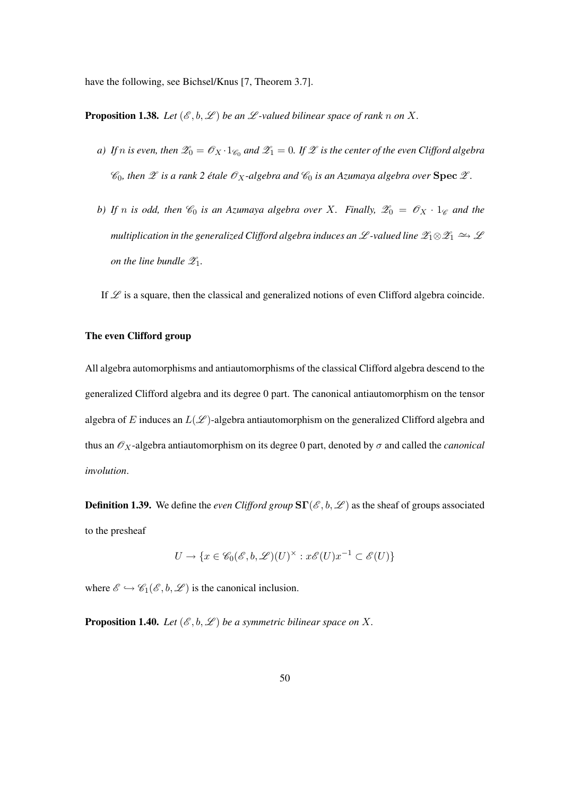have the following, see Bichsel/Knus [7, Theorem 3.7].

**Proposition 1.38.** Let  $(\mathcal{E}, b, \mathcal{L})$  be an  $\mathcal{L}$ -valued bilinear space of rank n on X.

- *a)* If  $n$  is even, then  $\mathscr{Z}_0 = \mathscr{O}_X \cdot 1_{\mathscr{C}_0}$  and  $\mathscr{Z}_1 = 0$ . If  $\mathscr{Z}$  is the center of the even Clifford algebra  $\mathcal{C}_0$ , then  $\mathcal X$  *is a rank* 2 *étale*  $\mathcal{O}_X$ -algebra and  $\mathcal{C}_0$  *is an Azumaya algebra over* **Spec**  $\mathcal X$ *.*
- *b)* If n is odd, then  $\mathcal{C}_0$  is an Azumaya algebra over X. Finally,  $\mathcal{Z}_0 = \mathcal{O}_X \cdot 1_{\mathcal{C}}$  and the *multiplication in the generalized Clifford algebra induces an*  $\mathscr{L}$ *-valued line*  $\mathscr{Z}_1 \otimes \mathscr{Z}_1 \to \mathscr{L}$ *on the line bundle*  $\mathscr{Z}_1$ *.*

If  $\mathscr L$  is a square, then the classical and generalized notions of even Clifford algebra coincide.

#### The even Clifford group

All algebra automorphisms and antiautomorphisms of the classical Clifford algebra descend to the generalized Clifford algebra and its degree 0 part. The canonical antiautomorphism on the tensor algebra of E induces an  $L(\mathcal{L})$ -algebra antiautomorphism on the generalized Clifford algebra and thus an  $\mathcal{O}_X$ -algebra antiautomorphism on its degree 0 part, denoted by  $\sigma$  and called the *canonical involution*.

**Definition 1.39.** We define the *even Clifford group*  $ST(\mathcal{E}, b, \mathcal{L})$  as the sheaf of groups associated to the presheaf

$$
U \to \{ x \in \mathscr{C}_0(\mathscr{E}, b, \mathscr{L})(U)^\times : x\mathscr{E}(U)x^{-1} \subset \mathscr{E}(U) \}
$$

where  $\mathscr{E} \hookrightarrow \mathscr{C}_1(\mathscr{E}, b, \mathscr{L})$  is the canonical inclusion.

**Proposition 1.40.** *Let*  $(\mathscr{E}, b, \mathscr{L})$  *be a symmetric bilinear space on* X.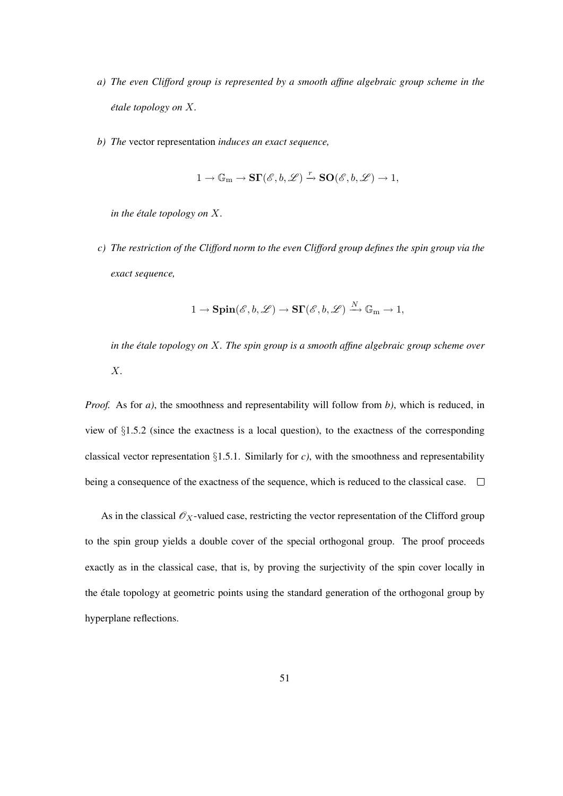- *a) The even Clifford group is represented by a smooth affine algebraic group scheme in the étale topology on X.*
- *b) The* vector representation *induces an exact sequence,*

$$
1 \to \mathbb{G}_m \to \mathbf{S}\Gamma(\mathscr{E},b,\mathscr{L}) \xrightarrow{r} \mathbf{SO}(\mathscr{E},b,\mathscr{L}) \to 1,
$$

*in the étale topology on*  $X$ *.* 

*c) The restriction of the Clifford norm to the even Clifford group defines the spin group via the exact sequence,*

$$
1 \to \mathbf{Spin}(\mathscr{E}, b, \mathscr{L}) \to \mathbf{S}\Gamma(\mathscr{E}, b, \mathscr{L}) \xrightarrow{N} \mathbb{G}_{m} \to 1,
$$

*in the étale topology on X. The spin group is a smooth affine algebraic group scheme over* X*.*

*Proof.* As for *a)*, the smoothness and representability will follow from *b)*, which is reduced, in view of §1.5.2 (since the exactness is a local question), to the exactness of the corresponding classical vector representation  $\S1.5.1$ . Similarly for *c*), with the smoothness and representability being a consequence of the exactness of the sequence, which is reduced to the classical case.  $\Box$ 

As in the classical  $\mathscr{O}_X$ -valued case, restricting the vector representation of the Clifford group to the spin group yields a double cover of the special orthogonal group. The proof proceeds exactly as in the classical case, that is, by proving the surjectivity of the spin cover locally in the étale topology at geometric points using the standard generation of the orthogonal group by hyperplane reflections.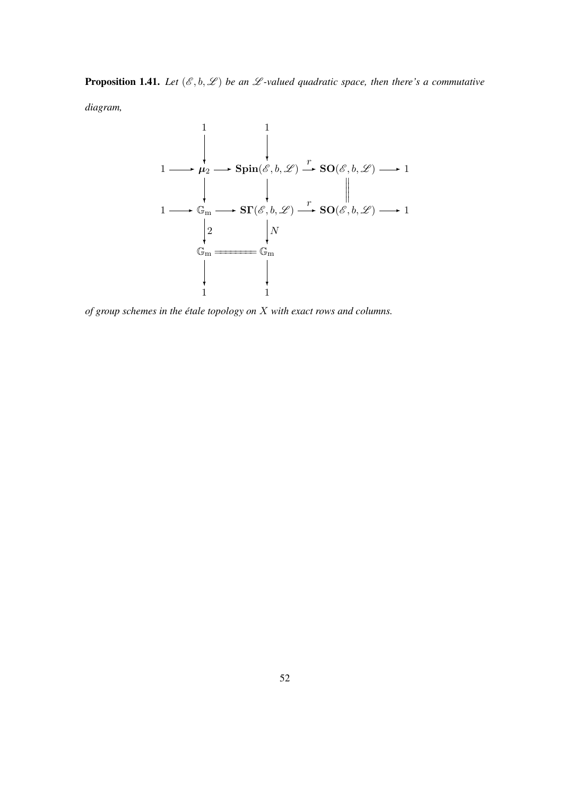**Proposition 1.41.** Let  $(\mathcal{E}, \mathfrak{b}, \mathcal{L})$  be an  $\mathcal{L}$ -valued quadratic space, then there's a commutative *diagram,*



*of group schemes in the etale topology on ´* X *with exact rows and columns.*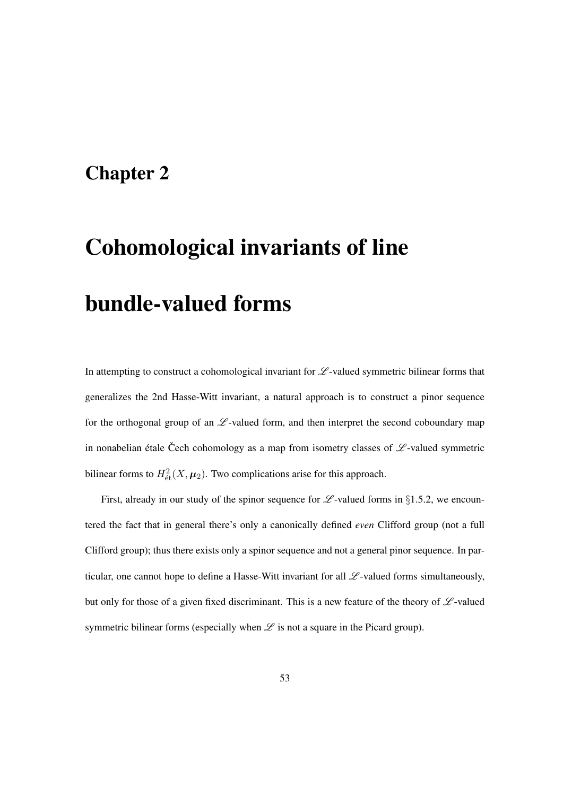# Chapter 2

# Cohomological invariants of line bundle-valued forms

In attempting to construct a cohomological invariant for  $\mathscr L$ -valued symmetric bilinear forms that generalizes the 2nd Hasse-Witt invariant, a natural approach is to construct a pinor sequence for the orthogonal group of an  $\mathscr L$ -valued form, and then interpret the second coboundary map in nonabelian étale Čech cohomology as a map from isometry classes of  $\mathscr{L}$ -valued symmetric bilinear forms to  $H^2_{\text{\'et}}(X, \mu_2)$ . Two complications arise for this approach.

First, already in our study of the spinor sequence for  $\mathscr L$ -valued forms in §1.5.2, we encountered the fact that in general there's only a canonically defined *even* Clifford group (not a full Clifford group); thus there exists only a spinor sequence and not a general pinor sequence. In particular, one cannot hope to define a Hasse-Witt invariant for all  $\mathscr{L}$ -valued forms simultaneously, but only for those of a given fixed discriminant. This is a new feature of the theory of  $\mathscr{L}\text{-valued}$ symmetric bilinear forms (especially when  $\mathscr L$  is not a square in the Picard group).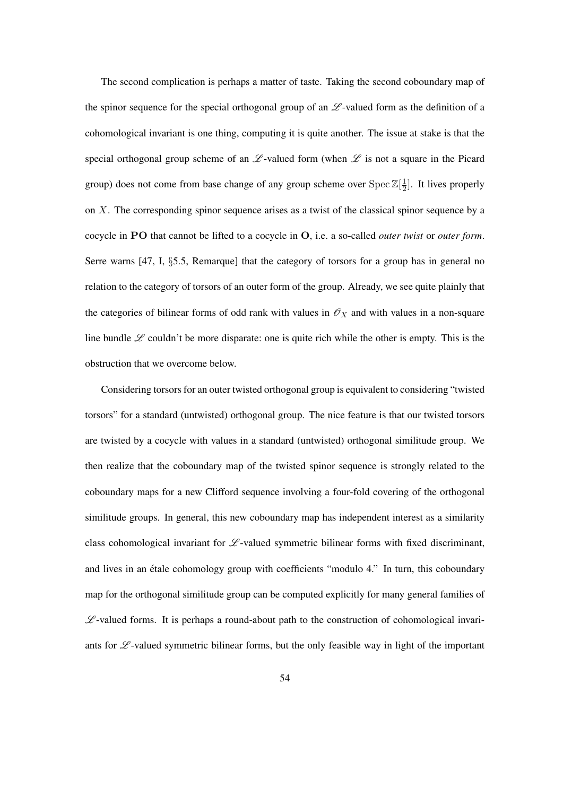The second complication is perhaps a matter of taste. Taking the second coboundary map of the spinor sequence for the special orthogonal group of an  $\mathscr L$ -valued form as the definition of a cohomological invariant is one thing, computing it is quite another. The issue at stake is that the special orthogonal group scheme of an  $\mathscr L$ -valued form (when  $\mathscr L$  is not a square in the Picard group) does not come from base change of any group scheme over  $\text{Spec } \mathbb{Z}[\frac{1}{2}]$  $\frac{1}{2}$ . It lives properly on X. The corresponding spinor sequence arises as a twist of the classical spinor sequence by a cocycle in PO that cannot be lifted to a cocycle in O, i.e. a so-called *outer twist* or *outer form*. Serre warns  $[47, 1, 85.5,$  Remarque] that the category of torsors for a group has in general no relation to the category of torsors of an outer form of the group. Already, we see quite plainly that the categories of bilinear forms of odd rank with values in  $\mathcal{O}_X$  and with values in a non-square line bundle  $\mathscr L$  couldn't be more disparate: one is quite rich while the other is empty. This is the obstruction that we overcome below.

Considering torsors for an outer twisted orthogonal group is equivalent to considering "twisted torsors" for a standard (untwisted) orthogonal group. The nice feature is that our twisted torsors are twisted by a cocycle with values in a standard (untwisted) orthogonal similitude group. We then realize that the coboundary map of the twisted spinor sequence is strongly related to the coboundary maps for a new Clifford sequence involving a four-fold covering of the orthogonal similitude groups. In general, this new coboundary map has independent interest as a similarity class cohomological invariant for  $\mathscr L$ -valued symmetric bilinear forms with fixed discriminant, and lives in an étale cohomology group with coefficients "modulo 4." In turn, this coboundary map for the orthogonal similitude group can be computed explicitly for many general families of  $\mathscr{L}$ -valued forms. It is perhaps a round-about path to the construction of cohomological invariants for  $\mathscr L$ -valued symmetric bilinear forms, but the only feasible way in light of the important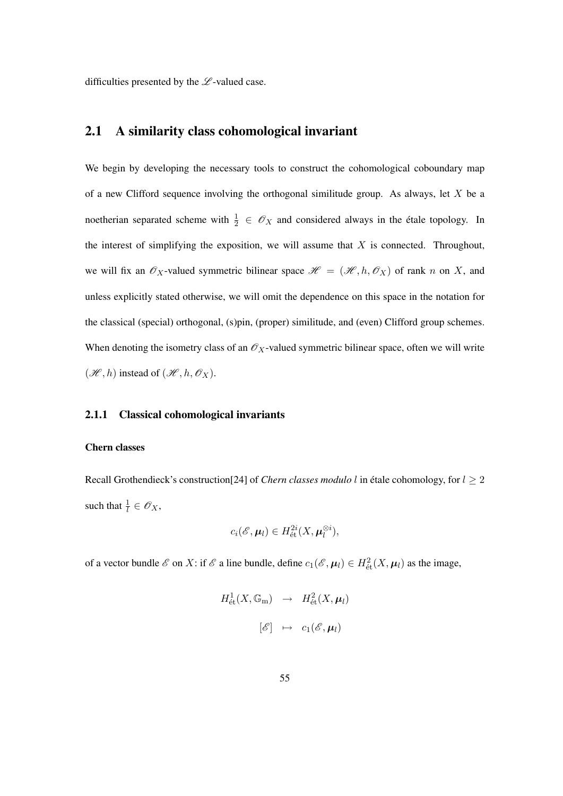difficulties presented by the  $\mathscr L$ -valued case.

# 2.1 A similarity class cohomological invariant

We begin by developing the necessary tools to construct the cohomological coboundary map of a new Clifford sequence involving the orthogonal similitude group. As always, let  $X$  be a noetherian separated scheme with  $\frac{1}{2} \in \mathcal{O}_X$  and considered always in the étale topology. In the interest of simplifying the exposition, we will assume that  $X$  is connected. Throughout, we will fix an  $\mathscr{O}_X$ -valued symmetric bilinear space  $\mathscr{H} = (\mathscr{H}, h, \mathscr{O}_X)$  of rank n on X, and unless explicitly stated otherwise, we will omit the dependence on this space in the notation for the classical (special) orthogonal, (s)pin, (proper) similitude, and (even) Clifford group schemes. When denoting the isometry class of an  $\mathscr{O}_X$ -valued symmetric bilinear space, often we will write  $(\mathcal{H}, h)$  instead of  $(\mathcal{H}, h, \mathcal{O}_X)$ .

#### 2.1.1 Classical cohomological invariants

#### Chern classes

Recall Grothendieck's construction<sup>[24]</sup> of *Chern classes modulo* l in étale cohomology, for  $l \geq 2$ such that  $\frac{1}{l} \in \mathscr{O}_X$ ,

$$
c_i(\mathscr{E}, \boldsymbol{\mu}_l) \in H^{2i}_{\text{\'et}}(X, \boldsymbol{\mu}_l^{\otimes i}),
$$

of a vector bundle  $\mathscr E$  on X: if  $\mathscr E$  a line bundle, define  $c_1(\mathscr E, \mu_l) \in H^2_{\text{\'et}}(X, \mu_l)$  as the image,

$$
H^1_{\text{\'et}}(X, \mathbb{G}_{\mathrm{m}}) \rightarrow H^2_{\text{\'et}}(X, \mu_l)
$$
  

$$
[\mathscr{E}] \mapsto c_1(\mathscr{E}, \mu_l)
$$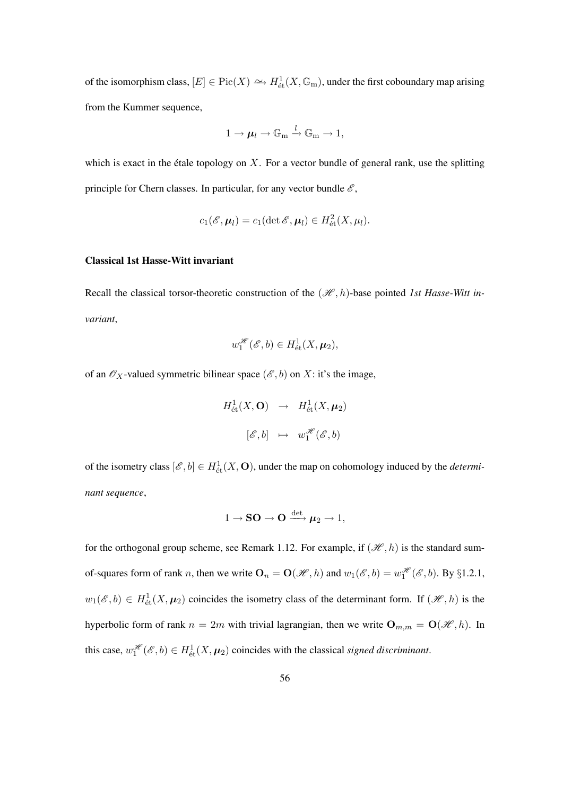of the isomorphism class,  $[E] \in Pic(X) \hookrightarrow H^1_{\text{\'et}}(X,\mathbb{G}_{\mathrm{m}})$ , under the first coboundary map arising from the Kummer sequence,

$$
1 \to \mu_l \to \mathbb{G}_m \xrightarrow{l} \mathbb{G}_m \to 1,
$$

which is exact in the étale topology on  $X$ . For a vector bundle of general rank, use the splitting principle for Chern classes. In particular, for any vector bundle  $\mathscr{E}$ ,

$$
c_1(\mathscr{E}, \boldsymbol{\mu}_l) = c_1(\det \mathscr{E}, \boldsymbol{\mu}_l) \in H^2_{\text{\'et}}(X, \mu_l).
$$

#### Classical 1st Hasse-Witt invariant

Recall the classical torsor-theoretic construction of the  $(\mathcal{H}, h)$ -base pointed *1st Hasse-Witt invariant*,

$$
w_1^{\mathscr{H}}(\mathscr{E},b) \in H^1_{\text{\'et}}(X,\mu_2),
$$

of an  $\mathcal{O}_X$ -valued symmetric bilinear space  $(\mathcal{E}, b)$  on X: it's the image,

$$
H^1_{\text{\'et}}(X, \mathbf{O}) \rightarrow H^1_{\text{\'et}}(X, \mu_2)
$$
  

$$
[\mathscr{E}, b] \mapsto w_1^{\mathscr{H}}(\mathscr{E}, b)
$$

of the isometry class  $[\mathcal{E}, b] \in H^1_{\text{\'et}}(X, \mathbf{O})$ , under the map on cohomology induced by the *determinant sequence*,

$$
1 \to \mathbf{SO} \to \mathbf{O} \xrightarrow{\det} \mu_2 \to 1,
$$

for the orthogonal group scheme, see Remark 1.12. For example, if  $(\mathcal{H}, h)$  is the standard sumof-squares form of rank *n*, then we write  $O_n = O(\mathcal{H}, h)$  and  $w_1(\mathcal{E}, b) = w_1^{\mathcal{H}}(\mathcal{E}, b)$ . By §1.2.1,  $w_1(\mathscr{E},b) \in H^1_{\text{\'et}}(X,\mu_2)$  coincides the isometry class of the determinant form. If  $(\mathscr{H},h)$  is the hyperbolic form of rank  $n = 2m$  with trivial lagrangian, then we write  $\mathbf{O}_{m,m} = \mathbf{O}(\mathcal{H}, h)$ . In this case,  $w_1^{\mathcal{H}}(\mathcal{E},b) \in H^1_{\text{\'et}}(X,\mu_2)$  coincides with the classical *signed discriminant*.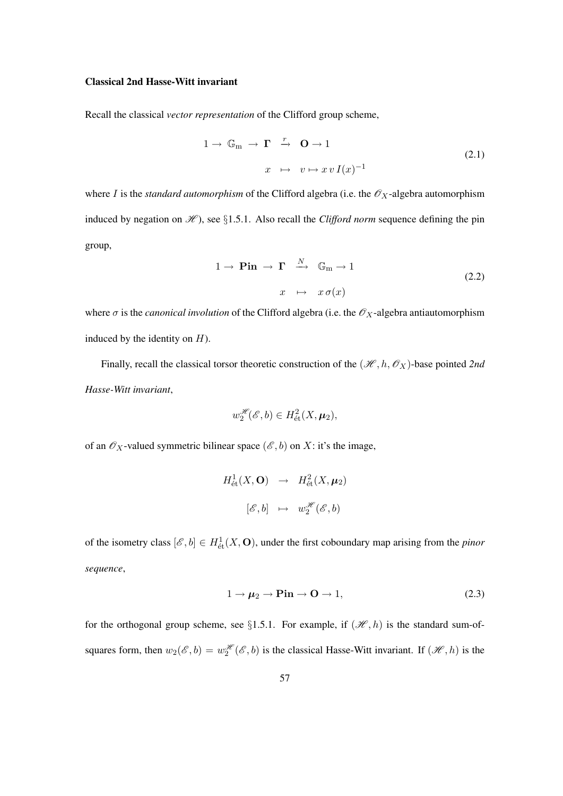#### Classical 2nd Hasse-Witt invariant

Recall the classical *vector representation* of the Clifford group scheme,

$$
1 \to \mathbb{G}_{m} \to \Gamma \stackrel{r}{\to} \mathbf{O} \to 1
$$
  

$$
x \mapsto v \mapsto xv I(x)^{-1}
$$
 (2.1)

where *I* is the *standard automorphism* of the Clifford algebra (i.e. the  $\mathscr{O}_X$ -algebra automorphism induced by negation on  $\mathcal{H}$ ), see §1.5.1. Also recall the *Clifford norm* sequence defining the pin group,

$$
1 \to \mathbf{Pin} \to \Gamma \xrightarrow{N} \mathbb{G}_{m} \to 1
$$
  

$$
x \mapsto x \sigma(x)
$$
 (2.2)

where  $\sigma$  is the *canonical involution* of the Clifford algebra (i.e. the  $\mathscr{O}_X$ -algebra antiautomorphism induced by the identity on  $H$ ).

Finally, recall the classical torsor theoretic construction of the  $(\mathcal{H}, h, \mathcal{O}_X)$ -base pointed 2nd *Hasse-Witt invariant*,

$$
w_2^{\mathscr{H}}(\mathscr{E},b) \in H^2_{\text{\'et}}(X,\mu_2),
$$

of an  $\mathcal{O}_X$ -valued symmetric bilinear space  $(\mathcal{E}, b)$  on X: it's the image,

$$
H^1_{\text{\'et}}(X, \mathbf{O}) \rightarrow H^2_{\text{\'et}}(X, \mu_2)
$$
  

$$
[\mathscr{E}, b] \mapsto w_2^{\mathscr{H}}(\mathscr{E}, b)
$$

of the isometry class  $[\mathcal{E}, b] \in H^1_{\text{\'et}}(X, \mathbf{O})$ , under the first coboundary map arising from the *pinor sequence*,

$$
1 \to \mu_2 \to \text{Pin} \to \text{O} \to 1,\tag{2.3}
$$

for the orthogonal group scheme, see §1.5.1. For example, if  $(\mathcal{H}, h)$  is the standard sum-ofsquares form, then  $w_2(\mathscr{E}, b) = w_2^{\mathscr{H}}(\mathscr{E}, b)$  is the classical Hasse-Witt invariant. If  $(\mathscr{H}, h)$  is the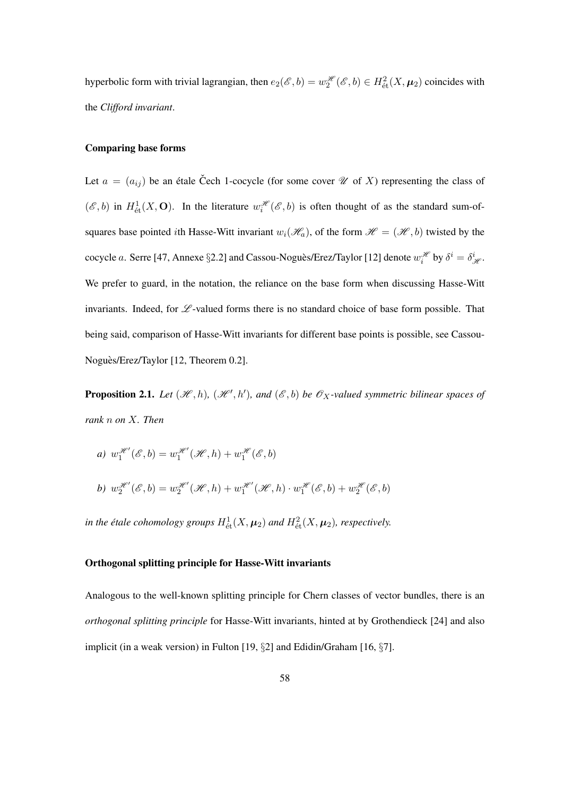hyperbolic form with trivial lagrangian, then  $e_2(\mathscr{E}, b) = w_2^{\mathscr{H}}(\mathscr{E}, b) \in H^2_{\text{\'et}}(X, \mu_2)$  coincides with the *Clifford invariant*.

#### Comparing base forms

Let  $a = (a_{ij})$  be an étale Čech 1-cocycle (for some cover  $\mathcal U$  of X) representing the class of  $(\mathscr{E}, b)$  in  $H^1_{\text{\'et}}(X, \mathbf{O})$ . In the literature  $w_i^{\mathscr{H}}(\mathscr{E}, b)$  is often thought of as the standard sum-ofsquares base pointed ith Hasse-Witt invariant  $w_i(\mathcal{H}_a)$ , of the form  $\mathcal{H} = (\mathcal{H}, b)$  twisted by the cocycle a. Serre [47, Annexe §2.2] and Cassou-Noguès/Erez/Taylor [12] denote  $w_i^{\mathscr{H}}$  by  $\delta^i = \delta^i_{\mathscr{H}}$ . We prefer to guard, in the notation, the reliance on the base form when discussing Hasse-Witt invariants. Indeed, for  $\mathscr L$ -valued forms there is no standard choice of base form possible. That being said, comparison of Hasse-Witt invariants for different base points is possible, see Cassou-Noguès/Erez/Taylor [12, Theorem 0.2].

**Proposition 2.1.** Let  $(\mathcal{H}, h)$ ,  $(\mathcal{H}', h')$ , and  $(\mathcal{E}, b)$  be  $\mathcal{O}_X$ -valued symmetric bilinear spaces of *rank* n *on* X*. Then*

*a*)  $w_1^{\mathcal{H}}(\mathcal{E},b) = w_1^{\mathcal{H}}(\mathcal{H},h) + w_1^{\mathcal{H}}(\mathcal{E},b)$ 

b) 
$$
w_2^{\mathcal{H}}(\mathcal{E},b) = w_2^{\mathcal{H}}(\mathcal{H},h) + w_1^{\mathcal{H}}(\mathcal{H},h) \cdot w_1^{\mathcal{H}}(\mathcal{E},b) + w_2^{\mathcal{H}}(\mathcal{E},b)
$$

*in the étale cohomology groups*  $H^1_{\text{\'et}}(X, \mu_2)$  and  $H^2_{\text{\'et}}(X, \mu_2)$ , respectively.

#### Orthogonal splitting principle for Hasse-Witt invariants

Analogous to the well-known splitting principle for Chern classes of vector bundles, there is an *orthogonal splitting principle* for Hasse-Witt invariants, hinted at by Grothendieck [24] and also implicit (in a weak version) in Fulton [19, §2] and Edidin/Graham [16, §7].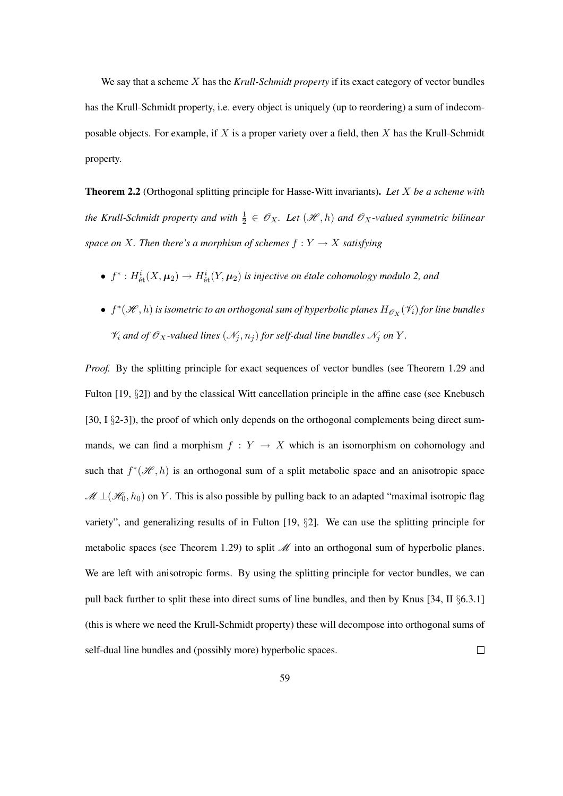We say that a scheme X has the *Krull-Schmidt property* if its exact category of vector bundles has the Krull-Schmidt property, i.e. every object is uniquely (up to reordering) a sum of indecomposable objects. For example, if  $X$  is a proper variety over a field, then  $X$  has the Krull-Schmidt property.

Theorem 2.2 (Orthogonal splitting principle for Hasse-Witt invariants). *Let* X *be a scheme with* the Krull-Schmidt property and with  $\frac{1}{2} \in \mathscr{O}_X$ . Let  $(\mathscr{H}, h)$  and  $\mathscr{O}_X$ -valued symmetric bilinear *space on* X. Then there's a morphism of schemes  $f: Y \to X$  satisfying

- $f^*: H^i_{\text{\'et}}(X, \mu_2) \to H^i_{\text{\'et}}(Y, \mu_2)$  is injective on étale cohomology modulo 2, and
- $f^*(\mathscr{H}, h)$  is isometric to an orthogonal sum of hyperbolic planes  $H_{\mathscr{O}_X}(\mathscr{V}_i)$  for line bundles  $\mathcal{V}_i$  *and of*  $\mathcal{O}_X$ *-valued lines*  $(\mathcal{N}_i, n_i)$  *for self-dual line bundles*  $\mathcal{N}_i$  *on* Y.

*Proof.* By the splitting principle for exact sequences of vector bundles (see Theorem 1.29 and Fulton [19, §2]) and by the classical Witt cancellation principle in the affine case (see Knebusch [30, I §2-3]), the proof of which only depends on the orthogonal complements being direct summands, we can find a morphism  $f : Y \to X$  which is an isomorphism on cohomology and such that  $f^*(\mathcal{H}, h)$  is an orthogonal sum of a split metabolic space and an anisotropic space  $\mathcal{M} \perp (\mathcal{H}_0, h_0)$  on Y. This is also possible by pulling back to an adapted "maximal isotropic flag variety", and generalizing results of in Fulton [19, §2]. We can use the splitting principle for metabolic spaces (see Theorem 1.29) to split  $\mathcal M$  into an orthogonal sum of hyperbolic planes. We are left with anisotropic forms. By using the splitting principle for vector bundles, we can pull back further to split these into direct sums of line bundles, and then by Knus [34, II §6.3.1] (this is where we need the Krull-Schmidt property) these will decompose into orthogonal sums of self-dual line bundles and (possibly more) hyperbolic spaces.  $\Box$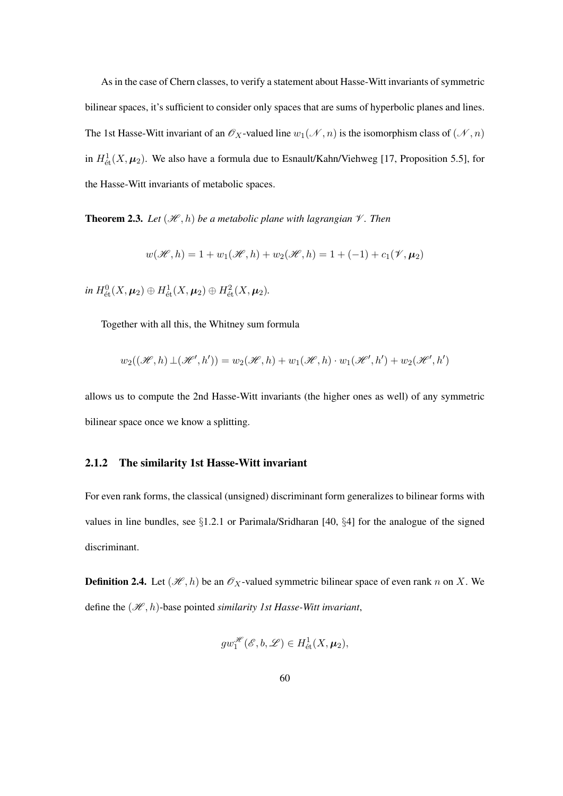As in the case of Chern classes, to verify a statement about Hasse-Witt invariants of symmetric bilinear spaces, it's sufficient to consider only spaces that are sums of hyperbolic planes and lines. The 1st Hasse-Witt invariant of an  $\mathcal{O}_X$ -valued line  $w_1(\mathcal{N}, n)$  is the isomorphism class of  $(\mathcal{N}, n)$ in  $H^1_{\text{\'et}}(X, \mu_2)$ . We also have a formula due to Esnault/Kahn/Viehweg [17, Proposition 5.5], for the Hasse-Witt invariants of metabolic spaces.

**Theorem 2.3.** Let  $(\mathcal{H}, h)$  be a metabolic plane with lagrangian  $\mathcal{V}$ . Then

$$
w(\mathcal{H}, h) = 1 + w_1(\mathcal{H}, h) + w_2(\mathcal{H}, h) = 1 + (-1) + c_1(\mathcal{V}, \mu_2)
$$

 $\text{in } H^0_{\text{\'et}}(X,\mu_2) \oplus H^1_{\text{\'et}}(X,\mu_2) \oplus H^2_{\text{\'et}}(X,\mu_2).$ 

Together with all this, the Whitney sum formula

$$
w_2((\mathcal{H},h) \perp (\mathcal{H}',h')) = w_2(\mathcal{H},h) + w_1(\mathcal{H},h) \cdot w_1(\mathcal{H}',h') + w_2(\mathcal{H}',h')
$$

allows us to compute the 2nd Hasse-Witt invariants (the higher ones as well) of any symmetric bilinear space once we know a splitting.

#### 2.1.2 The similarity 1st Hasse-Witt invariant

For even rank forms, the classical (unsigned) discriminant form generalizes to bilinear forms with values in line bundles, see  $\S1.2.1$  or Parimala/Sridharan [40,  $\S4$ ] for the analogue of the signed discriminant.

**Definition 2.4.** Let  $(\mathcal{H}, h)$  be an  $\mathcal{O}_X$ -valued symmetric bilinear space of even rank n on X. We define the  $(\mathcal{H}, h)$ -base pointed *similarity 1st Hasse-Witt invariant*,

$$
gw_1^{\mathscr{H}}(\mathscr{E},b,\mathscr{L}) \in H^1_{\text{\'et}}(X,\mu_2),
$$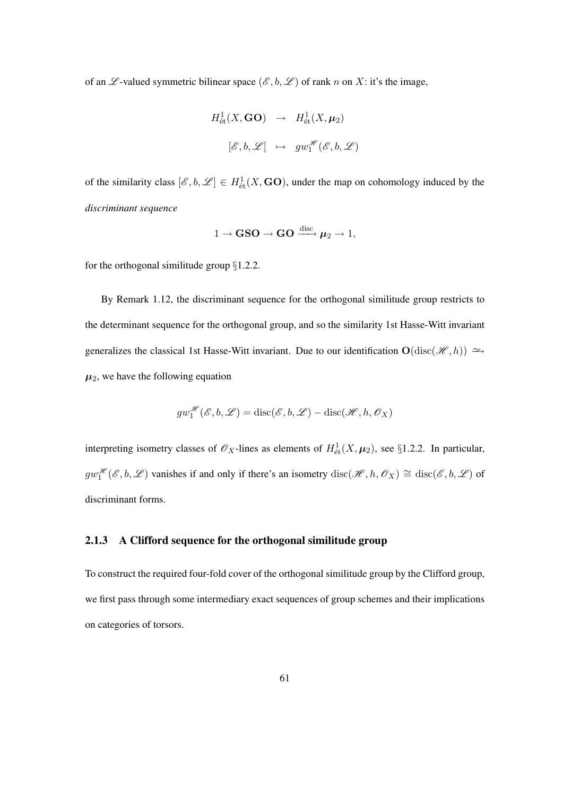of an  $\mathscr L$ -valued symmetric bilinear space  $(\mathscr E, b, \mathscr L)$  of rank n on X: it's the image,

$$
H^1_{\text{\'et}}(X, \text{GO}) \rightarrow H^1_{\text{\'et}}(X, \mu_2)
$$
  

$$
[\mathscr{E}, b, \mathscr{L}] \rightarrow gw_1^{\mathscr{H}}(\mathscr{E}, b, \mathscr{L})
$$

of the similarity class  $[\mathscr{E}, b, \mathscr{L}] \in H^1_{\text{\'et}}(X, \mathbf{GO})$ , under the map on cohomology induced by the *discriminant sequence*

$$
1 \to \text{GSO} \to \text{GO} \xrightarrow{\text{disc}} \mu_2 \to 1,
$$

for the orthogonal similitude group  $\S 1.2.2$ .

By Remark 1.12, the discriminant sequence for the orthogonal similitude group restricts to the determinant sequence for the orthogonal group, and so the similarity 1st Hasse-Witt invariant generalizes the classical 1st Hasse-Witt invariant. Due to our identification  $O(disc(\mathcal{H}, h)) \simeq$  $\mu_2$ , we have the following equation

$$
gw_1^{\mathcal{H}}(\mathcal{E},b,\mathcal{L})=\mathrm{disc}(\mathcal{E},b,\mathcal{L})-\mathrm{disc}(\mathcal{H},h,\mathcal{O}_X)
$$

interpreting isometry classes of  $\mathscr{O}_X$ -lines as elements of  $H^1_{\text{\'et}}(X,\mu_2)$ , see §1.2.2. In particular,  $gw_1^{\mathscr{H}}(\mathscr{E},b,\mathscr{L})$  vanishes if and only if there's an isometry  $\text{disc}(\mathscr{H},h,\mathscr{O}_X) \cong \text{disc}(\mathscr{E},b,\mathscr{L})$  of discriminant forms.

#### 2.1.3 A Clifford sequence for the orthogonal similitude group

To construct the required four-fold cover of the orthogonal similitude group by the Clifford group, we first pass through some intermediary exact sequences of group schemes and their implications on categories of torsors.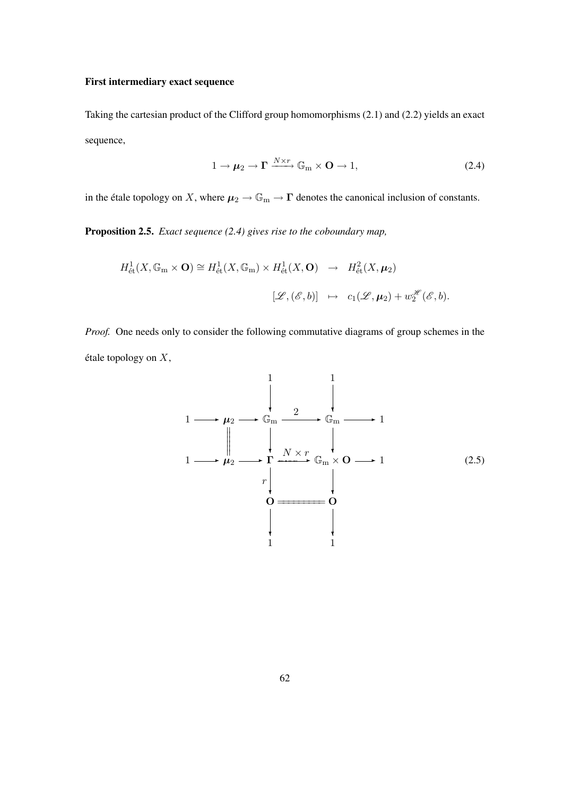#### First intermediary exact sequence

Taking the cartesian product of the Clifford group homomorphisms (2.1) and (2.2) yields an exact sequence,

$$
1 \to \mu_2 \to \Gamma \xrightarrow{N \times r} \mathbb{G}_{\text{m}} \times \mathbf{O} \to 1, \tag{2.4}
$$

in the étale topology on X, where  $\mu_2 \to \mathbb{G}_m \to \Gamma$  denotes the canonical inclusion of constants.

Proposition 2.5. *Exact sequence (2.4) gives rise to the coboundary map,*

$$
H^1_{\text{\'et}}(X, \mathbb{G}_{\mathrm{m}} \times \mathbf{O}) \cong H^1_{\text{\'et}}(X, \mathbb{G}_{\mathrm{m}}) \times H^1_{\text{\'et}}(X, \mathbf{O}) \rightarrow H^2_{\text{\'et}}(X, \mu_2)
$$
  

$$
[\mathscr{L}, (\mathscr{E}, b)] \mapsto c_1(\mathscr{L}, \mu_2) + w_2^{\mathscr{H}}(\mathscr{E}, b).
$$

*Proof.* One needs only to consider the following commutative diagrams of group schemes in the étale topology on  $X$ ,

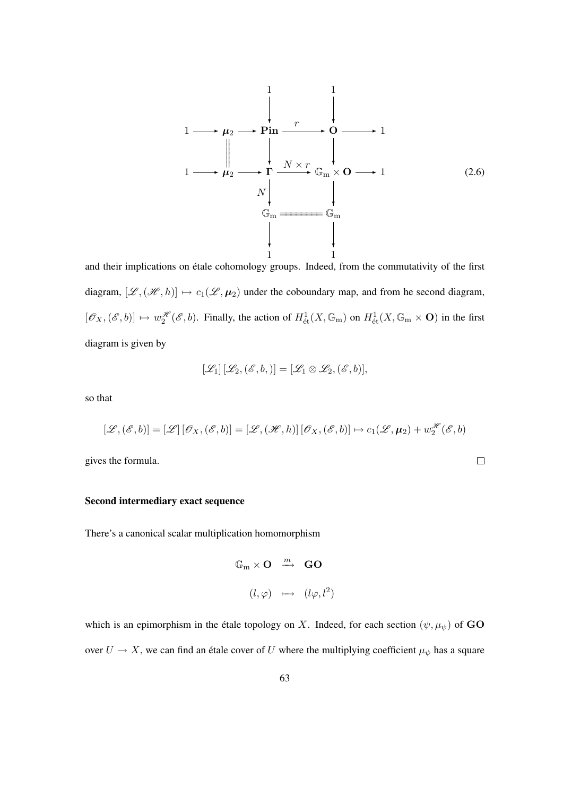

and their implications on étale cohomology groups. Indeed, from the commutativity of the first diagram,  $[\mathscr{L},(\mathscr{H},h)] \mapsto c_1(\mathscr{L}, \mu_2)$  under the coboundary map, and from he second diagram,  $[\mathscr{O}_X, (\mathscr{E}, b)] \mapsto w_2^{\mathscr{H}}(\mathscr{E}, b)$ . Finally, the action of  $H^1_{\text{\'et}}(X, \mathbb{G}_m)$  on  $H^1_{\text{\'et}}(X, \mathbb{G}_m \times \mathbf{O})$  in the first diagram is given by

$$
[\mathscr{L}_1][\mathscr{L}_2,(\mathscr{E},b,)] = [\mathscr{L}_1 \otimes \mathscr{L}_2,(\mathscr{E},b)],
$$

so that

$$
[\mathscr{L},(\mathscr{E},b)] = [\mathscr{L}][\mathscr{O}_X,(\mathscr{E},b)] = [\mathscr{L},(\mathscr{H},h)][\mathscr{O}_X,(\mathscr{E},b)] \mapsto c_1(\mathscr{L},\mu_2) + w_2^{\mathscr{H}}(\mathscr{E},b)
$$

 $\Box$ 

gives the formula.

#### Second intermediary exact sequence

There's a canonical scalar multiplication homomorphism

$$
\mathbb{G}_{m} \times \mathbf{O} \stackrel{m}{\longrightarrow} \mathbf{GO}
$$

$$
(l, \varphi) \longmapsto (l\varphi, l^{2})
$$

which is an epimorphism in the étale topology on X. Indeed, for each section  $(\psi, \mu_{\psi})$  of GO over  $U \to X$ , we can find an étale cover of U where the multiplying coefficient  $\mu_{\psi}$  has a square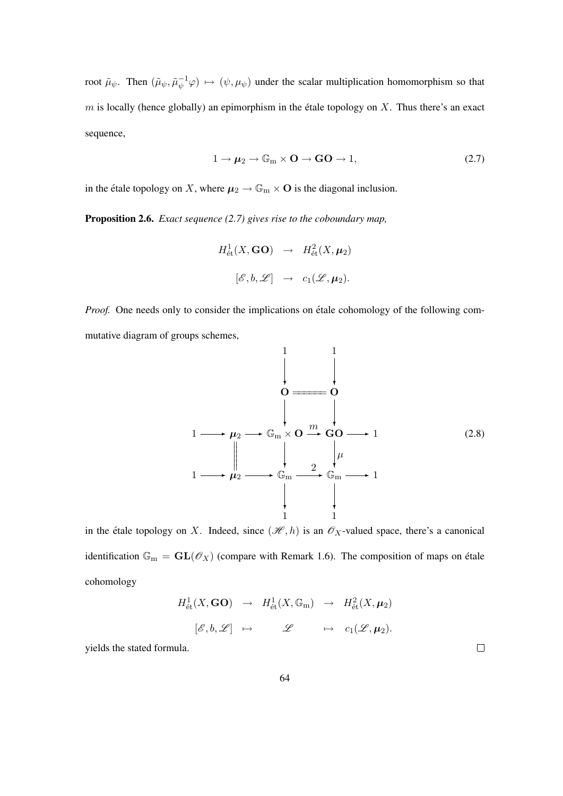root  $\tilde{\mu}_{\psi}$ . Then  $(\tilde{\mu}_{\psi}, \tilde{\mu}_{\psi}^{-1} \varphi) \mapsto (\psi, \mu_{\psi})$  under the scalar multiplication homomorphism so that  $m$  is locally (hence globally) an epimorphism in the étale topology on  $X$ . Thus there's an exact sequence,

$$
1 \to \mu_2 \to \mathbb{G}_m \times \mathbf{O} \to \mathbf{GO} \to 1,\tag{2.7}
$$

in the étale topology on X, where  $\mu_2 \to \mathbb{G}_m \times \mathbb{O}$  is the diagonal inclusion.

Proposition 2.6. *Exact sequence (2.7) gives rise to the coboundary map,*

$$
H^1_{\text{\'et}}(X,\mathbf{GO}) \rightarrow H^2_{\text{\'et}}(X,\boldsymbol{\mu}_2)
$$
  

$$
[\mathscr{E},b,\mathscr{L}] \rightarrow c_1(\mathscr{L},\boldsymbol{\mu}_2).
$$

*Proof.* One needs only to consider the implications on étale cohomology of the following commutative diagram of groups schemes,



in the étale topology on X. Indeed, since  $(\mathcal{H}, h)$  is an  $\mathcal{O}_X$ -valued space, there's a canonical identification  $\mathbb{G}_{\text{m}} = GL(\mathcal{O}_X)$  (compare with Remark 1.6). The composition of maps on étale cohomology

$$
H^1_{\text{\'et}}(X,\mathbf{GO}) \rightarrow H^1_{\text{\'et}}(X,\mathbb{G}_{\mathrm{m}}) \rightarrow H^2_{\text{\'et}}(X,\boldsymbol{\mu}_2)
$$
  

$$
[\mathscr{E},b,\mathscr{L}] \rightarrow \mathscr{L} \rightarrow c_1(\mathscr{L},\boldsymbol{\mu}_2).
$$

yields the stated formula.

 $\Box$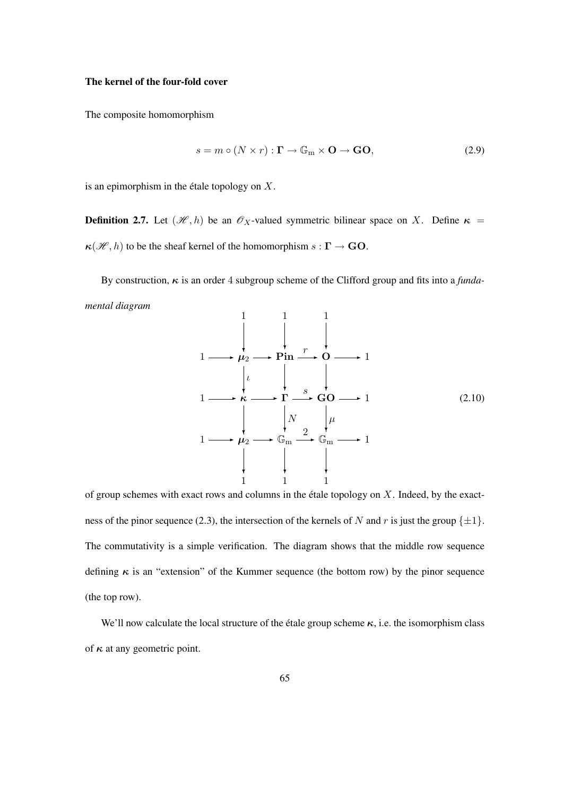# The kernel of the four-fold cover

The composite homomorphism

$$
s = m \circ (N \times r) : \mathbf{\Gamma} \to \mathbb{G}_{m} \times \mathbf{O} \to \mathbf{GO}, \tag{2.9}
$$

is an epimorphism in the étale topology on  $X$ .

**Definition 2.7.** Let  $(\mathcal{H}, h)$  be an  $\mathcal{O}_X$ -valued symmetric bilinear space on X. Define  $\kappa$  =  $\kappa(\mathcal{H}, h)$  to be the sheaf kernel of the homomorphism  $s : \Gamma \to \mathbf{GO}$ .

By construction, κ is an order 4 subgroup scheme of the Clifford group and fits into a *fundamental diagram*

$$
1 \longrightarrow \mu_2 \longrightarrow \text{Pin} \longrightarrow \text{O} \longrightarrow 1
$$
\n
$$
1 \longrightarrow \kappa \longrightarrow \text{I} \longrightarrow \text{SO} \longrightarrow 1
$$
\n
$$
1 \longrightarrow \kappa \longrightarrow \text{I} \longrightarrow \text{GO} \longrightarrow 1
$$
\n
$$
1 \longrightarrow \mu_2 \longrightarrow \mathbb{G}_m \longrightarrow \mathbb{G}_m \longrightarrow 1
$$
\n
$$
\downarrow \qquad \downarrow \qquad \downarrow \qquad \downarrow
$$
\n
$$
1 \qquad \downarrow \qquad \downarrow \qquad \downarrow
$$
\n
$$
1 \qquad \downarrow \qquad \downarrow
$$
\n
$$
1 \qquad \downarrow \qquad \downarrow
$$
\n
$$
1 \qquad \downarrow \qquad \downarrow
$$
\n
$$
1 \qquad \downarrow \qquad \downarrow
$$
\n
$$
1 \qquad \downarrow \qquad \downarrow
$$
\n
$$
1 \qquad \downarrow \qquad \downarrow
$$
\n
$$
1 \qquad \downarrow \qquad \downarrow
$$
\n
$$
1 \qquad \downarrow \qquad \downarrow
$$
\n
$$
1 \qquad \downarrow \qquad \downarrow
$$
\n
$$
1 \qquad \downarrow \qquad \downarrow
$$
\n
$$
1 \qquad \downarrow \qquad \downarrow
$$
\n
$$
1 \qquad \downarrow \qquad \downarrow
$$
\n
$$
1 \qquad \downarrow \qquad \downarrow
$$
\n
$$
1 \qquad \downarrow \qquad \downarrow
$$
\n
$$
1 \qquad \downarrow \qquad \downarrow
$$
\n
$$
1 \qquad \downarrow \qquad \downarrow
$$
\n
$$
1 \qquad \downarrow \qquad \downarrow
$$
\n
$$
1 \qquad \downarrow \qquad \downarrow
$$
\n
$$
1 \qquad \downarrow \qquad \downarrow
$$
\n
$$
1 \qquad \downarrow \qquad \downarrow
$$
\n
$$
1 \qquad \downarrow \qquad \downarrow
$$
\n
$$
1 \qquad \downarrow \qquad \downarrow
$$
\n
$$
1 \qquad \downarrow \qquad \downarrow
$$
\n
$$
1 \qquad \downarrow \qquad \downarrow
$$
\n
$$
1 \qquad \down
$$

of group schemes with exact rows and columns in the étale topology on  $X$ . Indeed, by the exactness of the pinor sequence (2.3), the intersection of the kernels of N and r is just the group  $\{\pm 1\}$ . The commutativity is a simple verification. The diagram shows that the middle row sequence defining  $\kappa$  is an "extension" of the Kummer sequence (the bottom row) by the pinor sequence (the top row).

We'll now calculate the local structure of the étale group scheme  $\kappa$ , i.e. the isomorphism class of  $\kappa$  at any geometric point.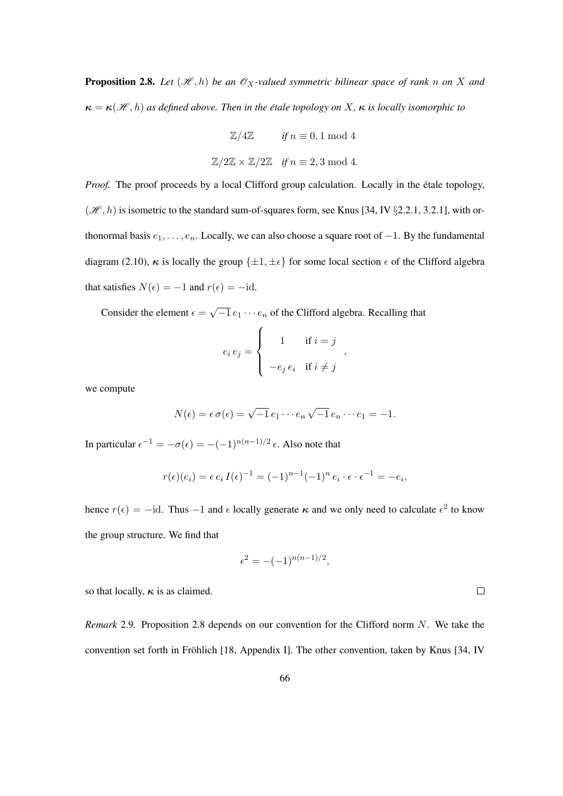**Proposition 2.8.** Let  $(\mathcal{H}, h)$  be an  $\mathcal{O}_X$ -valued symmetric bilinear space of rank n on X and  $\kappa = \kappa(\mathcal{H}, h)$  *as defined above. Then in the étale topology on* X,  $\kappa$  *is locally isomorphic to* 

> $\mathbb{Z}/4\mathbb{Z}$  *if*  $n \equiv 0, 1 \mod 4$  $\mathbb{Z}/2\mathbb{Z} \times \mathbb{Z}/2\mathbb{Z}$  *if*  $n \equiv 2, 3 \mod 4$ .

*Proof.* The proof proceeds by a local Clifford group calculation. Locally in the étale topology,  $(\mathcal{H}, h)$  is isometric to the standard sum-of-squares form, see Knus [34, IV §2.2.1, 3.2.1], with orthonormal basis  $e_1, \ldots, e_n$ . Locally, we can also choose a square root of  $-1$ . By the fundamental diagram (2.10),  $\kappa$  is locally the group  $\{\pm 1, \pm \epsilon\}$  for some local section  $\epsilon$  of the Clifford algebra that satisfies  $N(\epsilon) = -1$  and  $r(\epsilon) = -id$ .

Consider the element  $\epsilon =$ √  $\overline{-1} e_1 \cdots e_n$  of the Clifford algebra. Recalling that

$$
e_i e_j = \begin{cases} 1 & \text{if } i = j \\ -e_j e_i & \text{if } i \neq j \end{cases}
$$

we compute

$$
N(\epsilon) = \epsilon \sigma(\epsilon) = \sqrt{-1} e_1 \cdots e_n \sqrt{-1} e_n \cdots e_1 = -1.
$$

In particular  $\epsilon^{-1} = -\sigma(\epsilon) = -(-1)^{n(n-1)/2} \epsilon$ . Also note that

$$
r(\epsilon)(e_i) = \epsilon e_i I(\epsilon)^{-1} = (-1)^{n-1} (-1)^n e_i \cdot \epsilon \cdot \epsilon^{-1} = -e_i,
$$

hence  $r(\epsilon) = -id$ . Thus  $-1$  and  $\epsilon$  locally generate  $\kappa$  and we only need to calculate  $\epsilon^2$  to know the group structure. We find that

$$
\epsilon^2 = -(-1)^{n(n-1)/2},
$$

so that locally,  $\kappa$  is as claimed.

*Remark* 2.9*.* Proposition 2.8 depends on our convention for the Clifford norm N. We take the convention set forth in Fröhlich [18, Appendix I]. The other convention, taken by Knus [34, IV

 $\Box$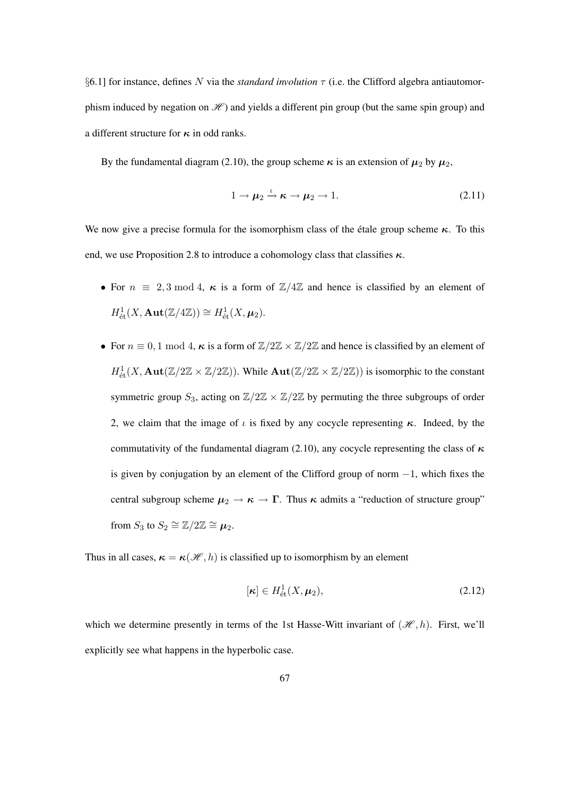§6.1] for instance, defines N via the *standard involution* τ (i.e. the Clifford algebra antiautomorphism induced by negation on  $\mathcal{H}$  and yields a different pin group (but the same spin group) and a different structure for  $\kappa$  in odd ranks.

By the fundamental diagram (2.10), the group scheme  $\kappa$  is an extension of  $\mu_2$  by  $\mu_2$ ,

$$
1 \to \mu_2 \xrightarrow{\iota} \kappa \to \mu_2 \to 1. \tag{2.11}
$$

We now give a precise formula for the isomorphism class of the étale group scheme  $\kappa$ . To this end, we use Proposition 2.8 to introduce a cohomology class that classifies  $\kappa$ .

- For  $n \equiv 2, 3 \mod 4$ ,  $\kappa$  is a form of  $\mathbb{Z}/4\mathbb{Z}$  and hence is classified by an element of  $H^1_{\text{\'et}}(X,\mathbf{Aut}(\mathbb{Z}/4\mathbb{Z}))\cong H^1_{\text{\'et}}(X,\mu_2).$
- For  $n \equiv 0, 1 \mod 4$ ,  $\kappa$  is a form of  $\mathbb{Z}/2\mathbb{Z} \times \mathbb{Z}/2\mathbb{Z}$  and hence is classified by an element of  $H^1_{\text{\'et}}(X, \text{Aut}(\mathbb{Z}/2\mathbb{Z} \times \mathbb{Z}/2\mathbb{Z}))$ . While  $\text{Aut}(\mathbb{Z}/2\mathbb{Z} \times \mathbb{Z}/2\mathbb{Z}))$  is isomorphic to the constant symmetric group  $S_3$ , acting on  $\mathbb{Z}/2\mathbb{Z} \times \mathbb{Z}/2\mathbb{Z}$  by permuting the three subgroups of order 2, we claim that the image of  $\iota$  is fixed by any cocycle representing  $\kappa$ . Indeed, by the commutativity of the fundamental diagram (2.10), any cocycle representing the class of  $\kappa$ is given by conjugation by an element of the Clifford group of norm  $-1$ , which fixes the central subgroup scheme  $\mu_2 \to \kappa \to \Gamma$ . Thus  $\kappa$  admits a "reduction of structure group" from  $S_3$  to  $S_2 \cong \mathbb{Z}/2\mathbb{Z} \cong \mu_2$ .

Thus in all cases,  $\kappa = \kappa(\mathcal{H}, h)$  is classified up to isomorphism by an element

$$
[\kappa] \in H^1_{\text{\'et}}(X, \mu_2), \tag{2.12}
$$

which we determine presently in terms of the 1st Hasse-Witt invariant of  $(\mathcal{H}, h)$ . First, we'll explicitly see what happens in the hyperbolic case.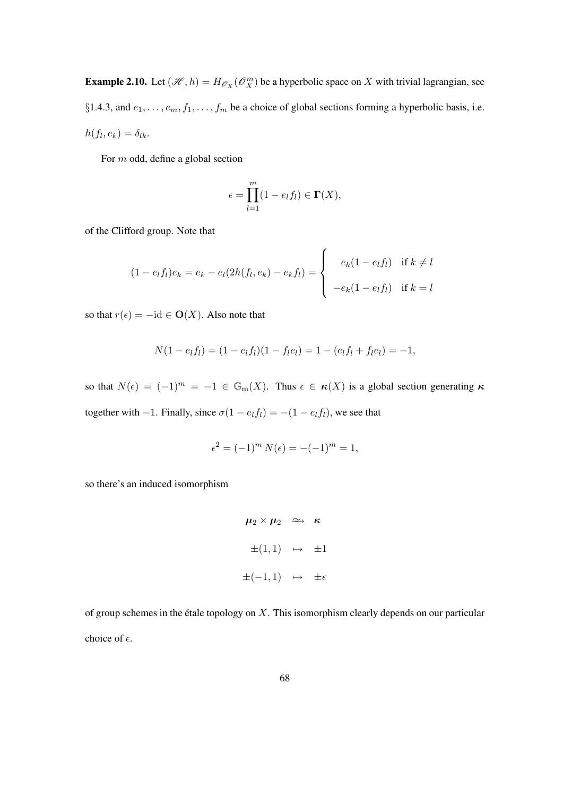**Example 2.10.** Let  $(\mathcal{H}, h) = H_{\mathcal{O}_X}(\mathcal{O}_X^m)$  be a hyperbolic space on X with trivial lagrangian, see §1.4.3, and  $e_1, \ldots, e_m, f_1, \ldots, f_m$  be a choice of global sections forming a hyperbolic basis, i.e.  $h(f_l, e_k) = \delta_{lk}.$ 

For m odd, define a global section

$$
\epsilon = \prod_{l=1}^{m} (1 - e_l f_l) \in \Gamma(X),
$$

of the Clifford group. Note that

$$
(1 - e_l f_l)e_k = e_k - e_l(2h(f_l, e_k) - e_k f_l) = \begin{cases} e_k(1 - e_l f_l) & \text{if } k \neq l \\ -e_k(1 - e_l f_l) & \text{if } k = l \end{cases}
$$

so that  $r(\epsilon) = -id \in \mathbf{O}(X)$ . Also note that

$$
N(1 - e_l f_l) = (1 - e_l f_l)(1 - f_l e_l) = 1 - (e_l f_l + f_l e_l) = -1,
$$

so that  $N(\epsilon) = (-1)^m = -1 \in \mathbb{G}_m(X)$ . Thus  $\epsilon \in \kappa(X)$  is a global section generating  $\kappa$ together with −1. Finally, since  $\sigma(1 - e_l f_l) = -(1 - e_l f_l)$ , we see that

$$
\epsilon^2 = (-1)^m N(\epsilon) = -(-1)^m = 1,
$$

so there's an induced isomorphism

$$
\mu_2 \times \mu_2 \quad \simeq \quad \kappa
$$
  
\n
$$
\pm (1,1) \quad \mapsto \quad \pm 1
$$
  
\n
$$
\pm (-1,1) \quad \mapsto \quad \pm \epsilon
$$

of group schemes in the étale topology on  $X$ . This isomorphism clearly depends on our particular choice of  $\epsilon$ .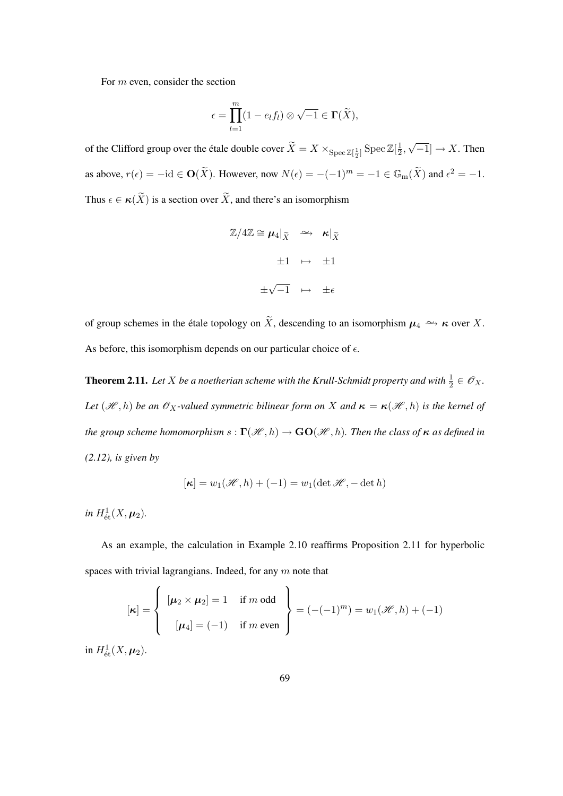For m even, consider the section

$$
\epsilon = \prod_{l=1}^{m} (1 - e_l f_l) \otimes \sqrt{-1} \in \Gamma(\widetilde{X}),
$$

of the Clifford group over the étale double cover  $\widetilde X=X\times_{\mathrm{Spec}\,\mathbb{Z}[\frac12]}\mathrm{Spec}\,\mathbb{Z}[\frac12]$  $\frac{1}{2}$ , √  $[-1] \rightarrow X$ . Then as above,  $r(\epsilon) = -id \in \mathbf{O}(\widetilde{X})$ . However, now  $N(\epsilon) = -(-1)^m = -1 \in \mathbb{G}_{m}(\widetilde{X})$  and  $\epsilon^2 = -1$ . Thus  $\epsilon \in \kappa(\widetilde{X})$  is a section over  $\widetilde{X}$ , and there's an isomorphism

$$
\mathbb{Z}/4\mathbb{Z} \cong \mu_4|_{\widetilde{X}} \quad \xrightarrow{\sim} \quad \kappa|_{\widetilde{X}}
$$

$$
\pm 1 \quad \mapsto \quad \pm 1
$$

$$
\pm \sqrt{-1} \quad \mapsto \quad \pm \epsilon
$$

of group schemes in the étale topology on  $\widetilde{X}$ , descending to an isomorphism  $\mu_4 \simeq \kappa$  over X. As before, this isomorphism depends on our particular choice of  $\epsilon$ .

**Theorem 2.11.** Let X be a noetherian scheme with the Krull-Schmidt property and with  $\frac{1}{2} \in \mathscr{O}_X$ . *Let*  $(\mathcal{H}, h)$  *be an*  $\mathcal{O}_X$ -valued symmetric bilinear form on X and  $\kappa = \kappa(\mathcal{H}, h)$  *is the kernel of the group scheme homomorphism*  $s : \Gamma(\mathcal{H}, h) \to \mathbf{GO}(\mathcal{H}, h)$ *. Then the class of*  $\kappa$  *as defined in (2.12), is given by*

$$
[\kappa] = w_1(\mathcal{H}, h) + (-1) = w_1(\det \mathcal{H}, -\det h)
$$

*in*  $H^1_{\text{\'et}}(X, \mu_2)$ .

As an example, the calculation in Example 2.10 reaffirms Proposition 2.11 for hyperbolic spaces with trivial lagrangians. Indeed, for any  $m$  note that

$$
[\kappa] = \left\{ \begin{array}{l} [\mu_2 \times \mu_2] = 1 \quad \text{if } m \text{ odd} \\ [1mm] [\mu_4] = (-1) \quad \text{if } m \text{ even} \end{array} \right\} = (-(-1)^m) = w_1(\mathcal{H}, h) + (-1)
$$

in  $H^1_{\text{\'et}}(X,\mu_2)$ .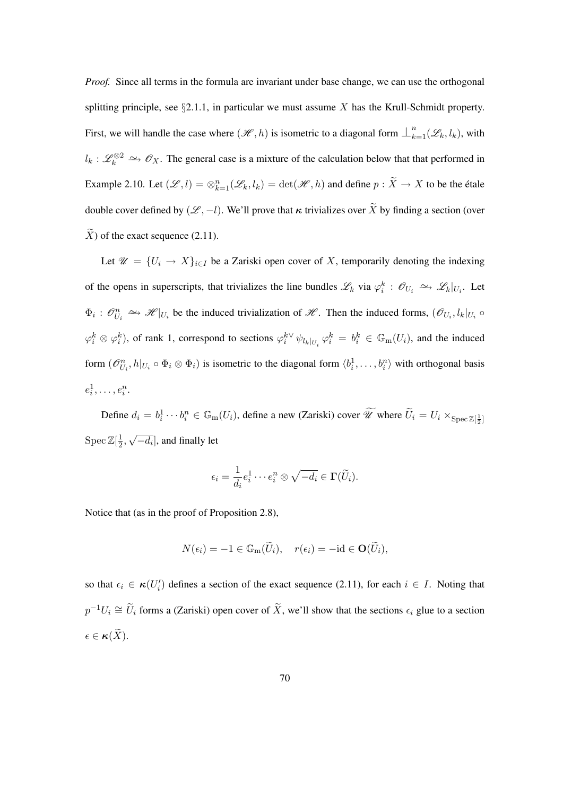*Proof.* Since all terms in the formula are invariant under base change, we can use the orthogonal splitting principle, see  $\S 2.1.1$ , in particular we must assume X has the Krull-Schmidt property. First, we will handle the case where  $(\mathcal{H}, h)$  is isometric to a diagonal form  $\perp_{k=1}^{n}(\mathcal{L}_k, l_k)$ , with  $l_k: \mathscr{L}_k^{\otimes 2} \longrightarrow \mathscr{O}_X$ . The general case is a mixture of the calculation below that that performed in Example 2.10. Let  $(\mathscr{L}, l) = \otimes_{k=1}^n (\mathscr{L}_k, l_k) = \det(\mathscr{H}, h)$  and define  $p : \widetilde{X} \to X$  to be the étale double cover defined by  $(\mathscr{L}, -l)$ . We'll prove that  $\kappa$  trivializes over  $\widetilde{X}$  by finding a section (over  $\widetilde{X}$ ) of the exact sequence (2.11).

Let  $\mathscr{U} = \{U_i \to X\}_{i \in I}$  be a Zariski open cover of X, temporarily denoting the indexing of the opens in superscripts, that trivializes the line bundles  $\mathscr{L}_k$  via  $\varphi_i^k : \mathscr{O}_{U_i} \to \mathscr{L}_k|_{U_i}$ . Let  $\Phi_i: \mathcal{O}_{U_i}^n \to \mathcal{H}|_{U_i}$  be the induced trivialization of  $\mathcal{H}$ . Then the induced forms,  $(\mathcal{O}_{U_i}, l_k|_{U_i} \circ$  $\varphi_i^k \otimes \varphi_i^k$ ), of rank 1, correspond to sections  $\varphi_i^{k \vee} \psi_{l_k|_{U_i}} \varphi_i^k = b_i^k \in \mathbb{G}_{m}(U_i)$ , and the induced form  $(\mathcal{O}_{U_i}^n, h|_{U_i} \circ \Phi_i \otimes \Phi_i)$  is isometric to the diagonal form  $\langle b_i^1, \ldots, b_i^n \rangle$  with orthogonal basis  $e_i^1, \ldots, e_i^n$ .

Define  $d_i = b_i^1 \cdots b_i^n \in \mathbb{G}_{m}(U_i)$ , define a new (Zariski) cover  $\widetilde{\mathscr{U}}$  where  $\widetilde{U}_i = U_i \times_{\text{Spec } \mathbb{Z}[\frac{1}{2}]}$  $\operatorname{Spec} \mathbb{Z}[\frac{1}{2}]$  $\frac{1}{2}$ , √  $\left[ \overline{-d_i} \right]$ , and finally let

$$
\epsilon_i = \frac{1}{d_i} e_i^1 \cdots e_i^n \otimes \sqrt{-d_i} \in \Gamma(\widetilde{U}_i).
$$

Notice that (as in the proof of Proposition 2.8),

$$
N(\epsilon_i) = -1 \in \mathbb{G}_{\mathrm{m}}(\widetilde{U}_i), \quad r(\epsilon_i) = -\mathrm{id} \in \mathbf{O}(\widetilde{U}_i),
$$

so that  $\epsilon_i \in \kappa(U'_i)$  defines a section of the exact sequence (2.11), for each  $i \in I$ . Noting that  $p^{-1}U_i \cong \widetilde{U}_i$  forms a (Zariski) open cover of  $\widetilde{X}$ , we'll show that the sections  $\epsilon_i$  glue to a section  $\epsilon \in \kappa(\widetilde{X}).$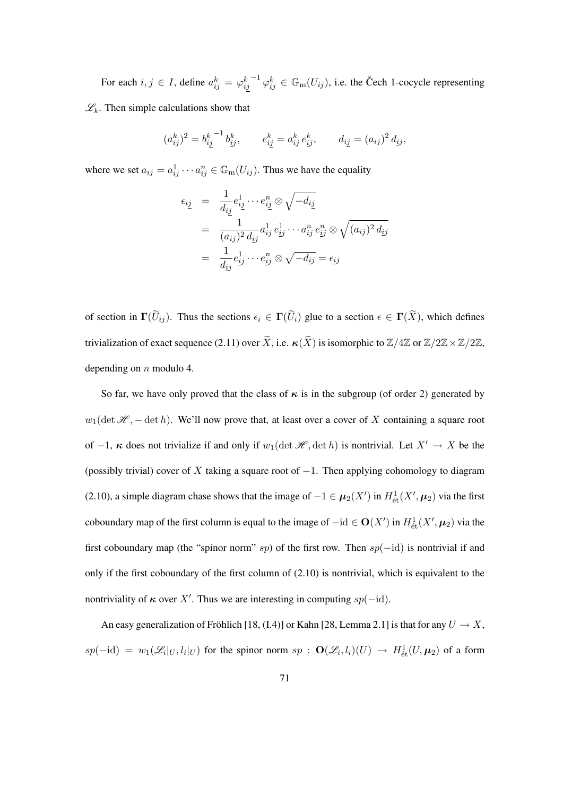For each  $i, j \in I$ , define  $a_{ij}^k = \varphi_{ij}^k$  $^{-1}\varphi_{ij}^k \in \mathbb{G}_{\text{m}}(U_{ij})$ , i.e. the Čech 1-cocycle representing  $\mathscr{L}_k$ . Then simple calculations show that

$$
(a_{ij}^k)^2 = b_{ij}^{k-1} b_{ij}^k, \qquad e_{ij}^k = a_{ij}^k e_{ij}^k, \qquad d_{ij} = (a_{ij})^2 d_{ij},
$$

where we set  $a_{ij} = a_{ij}^1 \cdots a_{ij}^n \in \mathbb{G}_{m}(U_{ij})$ . Thus we have the equality

$$
\epsilon_{i\underline{j}} = \frac{1}{d_{i\underline{j}}} e^{1}_{i\underline{j}} \cdots e^{n}_{i\underline{j}} \otimes \sqrt{-d_{i\underline{j}}}
$$
\n
$$
= \frac{1}{(a_{ij})^2 d_{ij}} a^{1}_{ij} e^{1}_{ij} \cdots a^{n}_{ij} e^{n}_{ij} \otimes \sqrt{(a_{ij})^2 d_{ij}}
$$
\n
$$
= \frac{1}{d_{ij}} e^{1}_{ij} \cdots e^{n}_{ij} \otimes \sqrt{-d_{ij}} = \epsilon_{ij}
$$

of section in  $\Gamma(\widetilde{U}_{ij})$ . Thus the sections  $\epsilon_i \in \Gamma(\widetilde{U}_i)$  glue to a section  $\epsilon \in \Gamma(\widetilde{X})$ , which defines trivialization of exact sequence (2.11) over  $\widetilde{X}$ , i.e.  $\kappa(\widetilde{X})$  is isomorphic to  $\mathbb{Z}/4\mathbb{Z}$  or  $\mathbb{Z}/2\mathbb{Z}\times\mathbb{Z}/2\mathbb{Z}$ , depending on  $n$  modulo 4.

So far, we have only proved that the class of  $\kappa$  is in the subgroup (of order 2) generated by  $w_1(\det \mathcal{H}, -\det h)$ . We'll now prove that, at least over a cover of X containing a square root of  $-1$ ,  $\kappa$  does not trivialize if and only if  $w_1(\det \mathcal{H}, \det h)$  is nontrivial. Let  $X' \to X$  be the (possibly trivial) cover of X taking a square root of  $-1$ . Then applying cohomology to diagram (2.10), a simple diagram chase shows that the image of  $-1 \in \mu_2(X')$  in  $H^1_{\text{\'et}}(X', \mu_2)$  via the first coboundary map of the first column is equal to the image of  $-\text{id} \in O(X')$  in  $H^1_{\text{\'et}}(X', \mu_2)$  via the first coboundary map (the "spinor norm" sp) of the first row. Then  $sp(-id)$  is nontrivial if and only if the first coboundary of the first column of (2.10) is nontrivial, which is equivalent to the nontriviality of  $\kappa$  over X'. Thus we are interesting in computing sp(-id).

An easy generalization of Fröhlich [18, (I.4)] or Kahn [28, Lemma 2.1] is that for any  $U \to X$ ,  $sp(-id) = w_1(\mathscr{L}_i|_U, l_i|_U)$  for the spinor norm  $sp : \mathbf{O}(\mathscr{L}_i, l_i)(U) \to H^1_{\text{\'et}}(U, \mu_2)$  of a form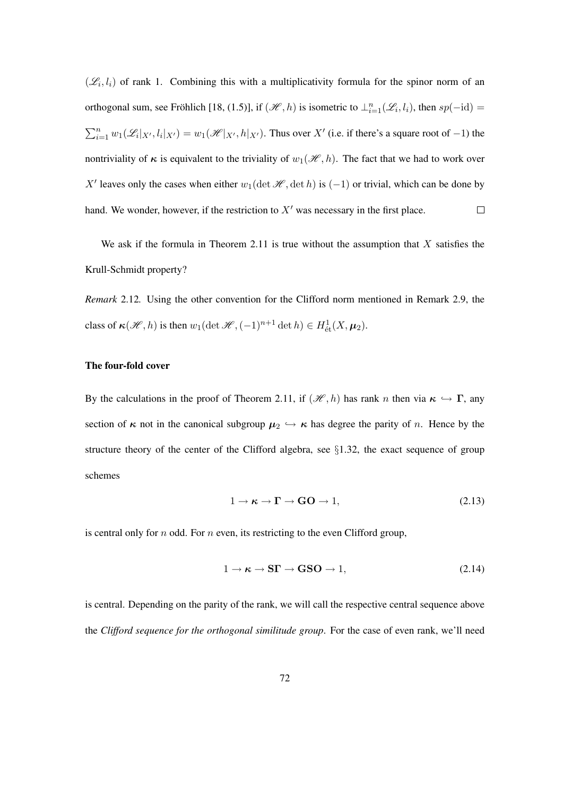$(\mathscr{L}_i, l_i)$  of rank 1. Combining this with a multiplicativity formula for the spinor norm of an orthogonal sum, see Fröhlich [18, (1.5)], if  $(\mathcal{H}, h)$  is isometric to  $\perp_{i=1}^n (\mathcal{L}_i, l_i)$ , then  $sp(-id)$  =  $\sum_{i=1}^n w_1(\mathcal{L}_i|_{X'}, l_i|_{X'}) = w_1(\mathcal{H}|_{X'}, h|_{X'})$ . Thus over X' (i.e. if there's a square root of -1) the nontriviality of  $\kappa$  is equivalent to the triviality of  $w_1(\mathcal{H}, h)$ . The fact that we had to work over X' leaves only the cases when either  $w_1(\det \mathcal{H}, \det h)$  is (-1) or trivial, which can be done by hand. We wonder, however, if the restriction to  $X<sup>'</sup>$  was necessary in the first place.  $\Box$ 

We ask if the formula in Theorem 2.11 is true without the assumption that  $X$  satisfies the Krull-Schmidt property?

*Remark* 2.12*.* Using the other convention for the Clifford norm mentioned in Remark 2.9, the class of  $\kappa(\mathcal{H}, h)$  is then  $w_1(\det \mathcal{H}, (-1)^{n+1} \det h) \in H^1_{\text{\'et}}(X, \mu_2)$ .

### The four-fold cover

By the calculations in the proof of Theorem 2.11, if  $(\mathcal{H}, h)$  has rank n then via  $\kappa \hookrightarrow \Gamma$ , any section of  $\kappa$  not in the canonical subgroup  $\mu_2 \hookrightarrow \kappa$  has degree the parity of n. Hence by the structure theory of the center of the Clifford algebra, see §1.32, the exact sequence of group schemes

$$
1 \to \kappa \to \Gamma \to \mathbf{GO} \to 1,\tag{2.13}
$$

is central only for  $n$  odd. For  $n$  even, its restricting to the even Clifford group,

$$
1 \to \kappa \to \mathbf{S}\Gamma \to \mathbf{GSO} \to 1,\tag{2.14}
$$

is central. Depending on the parity of the rank, we will call the respective central sequence above the *Clifford sequence for the orthogonal similitude group*. For the case of even rank, we'll need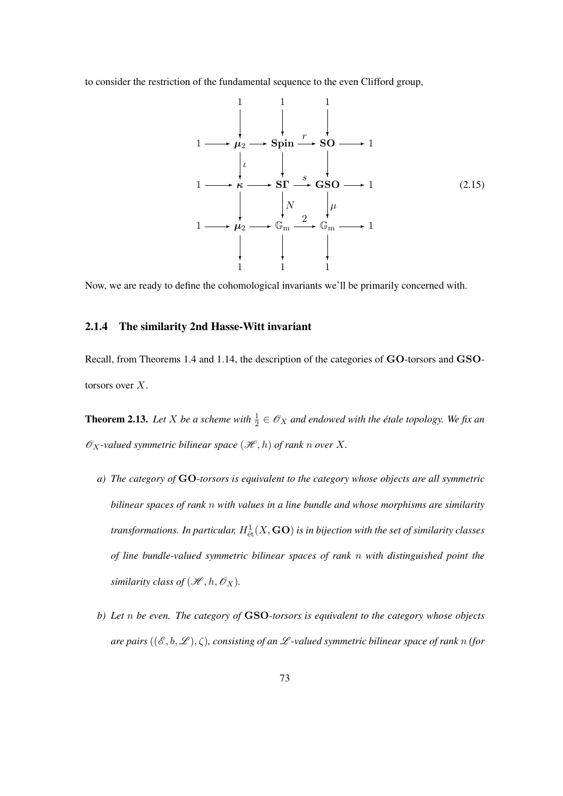to consider the restriction of the fundamental sequence to the even Clifford group,

$$
1 \longrightarrow \mu_2 \longrightarrow \text{Spin} \longrightarrow \text{SO} \longrightarrow 1
$$
\n
$$
1 \longrightarrow \kappa \longrightarrow \text{ST} \longrightarrow \text{GSO} \longrightarrow 1
$$
\n
$$
1 \longrightarrow \kappa \longrightarrow \text{ST} \longrightarrow \text{GSO} \longrightarrow 1
$$
\n
$$
1 \longrightarrow \mu_2 \longrightarrow \mathbb{G}_m \longrightarrow \mathbb{G}_m \longrightarrow 1
$$
\n
$$
\downarrow \qquad \downarrow \qquad \downarrow \qquad \downarrow
$$
\n
$$
1 \qquad \downarrow \qquad \downarrow \qquad \downarrow
$$
\n
$$
1 \qquad \downarrow \qquad \downarrow
$$
\n
$$
1 \qquad \downarrow \qquad \downarrow
$$
\n
$$
1 \qquad \downarrow \qquad \downarrow
$$
\n
$$
1 \qquad \downarrow \qquad \downarrow
$$
\n
$$
1 \qquad \downarrow \qquad \downarrow
$$
\n
$$
1 \qquad \downarrow \qquad \downarrow
$$
\n
$$
1 \qquad \downarrow \qquad \downarrow
$$
\n
$$
1 \qquad \downarrow \qquad \downarrow
$$
\n
$$
1 \qquad \downarrow \qquad \downarrow
$$
\n
$$
1 \qquad \downarrow \qquad \downarrow
$$
\n
$$
1 \qquad \downarrow \qquad \downarrow
$$
\n
$$
1 \qquad \downarrow \qquad \downarrow
$$
\n
$$
1 \qquad \downarrow \qquad \downarrow
$$
\n
$$
1 \qquad \downarrow \qquad \downarrow
$$
\n
$$
1 \qquad \downarrow \qquad \downarrow
$$
\n
$$
1 \qquad \downarrow \qquad \downarrow
$$
\n
$$
1 \qquad \downarrow \qquad \downarrow
$$
\n
$$
1 \qquad \downarrow \qquad \downarrow
$$
\n
$$
1 \qquad \downarrow \qquad \downarrow
$$
\n
$$
1 \qquad \downarrow \qquad \downarrow
$$
\n
$$
1 \qquad \downarrow \qquad \downarrow
$$
\n
$$
1 \qquad \downarrow \qquad \downarrow
$$
\n
$$
1 \qquad \downarrow \qquad \downarrow
$$
\n
$$
1 \qquad \downarrow \qquad \downarrow
$$
\n
$$
1 \qquad
$$

Now, we are ready to define the cohomological invariants we'll be primarily concerned with.

# 2.1.4 The similarity 2nd Hasse-Witt invariant

Recall, from Theorems 1.4 and 1.14, the description of the categories of GO-torsors and GSOtorsors over X.

**Theorem 2.13.** Let X be a scheme with  $\frac{1}{2} \in \mathcal{O}_X$  and endowed with the étale topology. We fix an  $\mathscr{O}_X$ -valued symmetric bilinear space  $(\mathscr{H}, h)$  of rank n over X.

- *a) The category of* GO*-torsors is equivalent to the category whose objects are all symmetric bilinear spaces of rank* n *with values in a line bundle and whose morphisms are similarity* transformations. In particular,  $H^1_{\text{\'et}}(X,\mathbf{GO})$  is in bijection with the set of similarity classes *of line bundle-valued symmetric bilinear spaces of rank* n *with distinguished point the similarity class of*  $(\mathcal{H}, h, \mathcal{O}_X)$ .
- *b) Let* n *be even. The category of* GSO*-torsors is equivalent to the category whose objects are pairs*  $((\mathscr{E}, b, \mathscr{L}), \zeta)$ *, consisting of an*  $\mathscr{L}$ *-valued symmetric bilinear space of rank n (for*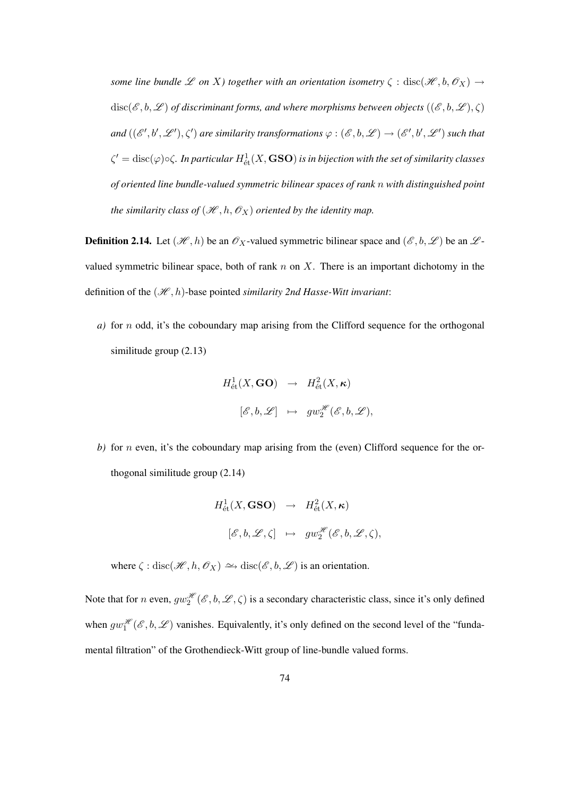*some line bundle*  $\mathscr L$  *on* X*)* together with an orientation isometry  $\zeta$  : disc( $\mathscr H, b, \mathscr O_X$ )  $\to$  $disc(\mathscr{E},b,\mathscr{L})$  *of discriminant forms, and where morphisms between objects*  $((\mathscr{E},b,\mathscr{L}),\zeta)$ and  $((\mathscr{E}',b',\mathscr{L}'),\zeta')$  are similarity transformations  $\varphi:(\mathscr{E},b,\mathscr{L})\to(\mathscr{E}',b',\mathscr{L}')$  such that  $\zeta'={\rm disc}(\varphi)\circ\zeta$ *. In particular*  $H^1_{\text{\'et}}(X,{\bf GSO})$  *is in bijection with the set of similarity classes of oriented line bundle-valued symmetric bilinear spaces of rank* n *with distinguished point the similarity class of*  $(\mathcal{H}, h, \mathcal{O}_X)$  *oriented by the identity map.* 

**Definition 2.14.** Let  $(\mathcal{H}, h)$  be an  $\mathcal{O}_X$ -valued symmetric bilinear space and  $(\mathcal{E}, b, \mathcal{L})$  be an  $\mathcal{L}$ valued symmetric bilinear space, both of rank  $n$  on  $X$ . There is an important dichotomy in the definition of the  $(\mathcal{H}, h)$ -base pointed *similarity 2nd Hasse-Witt invariant*:

*a)* for n odd, it's the coboundary map arising from the Clifford sequence for the orthogonal similitude group (2.13)

$$
H^1_{\text{\'et}}(X,\text{GO}) \rightarrow H^2_{\text{\'et}}(X,\kappa)
$$
  

$$
[\mathscr{E},b,\mathscr{L}] \rightarrow gw_2^{\mathscr{H}}(\mathscr{E},b,\mathscr{L}),
$$

*b*) for *n* even, it's the coboundary map arising from the (even) Clifford sequence for the orthogonal similitude group (2.14)

$$
H^1_{\text{\'et}}(X, \text{GSO}) \rightarrow H^2_{\text{\'et}}(X, \kappa)
$$
  

$$
[\mathscr{E}, b, \mathscr{L}, \zeta] \mapsto g w_2^{\mathscr{H}}(\mathscr{E}, b, \mathscr{L}, \zeta),
$$

where  $\zeta$  : disc( $\mathcal{H}, h, \mathcal{O}_X$ )  $\hookrightarrow$  disc( $\mathcal{E}, b, \mathcal{L}$ ) is an orientation.

Note that for *n* even,  $gw_2^{\mathcal{H}}(\mathcal{E},b,\mathcal{L},\zeta)$  is a secondary characteristic class, since it's only defined when  $gw_1^{\mathcal{H}}(\mathcal{E},b,\mathcal{L})$  vanishes. Equivalently, it's only defined on the second level of the "fundamental filtration" of the Grothendieck-Witt group of line-bundle valued forms.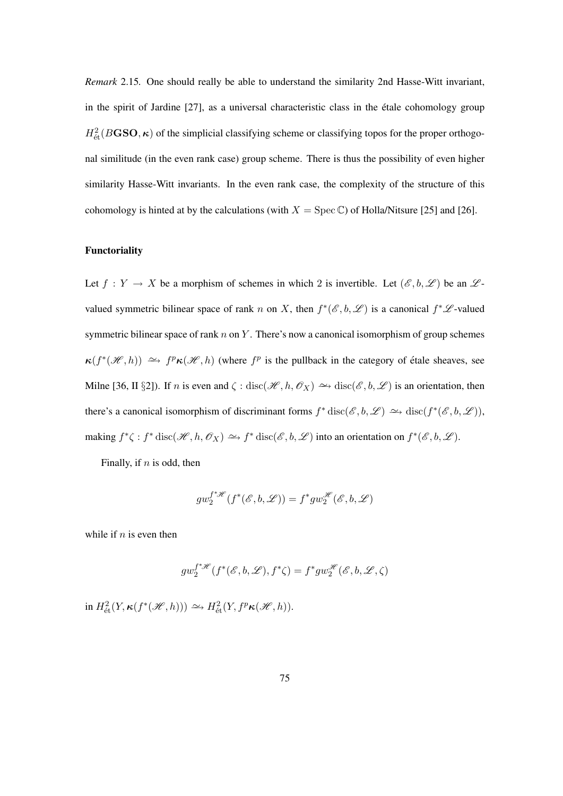*Remark* 2.15*.* One should really be able to understand the similarity 2nd Hasse-Witt invariant, in the spirit of Jardine [27], as a universal characteristic class in the etale cohomology group ´  $H^2_{\text{\'et}}(B\text{GSO},\kappa)$  of the simplicial classifying scheme or classifying topos for the proper orthogonal similitude (in the even rank case) group scheme. There is thus the possibility of even higher similarity Hasse-Witt invariants. In the even rank case, the complexity of the structure of this cohomology is hinted at by the calculations (with  $X = \text{Spec } \mathbb{C}$ ) of Holla/Nitsure [25] and [26].

# Functoriality

Let  $f: Y \to X$  be a morphism of schemes in which 2 is invertible. Let  $(\mathscr{E}, b, \mathscr{L})$  be an  $\mathscr{L}$ valued symmetric bilinear space of rank n on X, then  $f^*(\mathscr{E}, b, \mathscr{L})$  is a canonical  $f^*\mathscr{L}$ -valued symmetric bilinear space of rank  $n$  on  $Y$ . There's now a canonical isomorphism of group schemes  $\kappa(f^*(\mathscr{H},h)) \simeq f^p \kappa(\mathscr{H},h)$  (where  $f^p$  is the pullback in the category of étale sheaves, see Milne [36, II §2]). If *n* is even and  $\zeta$  : disc( $\mathcal{H}, h, \mathcal{O}_X$ )  $\hookrightarrow$  disc( $\mathcal{E}, b, \mathcal{L}$ ) is an orientation, then there's a canonical isomorphism of discriminant forms  $f^*$  disc $(\mathscr{E}, b, \mathscr{L}) \to \text{disc}(f^*(\mathscr{E}, b, \mathscr{L}))$ , making  $f^*\zeta : f^* \text{disc}(\mathcal{H}, h, \mathcal{O}_X) \to f^* \text{disc}(\mathcal{E}, b, \mathcal{L})$  into an orientation on  $f^*(\mathcal{E}, b, \mathcal{L})$ .

Finally, if  $n$  is odd, then

$$
gw_2^{f^*\mathscr{H}}(f^*(\mathscr{E},b,\mathscr{L}))=f^*gw_2^{\mathscr{H}}(\mathscr{E},b,\mathscr{L})
$$

while if  $n$  is even then

$$
gw_2^{f^*\!\mathscr{H}}(f^*(\mathscr{E},b,\mathscr{L}),f^*\zeta)=f^*gw_2^{\mathscr{H}}(\mathscr{E},b,\mathscr{L},\zeta)
$$

in  $H^2_{\text{\'et}}(Y, \kappa(f^*(\mathscr{H}, h))) \simeq H^2_{\text{\'et}}(Y, f^p \kappa(\mathscr{H}, h)).$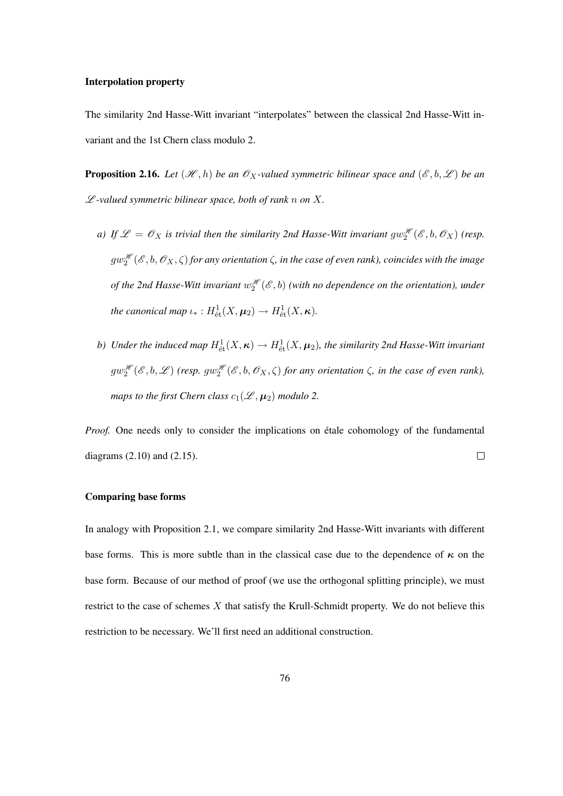### Interpolation property

The similarity 2nd Hasse-Witt invariant "interpolates" between the classical 2nd Hasse-Witt invariant and the 1st Chern class modulo 2.

**Proposition 2.16.** *Let*  $(\mathcal{H}, h)$  *be an*  $\mathcal{O}_X$ -valued symmetric bilinear space and  $(\mathcal{E}, b, \mathcal{L})$  *be an* L *-valued symmetric bilinear space, both of rank* n *on* X*.*

- *a)* If  $\mathscr{L} = \mathscr{O}_X$  is trivial then the similarity 2nd Hasse-Witt invariant  $gw_2^{\mathscr{H}}(\mathscr{E},b,\mathscr{O}_X)$  (resp.  $gw_2^{\mathscr{H}}(\mathscr{E},b,\mathscr{O}_X,\zeta)$  for any orientation  $\zeta$ , in the case of even rank), coincides with the image of the 2nd Hasse-Witt invariant  $w_2^{\mathscr{H}}(\mathscr{E},b)$  (with no dependence on the orientation), under *the canonical map*  $\iota_* : H^1_{\text{\'et}}(X, \mu_2) \to H^1_{\text{\'et}}(X, \kappa)$ .
- b) Under the induced map  $H^1_{\text{\'et}}(X,\kappa) \to H^1_{\text{\'et}}(X,\pmb{\mu}_2)$ , the similarity 2nd Hasse-Witt invariant  $gw_2^{\mathscr{H}}(\mathscr{E},b,\mathscr{L})$  (resp.  $gw_2^{\mathscr{H}}(\mathscr{E},b,\mathscr{O}_X,\zeta)$  for any orientation  $\zeta$ , in the case of even rank), *maps to the first Chern class*  $c_1(\mathcal{L}, \mu_2)$  *modulo* 2.

*Proof.* One needs only to consider the implications on étale cohomology of the fundamental diagrams (2.10) and (2.15).  $\Box$ 

### Comparing base forms

In analogy with Proposition 2.1, we compare similarity 2nd Hasse-Witt invariants with different base forms. This is more subtle than in the classical case due to the dependence of  $\kappa$  on the base form. Because of our method of proof (we use the orthogonal splitting principle), we must restrict to the case of schemes  $X$  that satisfy the Krull-Schmidt property. We do not believe this restriction to be necessary. We'll first need an additional construction.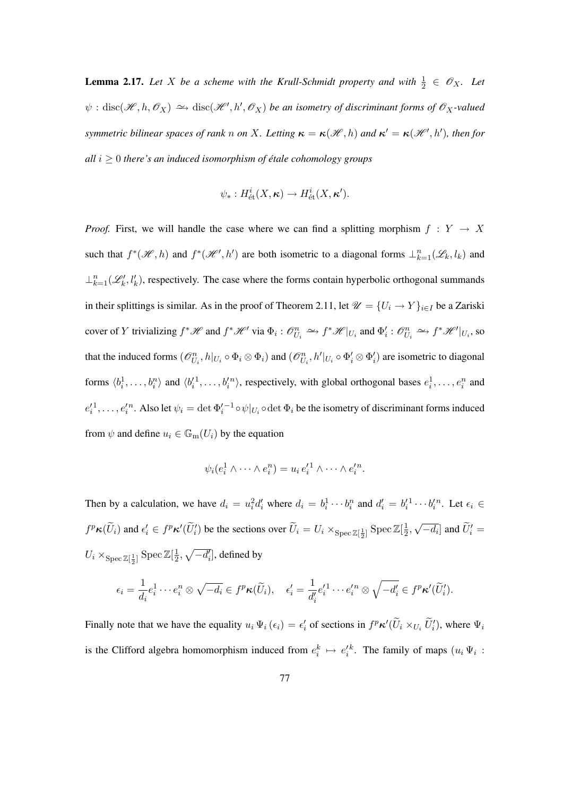**Lemma 2.17.** Let X be a scheme with the Krull-Schmidt property and with  $\frac{1}{2} \in \mathcal{O}_X$ . Let  $\psi$  : disc( $\mathscr{H}, h, \mathscr{O}_X$ )  $\hookrightarrow$  disc( $\mathscr{H}', h', \mathscr{O}_X$ ) *be an isometry of discriminant forms of*  $\mathscr{O}_X$ -valued *symmetric bilinear spaces of rank* n *on* X. Letting  $\kappa = \kappa(\mathscr{H}, h)$  and  $\kappa' = \kappa(\mathscr{H}', h')$ , then for *all*  $i \geq 0$  *there's an induced isomorphism of étale cohomology groups* 

$$
\psi_*: H^i_{\text{\'et}}(X,\kappa) \to H^i_{\text{\'et}}(X,\kappa').
$$

*Proof.* First, we will handle the case where we can find a splitting morphism  $f : Y \to X$ such that  $f^*(\mathcal{H}, h)$  and  $f^*(\mathcal{H}', h')$  are both isometric to a diagonal forms  $\perp_{k=1}^n(\mathcal{L}_k, l_k)$  and  $\perp_{k=1}^n(\mathcal{L}'_k,l'_k)$ , respectively. The case where the forms contain hyperbolic orthogonal summands in their splittings is similar. As in the proof of Theorem 2.11, let  $\mathcal{U} = \{U_i \to Y\}_{i \in I}$  be a Zariski cover of Y trivializing  $f^* \mathcal{H}$  and  $f^* \mathcal{H}$  via  $\Phi_i : \mathcal{O}_{U_i}^n \to f^* \mathcal{H} |_{U_i}$  and  $\Phi'_i : \mathcal{O}_{U_i}^n \to f^* \mathcal{H} |_{U_i}$ , so that the induced forms  $(\mathcal{O}_{U_i}^n, h|_{U_i} \circ \Phi_i \otimes \Phi_i)$  and  $(\mathcal{O}_{U_i}^n, h'|_{U_i} \circ \Phi_i' \otimes \Phi_i')$  are isometric to diagonal forms  $\langle b_i^1, \ldots, b_i^n \rangle$  and  $\langle b_i'^1, \ldots, b_i'^n \rangle$ , respectively, with global orthogonal bases  $e_i^1, \ldots, e_i^n$  and  $e'_i^1,\ldots,e'_i^n$ . Also let  $\psi_i=\det \Phi'_i{}^{-1}\circ\psi|_{U_i}\circ\det \Phi_i$  be the isometry of discriminant forms induced from  $\psi$  and define  $u_i \in \mathbb{G}_m(U_i)$  by the equation

$$
\psi_i(e_i^1 \wedge \cdots \wedge e_i^n) = u_i e_i'^1 \wedge \cdots \wedge e_i'^n.
$$

Then by a calculation, we have  $d_i = u_i^2 d_i'$  where  $d_i = b_i^1 \cdots b_i^n$  and  $d_i' = b_i'^1 \cdots b_i'^n$ . Let  $\epsilon_i \in$  $f^p\kappa(\widetilde{U}_i)$  and  $\epsilon'_i \in f^p\kappa'(\widetilde{U}'_i)$  be the sections over  $\widetilde{U}_i = U_i \times_{\text{Spec } \mathbb{Z}[\frac{1}{2}]}\text{Spec } \mathbb{Z}[\frac{1}{2}]$  $\frac{1}{2}$ , √  $\left[ \overline{-d_i} \right]$  and  $\widetilde{U}'_i =$  $U_i \times_{\text{Spec } \mathbb{Z}[\frac{1}{2}]} \text{Spec } \mathbb{Z}[\frac{1}{2}]$  $\frac{1}{2}$ ,  $\sqrt{-d'_i}$ , defined by

$$
\epsilon_i = \frac{1}{d_i} e_i^1 \cdots e_i^n \otimes \sqrt{-d_i} \in f^p \kappa(\widetilde{U}_i), \quad \epsilon'_i = \frac{1}{d'_i} e'_i^1 \cdots e'_i^n \otimes \sqrt{-d'_i} \in f^p \kappa'(\widetilde{U}'_i).
$$

Finally note that we have the equality  $u_i \Psi_i(\epsilon_i) = \epsilon'_i$  of sections in  $f^p \kappa'(\tilde{U}_i \times_{U_i} \tilde{U}'_i)$ , where  $\Psi_i$ is the Clifford algebra homomorphism induced from  $e_i^k \mapsto e_i'^k$ . The family of maps  $(u_i \Psi_i)$ :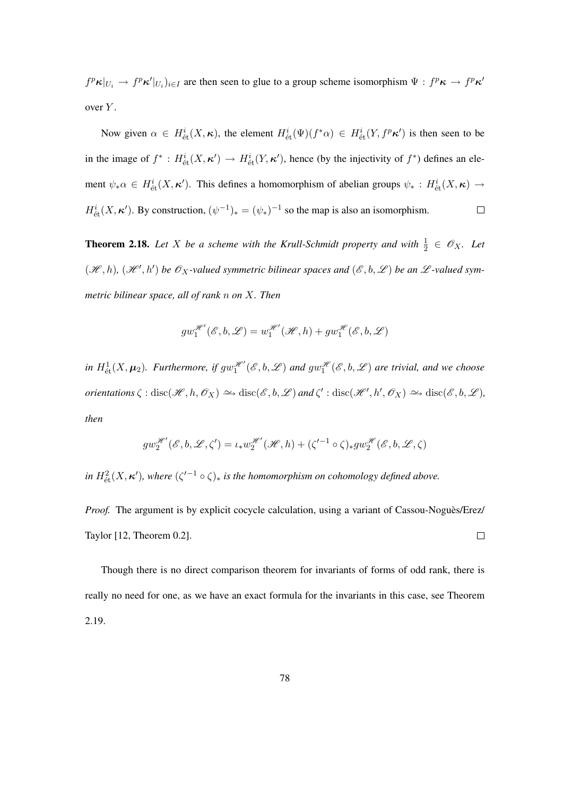$f^p \kappa |_{U_i} \to f^p \kappa' |_{U_i}$ )<sub>*i*∈I</sub> are then seen to glue to a group scheme isomorphism  $\Psi : f^p \kappa \to f^p \kappa'$ over Y.

Now given  $\alpha \in H^i_{\text{\'et}}(X,\kappa)$ , the element  $H^i_{\text{\'et}}(\Psi)(f^*\alpha) \in H^i_{\text{\'et}}(Y,f^p\kappa')$  is then seen to be in the image of  $f^*: H^i_{\text{\'et}}(X, \kappa') \to H^i_{\text{\'et}}(Y, \kappa')$ , hence (by the injectivity of  $f^*$ ) defines an element  $\psi_*\alpha \in H^i_{\text{\'et}}(X,\kappa')$ . This defines a homomorphism of abelian groups  $\psi_* : H^i_{\text{\'et}}(X,\kappa) \to$  $H^i_{\text{\'et}}(X,\kappa')$ . By construction,  $(\psi^{-1})_* = (\psi_*)^{-1}$  so the map is also an isomorphism.  $\Box$ 

**Theorem 2.18.** Let X be a scheme with the Krull-Schmidt property and with  $\frac{1}{2} \in \mathcal{O}_X$ . Let  $(\mathscr{H}, h), (\mathscr{H}', h')$  be  $\mathscr{O}_X$ -valued symmetric bilinear spaces and  $(\mathscr{E}, b, \mathscr{L})$  be an  $\mathscr{L}$ -valued sym*metric bilinear space, all of rank* n *on* X*. Then*

$$
gw_1^{\mathscr{H}'}(\mathscr{E}, b, \mathscr{L}) = w_1^{\mathscr{H}'}(\mathscr{H}, h) + gw_1^{\mathscr{H}}(\mathscr{E}, b, \mathscr{L})
$$

in  $H^1_{\text{\'et}}(X, \mu_2)$ . Furthermore, if  $gw_1^{\mathscr{H}}(\mathscr{E}, b, \mathscr{L})$  and  $gw_1^{\mathscr{H}}(\mathscr{E}, b, \mathscr{L})$  are trivial, and we choose *orientations*  $\zeta : \text{disc}(\mathcal{H}, h, \mathcal{O}_X) \to \text{disc}(\mathcal{E}, b, \mathcal{L})$  *and*  $\zeta' : \text{disc}(\mathcal{H}', h', \mathcal{O}_X) \to \text{disc}(\mathcal{E}, b, \mathcal{L}),$ *then*

$$
gw_2^{\mathcal{H}'}(\mathcal{E}, b, \mathcal{L}, \zeta') = \iota_* w_2^{\mathcal{H}'}(\mathcal{H}, h) + (\zeta'^{-1} \circ \zeta)_* gw_2^{\mathcal{H}}(\mathcal{E}, b, \mathcal{L}, \zeta)
$$

*in*  $H^2_{\text{\'et}}(X,\kappa')$ , where  $(\zeta'^{-1} \circ \zeta)_*$  *is the homomorphism on cohomology defined above.* 

*Proof.* The argument is by explicit cocycle calculation, using a variant of Cassou-Noguès/Erez/ Taylor [12, Theorem 0.2].  $\Box$ 

Though there is no direct comparison theorem for invariants of forms of odd rank, there is really no need for one, as we have an exact formula for the invariants in this case, see Theorem 2.19.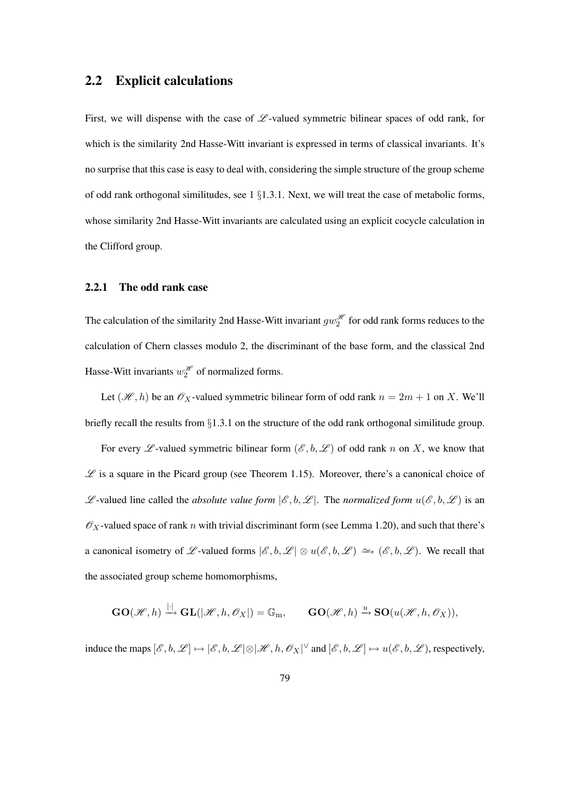# 2.2 Explicit calculations

First, we will dispense with the case of  $L$ -valued symmetric bilinear spaces of odd rank, for which is the similarity 2nd Hasse-Witt invariant is expressed in terms of classical invariants. It's no surprise that this case is easy to deal with, considering the simple structure of the group scheme of odd rank orthogonal similitudes, see  $1 \S1.3.1$ . Next, we will treat the case of metabolic forms, whose similarity 2nd Hasse-Witt invariants are calculated using an explicit cocycle calculation in the Clifford group.

## 2.2.1 The odd rank case

The calculation of the similarity 2nd Hasse-Witt invariant  $gw_2^{\mathcal{H}}$  for odd rank forms reduces to the calculation of Chern classes modulo 2, the discriminant of the base form, and the classical 2nd Hasse-Witt invariants  $w_2^{\mathcal{H}}$  of normalized forms.

Let  $(\mathcal{H}, h)$  be an  $\mathcal{O}_X$ -valued symmetric bilinear form of odd rank  $n = 2m + 1$  on X. We'll briefly recall the results from §1.3.1 on the structure of the odd rank orthogonal similitude group.

For every  $\mathscr L$ -valued symmetric bilinear form  $(\mathscr E, b, \mathscr L)$  of odd rank n on X, we know that  $\mathscr L$  is a square in the Picard group (see Theorem 1.15). Moreover, there's a canonical choice of  $\mathscr{L}$ -valued line called the *absolute value form*  $|\mathscr{E}, b, \mathscr{L}|$ . The *normalized form*  $u(\mathscr{E}, b, \mathscr{L})$  is an  $\mathscr{O}_X$ -valued space of rank n with trivial discriminant form (see Lemma 1.20), and such that there's a canonical isometry of L-valued forms  $|\mathscr{E}, b, \mathscr{L}| \otimes u(\mathscr{E}, b, \mathscr{L}) \simeq (e^{\mathscr{E}}, b, \mathscr{L})$ . We recall that the associated group scheme homomorphisms,

$$
\mathbf{GO}(\mathscr{H},h) \xrightarrow{|.|} \mathbf{GL}(|\mathscr{H},h,\mathscr{O}_X|) = \mathbb{G}_m, \qquad \mathbf{GO}(\mathscr{H},h) \xrightarrow{u} \mathbf{SO}(u(\mathscr{H},h,\mathscr{O}_X)),
$$

induce the maps  $[\mathscr{E}, b, \mathscr{L}] \mapsto [\mathscr{E}, b, \mathscr{L}] \otimes [\mathscr{H}, h, \mathscr{O}_X]^\vee$  and  $[\mathscr{E}, b, \mathscr{L}] \mapsto u(\mathscr{E}, b, \mathscr{L})$ , respectively,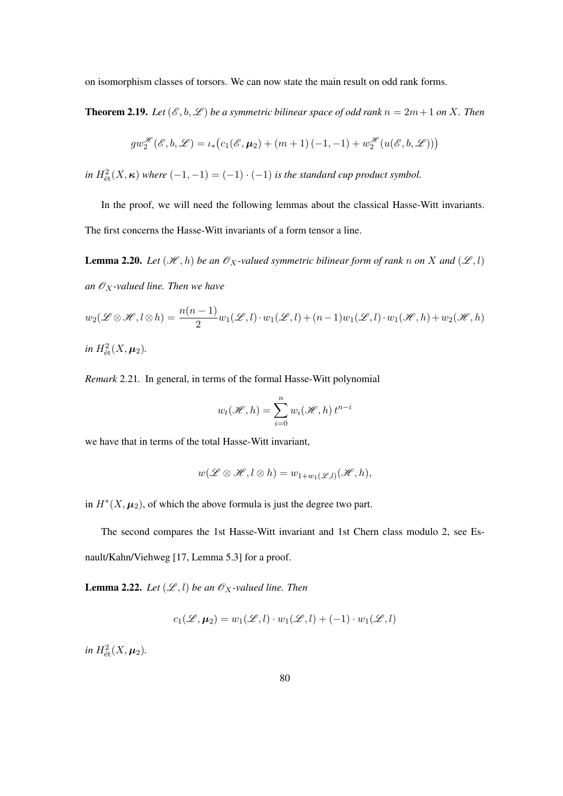on isomorphism classes of torsors. We can now state the main result on odd rank forms.

**Theorem 2.19.** Let  $(\mathcal{E}, b, \mathcal{L})$  be a symmetric bilinear space of odd rank  $n = 2m + 1$  on X. Then

$$
gw_2^{\mathscr{H}}(\mathscr{E},b,\mathscr{L})=\iota_*\big(c_1(\mathscr{E},\boldsymbol{\mu}_2)+(m+1)\,(-1,-1)+w_2^{\mathscr{H}}(u(\mathscr{E},b,\mathscr{L}))\big)
$$

*in*  $H^2_{\text{\'et}}(X,\kappa)$  *where*  $(-1,-1) = (-1) \cdot (-1)$  *is the standard cup product symbol.* 

In the proof, we will need the following lemmas about the classical Hasse-Witt invariants. The first concerns the Hasse-Witt invariants of a form tensor a line.

**Lemma 2.20.** Let  $(\mathcal{H}, h)$  be an  $\mathcal{O}_X$ -valued symmetric bilinear form of rank n on X and  $(\mathcal{L}, l)$ *an*  $\mathcal{O}_X$ -valued line. Then we have

$$
w_2(\mathscr{L} \otimes \mathscr{H}, l \otimes h) = \frac{n(n-1)}{2} w_1(\mathscr{L}, l) \cdot w_1(\mathscr{L}, l) + (n-1) w_1(\mathscr{L}, l) \cdot w_1(\mathscr{H}, h) + w_2(\mathscr{H}, h)
$$
  
in  $H^2_{\text{\'et}}(X, \mu_2)$ .

*Remark* 2.21*.* In general, in terms of the formal Hasse-Witt polynomial

$$
w_t(\mathcal{H}, h) = \sum_{i=0}^n w_i(\mathcal{H}, h) t^{n-i}
$$

we have that in terms of the total Hasse-Witt invariant,

$$
w(\mathscr{L} \otimes \mathscr{H}, l \otimes h) = w_{1+w_1(\mathscr{L},l)}(\mathscr{H}, h),
$$

in  $H^*(X, \mu_2)$ , of which the above formula is just the degree two part.

The second compares the 1st Hasse-Witt invariant and 1st Chern class modulo 2, see Es-

nault/Kahn/Viehweg [17, Lemma 5.3] for a proof.

**Lemma 2.22.** *Let*  $(\mathcal{L}, l)$  *be an*  $\mathcal{O}_X$ *-valued line. Then* 

$$
c_1(\mathcal{L}, \boldsymbol{\mu}_2) = w_1(\mathcal{L}, l) \cdot w_1(\mathcal{L}, l) + (-1) \cdot w_1(\mathcal{L}, l)
$$

*in*  $H^2_{\text{\'et}}(X, \mu_2)$ .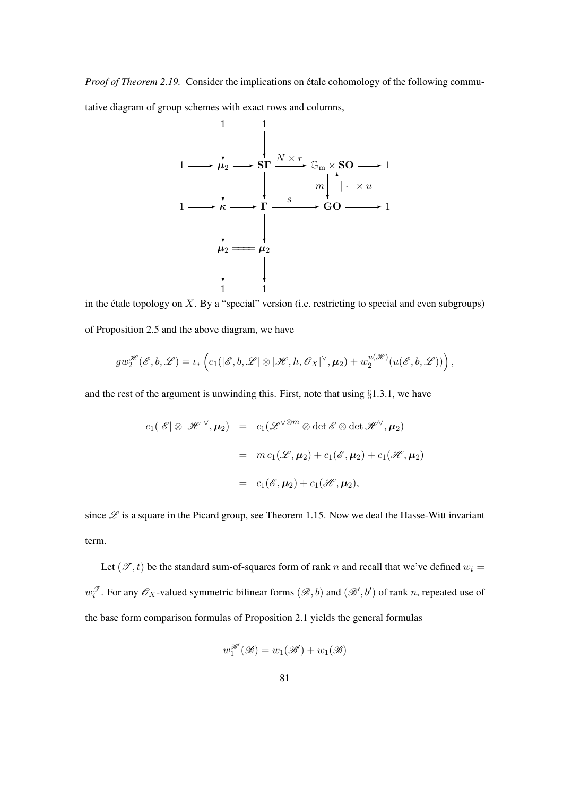*Proof of Theorem 2.19.* Consider the implications on étale cohomology of the following commu-

tative diagram of group schemes with exact rows and columns,



in the étale topology on  $X$ . By a "special" version (i.e. restricting to special and even subgroups) of Proposition 2.5 and the above diagram, we have

$$
gw_2^{\mathscr{H}}(\mathscr{E}, b, \mathscr{L}) = \iota_* \left( c_1(|\mathscr{E}, b, \mathscr{L}| \otimes |\mathscr{H}, h, \mathscr{O}_X|^\vee, \mu_2) + w_2^{u(\mathscr{H})}(u(\mathscr{E}, b, \mathscr{L})) \right),
$$

and the rest of the argument is unwinding this. First, note that using §1.3.1, we have

$$
c_1(|\mathscr{E}| \otimes |\mathscr{H}|^{\vee}, \mu_2) = c_1(\mathscr{L}^{\vee \otimes m} \otimes \det \mathscr{E} \otimes \det \mathscr{H}^{\vee}, \mu_2)
$$
  

$$
= m c_1(\mathscr{L}, \mu_2) + c_1(\mathscr{E}, \mu_2) + c_1(\mathscr{H}, \mu_2)
$$
  

$$
= c_1(\mathscr{E}, \mu_2) + c_1(\mathscr{H}, \mu_2),
$$

since  $\mathscr L$  is a square in the Picard group, see Theorem 1.15. Now we deal the Hasse-Witt invariant term.

Let  $(\mathcal{T}, t)$  be the standard sum-of-squares form of rank n and recall that we've defined  $w_i =$  $w_i^{\mathcal{T}}$ . For any  $\mathcal{O}_X$ -valued symmetric bilinear forms  $(\mathcal{B}, b)$  and  $(\mathcal{B}', b')$  of rank n, repeated use of the base form comparison formulas of Proposition 2.1 yields the general formulas

$$
w_1^{\mathcal{B}'}(\mathcal{B}) = w_1(\mathcal{B}') + w_1(\mathcal{B})
$$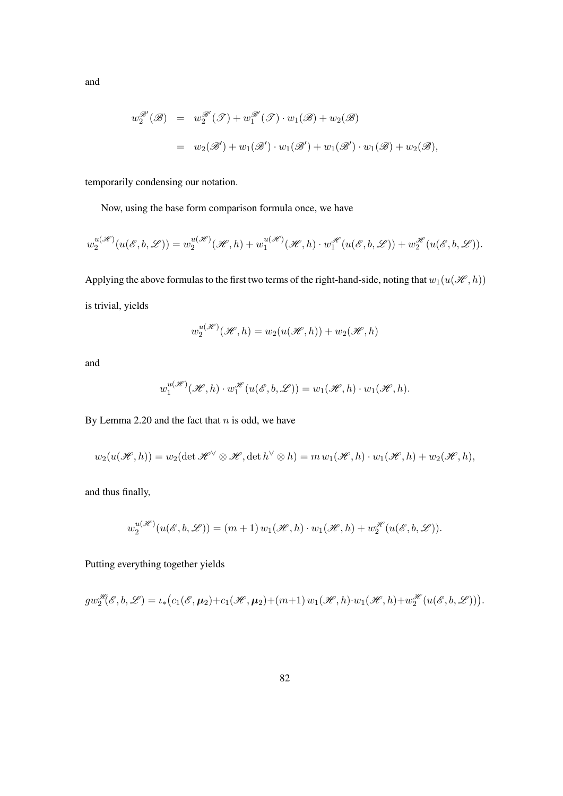and

$$
w_2^{\mathcal{B}'}(\mathcal{B}) = w_2^{\mathcal{B}'}(\mathcal{T}) + w_1^{\mathcal{B}'}(\mathcal{T}) \cdot w_1(\mathcal{B}) + w_2(\mathcal{B})
$$
  
=  $w_2(\mathcal{B}') + w_1(\mathcal{B}') \cdot w_1(\mathcal{B}') + w_1(\mathcal{B}') \cdot w_1(\mathcal{B}) + w_2(\mathcal{B}),$ 

temporarily condensing our notation.

Now, using the base form comparison formula once, we have

$$
w_2^{u(\mathcal{H})}(u(\mathcal{E},b,\mathcal{L})) = w_2^{u(\mathcal{H})}(\mathcal{H},h) + w_1^{u(\mathcal{H})}(\mathcal{H},h) \cdot w_1^{\mathcal{H}}(u(\mathcal{E},b,\mathcal{L})) + w_2^{\mathcal{H}}(u(\mathcal{E},b,\mathcal{L})).
$$

Applying the above formulas to the first two terms of the right-hand-side, noting that  $w_1(u(\mathcal{H}, h))$ is trivial, yields

$$
w_2^{u(\mathcal{H})}(\mathcal{H},h) = w_2(u(\mathcal{H},h)) + w_2(\mathcal{H},h)
$$

and

$$
w_1^{u(\mathcal{H})}(\mathcal{H},h) \cdot w_1^{\mathcal{H}}(u(\mathcal{E},b,\mathcal{L})) = w_1(\mathcal{H},h) \cdot w_1(\mathcal{H},h).
$$

By Lemma 2.20 and the fact that  $n$  is odd, we have

$$
w_2(u(\mathcal{H},h)) = w_2(\det \mathcal{H}^{\vee} \otimes \mathcal{H}, \det h^{\vee} \otimes h) = m w_1(\mathcal{H},h) \cdot w_1(\mathcal{H},h) + w_2(\mathcal{H},h),
$$

and thus finally,

$$
w_2^{u(\mathcal{H})}(u(\mathcal{E},b,\mathcal{L})) = (m+1) w_1(\mathcal{H},h) \cdot w_1(\mathcal{H},h) + w_2^{\mathcal{H}}(u(\mathcal{E},b,\mathcal{L})).
$$

Putting everything together yields

$$
gw_2^{\mathscr{H}}(\mathscr{E},b,\mathscr{L})=\iota_*\big(c_1(\mathscr{E},\boldsymbol{\mu}_2)+c_1(\mathscr{H},\boldsymbol{\mu}_2)+(m+1)\,w_1(\mathscr{H},h)\cdot w_1(\mathscr{H},h)+w_2^{\mathscr{H}}(u(\mathscr{E},b,\mathscr{L}))\big).
$$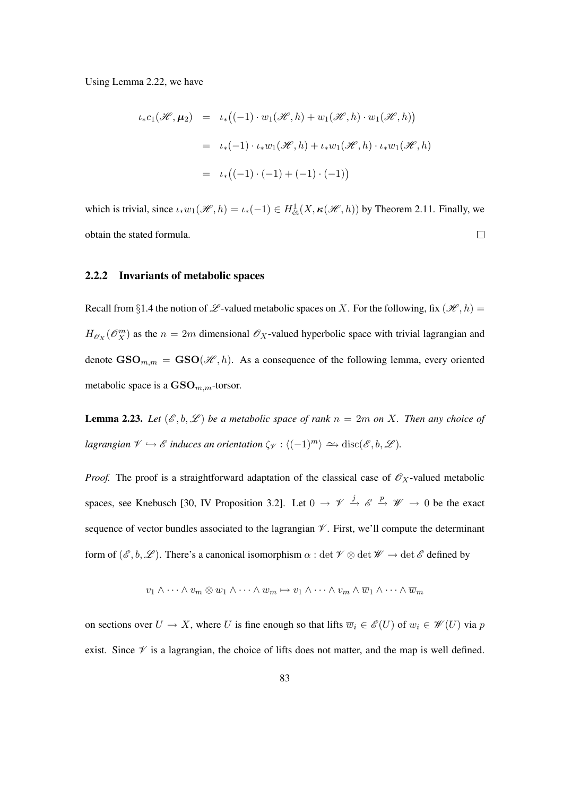#### Using Lemma 2.22, we have

$$
\iota_* c_1(\mathcal{H}, \mu_2) = \iota_* \big( (-1) \cdot w_1(\mathcal{H}, h) + w_1(\mathcal{H}, h) \cdot w_1(\mathcal{H}, h) \big)
$$
  

$$
= \iota_* (-1) \cdot \iota_* w_1(\mathcal{H}, h) + \iota_* w_1(\mathcal{H}, h) \cdot \iota_* w_1(\mathcal{H}, h)
$$
  

$$
= \iota_* \big( (-1) \cdot (-1) + (-1) \cdot (-1) \big)
$$

which is trivial, since  $\iota_* w_1(\mathcal{H}, h) = \iota_*(-1) \in H^1_{\text{\'et}}(X, \kappa(\mathcal{H}, h))$  by Theorem 2.11. Finally, we  $\Box$ obtain the stated formula.

# 2.2.2 Invariants of metabolic spaces

Recall from §1.4 the notion of  $\mathscr L$ -valued metabolic spaces on X. For the following, fix  $(\mathscr H, h)$  =  $H_{\mathscr{O}_X}(\mathscr{O}_X^m)$  as the  $n = 2m$  dimensional  $\mathscr{O}_X$ -valued hyperbolic space with trivial lagrangian and denote  $\text{GSO}_{m,m} = \text{GSO}(\mathcal{H},h)$ . As a consequence of the following lemma, every oriented metabolic space is a  $\mathbf{GSO}_{m,m}$ -torsor.

**Lemma 2.23.** Let  $(\mathscr{E}, b, \mathscr{L})$  be a metabolic space of rank  $n = 2m$  on X. Then any choice of *lagrangian*  $\mathscr{V} \hookrightarrow \mathscr{E}$  *induces an orientation*  $\zeta_{\mathscr{V}} : \langle (-1)^m \rangle \longrightarrow \text{disc}(\mathscr{E}, b, \mathscr{L})$ *.* 

*Proof.* The proof is a straightforward adaptation of the classical case of  $\mathcal{O}_X$ -valued metabolic spaces, see Knebusch [30, IV Proposition 3.2]. Let  $0 \to \mathcal{V} \stackrel{j}{\to} \mathcal{E} \stackrel{p}{\to} \mathcal{W} \to 0$  be the exact sequence of vector bundles associated to the lagrangian  $\mathcal V$ . First, we'll compute the determinant form of  $(\mathscr{E}, b, \mathscr{L})$ . There's a canonical isomorphism  $\alpha : \det \mathscr{V} \otimes \det \mathscr{W} \to \det \mathscr{E}$  defined by

$$
v_1 \wedge \cdots \wedge v_m \otimes w_1 \wedge \cdots \wedge w_m \mapsto v_1 \wedge \cdots \wedge v_m \wedge \overline{w}_1 \wedge \cdots \wedge \overline{w}_m
$$

on sections over  $U \to X$ , where U is fine enough so that lifts  $\overline{w}_i \in \mathscr{E}(U)$  of  $w_i \in \mathscr{W}(U)$  via p exist. Since  $\mathscr V$  is a lagrangian, the choice of lifts does not matter, and the map is well defined.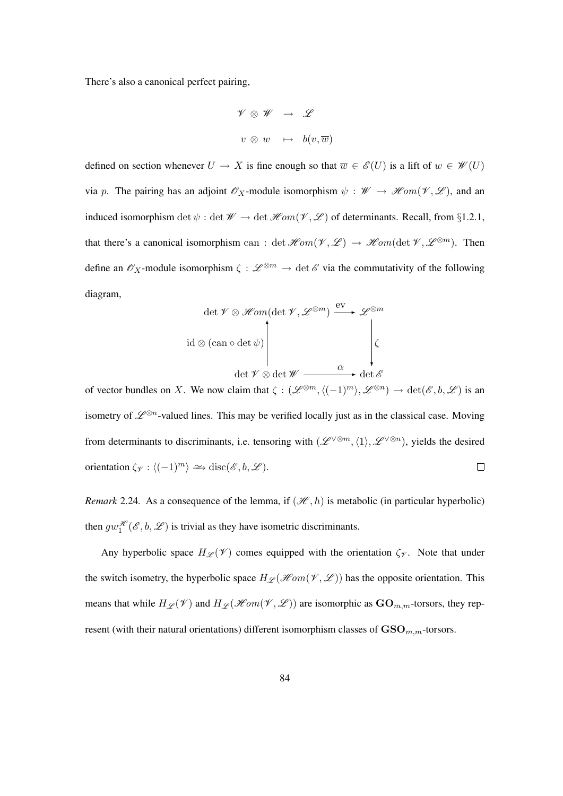There's also a canonical perfect pairing,

$$
\begin{array}{rcl} \mathscr V \,\otimes\, \mathscr W & \rightarrow & \mathscr L \\ \\ v\,\otimes\, w & \mapsto & b(v,\overline w) \end{array}
$$

defined on section whenever  $U \to X$  is fine enough so that  $\overline{w} \in \mathscr{E}(U)$  is a lift of  $w \in \mathscr{W}(U)$ via p. The pairing has an adjoint  $\mathscr{O}_X$ -module isomorphism  $\psi : \mathscr{W} \to \mathscr{H}om(\mathscr{V}, \mathscr{L})$ , and an induced isomorphism det  $\psi$ : det  $\mathscr{W} \to$  det  $\mathscr{H}om(\mathscr{V}, \mathscr{L})$  of determinants. Recall, from §1.2.1, that there's a canonical isomorphism can : det  $\mathscr{H}\!om(\mathscr{V}, \mathscr{L}) \to \mathscr{H}\!om(\det \mathscr{V}, \mathscr{L}^{\otimes m})$ . Then define an  $\mathscr{O}_X$ -module isomorphism  $\zeta : \mathscr{L}^{\otimes m} \to \det \mathscr{E}$  via the commutativity of the following diagram,

$$
\det \mathscr{V} \otimes \mathscr{H}om(\det \mathscr{V}, \mathscr{L}^{\otimes m}) \xrightarrow{\mathrm{ev}} \mathscr{L}^{\otimes m}
$$
  

$$
\det \mathscr{V} \otimes \det \mathscr{W} \xrightarrow{\alpha} \det \mathscr{E}
$$

of vector bundles on X. We now claim that  $\zeta: (\mathscr{L}^{\otimes m}, \langle (-1)^m \rangle, \mathscr{L}^{\otimes n}) \to \det(\mathscr{E}, b, \mathscr{L})$  is an isometry of  $\mathscr{L}^{\otimes n}$ -valued lines. This may be verified locally just as in the classical case. Moving from determinants to discriminants, i.e. tensoring with  $(\mathscr{L}^{\vee \otimes m}, \langle 1 \rangle, \mathscr{L}^{\vee \otimes n})$ , yields the desired orientation  $\zeta_{\mathscr{V}}: \langle (-1)^m \rangle \simeq \mathrm{disc}(\mathscr{E}, b, \mathscr{L}).$  $\Box$ 

*Remark* 2.24. As a consequence of the lemma, if  $(\mathcal{H}, h)$  is metabolic (in particular hyperbolic) then  $gw_1^{\mathcal{H}}(\mathcal{E},b,\mathcal{L})$  is trivial as they have isometric discriminants.

Any hyperbolic space  $H_{\mathscr{L}}(\mathscr{V})$  comes equipped with the orientation  $\zeta_{\mathscr{V}}$ . Note that under the switch isometry, the hyperbolic space  $H_{\mathscr{L}}(\mathscr{H}\!\mathit{om}(\mathscr{V}, \mathscr{L}))$  has the opposite orientation. This means that while  $H_{\mathscr{L}}(\mathscr{V})$  and  $H_{\mathscr{L}}(\mathscr{H}\mathit{om}(\mathscr{V}, \mathscr{L}))$  are isomorphic as  $\mathbf{GO}_{m,m}$ -torsors, they represent (with their natural orientations) different isomorphism classes of  $\mathbf{GSO}_{m,m}$ -torsors.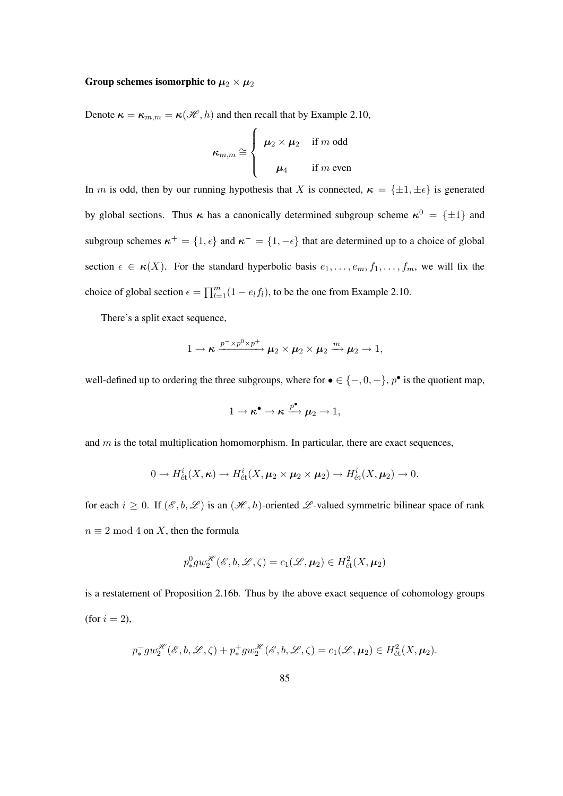# Group schemes isomorphic to  $\mu_2 \times \mu_2$

Denote  $\kappa = \kappa_{m,m} = \kappa(\mathcal{H}, h)$  and then recall that by Example 2.10,

$$
\kappa_{m,m} \cong \begin{cases} \mu_2 \times \mu_2 & \text{if } m \text{ odd} \\ \mu_4 & \text{if } m \text{ even} \end{cases}
$$

In m is odd, then by our running hypothesis that X is connected,  $\kappa = {\pm 1, \pm \epsilon}$  is generated by global sections. Thus  $\kappa$  has a canonically determined subgroup scheme  $\kappa^0 = {\pm 1}$  and subgroup schemes  $\kappa^+ = \{1, \epsilon\}$  and  $\kappa^- = \{1, -\epsilon\}$  that are determined up to a choice of global section  $\epsilon \in \kappa(X)$ . For the standard hyperbolic basis  $e_1, \ldots, e_m, f_1, \ldots, f_m$ , we will fix the choice of global section  $\epsilon = \prod_{l=1}^{m} (1 - e_l f_l)$ , to be the one from Example 2.10.

There's a split exact sequence,

$$
1 \to \kappa \xrightarrow{p^- \times p^0 \times p^+} \mu_2 \times \mu_2 \times \mu_2 \xrightarrow{m} \mu_2 \to 1,
$$

well-defined up to ordering the three subgroups, where for  $\bullet \in \{-,0,+\}$ ,  $p^{\bullet}$  is the quotient map,

$$
1 \to \kappa^{\bullet} \to \kappa \xrightarrow{p^{\bullet}} \mu_2 \to 1,
$$

and  $m$  is the total multiplication homomorphism. In particular, there are exact sequences,

$$
0 \to H^i_{\text{\'et}}(X, \kappa) \to H^i_{\text{\'et}}(X, \mu_2 \times \mu_2 \times \mu_2) \to H^i_{\text{\'et}}(X, \mu_2) \to 0.
$$

for each  $i \geq 0$ . If  $(\mathscr{E}, b, \mathscr{L})$  is an  $(\mathscr{H}, h)$ -oriented  $\mathscr{L}$ -valued symmetric bilinear space of rank  $n \equiv 2 \mod 4$  on X, then the formula

$$
p_*^0 g w_2^{\mathcal{H}}(\mathcal{E}, b, \mathcal{L}, \zeta) = c_1(\mathcal{L}, \mu_2) \in H^2_{\text{\'et}}(X, \mu_2)
$$

is a restatement of Proposition 2.16b. Thus by the above exact sequence of cohomology groups (for  $i = 2$ ),

$$
p_*^- gw_2^{\mathcal{H}}(\mathcal{E}, b, \mathcal{L}, \zeta) + p_*^+ gw_2^{\mathcal{H}}(\mathcal{E}, b, \mathcal{L}, \zeta) = c_1(\mathcal{L}, \mu_2) \in H^2_{\text{\'et}}(X, \mu_2).
$$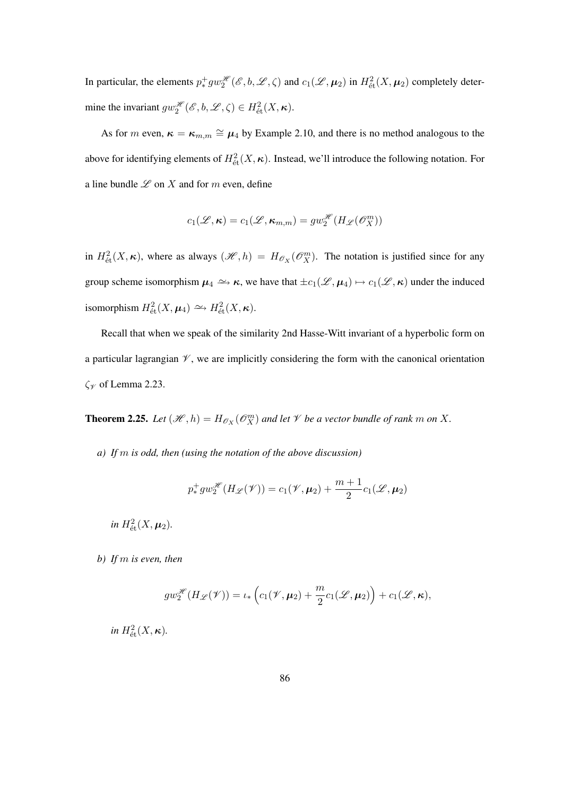In particular, the elements  $p_*^+ g w_2^{\mathcal{H}}(\mathcal{E}, b, \mathcal{L}, \zeta)$  and  $c_1(\mathcal{L}, \mu_2)$  in  $H^2_{\text{\'et}}(X, \mu_2)$  completely determine the invariant  $gw_2^{\mathscr{H}}(\mathscr{E}, b, \mathscr{L}, \zeta) \in H^2_{\text{\'{e}t}}(X, \kappa)$ .

As for m even,  $\kappa = \kappa_{m,m} \cong \mu_4$  by Example 2.10, and there is no method analogous to the above for identifying elements of  $H^2_{\text{\'et}}(X,\kappa)$ . Instead, we'll introduce the following notation. For a line bundle  $\mathscr L$  on  $X$  and for  $m$  even, define

$$
c_1(\mathcal{L}, \kappa) = c_1(\mathcal{L}, \kappa_{m,m}) = gw_2^{\mathcal{H}}(H_{\mathcal{L}}(\mathcal{O}_X^m))
$$

in  $H^2_{\text{\'et}}(X,\kappa)$ , where as always  $(\mathscr{H},h) = H_{\mathscr{O}_X}(\mathscr{O}_X^m)$ . The notation is justified since for any group scheme isomorphism  $\mu_4 \to \kappa$ , we have that  $\pm c_1(\mathscr{L}, \mu_4) \mapsto c_1(\mathscr{L}, \kappa)$  under the induced isomorphism  $H^2_{\text{\'et}}(X, \mu_4) \simeq H^2_{\text{\'et}}(X, \kappa)$ .

Recall that when we speak of the similarity 2nd Hasse-Witt invariant of a hyperbolic form on a particular lagrangian  $\mathcal V$ , we are implicitly considering the form with the canonical orientation  $\zeta$ <sub>y</sub> of Lemma 2.23.

**Theorem 2.25.** Let  $(\mathcal{H}, h) = H_{\mathcal{O}_X}(\mathcal{O}_X^m)$  and let  $\mathcal{V}$  be a vector bundle of rank m on X.

*a) If* m *is odd, then (using the notation of the above discussion)*

$$
p_*^+ g w_2^{\mathcal{H}}(H_{\mathcal{L}}(\mathcal{V})) = c_1(\mathcal{V}, \mu_2) + \frac{m+1}{2} c_1(\mathcal{L}, \mu_2)
$$

*in*  $H^2_{\text{\'et}}(X, \mu_2)$ .

*b) If* m *is even, then*

$$
gw_2^{\mathcal{H}}(H_{\mathcal{L}}(\mathcal{V}))=\iota_*\left(c_1(\mathcal{V}, \boldsymbol{\mu}_2)+\frac{m}{2}c_1(\mathcal{L}, \boldsymbol{\mu}_2)\right)+c_1(\mathcal{L}, \boldsymbol{\kappa}),
$$

 $in H^2_{\text{\'et}}(X, \kappa)$ .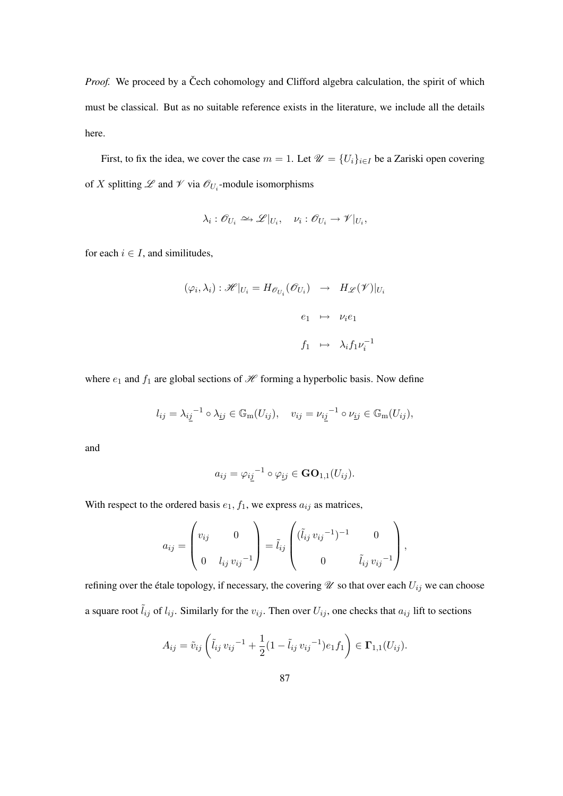*Proof.* We proceed by a Čech cohomology and Clifford algebra calculation, the spirit of which must be classical. But as no suitable reference exists in the literature, we include all the details here.

First, to fix the idea, we cover the case  $m = 1$ . Let  $\mathcal{U} = \{U_i\}_{i \in I}$  be a Zariski open covering of X splitting  $\mathscr L$  and  $\mathscr V$  via  $\mathscr O_{U_i}$ -module isomorphisms

$$
\lambda_i: \mathscr{O}_{U_i} \xrightarrow{\sim} \mathscr{L}|_{U_i}, \quad \nu_i: \mathscr{O}_{U_i} \to \mathscr{V}|_{U_i},
$$

for each  $i \in I$ , and similitudes,

$$
(\varphi_i, \lambda_i) : \mathscr{H}|_{U_i} = H_{\mathscr{O}_{U_i}}(\mathscr{O}_{U_i}) \rightarrow H_{\mathscr{L}}(\mathscr{V})|_{U_i}
$$

$$
e_1 \rightarrow \nu_i e_1
$$

$$
f_1 \rightarrow \lambda_i f_1 \nu_i^{-1}
$$

where  $e_1$  and  $f_1$  are global sections of  $\mathcal H$  forming a hyperbolic basis. Now define

$$
l_{ij} = \lambda_{ij}^{-1} \circ \lambda_{ij} \in \mathbb{G}_{m}(U_{ij}), \quad v_{ij} = \nu_{ij}^{-1} \circ \nu_{ij} \in \mathbb{G}_{m}(U_{ij}),
$$

and

$$
a_{ij} = \varphi_{i\underline{j}}^{-1} \circ \varphi_{\underline{i}j} \in \mathbf{GO}_{1,1}(U_{ij}).
$$

With respect to the ordered basis  $e_1$ ,  $f_1$ , we express  $a_{ij}$  as matrices,

$$
a_{ij} = \begin{pmatrix} v_{ij} & 0 \\ 0 & l_{ij} v_{ij}^{-1} \end{pmatrix} = \tilde{l}_{ij} \begin{pmatrix} (\tilde{l}_{ij} v_{ij}^{-1})^{-1} & 0 \\ 0 & \tilde{l}_{ij} v_{ij}^{-1} \end{pmatrix},
$$

refining over the étale topology, if necessary, the covering  $\mathscr U$  so that over each  $U_{ij}$  we can choose a square root  $\tilde{l}_{ij}$  of  $l_{ij}$ . Similarly for the  $v_{ij}$ . Then over  $U_{ij}$ , one checks that  $a_{ij}$  lift to sections

$$
A_{ij} = \tilde{v}_{ij} \left( \tilde{l}_{ij} v_{ij}^{-1} + \frac{1}{2} (1 - \tilde{l}_{ij} v_{ij}^{-1}) e_1 f_1 \right) \in \Gamma_{1,1}(U_{ij}).
$$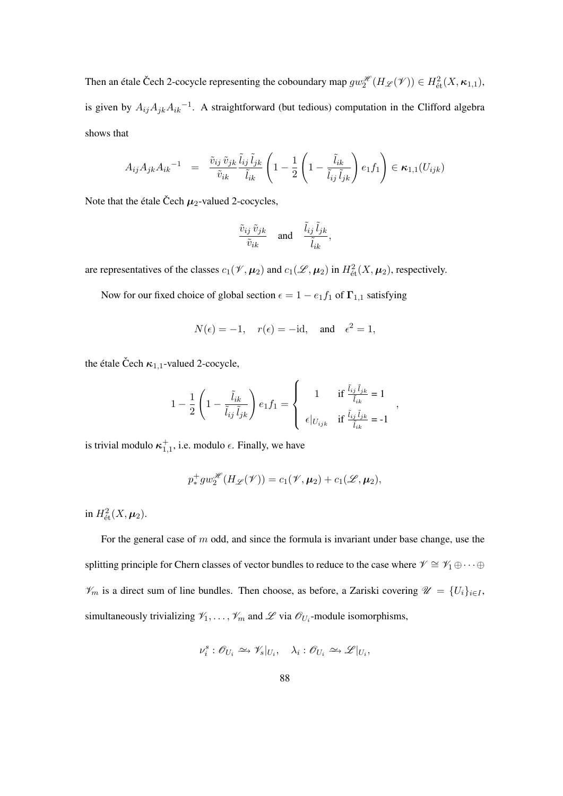Then an étale Čech 2-cocycle representing the coboundary map  $gw_2^{\mathscr{H}}(H_{\mathscr{L}}(\mathscr{V})) \in H^2_{\text{\'et}}(X,\kappa_{1,1}),$ is given by  $A_{ij}A_{jk}A_{ik}^{-1}$ . A straightforward (but tedious) computation in the Clifford algebra shows that

$$
A_{ij}A_{jk}A_{ik}^{-1} = \frac{\tilde{v}_{ij}\,\tilde{v}_{jk}}{\tilde{v}_{ik}}\frac{\tilde{l}_{ij}\,\tilde{l}_{jk}}{\tilde{l}_{ik}}\left(1 - \frac{1}{2}\left(1 - \frac{\tilde{l}_{ik}}{\tilde{l}_{ij}\,\tilde{l}_{jk}}\right)e_1f_1\right) \in \kappa_{1,1}(U_{ijk})
$$

Note that the étale Čech  $\mu_2$ -valued 2-cocycles,

$$
\frac{\tilde{v}_{ij}\,\tilde{v}_{jk}}{\tilde{v}_{ik}} \quad \text{and} \quad \frac{\tilde{l}_{ij}\,\tilde{l}_{jk}}{\tilde{l}_{ik}},
$$

are representatives of the classes  $c_1(\mathcal{V}, \mu_2)$  and  $c_1(\mathcal{L}, \mu_2)$  in  $H^2_{\text{\'et}}(X, \mu_2)$ , respectively.

Now for our fixed choice of global section  $\epsilon = 1 - e_1 f_1$  of  $\Gamma_{1,1}$  satisfying

$$
N(\epsilon) = -1
$$
,  $r(\epsilon) = -id$ , and  $\epsilon^2 = 1$ ,

the étale Čech  $\kappa_{1,1}$ -valued 2-cocycle,

$$
1 - \frac{1}{2} \left( 1 - \frac{\tilde{l}_{ik}}{\tilde{l}_{ij} \tilde{l}_{jk}} \right) e_1 f_1 = \begin{cases} 1 & \text{if } \frac{\tilde{l}_{ij} \tilde{l}_{jk}}{\tilde{l}_{ik}} = 1 \\ \epsilon |_{U_{ijk}} & \text{if } \frac{\tilde{l}_{ij} \tilde{l}_{jk}}{\tilde{l}_{ik}} = -1 \end{cases}
$$

 $\lambda$ 

,

is trivial modulo  $\kappa_{1,1}^+$ , i.e. modulo  $\epsilon$ . Finally, we have

$$
p_*^+ gw_2^{\mathscr{H}}(H_{\mathscr{L}}(\mathscr{V})) = c_1(\mathscr{V}, \mu_2) + c_1(\mathscr{L}, \mu_2),
$$

in  $H^2_{\text{\'et}}(X, \mu_2)$ .

For the general case of  $m$  odd, and since the formula is invariant under base change, use the splitting principle for Chern classes of vector bundles to reduce to the case where  $\mathscr{V} \cong \mathscr{V}_1 \oplus \cdots \oplus$  $\mathcal{V}_m$  is a direct sum of line bundles. Then choose, as before, a Zariski covering  $\mathcal{U} = \{U_i\}_{i \in I}$ , simultaneously trivializing  $\mathcal{V}_1, \ldots, \mathcal{V}_m$  and  $\mathcal{L}$  via  $\mathcal{O}_{U_i}$ -module isomorphisms,

$$
\nu_i^s : \mathscr{O}_{U_i} \simeq \mathscr{V}_s|_{U_i}, \quad \lambda_i : \mathscr{O}_{U_i} \simeq \mathscr{L}|_{U_i},
$$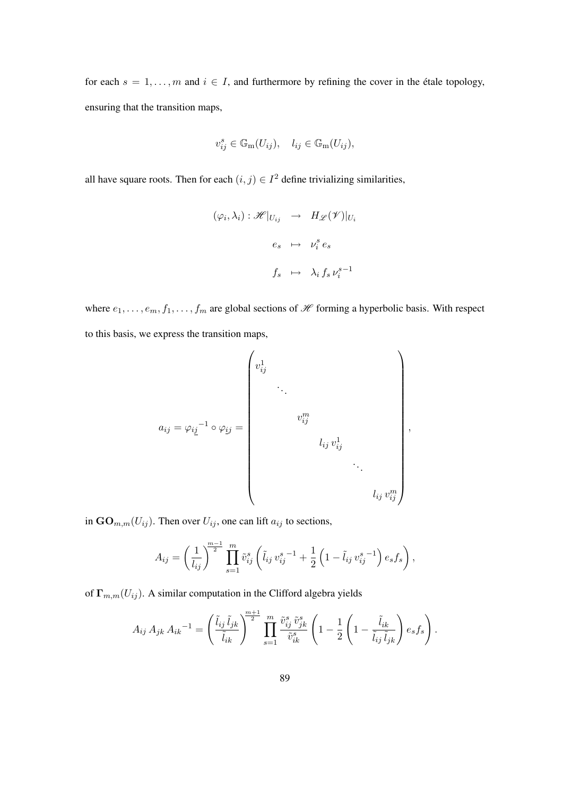for each  $s = 1, \ldots, m$  and  $i \in I$ , and furthermore by refining the cover in the étale topology, ensuring that the transition maps,

$$
v_{ij}^s \in \mathbb{G}_{\mathbf{m}}(U_{ij}), \quad l_{ij} \in \mathbb{G}_{\mathbf{m}}(U_{ij}),
$$

all have square roots. Then for each  $(i, j) \in I^2$  define trivializing similarities,

$$
(\varphi_i, \lambda_i) : \mathscr{H}|_{U_{ij}} \longrightarrow H_{\mathscr{L}}(\mathscr{V})|_{U_i}
$$

$$
e_s \longrightarrow \nu_i^s e_s
$$

$$
f_s \longrightarrow \lambda_i f_s \nu_i^{s-1}
$$

where  $e_1, \ldots, e_m, f_1, \ldots, f_m$  are global sections of  $\mathcal H$  forming a hyperbolic basis. With respect to this basis, we express the transition maps,

$$
a_{ij} = \varphi_{ij}^{-1} \circ \varphi_{ij} = \begin{pmatrix} v_{ij}^1 & & & & \\ & \ddots & & & \\ & & v_{ij}^m & & \\ & & & u_{ij} & v_{ij}^1 & \\ & & & & \ddots & \\ & & & & & v_{ij}^m \end{pmatrix},
$$

in  $\mathbf{GO}_{m,m}(U_{ij})$ . Then over  $U_{ij}$ , one can lift  $a_{ij}$  to sections,

$$
A_{ij} = \left(\frac{1}{l_{ij}}\right)^{\frac{m-1}{2}} \prod_{s=1}^{m} \tilde{v}_{ij}^s \left(\tilde{l}_{ij} v_{ij}^{s-1} + \frac{1}{2} \left(1 - \tilde{l}_{ij} v_{ij}^{s-1}\right) e_s f_s\right),
$$

of  $\Gamma_{m,m}(U_{ij})$ . A similar computation in the Clifford algebra yields

$$
A_{ij} A_{jk} A_{ik}^{-1} = \left(\frac{\tilde{l}_{ij} \tilde{l}_{jk}}{\tilde{l}_{ik}}\right)^{\frac{m+1}{2}} \prod_{s=1}^{m} \frac{\tilde{v}_{ij}^s \tilde{v}_{jk}^s}{\tilde{v}_{ik}^s} \left(1 - \frac{1}{2} \left(1 - \frac{\tilde{l}_{ik}}{\tilde{l}_{ij} \tilde{l}_{jk}}\right) e_s f_s\right).
$$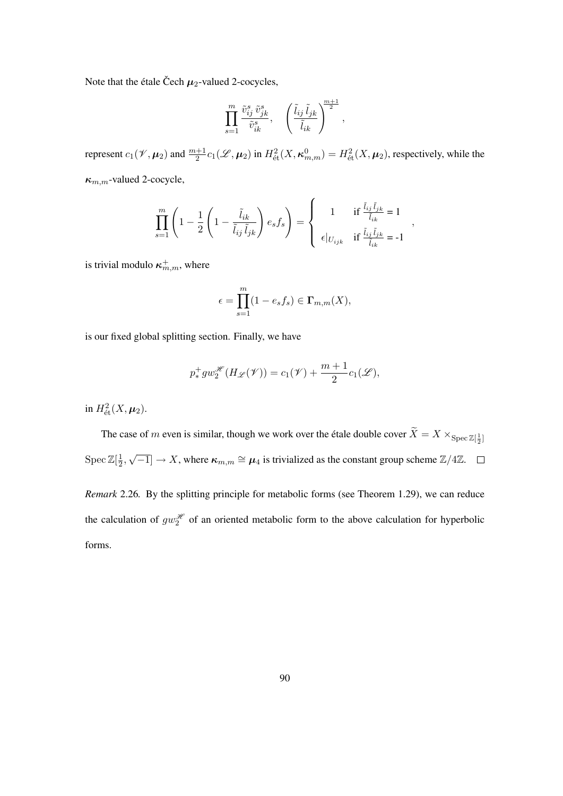Note that the étale Čech  $\mu_2$ -valued 2-cocycles,

$$
\prod_{s=1}^m\frac{\tilde v_{ij}^s\,\tilde v_{jk}^s}{\tilde v_{ik}^s},\quad \left(\frac{\tilde l_{ij}\,\tilde l_{jk}}{\tilde l_{ik}}\right)^{\!\!\frac{m+1}{2}},
$$

represent  $c_1(\mathcal{V}, \mu_2)$  and  $\frac{m+1}{2}c_1(\mathcal{L}, \mu_2)$  in  $H^2_{\text{\'et}}(X, \kappa^0_{m,m}) = H^2_{\text{\'et}}(X, \mu_2)$ , respectively, while the  $\kappa_{m,m}$ -valued 2-cocycle,

$$
\prod_{s=1}^{m} \left( 1 - \frac{1}{2} \left( 1 - \frac{\tilde{l}_{ik}}{\tilde{l}_{ij} \, \tilde{l}_{jk}} \right) e_s f_s \right) = \begin{cases} 1 & \text{if } \frac{\tilde{l}_{ij} \, \tilde{l}_{jk}}{\tilde{l}_{ik}} = 1 \\ \epsilon |_{U_{ijk}} & \text{if } \frac{\tilde{l}_{ij} \, \tilde{l}_{jk}}{\tilde{l}_{ik}} = -1 \end{cases}
$$

,

is trivial modulo  $\kappa_{m,m}^+$ , where

$$
\epsilon = \prod_{s=1}^{m} (1 - e_s f_s) \in \Gamma_{m,m}(X),
$$

is our fixed global splitting section. Finally, we have

$$
p_*^+ g w_2^{\mathcal{H}}(H_{\mathcal{L}}(\mathcal{V})) = c_1(\mathcal{V}) + \frac{m+1}{2}c_1(\mathcal{L}),
$$

in  $H^2_{\text{\'et}}(X, \mu_2)$ .

The case of m even is similar, though we work over the étale double cover  $X = X \times_{\text{Spec } \mathbb{Z}[\frac{1}{2}]}$  $\operatorname{Spec} \mathbb{Z}[\frac{1}{2}]$  $\frac{1}{2}$ , √  $\boxed{-1} \rightarrow X$ , where  $\kappa_{m,m} \cong \mu_4$  is trivialized as the constant group scheme  $\mathbb{Z}/4\mathbb{Z}$ .

*Remark* 2.26*.* By the splitting principle for metabolic forms (see Theorem 1.29), we can reduce the calculation of  $gw_2^{\mathcal{H}}$  of an oriented metabolic form to the above calculation for hyperbolic forms.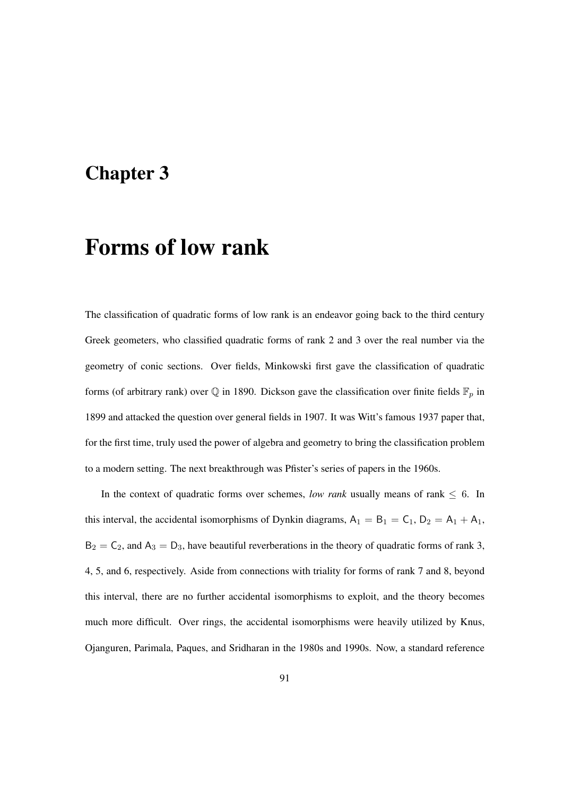# Chapter 3

# Forms of low rank

The classification of quadratic forms of low rank is an endeavor going back to the third century Greek geometers, who classified quadratic forms of rank 2 and 3 over the real number via the geometry of conic sections. Over fields, Minkowski first gave the classification of quadratic forms (of arbitrary rank) over  $\mathbb Q$  in 1890. Dickson gave the classification over finite fields  $\mathbb F_p$  in 1899 and attacked the question over general fields in 1907. It was Witt's famous 1937 paper that, for the first time, truly used the power of algebra and geometry to bring the classification problem to a modern setting. The next breakthrough was Pfister's series of papers in the 1960s.

In the context of quadratic forms over schemes, *low rank* usually means of rank  $\leq 6$ . In this interval, the accidental isomorphisms of Dynkin diagrams,  $A_1 = B_1 = C_1$ ,  $D_2 = A_1 + A_1$ ,  $B_2 = C_2$ , and  $A_3 = D_3$ , have beautiful reverberations in the theory of quadratic forms of rank 3, 4, 5, and 6, respectively. Aside from connections with triality for forms of rank 7 and 8, beyond this interval, there are no further accidental isomorphisms to exploit, and the theory becomes much more difficult. Over rings, the accidental isomorphisms were heavily utilized by Knus, Ojanguren, Parimala, Paques, and Sridharan in the 1980s and 1990s. Now, a standard reference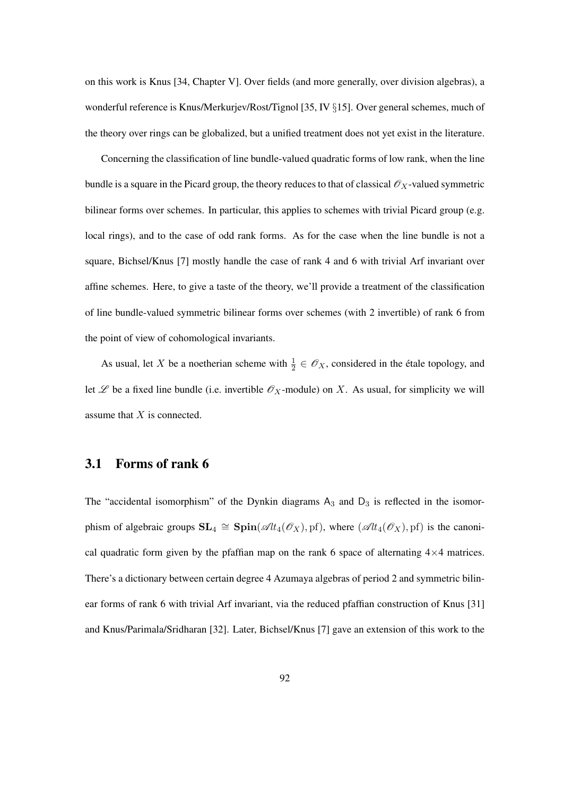on this work is Knus [34, Chapter V]. Over fields (and more generally, over division algebras), a wonderful reference is Knus/Merkurjev/Rost/Tignol [35, IV §15]. Over general schemes, much of the theory over rings can be globalized, but a unified treatment does not yet exist in the literature.

Concerning the classification of line bundle-valued quadratic forms of low rank, when the line bundle is a square in the Picard group, the theory reduces to that of classical  $\mathscr{O}_X$ -valued symmetric bilinear forms over schemes. In particular, this applies to schemes with trivial Picard group (e.g. local rings), and to the case of odd rank forms. As for the case when the line bundle is not a square, Bichsel/Knus [7] mostly handle the case of rank 4 and 6 with trivial Arf invariant over affine schemes. Here, to give a taste of the theory, we'll provide a treatment of the classification of line bundle-valued symmetric bilinear forms over schemes (with 2 invertible) of rank 6 from the point of view of cohomological invariants.

As usual, let X be a noetherian scheme with  $\frac{1}{2} \in \mathcal{O}_X$ , considered in the étale topology, and let  $\mathscr L$  be a fixed line bundle (i.e. invertible  $\mathscr O_X$ -module) on X. As usual, for simplicity we will assume that  $X$  is connected.

# 3.1 Forms of rank 6

The "accidental isomorphism" of the Dynkin diagrams  $A_3$  and  $D_3$  is reflected in the isomorphism of algebraic groups  $SL_4 \cong Spin(\mathscr{A}l_4(\mathscr{O}_X), \text{pf})$ , where  $(\mathscr{A}l_4(\mathscr{O}_X), \text{pf})$  is the canonical quadratic form given by the pfaffian map on the rank 6 space of alternating  $4\times4$  matrices. There's a dictionary between certain degree 4 Azumaya algebras of period 2 and symmetric bilinear forms of rank 6 with trivial Arf invariant, via the reduced pfaffian construction of Knus [31] and Knus/Parimala/Sridharan [32]. Later, Bichsel/Knus [7] gave an extension of this work to the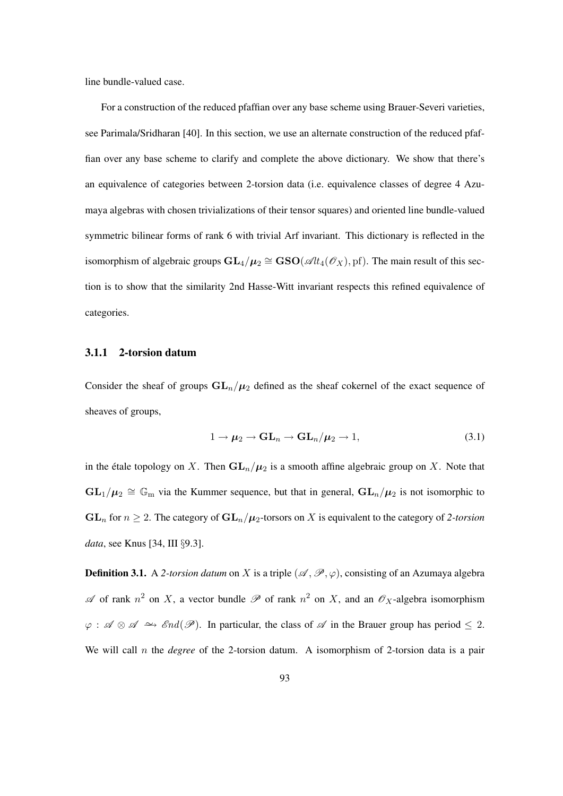line bundle-valued case.

For a construction of the reduced pfaffian over any base scheme using Brauer-Severi varieties, see Parimala/Sridharan [40]. In this section, we use an alternate construction of the reduced pfaffian over any base scheme to clarify and complete the above dictionary. We show that there's an equivalence of categories between 2-torsion data (i.e. equivalence classes of degree 4 Azumaya algebras with chosen trivializations of their tensor squares) and oriented line bundle-valued symmetric bilinear forms of rank 6 with trivial Arf invariant. This dictionary is reflected in the isomorphism of algebraic groups  $GL_4/\mu_2 \cong \mathbf{GSO}(\mathscr{A}\mathit{lt}_4(\mathscr{O}_X), \mathrm{pf})$ . The main result of this section is to show that the similarity 2nd Hasse-Witt invariant respects this refined equivalence of categories.

#### 3.1.1 2-torsion datum

Consider the sheaf of groups  $GL_n/\mu_2$  defined as the sheaf cokernel of the exact sequence of sheaves of groups,

$$
1 \to \mu_2 \to \mathbf{GL}_n \to \mathbf{GL}_n/\mu_2 \to 1,
$$
\n(3.1)

in the étale topology on X. Then  $GL_n/\mu_2$  is a smooth affine algebraic group on X. Note that  $GL_1/\mu_2 \cong \mathbb{G}_m$  via the Kummer sequence, but that in general,  $GL_n/\mu_2$  is not isomorphic to  $GL_n$  for  $n \geq 2$ . The category of  $GL_n/\mu_2$ -torsors on X is equivalent to the category of 2-torsion *data*, see Knus [34, III §9.3].

**Definition 3.1.** A 2-torsion datum on X is a triple  $(\mathcal{A}, \mathcal{P}, \varphi)$ , consisting of an Azumaya algebra  $\mathscr A$  of rank  $n^2$  on X, a vector bundle  $\mathscr P$  of rank  $n^2$  on X, and an  $\mathscr O_X$ -algebra isomorphism  $\varphi$ :  $\mathscr{A} \otimes \mathscr{A} \simeq \mathscr{E}nd(\mathscr{P})$ . In particular, the class of  $\mathscr{A}$  in the Brauer group has period  $\leq 2$ . We will call *n* the *degree* of the 2-torsion datum. A isomorphism of 2-torsion data is a pair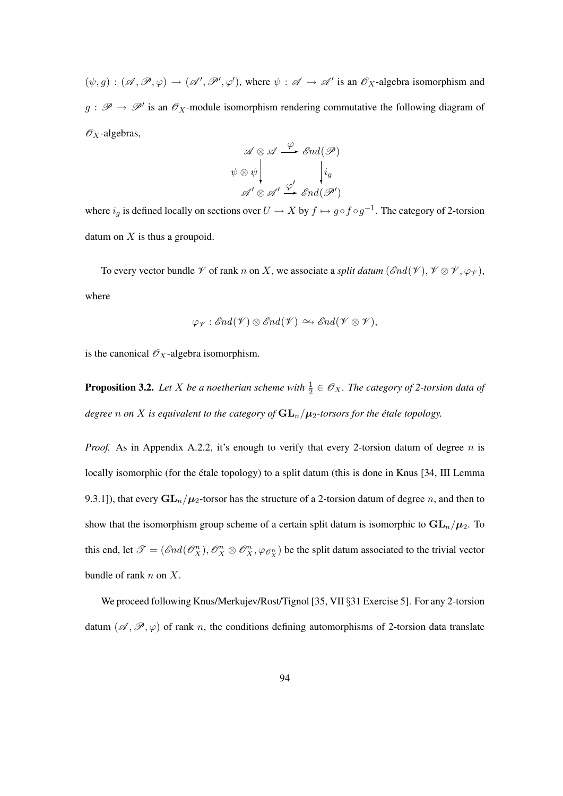$(\psi, g) : (\mathscr{A}, \mathscr{P}, \varphi) \to (\mathscr{A}', \mathscr{P}', \varphi')$ , where  $\psi : \mathscr{A} \to \mathscr{A}'$  is an  $\mathscr{O}_X$ -algebra isomorphism and  $g : \mathscr{P} \to \mathscr{P}'$  is an  $\mathscr{O}_X$ -module isomorphism rendering commutative the following diagram of  $\mathscr{O}_X$ -algebras,

$$
\mathscr{A} \otimes \mathscr{A} \xrightarrow{\varphi} \mathscr{E}nd(\mathscr{P})
$$

$$
\psi \otimes \psi \downarrow \qquad \qquad i_g
$$

$$
\mathscr{A}' \otimes \mathscr{A}' \xrightarrow{\varphi'} \mathscr{E}nd(\mathscr{P}')
$$

where  $i_g$  is defined locally on sections over  $U \to X$  by  $f \mapsto g \circ f \circ g^{-1}$ . The category of 2-torsion datum on  $X$  is thus a groupoid.

To every vector bundle  $\mathscr V$  of rank n on X, we associate a *split datum* ( $\mathscr{E}nd(\mathscr V)$ ,  $\mathscr V \otimes \mathscr V$ ,  $\varphi_{\mathscr V}$ ), where

$$
\varphi_{\mathscr{V}}: \mathscr{E}nd(\mathscr{V}) \otimes \mathscr{E}nd(\mathscr{V}) \simeq \mathscr{E}nd(\mathscr{V} \otimes \mathscr{V}),
$$

is the canonical  $\mathcal{O}_X$ -algebra isomorphism.

**Proposition 3.2.** Let X be a noetherian scheme with  $\frac{1}{2} \in \mathcal{O}_X$ . The category of 2-torsion data of *degree n* on *X* is equivalent to the category of  $GL_n/\mu_2$ -torsors for the étale topology.

*Proof.* As in Appendix A.2.2, it's enough to verify that every 2-torsion datum of degree  $n$  is locally isomorphic (for the étale topology) to a split datum (this is done in Knus [34, III Lemma 9.3.1]), that every  $GL_n/\mu_2$ -torsor has the structure of a 2-torsion datum of degree n, and then to show that the isomorphism group scheme of a certain split datum is isomorphic to  $GL_n/\mu_2$ . To this end, let  $\mathscr{T} = (\mathscr{E}nd(\mathscr{O}_X^n), \mathscr{O}_X^n \otimes \mathscr{O}_X^n, \varphi_{\mathscr{O}_X^n})$  be the split datum associated to the trivial vector bundle of rank  $n$  on  $X$ .

We proceed following Knus/Merkujev/Rost/Tignol [35, VII §31 Exercise 5]. For any 2-torsion datum  $(\mathscr{A}, \mathscr{P}, \varphi)$  of rank n, the conditions defining automorphisms of 2-torsion data translate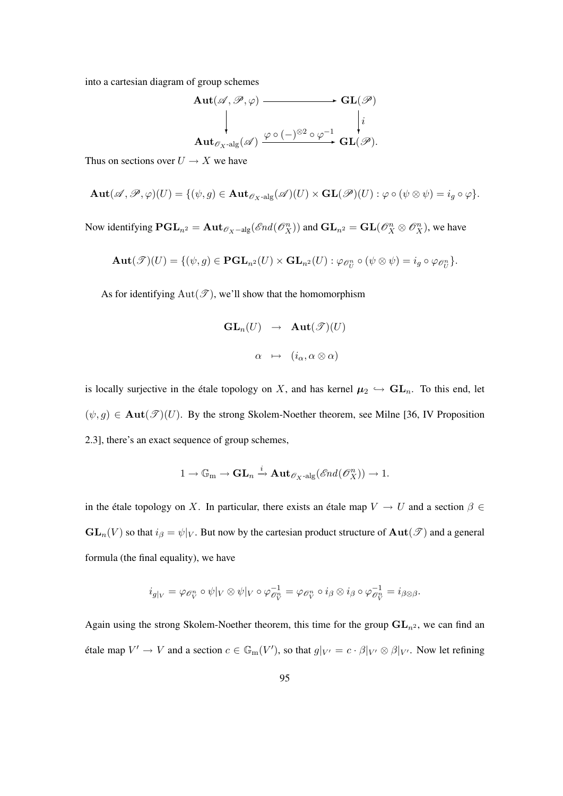into a cartesian diagram of group schemes

$$
\mathbf{Aut}(\mathscr{A}, \mathscr{P}, \varphi) \longrightarrow \mathbf{GL}(\mathscr{P})
$$
\n
$$
\downarrow \qquad \qquad \downarrow i
$$
\n
$$
\mathbf{Aut}_{\mathscr{O}_X\text{-alg}}(\mathscr{A}) \xrightarrow{\varphi \circ (-)^{\otimes 2} \circ \varphi^{-1}} \mathbf{GL}(\mathscr{P}).
$$

Thus on sections over  $U \to X$  we have

$$
\mathbf{Aut}(\mathscr{A},\mathscr{P},\varphi)(U) = \{(\psi,g) \in \mathbf{Aut}_{\mathscr{O}_X\text{-alg}}(\mathscr{A})(U) \times \mathbf{GL}(\mathscr{P})(U) : \varphi \circ (\psi \otimes \psi) = i_g \circ \varphi\}.
$$

Now identifying  $\mathbf{PGL}_{n^2} = \mathbf{Aut}_{\mathscr{O}_X-\text{alg}}(\mathscr{E}nd(\mathscr{O}_X^n))$  and  $\mathbf{GL}_{n^2} = \mathbf{GL}(\mathscr{O}_X^n \otimes \mathscr{O}_X^n)$ , we have

$$
\mathbf{Aut}(\mathscr{T})(U) = \{(\psi, g) \in \mathbf{PGL}_{n^2}(U) \times \mathbf{GL}_{n^2}(U) : \varphi_{\mathscr{O}_U^n} \circ (\psi \otimes \psi) = i_g \circ \varphi_{\mathscr{O}_U^n}\}.
$$

As for identifying  $Aut(\mathcal{T})$ , we'll show that the homomorphism

$$
\begin{array}{rcl} \mathbf{GL}_n(U) & \to & \mathbf{Aut}(\mathscr{T})(U) \\ & & \\ \alpha & \mapsto & (i_\alpha, \alpha \otimes \alpha) \end{array}
$$

is locally surjective in the étale topology on X, and has kernel  $\mu_2 \leftrightarrow GL_n$ . To this end, let  $(\psi, g) \in \text{Aut}(\mathscr{T})(U)$ . By the strong Skolem-Noether theorem, see Milne [36, IV Proposition 2.3], there's an exact sequence of group schemes,

$$
1\rightarrow \mathbb{G}_{\operatorname{m}}\rightarrow \operatorname{\mathbf{GL}}_n\xrightarrow{i} \operatorname{\mathbf{Aut}}_{\mathscr{O}_X\operatorname{-alg}}(\mathscr{E}nd(\mathscr{O}_X^n))\rightarrow 1.
$$

in the étale topology on X. In particular, there exists an étale map  $V \to U$  and a section  $\beta \in$  $GL_n(V)$  so that  $i_\beta = \psi|_V$ . But now by the cartesian product structure of  $Aut(\mathscr{T})$  and a general formula (the final equality), we have

$$
i_{g|_V}=\varphi_{\mathscr{O}_V^n}\circ\psi|_V\otimes\psi|_V\circ\varphi_{\mathscr{O}_V^n}^{-1}=\varphi_{\mathscr{O}_V^n}\circ i_{\beta}\otimes i_{\beta}\circ\varphi_{\mathscr{O}_V^n}^{-1}=i_{\beta\otimes\beta}.
$$

Again using the strong Skolem-Noether theorem, this time for the group  $GL_{n^2}$ , we can find an étale map  $V' \to V$  and a section  $c \in \mathbb{G}_{m}(V')$ , so that  $g|_{V'} = c \cdot \beta|_{V'} \otimes \beta|_{V'}$ . Now let refining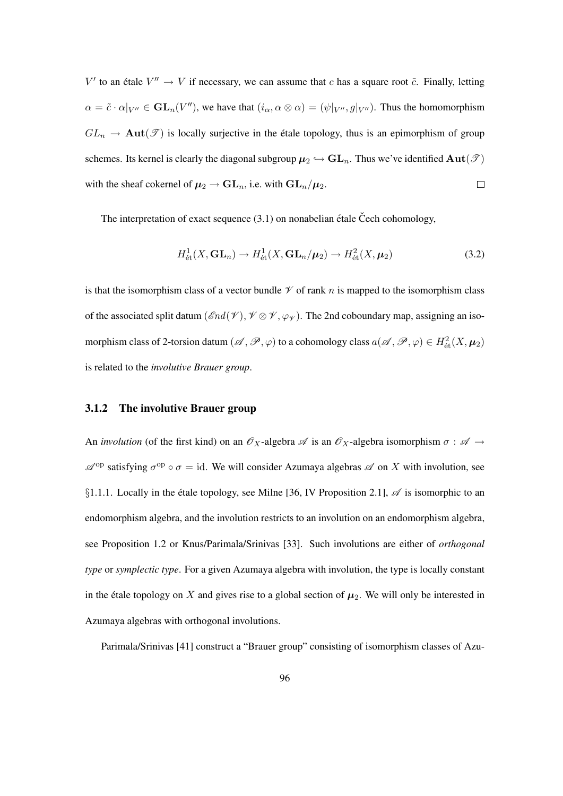$V'$  to an étale  $V'' \to V$  if necessary, we can assume that c has a square root  $\tilde{c}$ . Finally, letting  $\alpha = \tilde{c} \cdot \alpha|_{V''} \in GL_n(V'')$ , we have that  $(i_\alpha, \alpha \otimes \alpha) = (\psi|_{V''}, g|_{V''})$ . Thus the homomorphism  $GL_n \to \text{Aut}(\mathcal{T})$  is locally surjective in the étale topology, thus is an epimorphism of group schemes. Its kernel is clearly the diagonal subgroup  $\mu_2 \hookrightarrow GL_n$ . Thus we've identified  $Aut(\mathcal{T})$ with the sheaf cokernel of  $\mu_2 \to \mathbf{GL}_n$ , i.e. with  $\mathbf{GL}_n/\mu_2$ .  $\Box$ 

The interpretation of exact sequence  $(3.1)$  on nonabelian étale Čech cohomology,

$$
H_{\text{\'et}}^1(X, \text{GL}_n) \to H_{\text{\'et}}^1(X, \text{GL}_n/\mu_2) \to H_{\text{\'et}}^2(X, \mu_2)
$$
\n(3.2)

is that the isomorphism class of a vector bundle  $\mathcal V$  of rank n is mapped to the isomorphism class of the associated split datum ( $\mathscr{E}nd(\mathscr{V})$ ,  $\mathscr{V} \otimes \mathscr{V}$ ,  $\varphi_{\mathscr{V}}$ ). The 2nd coboundary map, assigning an isomorphism class of 2-torsion datum  $(\mathscr{A}, \mathscr{P}, \varphi)$  to a cohomology class  $a(\mathscr{A}, \mathscr{P}, \varphi) \in H^2_{\text{\'{e}t}}(X, \mu_2)$ is related to the *involutive Brauer group*.

# 3.1.2 The involutive Brauer group

An *involution* (of the first kind) on an  $\mathscr{O}_X$ -algebra  $\mathscr{A}$  is an  $\mathscr{O}_X$ -algebra isomorphism  $\sigma : \mathscr{A} \to$  $\mathscr{A}^{op}$  satisfying  $\sigma^{op} \circ \sigma = id$ . We will consider Azumaya algebras  $\mathscr{A}$  on X with involution, see §1.1.1. Locally in the étale topology, see Milne [36, IV Proposition 2.1],  $\mathscr A$  is isomorphic to an endomorphism algebra, and the involution restricts to an involution on an endomorphism algebra, see Proposition 1.2 or Knus/Parimala/Srinivas [33]. Such involutions are either of *orthogonal type* or *symplectic type*. For a given Azumaya algebra with involution, the type is locally constant in the étale topology on X and gives rise to a global section of  $\mu_2$ . We will only be interested in Azumaya algebras with orthogonal involutions.

Parimala/Srinivas [41] construct a "Brauer group" consisting of isomorphism classes of Azu-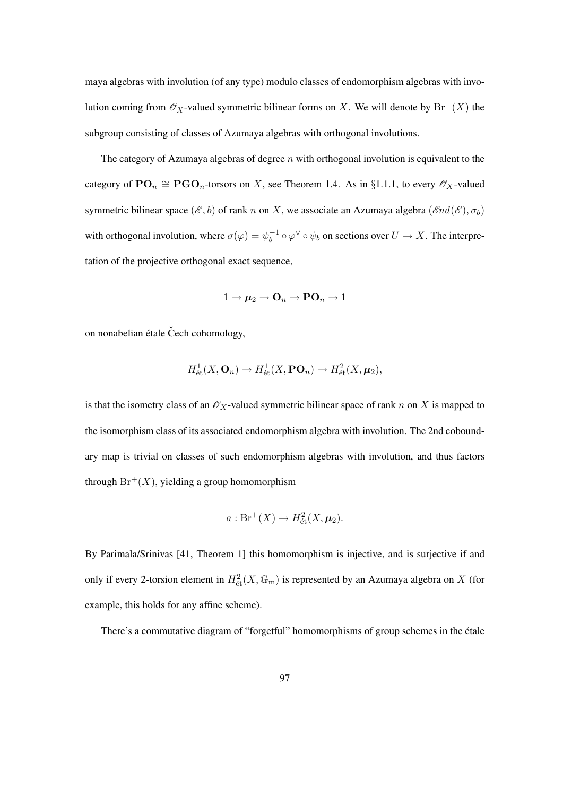maya algebras with involution (of any type) modulo classes of endomorphism algebras with involution coming from  $\mathcal{O}_X$ -valued symmetric bilinear forms on X. We will denote by  $\text{Br}^+(X)$  the subgroup consisting of classes of Azumaya algebras with orthogonal involutions.

The category of Azumaya algebras of degree  $n$  with orthogonal involution is equivalent to the category of  $\mathbf{PO}_n \cong \mathbf{PGO}_n$ -torsors on X, see Theorem 1.4. As in §1.1.1, to every  $\mathscr{O}_X$ -valued symmetric bilinear space  $(\mathscr{E}, b)$  of rank n on X, we associate an Azumaya algebra  $(\mathscr{E}nd(\mathscr{E}), \sigma_b)$ with orthogonal involution, where  $\sigma(\varphi) = \psi_b^{-1}$  $b_b^{-1} \circ \varphi^{\vee} \circ \psi_b$  on sections over  $U \to X$ . The interpretation of the projective orthogonal exact sequence,

$$
1 \to \mu_2 \to \mathbf{O}_n \to \mathbf{PO}_n \to 1
$$

on nonabelian étale Čech cohomology,

$$
H^1_{\text{\'et}}(X, \mathbf{O}_n) \to H^1_{\text{\'et}}(X, \mathbf{PO}_n) \to H^2_{\text{\'et}}(X, \mu_2),
$$

is that the isometry class of an  $\mathcal{O}_X$ -valued symmetric bilinear space of rank n on X is mapped to the isomorphism class of its associated endomorphism algebra with involution. The 2nd coboundary map is trivial on classes of such endomorphism algebras with involution, and thus factors through  $Br^+(X)$ , yielding a group homomorphism

$$
a: \operatorname{Br}^+(X) \to H^2_{\text{\'et}}(X, \mu_2).
$$

By Parimala/Srinivas [41, Theorem 1] this homomorphism is injective, and is surjective if and only if every 2-torsion element in  $H^2_{\text{\'et}}(X,\mathbb{G}_{\mathrm{m}})$  is represented by an Azumaya algebra on X (for example, this holds for any affine scheme).

There's a commutative diagram of "forgetful" homomorphisms of group schemes in the étale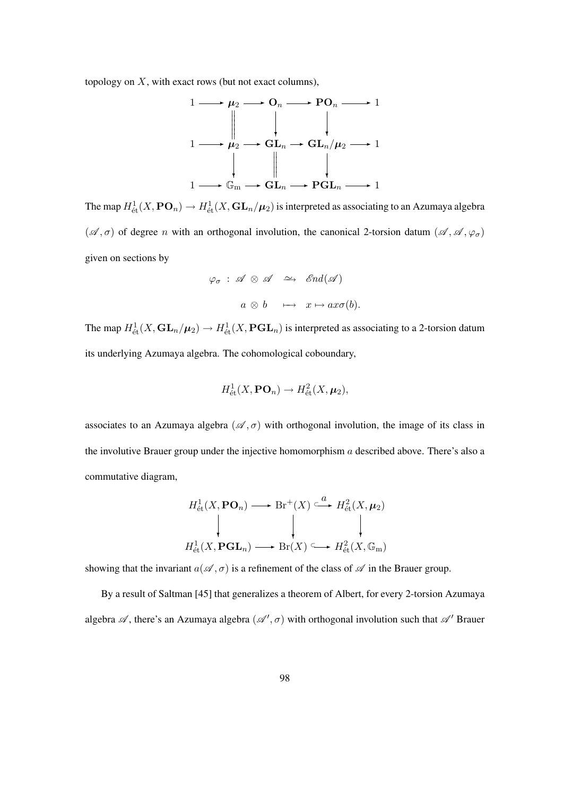topology on  $X$ , with exact rows (but not exact columns),



The map  $H^1_{\text{\'et}}(X,\mathbf{PO}_n)\to H^1_{\text{\'et}}(X,\mathbf{GL}_n/\boldsymbol{\mu}_2)$  is interpreted as associating to an Azumaya algebra  $(\mathscr{A}, \sigma)$  of degree n with an orthogonal involution, the canonical 2-torsion datum  $(\mathscr{A}, \mathscr{A}, \varphi_{\sigma})$ given on sections by

$$
\varphi_{\sigma}: \mathscr{A} \otimes \mathscr{A} \iff \mathscr{E}nd(\mathscr{A})
$$

$$
a \otimes b \quad \longmapsto \ x \mapsto ax\sigma(b).
$$

The map  $H^1_{\text{\'et}}(X,\mathbf{GL}_n/\mu_2)\to H^1_{\text{\'et}}(X,\mathbf{PGL}_n)$  is interpreted as associating to a 2-torsion datum its underlying Azumaya algebra. The cohomological coboundary,

$$
H^1_{\text{\'et}}(X,\mathbf{PO}_n)\to H^2_{\text{\'et}}(X,\boldsymbol{\mu}_2),
$$

associates to an Azumaya algebra  $(\mathscr{A}, \sigma)$  with orthogonal involution, the image of its class in the involutive Brauer group under the injective homomorphism  $\alpha$  described above. There's also a commutative diagram,

$$
H^1_{\text{\'et}}(X, \text{PO}_n) \longrightarrow \text{Br}^+(X) \stackrel{a}{\longrightarrow} H^2_{\text{\'et}}(X, \mu_2)
$$
\n
$$
\downarrow \qquad \qquad \downarrow \qquad \qquad \downarrow
$$
\n
$$
H^1_{\text{\'et}}(X, \text{PGL}_n) \longrightarrow \text{Br}(X) \longrightarrow H^2_{\text{\'et}}(X, \mathbb{G}_m)
$$

showing that the invariant  $a(\mathcal{A}, \sigma)$  is a refinement of the class of  $\mathcal A$  in the Brauer group.

By a result of Saltman [45] that generalizes a theorem of Albert, for every 2-torsion Azumaya algebra  $\mathscr A$ , there's an Azumaya algebra  $(\mathscr A', \sigma)$  with orthogonal involution such that  $\mathscr A'$  Brauer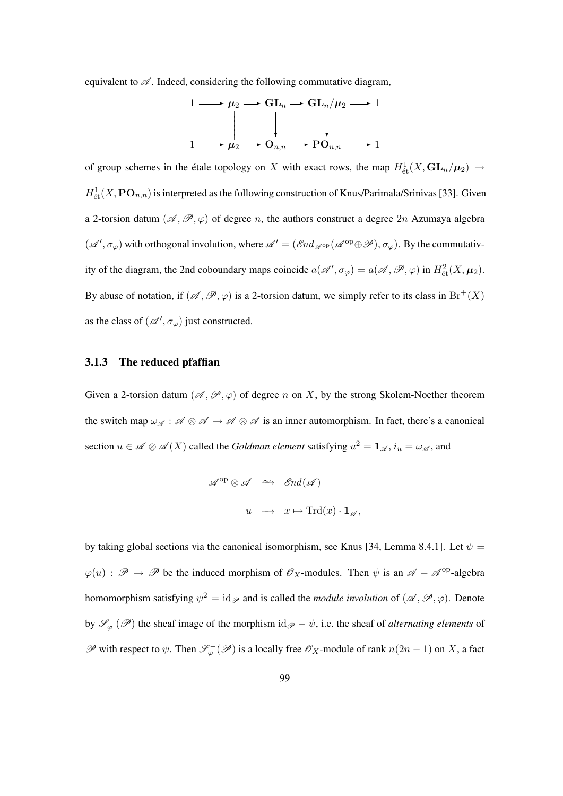equivalent to  $\mathscr A$ . Indeed, considering the following commutative diagram,

$$
1 \longrightarrow \mu_2 \longrightarrow GL_n \longrightarrow GL_n/\mu_2 \longrightarrow 1
$$
  
\n
$$
\downarrow \qquad \qquad \downarrow
$$
  
\n
$$
1 \longrightarrow \mu_2 \longrightarrow O_{n,n} \longrightarrow PO_{n,n} \longrightarrow 1
$$

of group schemes in the étale topology on X with exact rows, the map  $H^1_{\text{\'et}}(X,\mathbf{GL}_n/\mu_2) \to$  $H^1_{\text{\'et}}(X, \textbf{PO}_{n,n})$  is interpreted as the following construction of Knus/Parimala/Srinivas [33]. Given a 2-torsion datum  $(\mathscr{A}, \mathscr{P}, \varphi)$  of degree n, the authors construct a degree  $2n$  Azumaya algebra  $(\mathscr{A}', \sigma_{\varphi})$  with orthogonal involution, where  $\mathscr{A}' = (\mathscr{E}nd_{\mathscr{A}^{op}}(\mathscr{A}^{op} \oplus \mathscr{P}), \sigma_{\varphi})$ . By the commutativity of the diagram, the 2nd coboundary maps coincide  $a(\mathscr{A}', \sigma_{\varphi}) = a(\mathscr{A}, \mathscr{P}, \varphi)$  in  $H^2_{\text{\'{e}t}}(X, \mu_2)$ . By abuse of notation, if  $(\mathscr{A}, \mathscr{P}, \varphi)$  is a 2-torsion datum, we simply refer to its class in  $Br^+(X)$ as the class of  $(\mathscr{A}', \sigma_{\varphi})$  just constructed.

#### 3.1.3 The reduced pfaffian

Given a 2-torsion datum  $(\mathscr{A}, \mathscr{P}, \varphi)$  of degree n on X, by the strong Skolem-Noether theorem the switch map  $\omega_{\mathscr{A}} : \mathscr{A} \otimes \mathscr{A} \to \mathscr{A} \otimes \mathscr{A}$  is an inner automorphism. In fact, there's a canonical section  $u \in \mathscr{A} \otimes \mathscr{A}(X)$  called the *Goldman element* satisfying  $u^2 = \mathbf{1}_{\mathscr{A}}$ ,  $i_u = \omega_{\mathscr{A}}$ , and

$$
\mathscr{A}^{\mathrm{op}} \otimes \mathscr{A} \quad \xrightarrow{\sim} \quad \mathscr{E}nd(\mathscr{A})
$$

$$
u \quad \longmapsto \quad x \mapsto \mathrm{Trd}(x) \cdot \mathbf{1}_{\mathscr{A}},
$$

by taking global sections via the canonical isomorphism, see Knus [34, Lemma 8.4.1]. Let  $\psi =$  $\varphi(u) : \mathscr{P} \to \mathscr{P}$  be the induced morphism of  $\mathscr{O}_X$ -modules. Then  $\psi$  is an  $\mathscr{A} - \mathscr{A}^{\text{op}}$ -algebra homomorphism satisfying  $\psi^2 = id_{\mathscr{P}}$  and is called the *module involution* of  $(\mathscr{A}, \mathscr{P}, \varphi)$ . Denote by  $\mathscr{S}_{\varphi}^-(\mathscr{P})$  the sheaf image of the morphism id $\mathscr{P} - \psi$ , i.e. the sheaf of *alternating elements* of  $\mathscr P$  with respect to  $\psi$ . Then  $\mathscr S_{\varphi}^-(\mathscr P)$  is a locally free  $\mathscr O_X$ -module of rank  $n(2n-1)$  on X, a fact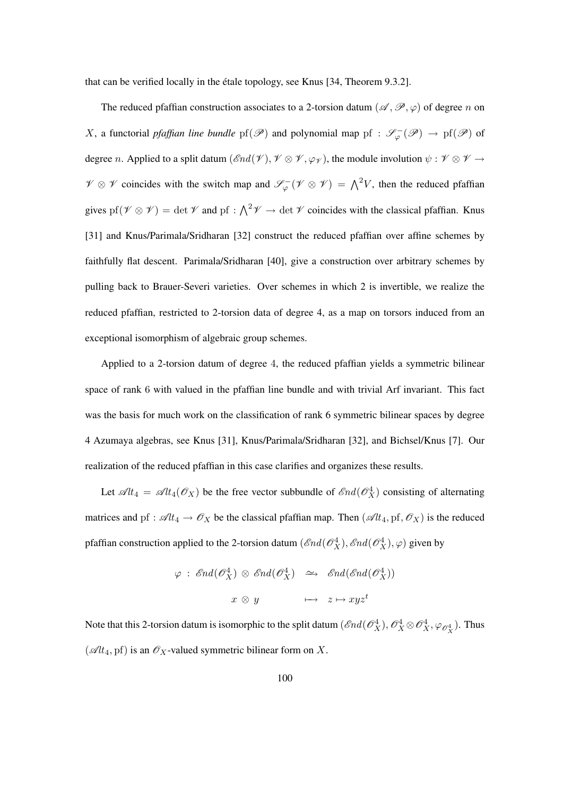that can be verified locally in the étale topology, see Knus [34, Theorem 9.3.2].

The reduced pfaffian construction associates to a 2-torsion datum ( $\mathscr{A}, \mathscr{P}, \varphi$ ) of degree n on X, a functorial *pfaffian line bundle*  $pf(\mathscr{P})$  and polynomial map  $pf : \mathscr{S}_{\varphi}(\mathscr{P}) \to pf(\mathscr{P})$  of degree n. Applied to a split datum  $(\mathcal{E}nd(\mathcal{V}), \mathcal{V} \otimes \mathcal{V}, \varphi_{\mathcal{V}})$ , the module involution  $\psi : \mathcal{V} \otimes \mathcal{V} \to$  $\mathscr{V} \otimes \mathscr{V}$  coincides with the switch map and  $\mathscr{S}^{-}_{\varphi}(\mathscr{V} \otimes \mathscr{V}) = \bigwedge^2 V$ , then the reduced pfaffian gives pf( $\mathcal{V} \otimes \mathcal{V}$ ) = det  $\mathcal{V}$  and pf :  $\bigwedge^2 \mathcal{V} \to$  det  $\mathcal{V}$  coincides with the classical pfaffian. Knus [31] and Knus/Parimala/Sridharan [32] construct the reduced pfaffian over affine schemes by faithfully flat descent. Parimala/Sridharan [40], give a construction over arbitrary schemes by pulling back to Brauer-Severi varieties. Over schemes in which 2 is invertible, we realize the reduced pfaffian, restricted to 2-torsion data of degree 4, as a map on torsors induced from an exceptional isomorphism of algebraic group schemes.

Applied to a 2-torsion datum of degree 4, the reduced pfaffian yields a symmetric bilinear space of rank 6 with valued in the pfaffian line bundle and with trivial Arf invariant. This fact was the basis for much work on the classification of rank 6 symmetric bilinear spaces by degree 4 Azumaya algebras, see Knus [31], Knus/Parimala/Sridharan [32], and Bichsel/Knus [7]. Our realization of the reduced pfaffian in this case clarifies and organizes these results.

Let  $\mathscr{A}lt_4 = \mathscr{A}lt_4(\mathscr{O}_X)$  be the free vector subbundle of  $\mathscr{E}nd(\mathscr{O}_X^4)$  consisting of alternating matrices and pf :  $\mathscr{A}lt_4 \to \mathscr{O}_X$  be the classical pfaffian map. Then  $(\mathscr{A}lt_4, \mathrm{pf}, \mathscr{O}_X)$  is the reduced pfaffian construction applied to the 2-torsion datum  $(\mathscr{E}nd(\mathscr{O}_X^4), \mathscr{E}nd(\mathscr{O}_X^4), \varphi)$  given by

$$
\varphi : \operatorname{End}(\mathscr{O}_X^4) \otimes \operatorname{End}(\mathscr{O}_X^4) \ \ \simeq \ \ \operatorname{End}(\operatorname{End}(\mathscr{O}_X^4))
$$
\n
$$
x \otimes y \ \ \ \longmapsto \ \ z \mapsto xyz^t
$$

Note that this 2-torsion datum is isomorphic to the split datum  $(\mathcal{E}nd(\mathcal{O}_X^4), \mathcal{O}_X^4 \otimes \mathcal{O}_X^4, \varphi_{\mathcal{O}_X^4})$ . Thus ( $\mathscr{A}lt_4$ , pf) is an  $\mathscr{O}_X$ -valued symmetric bilinear form on X.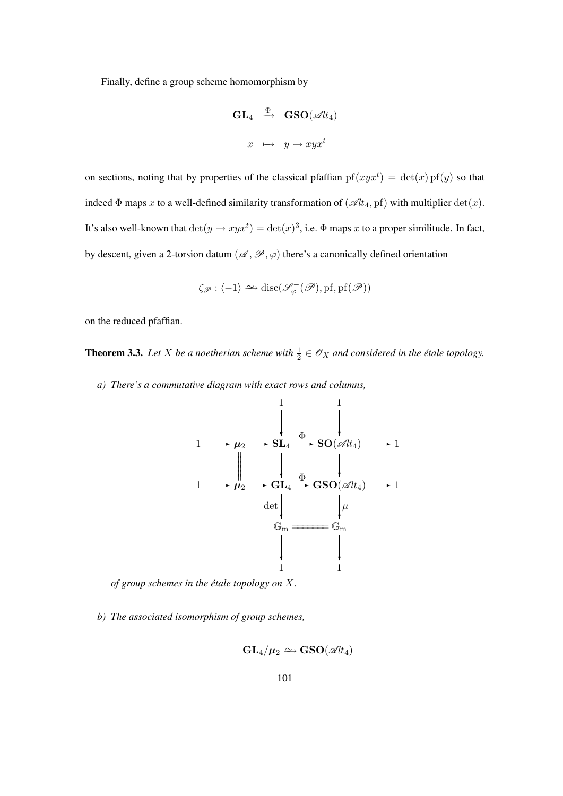Finally, define a group scheme homomorphism by

$$
\begin{array}{rcl}\n\mathbf{GL}_4 & \xrightarrow{\Phi} & \mathbf{GSO}(\mathscr{A}l t_4) \\
x & \mapsto & y \mapsto xyx^t\n\end{array}
$$

on sections, noting that by properties of the classical pfaffian  $pf(xyx^t) = det(x)pf(y)$  so that indeed  $\Phi$  maps x to a well-defined similarity transformation of  $(\mathscr{A}lt_4, \text{pf})$  with multiplier  $\det(x)$ . It's also well-known that  $\det(y \mapsto xyx^t) = \det(x)^3$ , i.e.  $\Phi$  maps x to a proper similitude. In fact, by descent, given a 2-torsion datum  $(\mathscr{A}, \mathscr{P}, \varphi)$  there's a canonically defined orientation

$$
\zeta_{\mathscr{P}} : \langle -1 \rangle \simeq \mathrm{disc}(\mathscr{S}_{\varphi}^{-}(\mathscr{P}), \mathrm{pf}, \mathrm{pf}(\mathscr{P}))
$$

on the reduced pfaffian.

**Theorem 3.3.** Let X be a noetherian scheme with  $\frac{1}{2} \in \mathscr{O}_X$  and considered in the étale topology.

*a) There's a commutative diagram with exact rows and columns,*



*of group schemes in the etale topology on ´* X*.*

*b) The associated isomorphism of group schemes,*

$$
\mathbf{GL}_4/\mu_2 \simeq \mathbf{GSO}(\mathscr{A}l t_4)
$$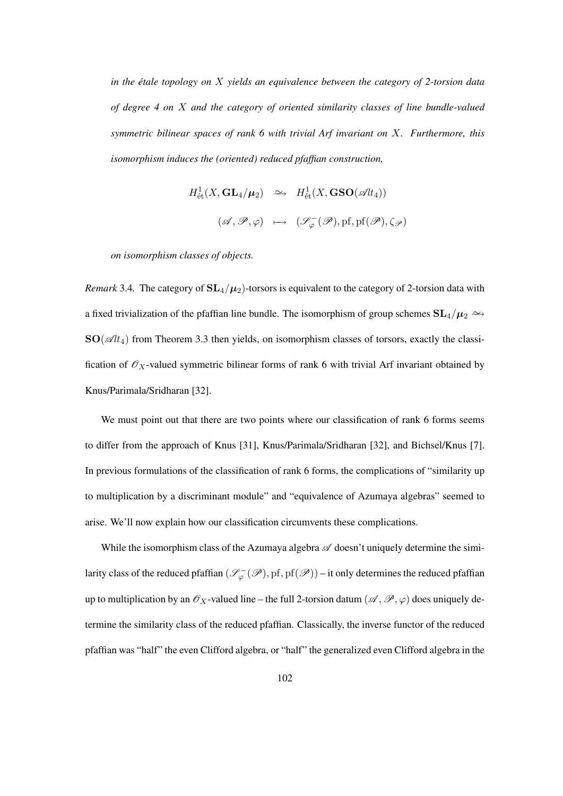*in the etale topology on ´* X *yields an equivalence between the category of 2-torsion data of degree 4 on* X *and the category of oriented similarity classes of line bundle-valued symmetric bilinear spaces of rank 6 with trivial Arf invariant on* X*. Furthermore, this isomorphism induces the (oriented) reduced pfaffian construction,*

$$
H^1_{\text{\'et}}(X,\mathbf{GL}_4/\mu_2) \quad \simeq \quad H^1_{\text{\'et}}(X,\mathbf{GSO}(\mathscr{A}l t_4))
$$

$$
(\mathscr{A},\mathscr{P},\varphi) \quad \mapsto \quad (\mathscr{S}_{\varphi}^-(\mathscr{P}),\mathrm{pf},\mathrm{pf}(\mathscr{P}),\zeta_{\mathscr{P}})
$$

*on isomorphism classes of objects.*

*Remark* 3.4. The category of  $SL_4(\mu_2)$ -torsors is equivalent to the category of 2-torsion data with a fixed trivialization of the pfaffian line bundle. The isomorphism of group schemes  $SL_4/\mu_2 \rightarrow$  $SO(\mathscr{A}l t_4)$  from Theorem 3.3 then yields, on isomorphism classes of torsors, exactly the classification of  $\mathcal{O}_X$ -valued symmetric bilinear forms of rank 6 with trivial Arf invariant obtained by Knus/Parimala/Sridharan [32].

We must point out that there are two points where our classification of rank 6 forms seems to differ from the approach of Knus [31], Knus/Parimala/Sridharan [32], and Bichsel/Knus [7]. In previous formulations of the classification of rank 6 forms, the complications of "similarity up to multiplication by a discriminant module" and "equivalence of Azumaya algebras" seemed to arise. We'll now explain how our classification circumvents these complications.

While the isomorphism class of the Azumaya algebra  $\mathscr A$  doesn't uniquely determine the similarity class of the reduced pfaffian  $(\mathscr{S}^{-}_{\varphi}(\mathscr{P}),$  pf, pf $(\mathscr{P}))$  – it only determines the reduced pfaffian up to multiplication by an  $\mathscr{O}_X$ -valued line – the full 2-torsion datum  $(\mathscr{A}, \mathscr{P}, \varphi)$  does uniquely determine the similarity class of the reduced pfaffian. Classically, the inverse functor of the reduced pfaffian was "half" the even Clifford algebra, or "half" the generalized even Clifford algebra in the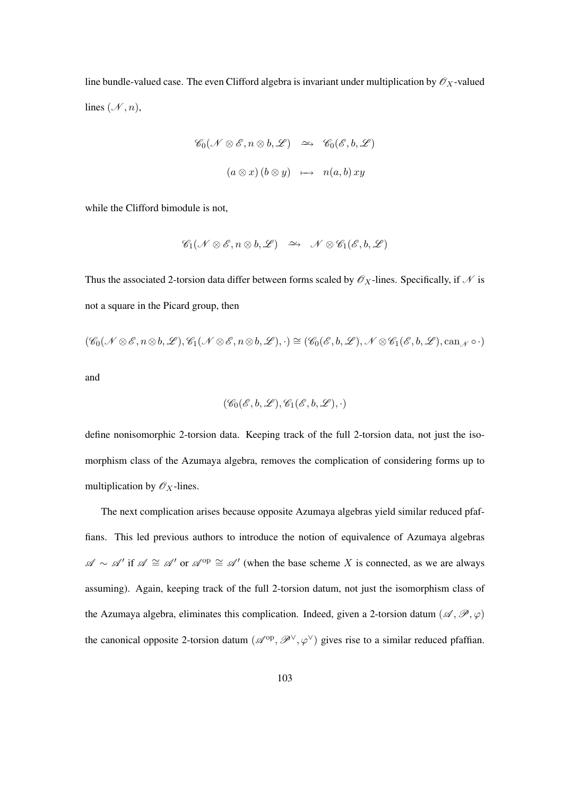line bundle-valued case. The even Clifford algebra is invariant under multiplication by  $\mathscr{O}_X$ -valued lines  $(\mathcal{N}, n)$ ,

$$
\mathscr{C}_0(\mathscr{N} \otimes \mathscr{E}, n \otimes b, \mathscr{L}) \quad \simeq \quad \mathscr{C}_0(\mathscr{E}, b, \mathscr{L})
$$

$$
(a \otimes x) (b \otimes y) \quad \mapsto \quad n(a, b) \, xy
$$

while the Clifford bimodule is not,

$$
\mathscr{C}_1(\mathscr{N}\otimes\mathscr{E}, n\otimes b, \mathscr{L}) \quad \simeq \quad \mathscr{N}\otimes\mathscr{C}_1(\mathscr{E}, b, \mathscr{L})
$$

Thus the associated 2-torsion data differ between forms scaled by  $\mathcal{O}_X$ -lines. Specifically, if  $\mathcal N$  is not a square in the Picard group, then

$$
(\mathscr{C}_0(\mathscr{N}\otimes\mathscr{E}, n\otimes b, \mathscr{L}), \mathscr{C}_1(\mathscr{N}\otimes\mathscr{E}, n\otimes b, \mathscr{L}), \cdot)\cong (\mathscr{C}_0(\mathscr{E}, b, \mathscr{L}), \mathscr{N}\otimes\mathscr{C}_1(\mathscr{E}, b, \mathscr{L}), \mathrm{can}_{\mathscr{N}}\circ\cdot)
$$

and

$$
(\mathscr{C}_0(\mathscr{E}, b, \mathscr{L}), \mathscr{C}_1(\mathscr{E}, b, \mathscr{L}), \cdot)
$$

define nonisomorphic 2-torsion data. Keeping track of the full 2-torsion data, not just the isomorphism class of the Azumaya algebra, removes the complication of considering forms up to multiplication by  $\mathscr{O}_X$ -lines.

The next complication arises because opposite Azumaya algebras yield similar reduced pfaffians. This led previous authors to introduce the notion of equivalence of Azumaya algebras  $\mathscr{A} \sim \mathscr{A}'$  if  $\mathscr{A} \cong \mathscr{A}'$  or  $\mathscr{A}^{op} \cong \mathscr{A}'$  (when the base scheme X is connected, as we are always assuming). Again, keeping track of the full 2-torsion datum, not just the isomorphism class of the Azumaya algebra, eliminates this complication. Indeed, given a 2-torsion datum ( $\mathscr{A}, \mathscr{P}, \varphi$ ) the canonical opposite 2-torsion datum  $(\mathscr{A}^{op}, \mathscr{P}^{\vee}, \varphi^{\vee})$  gives rise to a similar reduced pfaffian.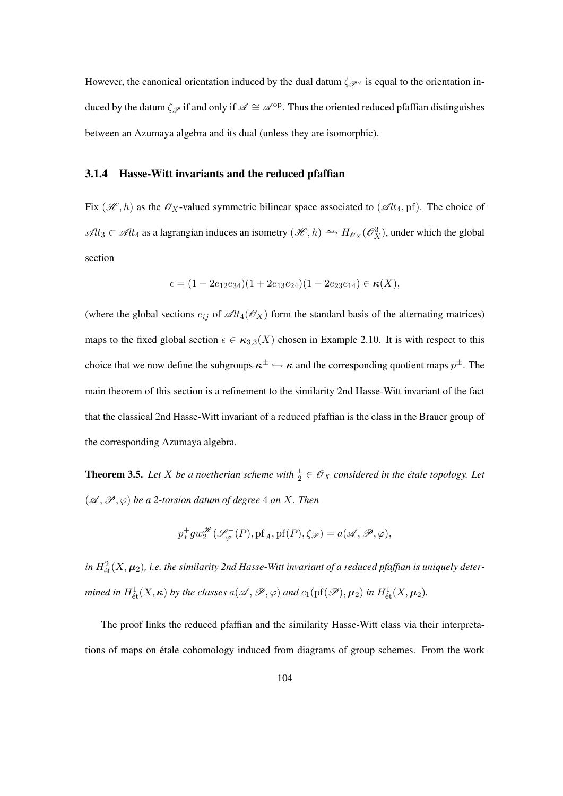However, the canonical orientation induced by the dual datum  $\zeta_{\mathscr{P}}\vee$  is equal to the orientation induced by the datum  $\zeta_{\mathscr{P}}$  if and only if  $\mathscr{A} \cong \mathscr{A}^{op}$ . Thus the oriented reduced pfaffian distinguishes between an Azumaya algebra and its dual (unless they are isomorphic).

#### 3.1.4 Hasse-Witt invariants and the reduced pfaffian

Fix  $(\mathcal{H}, h)$  as the  $\mathcal{O}_X$ -valued symmetric bilinear space associated to  $(\mathcal{A}t_4, \text{pf})$ . The choice of  $\mathscr{A}lt_3$  ⊂  $\mathscr{A}lt_4$  as a lagrangian induces an isometry  $(\mathscr{H}, h) \hookrightarrow H_{\mathscr{O}_X}(\mathscr{O}_X^3)$ , under which the global section

$$
\epsilon = (1 - 2e_{12}e_{34})(1 + 2e_{13}e_{24})(1 - 2e_{23}e_{14}) \in \kappa(X),
$$

(where the global sections  $e_{ij}$  of  $\mathscr{A}lt_4(\mathscr{O}_X)$  form the standard basis of the alternating matrices) maps to the fixed global section  $\epsilon \in \kappa_{3,3}(X)$  chosen in Example 2.10. It is with respect to this choice that we now define the subgroups  $\kappa^{\pm} \hookrightarrow \kappa$  and the corresponding quotient maps  $p^{\pm}$ . The main theorem of this section is a refinement to the similarity 2nd Hasse-Witt invariant of the fact that the classical 2nd Hasse-Witt invariant of a reduced pfaffian is the class in the Brauer group of the corresponding Azumaya algebra.

**Theorem 3.5.** Let X be a noetherian scheme with  $\frac{1}{2} \in \mathscr{O}_X$  considered in the étale topology. Let  $({\mathscr A},{\mathscr P},{\varphi})$  *be a 2-torsion datum of degree* 4 *on* X. Then

$$
p_*^+ gw_2^{\mathscr{H}}(\mathscr{S}_{\varphi}^{-}(P),\mathrm{pf}_A,\mathrm{pf}(P),\zeta_{\mathscr{P}})=a(\mathscr{A},\mathscr{P},\varphi),
$$

in  $H^2_{{\textup{'et}}}(X,\bm\mu_2)$ , i.e. the similarity 2nd Hasse-Witt invariant of a reduced pfaffian is uniquely deter*mined in*  $H^1_{\text{\'et}}(X,\kappa)$  *by the classes*  $a(\mathscr{A}, \mathscr{P}, \varphi)$  *and*  $c_1(\text{pf}(\mathscr{P}), \mu_2)$  *in*  $H^1_{\text{\'et}}(X,\mu_2)$ *.* 

The proof links the reduced pfaffian and the similarity Hasse-Witt class via their interpretations of maps on étale cohomology induced from diagrams of group schemes. From the work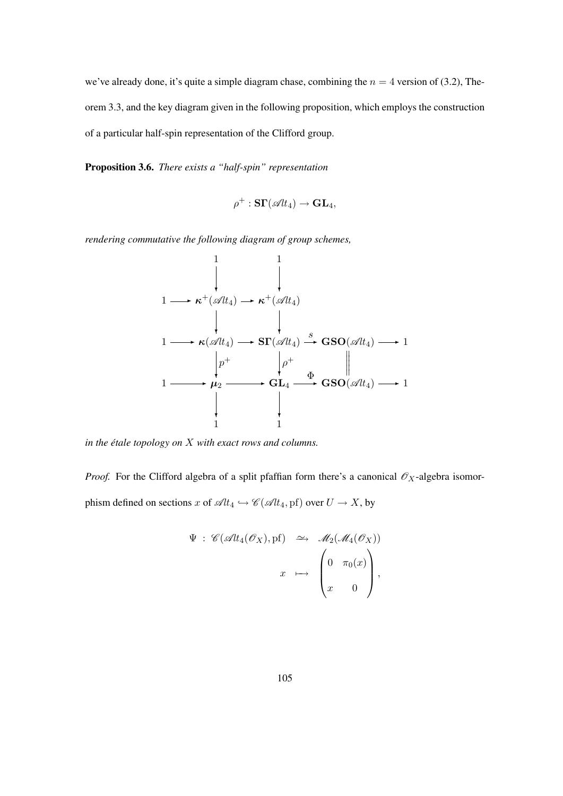we've already done, it's quite a simple diagram chase, combining the  $n = 4$  version of (3.2), Theorem 3.3, and the key diagram given in the following proposition, which employs the construction of a particular half-spin representation of the Clifford group.

Proposition 3.6. *There exists a "half-spin" representation*

$$
\rho^+:\mathbf{S}\mathbf{\Gamma}(\mathscr{A}l t_4)\to\mathbf{GL}_4,
$$

*rendering commutative the following diagram of group schemes,*

$$
\begin{array}{ccc}\n & 1 & 1 \\
 & \downarrow & \downarrow \\
1 & \longrightarrow \kappa^+(\mathscr{A}lt_4) \longrightarrow \kappa^+(\mathscr{A}lt_4) \\
 & \downarrow & \downarrow \\
1 & \longrightarrow \kappa(\mathscr{A}lt_4) \longrightarrow \text{ST}(\mathscr{A}lt_4) \longrightarrow \text{GSO}(\mathscr{A}lt_4) \longrightarrow 1 \\
 & \downarrow p^+ & \downarrow p^+ & \downarrow \\
1 & \longrightarrow \mu_2 \longrightarrow \text{GL}_4 \longrightarrow \text{GSO}(\mathscr{A}lt_4) \longrightarrow 1 \\
 & \downarrow & \downarrow & \downarrow \\
1 & 1 & 1\n\end{array}
$$

*in the étale topology on X with exact rows and columns.* 

*Proof.* For the Clifford algebra of a split pfaffian form there's a canonical  $\mathcal{O}_X$ -algebra isomorphism defined on sections x of  $\mathscr{A}lt_4 \hookrightarrow \mathscr{C}(\mathscr{A}lt_4, \mathrm{pf})$  over  $U \to X$ , by

$$
\Psi : \mathscr{C}(\mathscr{A}\mathit{lt}_4(\mathscr{O}_X), \mathrm{pf}) \longrightarrow \mathscr{M}_2(\mathscr{M}_4(\mathscr{O}_X))
$$

$$
x \longmapsto \begin{pmatrix} 0 & \pi_0(x) \\ x & 0 \end{pmatrix},
$$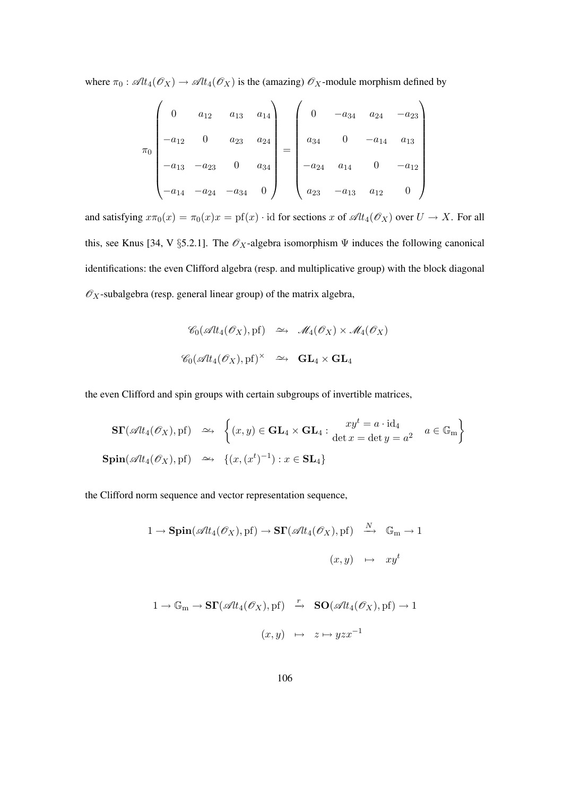where  $\pi_0$ :  $\mathscr{A}lt_4(\mathscr{O}_X) \to \mathscr{A}lt_4(\mathscr{O}_X)$  is the (amazing)  $\mathscr{O}_X$ -module morphism defined by

$$
\pi_0 \begin{pmatrix}\n0 & a_{12} & a_{13} & a_{14} \\
-a_{12} & 0 & a_{23} & a_{24} \\
-a_{13} & -a_{23} & 0 & a_{34} \\
-a_{14} & -a_{24} & -a_{34} & 0\n\end{pmatrix} = \begin{pmatrix}\n0 & -a_{34} & a_{24} & -a_{23} \\
a_{34} & 0 & -a_{14} & a_{13} \\
-a_{24} & a_{14} & 0 & -a_{12} \\
a_{23} & -a_{13} & a_{12} & 0\n\end{pmatrix}
$$

and satisfying  $x\pi_0(x) = \pi_0(x)x = \text{pf}(x) \cdot \text{id}$  for sections x of  $\mathscr{A}lt_4(\mathscr{O}_X)$  over  $U \to X$ . For all this, see Knus [34, V §5.2.1]. The  $\mathscr{O}_X$ -algebra isomorphism  $\Psi$  induces the following canonical identifications: the even Clifford algebra (resp. and multiplicative group) with the block diagonal  $\mathscr{O}_X$ -subalgebra (resp. general linear group) of the matrix algebra,

$$
\mathscr{C}_0(\mathscr{A}lt_4(\mathscr{O}_X), \mathrm{pf}) \quad \simeq \quad \mathscr{M}_4(\mathscr{O}_X) \times \mathscr{M}_4(\mathscr{O}_X)
$$
  

$$
\mathscr{C}_0(\mathscr{A}lt_4(\mathscr{O}_X), \mathrm{pf})^{\times} \quad \simeq \quad \mathbf{GL}_4 \times \mathbf{GL}_4
$$

the even Clifford and spin groups with certain subgroups of invertible matrices,

$$
\begin{aligned}\n\mathbf{S}\mathbf{\Gamma}(\mathscr{A}tt_4(\mathscr{O}_X), \mathrm{pf}) &\xrightarrow{\sim} \left\{ (x, y) \in \mathbf{GL}_4 \times \mathbf{GL}_4 : \begin{aligned}\nxy^t &= a \cdot \mathrm{id}_4 \\
\det x &= \det y = a^2\n\end{aligned}\right.\n\end{aligned}
$$
\n
$$
\begin{aligned}\n\mathbf{Spin}(\mathscr{A}tt_4(\mathscr{O}_X), \mathrm{pf}) &\xrightarrow{\sim} \left\{ (x, (x^t)^{-1}) : x \in \mathbf{SL}_4 \right\}\n\end{aligned}
$$

the Clifford norm sequence and vector representation sequence,

$$
1 \to \mathbf{Spin}(\mathscr{A}lt_4(\mathscr{O}_X), \mathrm{pf}) \to \mathbf{ST}(\mathscr{A}lt_4(\mathscr{O}_X), \mathrm{pf}) \stackrel{N}{\longrightarrow} \mathbb{G}_m \to 1
$$

$$
(x, y) \mapsto xy^t
$$

$$
1 \to \mathbb{G}_{m} \to \mathbf{ST}(\mathscr{A}lt_{4}(\mathscr{O}_{X}), \mathrm{pf}) \stackrel{r}{\to} \mathbf{SO}(\mathscr{A}lt_{4}(\mathscr{O}_{X}), \mathrm{pf}) \to 1
$$

$$
(x, y) \mapsto z \mapsto yzx^{-1}
$$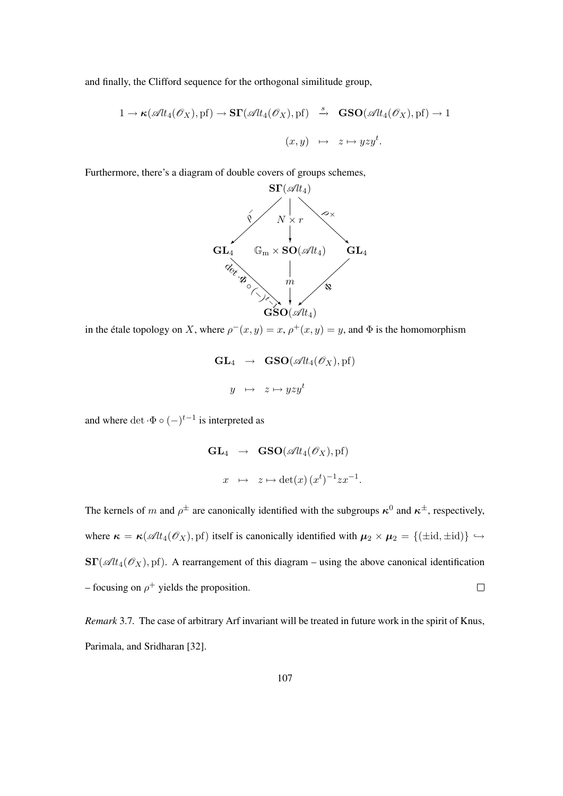and finally, the Clifford sequence for the orthogonal similitude group,

$$
1 \to \kappa(\mathscr{A}lt_4(\mathscr{O}_X), \mathrm{pf}) \to \mathbf{ST}(\mathscr{A}lt_4(\mathscr{O}_X), \mathrm{pf}) \stackrel{s}{\to} \mathbf{GSO}(\mathscr{A}lt_4(\mathscr{O}_X), \mathrm{pf}) \to 1
$$

$$
(x, y) \mapsto z \mapsto yzy^t.
$$

Furthermore, there's a diagram of double covers of groups schemes,



in the étale topology on X, where  $\rho^-(x, y) = x$ ,  $\rho^+(x, y) = y$ , and  $\Phi$  is the homomorphism

$$
\mathbf{GL}_4 \rightarrow \mathbf{GSO}(\mathscr{A}lt_4(\mathscr{O}_X), \mathrm{pf})
$$

$$
y \mapsto z \mapsto yzy^t
$$

and where det  $\cdot \Phi \circ (-)^{t-1}$  is interpreted as

$$
\mathbf{GL}_4 \rightarrow \mathbf{GSO}(\mathscr{A}lt_4(\mathscr{O}_X), \mathrm{pf})
$$

$$
x \mapsto z \mapsto \det(x) (x^t)^{-1} z x^{-1}
$$

.

The kernels of m and  $\rho^{\pm}$  are canonically identified with the subgroups  $\kappa^0$  and  $\kappa^{\pm}$ , respectively, where  $\kappa = \kappa(\mathscr{A}tt_4(\mathscr{O}_X), \text{pf})$  itself is canonically identified with  $\mu_2 \times \mu_2 = \{(\pm \text{id}, \pm \text{id})\} \hookrightarrow$  $\mathbf{ST}(\mathscr{A}lt_4(\mathscr{O}_X), \mathrm{pf})$ . A rearrangement of this diagram – using the above canonical identification – focusing on  $\rho^+$  yields the proposition.  $\Box$ 

*Remark* 3.7*.* The case of arbitrary Arf invariant will be treated in future work in the spirit of Knus, Parimala, and Sridharan [32].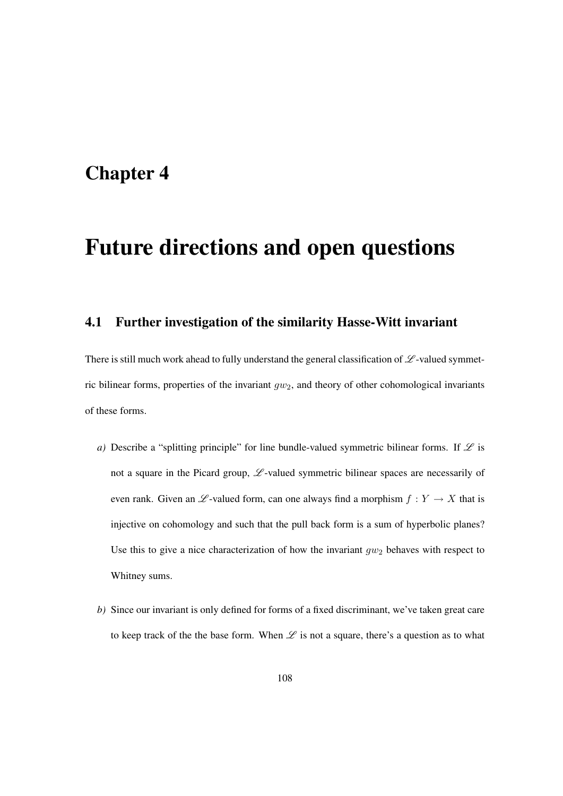### Chapter 4

# Future directions and open questions

#### 4.1 Further investigation of the similarity Hasse-Witt invariant

There is still much work ahead to fully understand the general classification of  $\mathscr L$ -valued symmetric bilinear forms, properties of the invariant  $qw_2$ , and theory of other cohomological invariants of these forms.

- *a*) Describe a "splitting principle" for line bundle-valued symmetric bilinear forms. If  $\mathscr L$  is not a square in the Picard group,  $\mathscr{L}$ -valued symmetric bilinear spaces are necessarily of even rank. Given an  $\mathscr{L}$ -valued form, can one always find a morphism  $f : Y \to X$  that is injective on cohomology and such that the pull back form is a sum of hyperbolic planes? Use this to give a nice characterization of how the invariant  $gw_2$  behaves with respect to Whitney sums.
- *b)* Since our invariant is only defined for forms of a fixed discriminant, we've taken great care to keep track of the the base form. When  $\mathscr L$  is not a square, there's a question as to what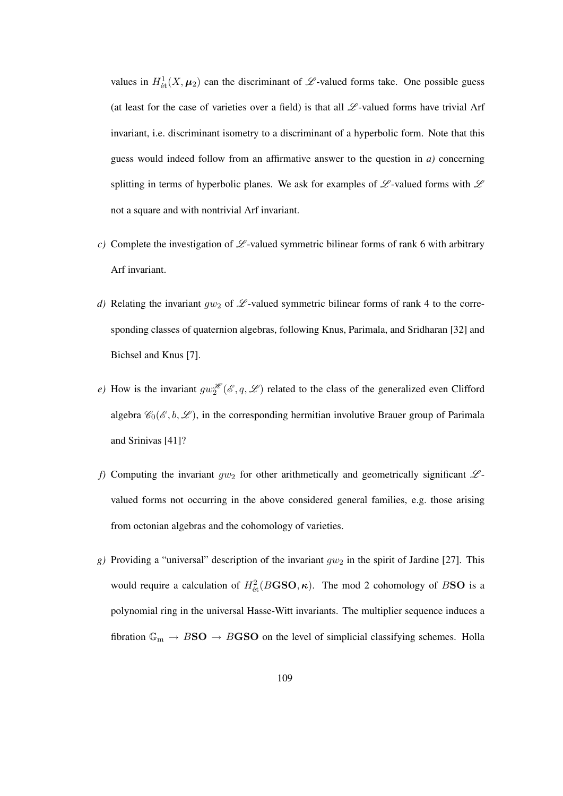values in  $H^1_{\text{\'et}}(X, \mu_2)$  can the discriminant of  $\mathscr L$ -valued forms take. One possible guess (at least for the case of varieties over a field) is that all  $\mathscr L$ -valued forms have trivial Arf invariant, i.e. discriminant isometry to a discriminant of a hyperbolic form. Note that this guess would indeed follow from an affirmative answer to the question in *a)* concerning splitting in terms of hyperbolic planes. We ask for examples of  $\mathscr{L}$ -valued forms with  $\mathscr{L}$ not a square and with nontrivial Arf invariant.

- *c)* Complete the investigation of  $\mathscr{L}$ -valued symmetric bilinear forms of rank 6 with arbitrary Arf invariant.
- *d)* Relating the invariant  $gw_2$  of  $\mathscr{L}$ -valued symmetric bilinear forms of rank 4 to the corresponding classes of quaternion algebras, following Knus, Parimala, and Sridharan [32] and Bichsel and Knus [7].
- *e*) How is the invariant  $gw_2^{\mathscr{H}}(\mathscr{E}, q, \mathscr{L})$  related to the class of the generalized even Clifford algebra  $\mathscr{C}_0(\mathscr{E}, b, \mathscr{L})$ , in the corresponding hermitian involutive Brauer group of Parimala and Srinivas [41]?
- *f)* Computing the invariant  $gw_2$  for other arithmetically and geometrically significant  $\mathscr{L}$ valued forms not occurring in the above considered general families, e.g. those arising from octonian algebras and the cohomology of varieties.
- *g*) Providing a "universal" description of the invariant  $gw_2$  in the spirit of Jardine [27]. This would require a calculation of  $H^2_{\text{\'et}}(B\text{GSO},\kappa)$ . The mod 2 cohomology of BSO is a polynomial ring in the universal Hasse-Witt invariants. The multiplier sequence induces a fibration  $\mathbb{G}_{m} \to B\mathbf{SO} \to B\mathbf{G}\mathbf{SO}$  on the level of simplicial classifying schemes. Holla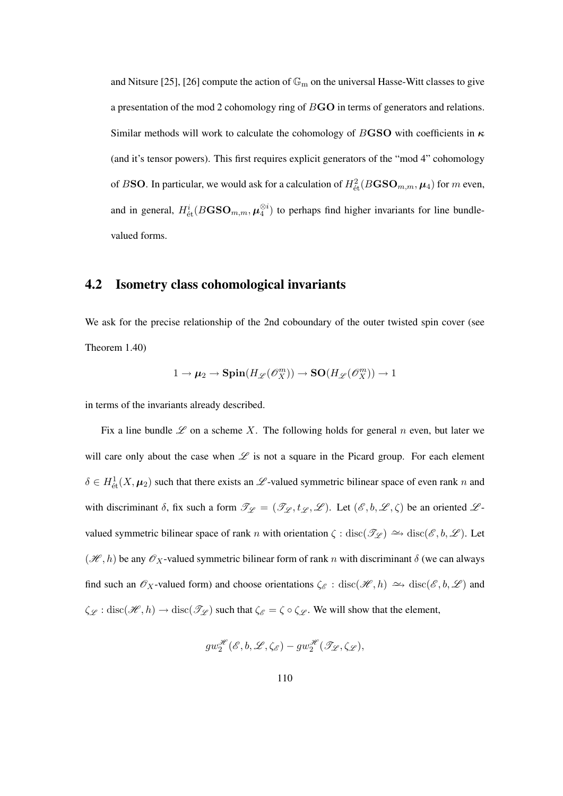and Nitsure [25], [26] compute the action of  $\mathbb{G}_{\mathrm{m}}$  on the universal Hasse-Witt classes to give a presentation of the mod 2 cohomology ring of BGO in terms of generators and relations. Similar methods will work to calculate the cohomology of BGSO with coefficients in  $\kappa$ (and it's tensor powers). This first requires explicit generators of the "mod 4" cohomology of BSO. In particular, we would ask for a calculation of  $H^2_{\text{\'et}}(B {\mathbf{G}} {\mathbf{S}} {\mathbf{O}}_{m,m}, \boldsymbol{\mu}_4)$  for  $m$  even, and in general,  $H^i_{\text{\'et}}(B {\mathbf{G}} {\mathbf{S}} {\mathbf{O}}_{m,m}, {\boldsymbol{\mu}}^{\otimes i}_4)$  to perhaps find higher invariants for line bundlevalued forms.

#### 4.2 Isometry class cohomological invariants

We ask for the precise relationship of the 2nd coboundary of the outer twisted spin cover (see Theorem 1.40)

$$
1 \to \mu_2 \to \mathbf{Spin}(H_{\mathscr{L}}(\mathscr{O}_X^m)) \to \mathbf{SO}(H_{\mathscr{L}}(\mathscr{O}_X^m)) \to 1
$$

in terms of the invariants already described.

Fix a line bundle  $\mathscr L$  on a scheme X. The following holds for general n even, but later we will care only about the case when  $\mathscr L$  is not a square in the Picard group. For each element  $\delta \in H^1_{\text{\'et}}(X, \mu_2)$  such that there exists an  $\mathscr L$ -valued symmetric bilinear space of even rank n and with discriminant  $\delta$ , fix such a form  $\mathcal{T}_{\mathcal{L}} = (\mathcal{T}_{\mathcal{L}}, t_{\mathcal{L}}, \mathcal{L})$ . Let  $(\mathcal{E}, b, \mathcal{L}, \zeta)$  be an oriented  $\mathcal{L}$ valued symmetric bilinear space of rank n with orientation  $\zeta : \text{disc}(\mathscr{T}_{\mathscr{L}}) \longrightarrow \text{disc}(\mathscr{E}, b, \mathscr{L})$ . Let  $(\mathcal{H}, h)$  be any  $\mathcal{O}_X$ -valued symmetric bilinear form of rank n with discriminant  $\delta$  (we can always find such an  $\mathscr{O}_X$ -valued form) and choose orientations  $\zeta_{\mathscr{E}}$  : disc( $\mathscr{H}, h$ )  $\hookrightarrow$  disc( $\mathscr{E}, b, \mathscr{L}$ ) and  $\zeta_{\mathscr{L}}: \text{disc}(\mathscr{H}, h) \to \text{disc}(\mathscr{T}_{\mathscr{L}})$  such that  $\zeta_{\mathscr{E}} = \zeta \circ \zeta_{\mathscr{L}}$ . We will show that the element,

$$
gw_2^{\mathscr{H}}(\mathscr{E},b,\mathscr{L},\zeta_{\mathscr{E}}) - gw_2^{\mathscr{H}}(\mathscr{T}_{\mathscr{L}},\zeta_{\mathscr{L}}),
$$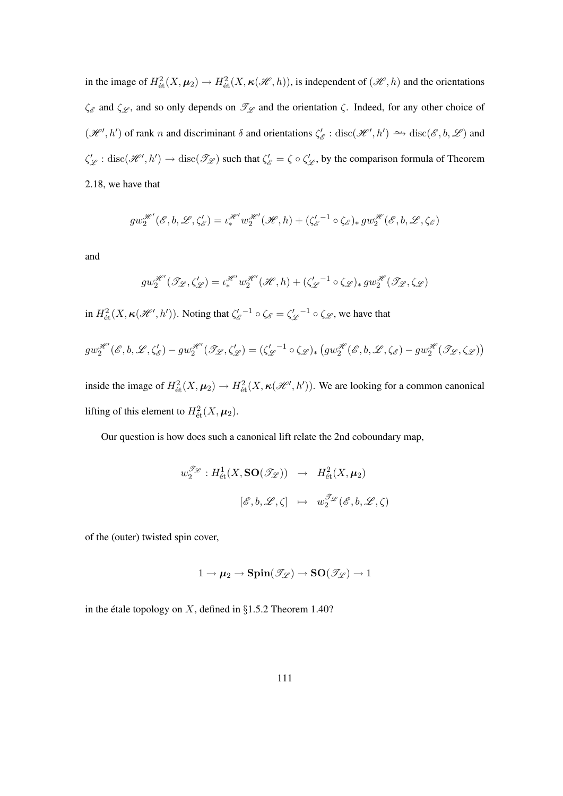in the image of  $H^2_{\text{\'et}}(X, \mu_2) \to H^2_{\text{\'et}}(X, \kappa(\mathcal{H}, h))$ , is independent of  $(\mathcal{H}, h)$  and the orientations  $\zeta_{\mathscr{E}}$  and  $\zeta_{\mathscr{L}}$ , and so only depends on  $\mathscr{T}_{\mathscr{L}}$  and the orientation  $\zeta$ . Indeed, for any other choice of  $(\mathcal{H}', h')$  of rank n and discriminant  $\delta$  and orientations  $\zeta'_{\delta}$  $E'_{\mathscr{E}}: \text{disc}(\mathscr{H}', h') \longrightarrow \text{disc}(\mathscr{E}, b, \mathscr{L})$  and  $\zeta'_{\mathscr{L}}: \text{disc}(\mathscr{H}', h') \to \text{disc}(\mathscr{T}_{\mathscr{L}})$  such that  $\zeta'_{\mathscr{E}} = \zeta \circ \zeta'_{\mathscr{L}}$ , by the comparison formula of Theorem 2.18, we have that

$$
gw_2^{\mathcal{H}'}(\mathcal{E},b,\mathcal{L},\zeta'_{\mathcal{E}})=\iota_*^{\mathcal{H}'}w_2^{\mathcal{H}'}(\mathcal{H},h)+(\zeta_{\mathcal{E}}'^{-1}\circ\zeta_{\mathcal{E}})_*gw_2^{\mathcal{H}}(\mathcal{E},b,\mathcal{L},\zeta_{\mathcal{E}})
$$

and

$$
gw_2^{\mathcal{H}'}(\mathcal{I}_{\mathcal{L}},\zeta'_{\mathcal{L}}) = \iota_*^{\mathcal{H}'}w_2^{\mathcal{H}'}(\mathcal{H},h) + (\zeta_{\mathcal{L}}'^{-1} \circ \zeta_{\mathcal{L}})_* gw_2^{\mathcal{H}}(\mathcal{I}_{\mathcal{L}},\zeta_{\mathcal{L}})
$$

in  $H^2_{\text{\'et}}(X,\kappa(\mathscr{H}',h'))$ . Noting that  $\zeta'_\ell$  $\zeta_{\varepsilon}^{\prime}$  =  $\zeta_{\varepsilon}^{\prime}$  =  $\zeta_{\varepsilon}^{\prime}$  $\chi^{(-1)}_{\mathscr{L}} \circ \zeta_{\mathscr{L}}$ , we have that

$$
gw_2^{\mathcal{H}'}(\mathcal{E},b,\mathcal{L},\zeta'_{\mathcal{E}})-gw_2^{\mathcal{H}'}(\mathcal{I}_{\mathcal{L}},\zeta'_{\mathcal{L}})=(\zeta_{\mathcal{L}}'^{-1}\circ\zeta_{\mathcal{L}})_*\left(gw_2^{\mathcal{H}}(\mathcal{E},b,\mathcal{L},\zeta_{\mathcal{E}})-gw_2^{\mathcal{H}}(\mathcal{I}_{\mathcal{L}},\zeta_{\mathcal{L}})\right)
$$

inside the image of  $H^2_{\text{\'et}}(X, \mu_2) \to H^2_{\text{\'et}}(X, \kappa(\mathcal{H}', h'))$ . We are looking for a common canonical lifting of this element to  $H^2_{\text{\'et}}(X, \mu_2)$ .

Our question is how does such a canonical lift relate the 2nd coboundary map,

$$
w_2^{\mathscr{T}_{\mathscr{L}}} : H^1_{\text{\'et}}(X, \mathbf{SO}(\mathscr{T}_{\mathscr{L}})) \rightarrow H^2_{\text{\'et}}(X, \mu_2)
$$

$$
[\mathscr{E}, b, \mathscr{L}, \zeta] \mapsto w_2^{\mathscr{T}_{\mathscr{L}}}(\mathscr{E}, b, \mathscr{L}, \zeta)
$$

of the (outer) twisted spin cover,

$$
1 \to \mu_2 \to \mathbf{Spin}(\mathscr{T}_{\mathscr{L}}) \to \mathbf{SO}(\mathscr{T}_{\mathscr{L}}) \to 1
$$

in the étale topology on  $X$ , defined in §1.5.2 Theorem 1.40?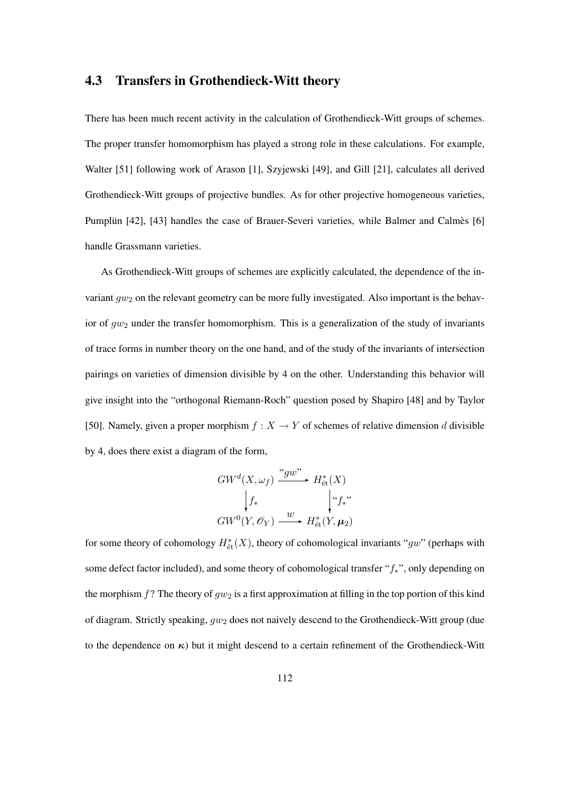#### 4.3 Transfers in Grothendieck-Witt theory

There has been much recent activity in the calculation of Grothendieck-Witt groups of schemes. The proper transfer homomorphism has played a strong role in these calculations. For example, Walter [51] following work of Arason [1], Szyjewski [49], and Gill [21], calculates all derived Grothendieck-Witt groups of projective bundles. As for other projective homogeneous varieties, Pumplun [42], [43] handles the case of Brauer-Severi varieties, while Balmer and Calmers [6] handle Grassmann varieties.

As Grothendieck-Witt groups of schemes are explicitly calculated, the dependence of the invariant  $gw_2$  on the relevant geometry can be more fully investigated. Also important is the behavior of  $gw_2$  under the transfer homomorphism. This is a generalization of the study of invariants of trace forms in number theory on the one hand, and of the study of the invariants of intersection pairings on varieties of dimension divisible by 4 on the other. Understanding this behavior will give insight into the "orthogonal Riemann-Roch" question posed by Shapiro [48] and by Taylor [50]. Namely, given a proper morphism  $f : X \to Y$  of schemes of relative dimension d divisible by 4, does there exist a diagram of the form,

$$
GW^{d}(X, \omega_{f}) \xrightarrow{``gw''} H^{*}_{\text{\'et}}(X)
$$
  

$$
\downarrow f_{*} \qquad \qquad \downarrow f_{*}^{*}
$$
  

$$
GW^{0}(Y, \mathscr{O}_{Y}) \xrightarrow{w} H^{*}_{\text{\'et}}(Y, \mu_{2})
$$

for some theory of cohomology  $H^*_{\text{\'et}}(X)$ , theory of cohomological invariants "gw" (perhaps with some defect factor included), and some theory of cohomological transfer "f<sub>\*</sub>", only depending on the morphism  $f$ ? The theory of  $gw_2$  is a first approximation at filling in the top portion of this kind of diagram. Strictly speaking,  $qv_2$  does not naively descend to the Grothendieck-Witt group (due to the dependence on  $\kappa$ ) but it might descend to a certain refinement of the Grothendieck-Witt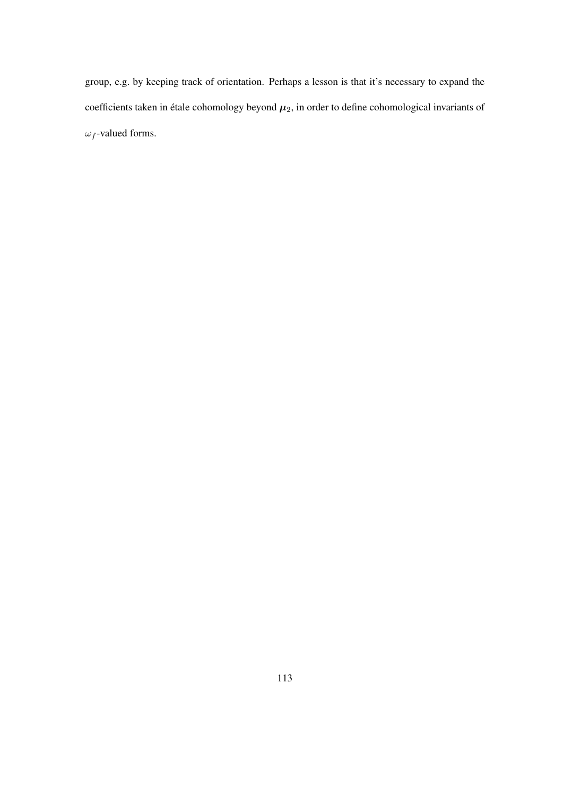group, e.g. by keeping track of orientation. Perhaps a lesson is that it's necessary to expand the coefficients taken in étale cohomology beyond  $\mu_2$ , in order to define cohomological invariants of  $\omega_f$ -valued forms.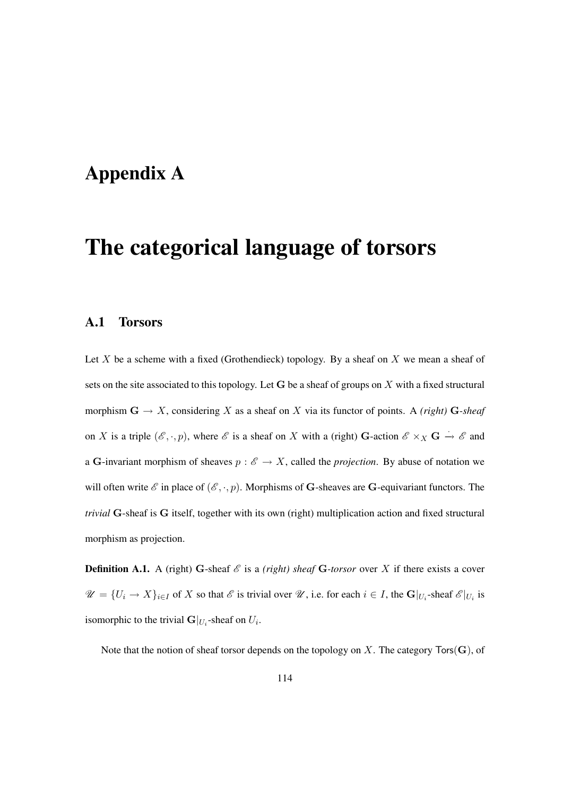### Appendix A

# The categorical language of torsors

#### A.1 Torsors

Let  $X$  be a scheme with a fixed (Grothendieck) topology. By a sheaf on  $X$  we mean a sheaf of sets on the site associated to this topology. Let  $G$  be a sheaf of groups on  $X$  with a fixed structural morphism  $G \to X$ , considering X as a sheaf on X via its functor of points. A *(right)*  $G$ -sheaf on X is a triple  $(\mathscr{E}, \cdot, p)$ , where  $\mathscr{E}$  is a sheaf on X with a (right) G-action  $\mathscr{E} \times_X \mathbf{G} \to \mathscr{E}$  and a G-invariant morphism of sheaves  $p : \mathscr{E} \to X$ , called the *projection*. By abuse of notation we will often write  $\mathscr E$  in place of  $(\mathscr E, \cdot, p)$ . Morphisms of G-sheaves are G-equivariant functors. The *trivial* G-sheaf is G itself, together with its own (right) multiplication action and fixed structural morphism as projection.

**Definition A.1.** A (right) G-sheaf  $\mathscr E$  is a *(right) sheaf* G-torsor over X if there exists a cover  $\mathscr{U} = \{U_i \to X\}_{i \in I}$  of X so that  $\mathscr{E}$  is trivial over  $\mathscr{U}$ , i.e. for each  $i \in I$ , the  $\mathbf{G}|_{U_i}$ -sheaf  $\mathscr{E}|_{U_i}$  is isomorphic to the trivial  $G|_{U_i}$ -sheaf on  $U_i$ .

Note that the notion of sheaf torsor depends on the topology on X. The category  $Tors(G)$ , of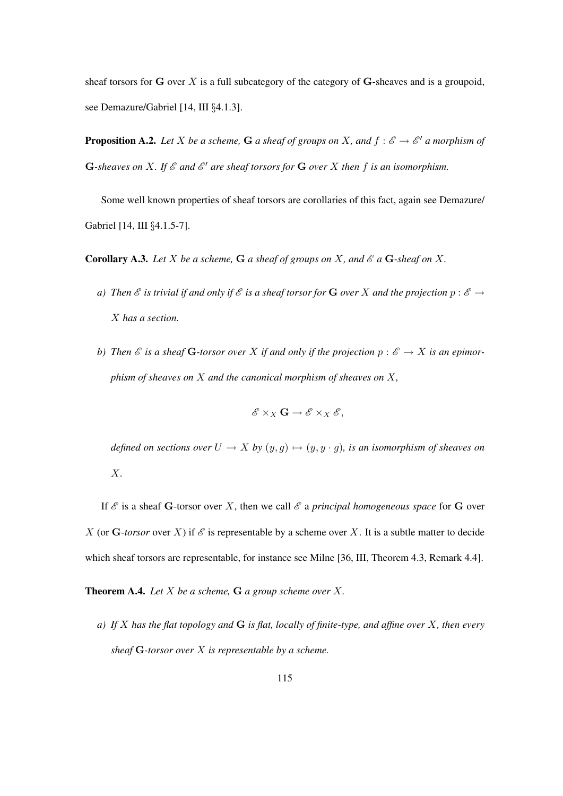sheaf torsors for  $G$  over  $X$  is a full subcategory of the category of  $G$ -sheaves and is a groupoid, see Demazure/Gabriel [14, III §4.1.3].

**Proposition A.2.** Let X be a scheme, G a sheaf of groups on X, and  $f : \mathscr{E} \to \mathscr{E}'$  a morphism of G-sheaves on X. If  $\mathcal E$  and  $\mathcal E'$  are sheaf torsors for G over X then f is an isomorphism.

Some well known properties of sheaf torsors are corollaries of this fact, again see Demazure/ Gabriel [14, III §4.1.5-7].

**Corollary A.3.** Let X be a scheme, G a sheaf of groups on X, and  $\mathscr E$  a G-sheaf on X.

- *a)* Then  $\mathscr E$  *is trivial if and only if*  $\mathscr E$  *is a sheaf torsor for* G *over* X and the projection  $p : \mathscr E \to$ X *has a section.*
- *b)* Then  $\mathscr E$  is a sheaf **G**-torsor over X if and only if the projection  $p : \mathscr E \to X$  is an epimor*phism of sheaves on* X *and the canonical morphism of sheaves on* X*,*

$$
\mathscr{E} \times_X \mathbf{G} \to \mathscr{E} \times_X \mathscr{E},
$$

*defined on sections over*  $U \to X$  *by*  $(y, g) \mapsto (y, y \cdot g)$ *, is an isomorphism of sheaves on* X*.*

If  $\mathscr E$  is a sheaf G-torsor over X, then we call  $\mathscr E$  a *principal homogeneous space* for G over X (or G-torsor over X) if  $\mathscr E$  is representable by a scheme over X. It is a subtle matter to decide which sheaf torsors are representable, for instance see Milne [36, III, Theorem 4.3, Remark 4.4].

Theorem A.4. *Let* X *be a scheme,* G *a group scheme over* X*.*

*a) If* X *has the flat topology and* G *is flat, locally of finite-type, and affine over* X*, then every sheaf* G*-torsor over* X *is representable by a scheme.*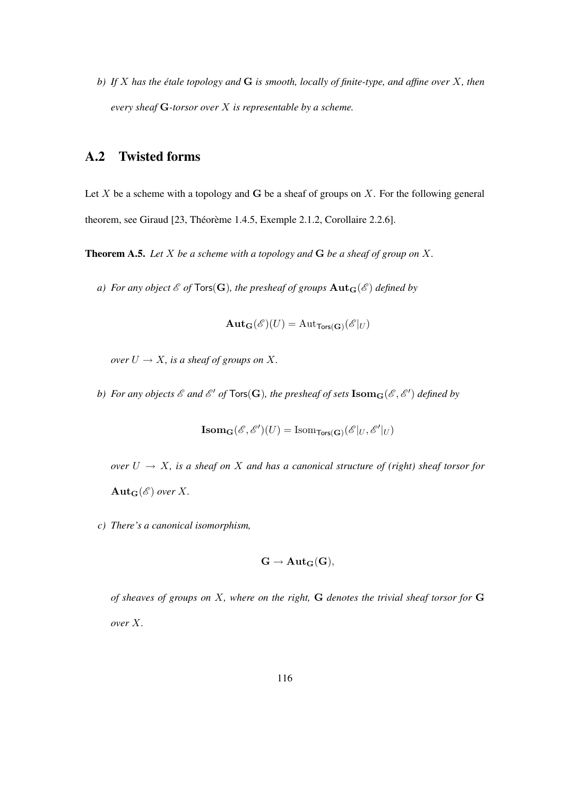*b) If* X *has the etale topology and ´* G *is smooth, locally of finite-type, and affine over* X*, then every sheaf* G*-torsor over* X *is representable by a scheme.*

#### A.2 Twisted forms

Let X be a scheme with a topology and G be a sheaf of groups on X. For the following general theorem, see Giraud [23, Théorème 1.4.5, Exemple 2.1.2, Corollaire 2.2.6].

Theorem A.5. *Let* X *be a scheme with a topology and* G *be a sheaf of group on* X*.*

*a) For any object*  $\mathcal{E}$  *of*  $\text{Tors}(\mathbf{G})$ *, the presheaf of groups*  $\text{Aut}_\mathbf{G}(\mathcal{E})$  *defined by* 

$$
\mathbf{Aut_G}(\mathscr{E})(U) = \mathrm{Aut}_{\mathsf{Tors}(\mathbf{G})}(\mathscr{E}|_U)
$$

*over*  $U \rightarrow X$ *, is a sheaf of groups on* X.

b) For any objects  $\mathscr E$  and  $\mathscr E'$  of  $\mathsf{Tors}(\mathbf G)$ , the presheaf of sets  $\mathbf{Isom}_\mathbf G(\mathscr E,\mathscr E')$  defined by

$$
\mathbf{Isom}_\mathbf{G}(\mathscr{E}, \mathscr{E}')(U) = \mathrm{Isom}_{\mathsf{Tors}(\mathbf{G})}(\mathscr{E}|_U, \mathscr{E}'|_U)
$$

*over*  $U \rightarrow X$ *, is a sheaf on* X *and has a canonical structure of (right) sheaf torsor for*  $\text{Aut}_G(\mathscr{E})$  over X.

*c) There's a canonical isomorphism,*

$$
\mathbf{G}\rightarrow \mathbf{Aut}_\mathbf{G}(\mathbf{G}),
$$

*of sheaves of groups on* X*, where on the right,* G *denotes the trivial sheaf torsor for* G *over* X*.*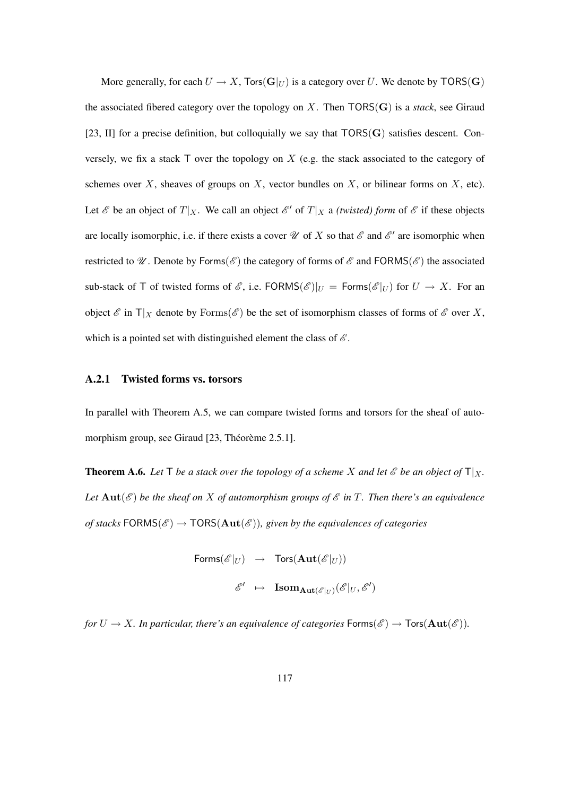More generally, for each  $U \to X$ ,  $\text{Tors}(\mathbf{G}|_U)$  is a category over U. We denote by  $\text{TORS}(\mathbf{G})$ the associated fibered category over the topology on X. Then TORS(G) is a *stack*, see Giraud [23, II] for a precise definition, but colloquially we say that  $TORS(G)$  satisfies descent. Conversely, we fix a stack  $\top$  over the topology on X (e.g. the stack associated to the category of schemes over  $X$ , sheaves of groups on  $X$ , vector bundles on  $X$ , or bilinear forms on  $X$ , etc). Let  $\mathscr E$  be an object of  $T|_X$ . We call an object  $\mathscr E'$  of  $T|_X$  a *(twisted) form* of  $\mathscr E$  if these objects are locally isomorphic, i.e. if there exists a cover  $\mathcal U$  of X so that  $\mathcal E$  and  $\mathcal E'$  are isomorphic when restricted to  $\mathcal{U}$ . Denote by Forms( $\mathcal{E}$ ) the category of forms of  $\mathcal{E}$  and FORMS( $\mathcal{E}$ ) the associated sub-stack of T of twisted forms of  $\mathscr{E}$ , i.e. FORMS $(\mathscr{E})|_U = \text{Forms}(\mathscr{E}|_U)$  for  $U \to X$ . For an object  $\mathscr E$  in  $T|_X$  denote by Forms( $\mathscr E$ ) be the set of isomorphism classes of forms of  $\mathscr E$  over X, which is a pointed set with distinguished element the class of  $\mathscr E$ .

#### A.2.1 Twisted forms vs. torsors

In parallel with Theorem A.5, we can compare twisted forms and torsors for the sheaf of automorphism group, see Giraud  $[23, Théorème 2.5.1]$ .

**Theorem A.6.** Let  $\mathsf{T}$  *be a stack over the topology of a scheme* X *and let*  $\mathscr{E}$  *be an object of*  $\mathsf{T}|_X$ *. Let*  $Aut(\mathscr{E})$  *be the sheaf on* X *of automorphism groups of*  $\mathscr{E}$  *in* T. Then there's an equivalence *of stacks*  $FORMS(\mathscr{E}) \rightarrow TORS(Aut(\mathscr{E}))$ *, given by the equivalences of categories* 

$$
\begin{array}{rcl} \mathsf{Forms}(\mathscr{E}|_U) & \to & \mathsf{Tors}(\mathbf{Aut}(\mathscr{E}|_U)) \\ & & \\ \mathscr{E}' & \mapsto & \mathbf{Isom}_{\mathbf{Aut}(\mathscr{E}|_U)}(\mathscr{E}|_U,\mathscr{E}') \end{array}
$$

*for*  $U \to X$ *. In particular, there's an equivalence of categories*  $\mathsf{Forms}(\mathscr{E}) \to \mathsf{Tors}(\mathbf{Aut}(\mathscr{E}))$ *.*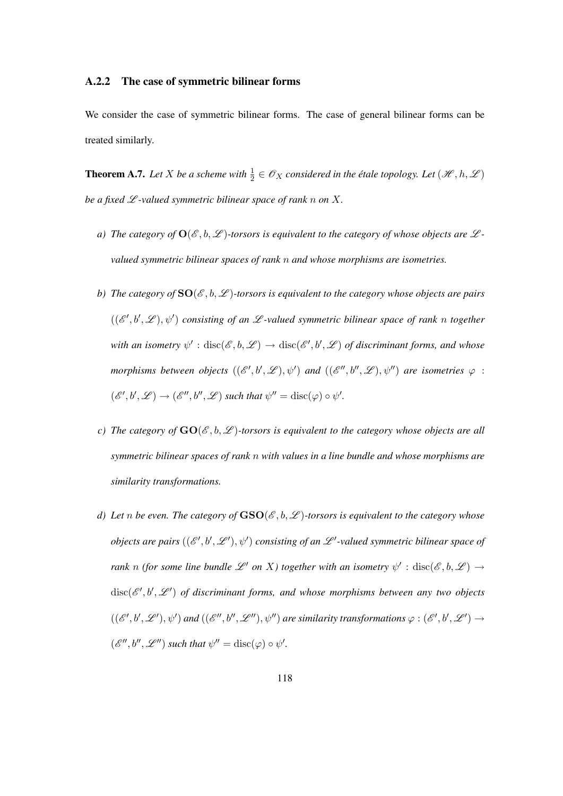#### A.2.2 The case of symmetric bilinear forms

We consider the case of symmetric bilinear forms. The case of general bilinear forms can be treated similarly.

**Theorem A.7.** Let X be a scheme with  $\frac{1}{2} \in \mathcal{O}_X$  considered in the étale topology. Let  $(\mathcal{H}, h, \mathcal{L})$ *be a fixed*  $L$ *-valued symmetric bilinear space of rank n on*  $X$ *.* 

- *a)* The category of  $O(\mathcal{E}, b, \mathcal{L})$ -torsors is equivalent to the category of whose objects are  $\mathcal{L}$ *valued symmetric bilinear spaces of rank* n *and whose morphisms are isometries.*
- *b)* The category of  $SO(\mathcal{E},b,\mathcal{L})$ -torsors is equivalent to the category whose objects are pairs  $((\mathscr{E}',b',\mathscr{L}),\psi')$  consisting of an  $\mathscr{L}$ -valued symmetric bilinear space of rank n together with an isometry  $\psi':{\rm disc}(\mathscr{E},b,\mathscr{L})\to{\rm disc}(\mathscr{E}',b',\mathscr{L})$  of discriminant forms, and whose morphisms between objects  $((\mathscr{E}',b',\mathscr{L}),\psi')$  and  $((\mathscr{E}'',b'',\mathscr{L}),\psi'')$  are isometries  $\varphi$  :  $(\mathscr{E}', b', \mathscr{L}) \to (\mathscr{E}'', b'', \mathscr{L})$  such that  $\psi'' = \text{disc}(\varphi) \circ \psi'.$
- *c)* The category of  $GO(\mathcal{E}, b, \mathcal{L})$ -torsors is equivalent to the category whose objects are all *symmetric bilinear spaces of rank* n *with values in a line bundle and whose morphisms are similarity transformations.*
- *d)* Let *n* be even. The category of  $\text{GSO}(\mathcal{E},b,\mathcal{L})$ -torsors is equivalent to the category whose *objects are pairs*  $((\mathscr{E}', b', \mathscr{L}'), \psi')$  consisting of an  $\mathscr{L}'$ -valued symmetric bilinear space of *rank* n (for some line bundle  $\mathscr{L}'$  on X) together with an isometry  $\psi'$  :  $\text{disc}(\mathscr{E},b,\mathscr{L}) \to$  $disc(\mathscr{E}',b',\mathscr{L}')$  of discriminant forms, and whose morphisms between any two objects  $((\mathscr{E}',b',\mathscr{L}'),\psi')$  and  $((\mathscr{E}'',b'',\mathscr{L}''),\psi'')$  are similarity transformations  $\varphi:(\mathscr{E}',b',\mathscr{L}')\to$  $(\mathscr{E}'', b'', \mathscr{L}'')$  such that  $\psi'' = \text{disc}(\varphi) \circ \psi'.$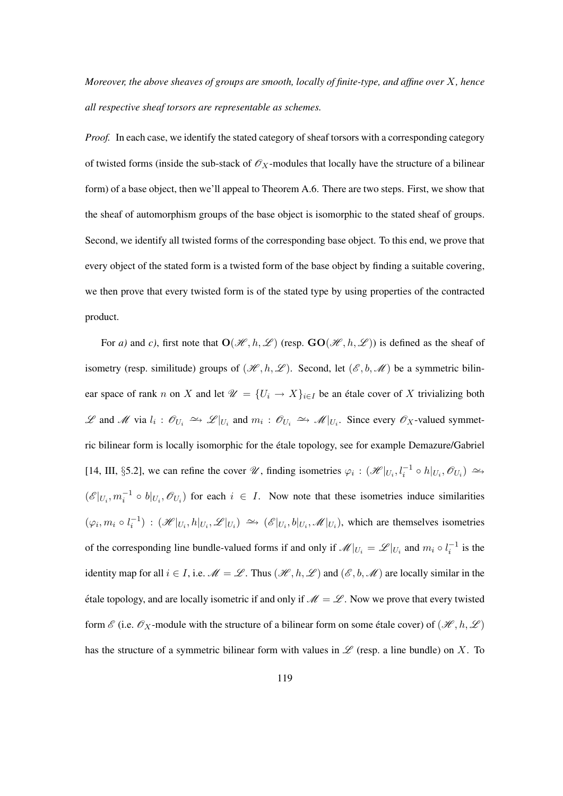*Moreover, the above sheaves of groups are smooth, locally of finite-type, and affine over* X*, hence all respective sheaf torsors are representable as schemes.*

*Proof.* In each case, we identify the stated category of sheaf torsors with a corresponding category of twisted forms (inside the sub-stack of  $\mathscr{O}_X$ -modules that locally have the structure of a bilinear form) of a base object, then we'll appeal to Theorem A.6. There are two steps. First, we show that the sheaf of automorphism groups of the base object is isomorphic to the stated sheaf of groups. Second, we identify all twisted forms of the corresponding base object. To this end, we prove that every object of the stated form is a twisted form of the base object by finding a suitable covering, we then prove that every twisted form is of the stated type by using properties of the contracted product.

For *a*) and *c*), first note that  $O(\mathcal{H}, h, \mathcal{L})$  (resp.  $GO(\mathcal{H}, h, \mathcal{L})$ ) is defined as the sheaf of isometry (resp. similitude) groups of  $(\mathcal{H}, h, \mathcal{L})$ . Second, let  $(\mathcal{E}, b, \mathcal{M})$  be a symmetric bilinear space of rank n on X and let  $\mathcal{U} = \{U_i \to X\}_{i \in I}$  be an étale cover of X trivializing both L and M via  $l_i$  :  $\mathcal{O}_{U_i}$   $\cong$  L| $_{U_i}$  and  $m_i$  :  $\mathcal{O}_{U_i}$   $\cong$  M| $_{U_i}$ . Since every  $\mathcal{O}_X$ -valued symmetric bilinear form is locally isomorphic for the etale topology, see for example Demazure/Gabriel ´ [14, III, §5.2], we can refine the cover  $\mathcal{U}$ , finding isometries  $\varphi_i : (\mathcal{H}|_{U_i}, l_i^{-1} \circ h|_{U_i}, \mathcal{O}_{U_i}) \simeq$  $(\mathscr{E}|_{U_i}, m_i^{-1} \circ b|_{U_i}, \mathscr{O}_{U_i})$  for each  $i \in I$ . Now note that these isometries induce similarities  $(\varphi_i, m_i \circ l_i^{-1})$ :  $(\mathscr{H}|_{U_i}, h|_{U_i}, \mathscr{L}|_{U_i}) \hookrightarrow (\mathscr{E}|_{U_i}, b|_{U_i}, \mathscr{M}|_{U_i})$ , which are themselves isometries of the corresponding line bundle-valued forms if and only if  $\mathcal{M}|_{U_i} = \mathcal{L}|_{U_i}$  and  $m_i \circ l_i^{-1}$  is the identity map for all  $i \in I$ , i.e.  $\mathcal{M} = \mathcal{L}$ . Thus  $(\mathcal{H}, h, \mathcal{L})$  and  $(\mathcal{E}, b, \mathcal{M})$  are locally similar in the étale topology, and are locally isometric if and only if  $\mathcal{M} = \mathcal{L}$ . Now we prove that every twisted form  $\mathscr E$  (i.e.  $\mathscr O_X$ -module with the structure of a bilinear form on some étale cover) of  $(\mathscr H, h, \mathscr L)$ has the structure of a symmetric bilinear form with values in  $\mathscr L$  (resp. a line bundle) on X. To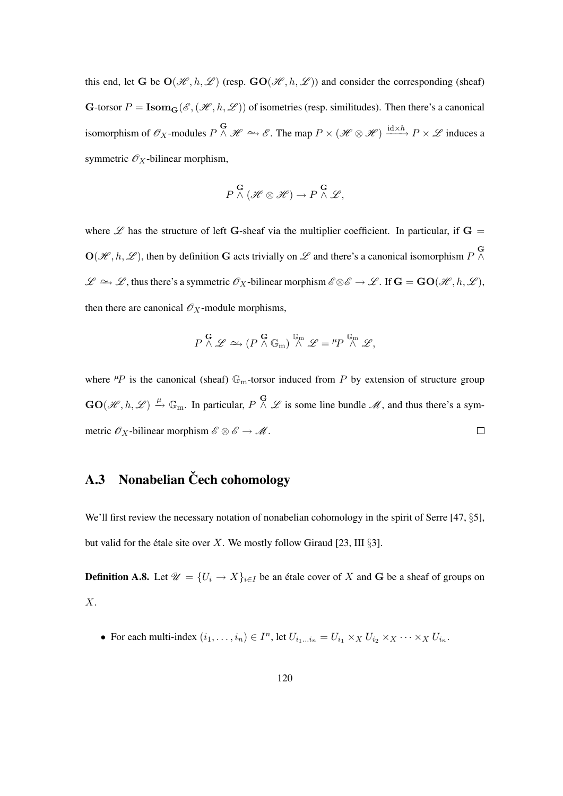this end, let G be  $O(\mathcal{H}, h, \mathcal{L})$  (resp.  $GO(\mathcal{H}, h, \mathcal{L})$ ) and consider the corresponding (sheaf) G-torsor  $P = \textbf{Isom}_G(\mathcal{E}, (\mathcal{H}, h, \mathcal{L}))$  of isometries (resp. similitudes). Then there's a canonical isomorphism of  $\mathscr{O}_X$ -modules  $P \stackrel{\mathbf{G}}{\wedge} \mathscr{H} \simeq \mathscr{E}$ . The map  $P \times (\mathscr{H} \otimes \mathscr{H}) \stackrel{\text{id} \times h}{\longrightarrow} P \times \mathscr{L}$  induces a symmetric  $\mathscr{O}_X$ -bilinear morphism,

$$
P \stackrel{\mathbf{G}}{\wedge} (\mathscr{H} \otimes \mathscr{H}) \to P \stackrel{\mathbf{G}}{\wedge} \mathscr{L},
$$

where  $\mathscr L$  has the structure of left G-sheaf via the multiplier coefficient. In particular, if G =  $\mathbf{O}(\mathcal{H}, h, \mathcal{L})$ , then by definition G acts trivially on  $\mathcal{L}$  and there's a canonical isomorphism  $P \stackrel{\mathbf{G}}{\wedge}$  $\mathscr{L} \simeq \mathscr{L}$ , thus there's a symmetric  $\mathscr{O}_X$ -bilinear morphism  $\mathscr{E} \otimes \mathscr{E} \to \mathscr{L}$ . If  $\mathbf{G} = \mathbf{GO}(\mathscr{H}, h, \mathscr{L})$ , then there are canonical  $\mathcal{O}_X$ -module morphisms,

$$
P \overset{\mathbf{G}}{\wedge} \mathscr{L} \simeq (P \overset{\mathbf{G}}{\wedge} \mathbb{G}_{m}) \overset{\mathbb{G}_{m}}{\wedge} \mathscr{L} = {^{\mu}P} \overset{\mathbb{G}_{m}}{\wedge} \mathscr{L},
$$

where  $\mu$ P is the canonical (sheaf)  $\mathbb{G}_{m}$ -torsor induced from P by extension of structure group  $\mathbf{GO}(\mathcal{H}, h, \mathcal{L}) \xrightarrow{\mu} \mathbb{G}_{\mathrm{m}}$ . In particular,  $P \wedge \mathcal{L}$  is some line bundle  $\mathcal{M}$ , and thus there's a symmetric  $\mathscr{O}_X$ -bilinear morphism  $\mathscr{E} \otimes \mathscr{E} \to \mathscr{M}$ .  $\Box$ 

### A.3 Nonabelian Čech cohomology

We'll first review the necessary notation of nonabelian cohomology in the spirit of Serre [47, §5], but valid for the étale site over X. We mostly follow Giraud [23, III  $\S3$ ].

**Definition A.8.** Let  $\mathcal{U} = \{U_i \to X\}_{i \in I}$  be an étale cover of X and G be a sheaf of groups on X.

• For each multi-index  $(i_1, \ldots, i_n) \in I^n$ , let  $U_{i_1 \ldots i_n} = U_{i_1} \times_X U_{i_2} \times_X \cdots \times_X U_{i_n}$ .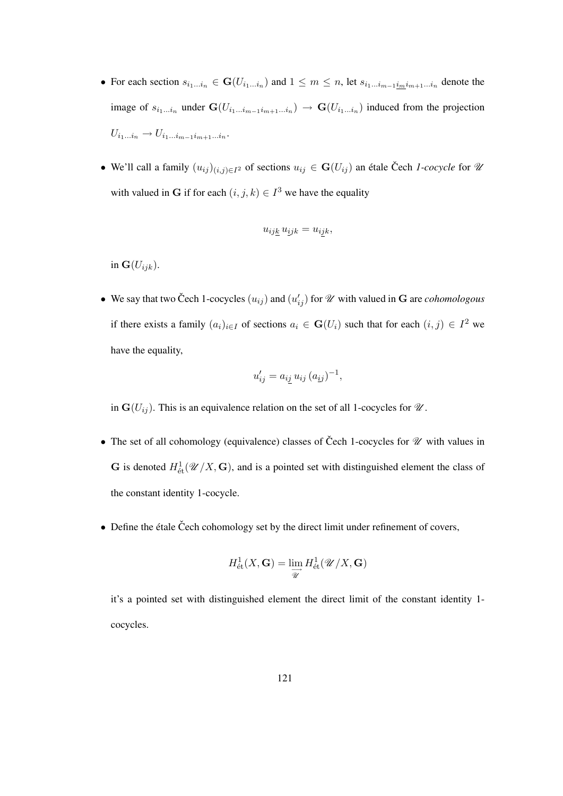- For each section  $s_{i_1...i_n} \in \mathbf{G}(U_{i_1...i_n})$  and  $1 \leq m \leq n$ , let  $s_{i_1...i_{m-1}i_m i_{m+1}...i_n}$  denote the image of  $s_{i_1...i_n}$  under  $\mathbf{G}(U_{i_1...i_{m-1}i_{m+1}...i_n}) \to \mathbf{G}(U_{i_1...i_n})$  induced from the projection  $U_{i_1...i_n} \to U_{i_1...i_{m-1}i_{m+1}...i_n}$
- We'll call a family  $(u_{ij})_{(i,j)\in I^2}$  of sections  $u_{ij} \in G(U_{ij})$  an étale Čech *1-cocycle* for  $\mathcal{U}$ with valued in G if for each  $(i, j, k) \in I^3$  we have the equality

$$
u_{ijk}u_{ijk} = u_{ijk},
$$

in  $\mathbf{G}(U_{ijk})$ .

• We say that two Čech 1-cocycles  $(u_{ij})$  and  $(u'_{ij})$  for  $\mathcal U$  with valued in G are *cohomologous* if there exists a family  $(a_i)_{i \in I}$  of sections  $a_i \in \mathbf{G}(U_i)$  such that for each  $(i, j) \in I^2$  we have the equality,

$$
u'_{ij} = a_{ij} u_{ij} (a_{ij})^{-1},
$$

in  $G(U_{ij})$ . This is an equivalence relation on the set of all 1-cocycles for  $\mathcal{U}$ .

- The set of all cohomology (equivalence) classes of Čech 1-cocycles for  $\mathcal U$  with values in **G** is denoted  $H^1_{\text{\'et}}(\mathcal{U}/X, \mathbf{G})$ , and is a pointed set with distinguished element the class of the constant identity 1-cocycle.
- Define the étale Čech cohomology set by the direct limit under refinement of covers,

$$
H^1_{\text{\'et}}(X,\mathbf G)=\lim_{\overrightarrow{\mathscr{U}}}H^1_{\text{\'et}}(\mathscr{U}/X,\mathbf G)
$$

it's a pointed set with distinguished element the direct limit of the constant identity 1 cocycles.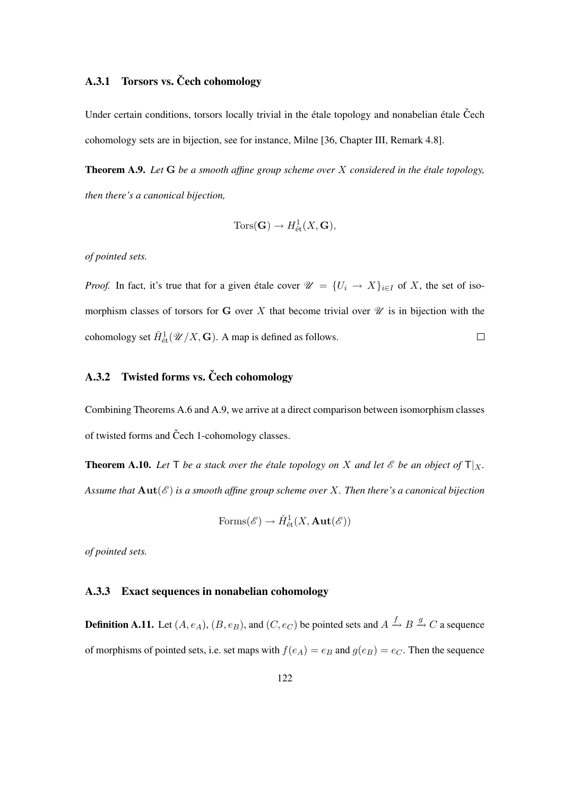#### A.3.1 Torsors vs. Čech cohomology

Under certain conditions, torsors locally trivial in the étale topology and nonabelian étale Čech cohomology sets are in bijection, see for instance, Milne [36, Chapter III, Remark 4.8].

Theorem A.9. *Let* G *be a smooth affine group scheme over* X *considered in the etale topology, ´ then there's a canonical bijection,*

$$
Tors(\mathbf{G}) \to H^1_{\text{\'et}}(X,\mathbf{G}),
$$

*of pointed sets.*

*Proof.* In fact, it's true that for a given étale cover  $\mathcal{U} = \{U_i \to X\}_{i \in I}$  of X, the set of isomorphism classes of torsors for G over X that become trivial over  $\mathcal U$  is in bijection with the cohomology set  $\check{H}^1_{\text{\'et}}(\mathscr{U}/X,\mathbf{G})$ . A map is defined as follows.  $\Box$ 

#### A.3.2 Twisted forms vs. Čech cohomology

Combining Theorems A.6 and A.9, we arrive at a direct comparison between isomorphism classes of twisted forms and Čech 1-cohomology classes.

**Theorem A.10.** Let  $\mathsf{T}$  *be a stack over the étale topology on*  $X$  *and let*  $\mathscr{E}$  *be an object of*  $\mathsf{T}|_X$ *. Assume that*  $\text{Aut}(\mathscr{E})$  *is a smooth affine group scheme over* X. Then there's a canonical bijection

$$
\text{Forms}(\mathscr{E}) \to \check{H}^1_{\text{\'et}}(X,\mathbf{Aut}(\mathscr{E}))
$$

*of pointed sets.*

#### A.3.3 Exact sequences in nonabelian cohomology

**Definition A.11.** Let  $(A, e_A)$ ,  $(B, e_B)$ , and  $(C, e_C)$  be pointed sets and  $A \xrightarrow{f} B \xrightarrow{g} C$  a sequence of morphisms of pointed sets, i.e. set maps with  $f(e_A) = e_B$  and  $g(e_B) = e_C$ . Then the sequence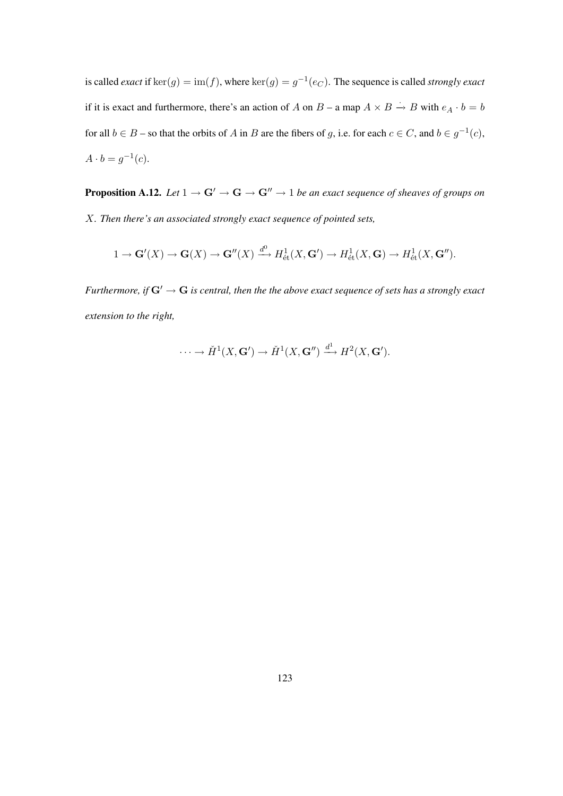is called *exact* if  $\text{ker}(g) = \text{im}(f)$ , where  $\text{ker}(g) = g^{-1}(e_C)$ . The sequence is called *strongly exact* if it is exact and furthermore, there's an action of A on  $B - a$  map  $A \times B \to B$  with  $e_A \cdot b = b$ for all  $b \in B$  – so that the orbits of A in B are the fibers of g, i.e. for each  $c \in C$ , and  $b \in g^{-1}(c)$ ,  $A \cdot b = g^{-1}(c)$ .

**Proposition A.12.** *Let*  $1 \rightarrow G' \rightarrow G \rightarrow G'' \rightarrow 1$  *be an exact sequence of sheaves of groups on* X*. Then there's an associated strongly exact sequence of pointed sets,*

$$
1 \to \mathbf{G}'(X) \to \mathbf{G}(X) \to \mathbf{G}''(X) \xrightarrow{d^0} H^1_{\text{\'et}}(X, \mathbf{G}') \to H^1_{\text{\'et}}(X, \mathbf{G}) \to H^1_{\text{\'et}}(X, \mathbf{G}'').
$$

*Furthermore, if*  $G' \to G$  *is central, then the the above exact sequence of sets has a strongly exact extension to the right,*

$$
\cdots \to \check{H}^1(X, \mathbf{G}') \to \check{H}^1(X, \mathbf{G}'') \xrightarrow{d^1} H^2(X, \mathbf{G}').
$$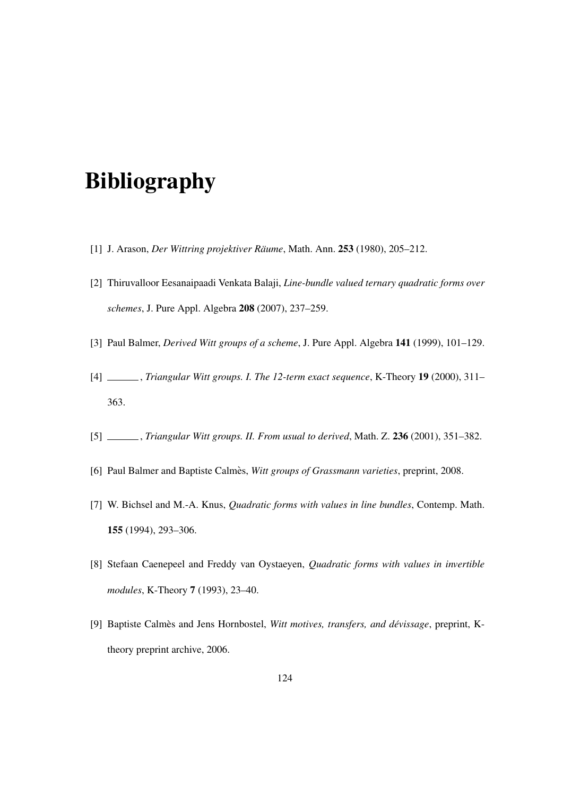# Bibliography

- [1] J. Arason, *Der Wittring projektiver Räume*, Math. Ann. 253 (1980), 205–212.
- [2] Thiruvalloor Eesanaipaadi Venkata Balaji, *Line-bundle valued ternary quadratic forms over schemes*, J. Pure Appl. Algebra 208 (2007), 237–259.
- [3] Paul Balmer, *Derived Witt groups of a scheme*, J. Pure Appl. Algebra 141 (1999), 101–129.
- [4] , *Triangular Witt groups. I. The 12-term exact sequence*, K-Theory 19 (2000), 311– 363.
- [5] , *Triangular Witt groups. II. From usual to derived*, Math. Z. 236 (2001), 351–382.
- [6] Paul Balmer and Baptiste Calmès, Witt groups of Grassmann varieties, preprint, 2008.
- [7] W. Bichsel and M.-A. Knus, *Quadratic forms with values in line bundles*, Contemp. Math. 155 (1994), 293–306.
- [8] Stefaan Caenepeel and Freddy van Oystaeyen, *Quadratic forms with values in invertible modules*, K-Theory 7 (1993), 23–40.
- [9] Baptiste Calmès and Jens Hornbostel, Witt motives, transfers, and dévissage, preprint, Ktheory preprint archive, 2006.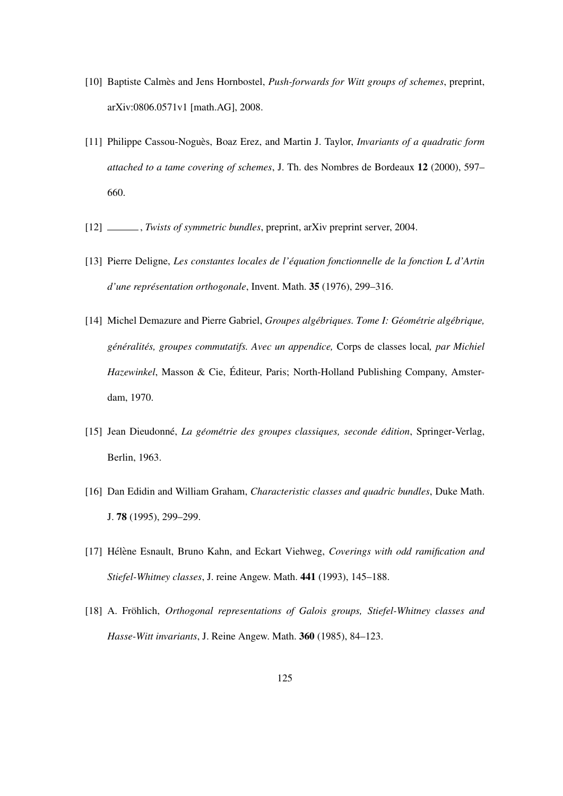- [10] Baptiste Calmès and Jens Hornbostel, *Push-forwards for Witt groups of schemes*, preprint, arXiv:0806.0571v1 [math.AG], 2008.
- [11] Philippe Cassou-Noguès, Boaz Erez, and Martin J. Taylor, *Invariants of a quadratic form attached to a tame covering of schemes*, J. Th. des Nombres de Bordeaux 12 (2000), 597– 660.
- [12] , *Twists of symmetric bundles*, preprint, arXiv preprint server, 2004.
- [13] Pierre Deligne, *Les constantes locales de l'equation fonctionnelle de la fonction L d'Artin ´ d'une représentation orthogonale*, Invent. Math. 35 (1976), 299–316.
- [14] Michel Demazure and Pierre Gabriel, *Groupes algebriques. Tome I: G ´ eom ´ etrie alg ´ ebrique, ´ gen´ eralit ´ es, groupes commutatifs. Avec un appendice, ´* Corps de classes local*, par Michiel Hazewinkel*, Masson & Cie, Editeur, Paris; North-Holland Publishing Company, Amster- ´ dam, 1970.
- [15] Jean Dieudonne,´ *La geom ´ etrie des groupes classiques, seconde ´ edition ´* , Springer-Verlag, Berlin, 1963.
- [16] Dan Edidin and William Graham, *Characteristic classes and quadric bundles*, Duke Math. J. 78 (1995), 299–299.
- [17] Hélène Esnault, Bruno Kahn, and Eckart Viehweg, *Coverings with odd ramification and Stiefel-Whitney classes*, J. reine Angew. Math. 441 (1993), 145–188.
- [18] A. Fröhlich, *Orthogonal representations of Galois groups, Stiefel-Whitney classes and Hasse-Witt invariants*, J. Reine Angew. Math. 360 (1985), 84–123.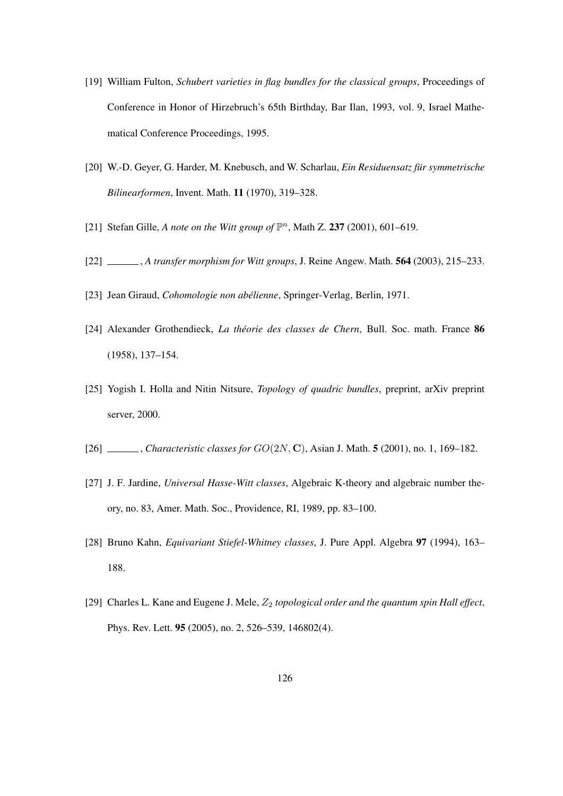- [19] William Fulton, *Schubert varieties in flag bundles for the classical groups*, Proceedings of Conference in Honor of Hirzebruch's 65th Birthday, Bar Ilan, 1993, vol. 9, Israel Mathematical Conference Proceedings, 1995.
- [20] W.-D. Geyer, G. Harder, M. Knebusch, and W. Scharlau, *Ein Residuensatz für symmetrische Bilinearformen*, Invent. Math. 11 (1970), 319–328.
- [21] Stefan Gille, *A note on the Witt group of*  $\mathbb{P}^n$ , Math Z. 237 (2001), 601-619.
- [22] , *A transfer morphism for Witt groups*, J. Reine Angew. Math. 564 (2003), 215–233.
- [23] Jean Giraud, *Cohomologie non abélienne*, Springer-Verlag, Berlin, 1971.
- [24] Alexander Grothendieck, *La théorie des classes de Chern*, Bull. Soc. math. France 86 (1958), 137–154.
- [25] Yogish I. Holla and Nitin Nitsure, *Topology of quadric bundles*, preprint, arXiv preprint server, 2000.
- [26] , *Characteristic classes for* GO(2N, C), Asian J. Math. 5 (2001), no. 1, 169–182.
- [27] J. F. Jardine, *Universal Hasse-Witt classes*, Algebraic K-theory and algebraic number theory, no. 83, Amer. Math. Soc., Providence, RI, 1989, pp. 83–100.
- [28] Bruno Kahn, *Equivariant Stiefel-Whitney classes*, J. Pure Appl. Algebra 97 (1994), 163– 188.
- [29] Charles L. Kane and Eugene J. Mele,  $Z_2$  topological order and the quantum spin Hall effect, Phys. Rev. Lett. 95 (2005), no. 2, 526–539, 146802(4).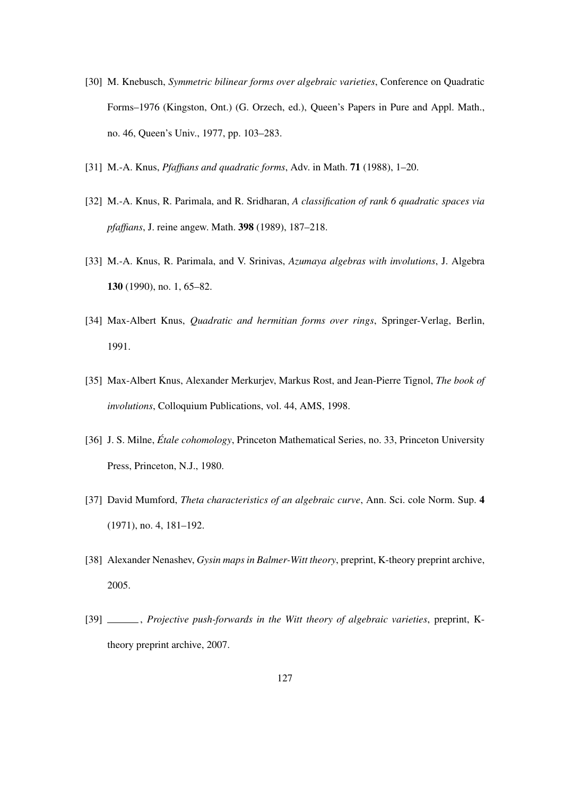- [30] M. Knebusch, *Symmetric bilinear forms over algebraic varieties*, Conference on Quadratic Forms–1976 (Kingston, Ont.) (G. Orzech, ed.), Queen's Papers in Pure and Appl. Math., no. 46, Queen's Univ., 1977, pp. 103–283.
- [31] M.-A. Knus, *Pfaffians and quadratic forms*, Adv. in Math. 71 (1988), 1–20.
- [32] M.-A. Knus, R. Parimala, and R. Sridharan, *A classification of rank 6 quadratic spaces via pfaffians*, J. reine angew. Math. 398 (1989), 187–218.
- [33] M.-A. Knus, R. Parimala, and V. Srinivas, *Azumaya algebras with involutions*, J. Algebra 130 (1990), no. 1, 65–82.
- [34] Max-Albert Knus, *Quadratic and hermitian forms over rings*, Springer-Verlag, Berlin, 1991.
- [35] Max-Albert Knus, Alexander Merkurjev, Markus Rost, and Jean-Pierre Tignol, *The book of involutions*, Colloquium Publications, vol. 44, AMS, 1998.
- [36] J. S. Milne, *Étale cohomology*, Princeton Mathematical Series, no. 33, Princeton University Press, Princeton, N.J., 1980.
- [37] David Mumford, *Theta characteristics of an algebraic curve*, Ann. Sci. cole Norm. Sup. 4 (1971), no. 4, 181–192.
- [38] Alexander Nenashev, *Gysin maps in Balmer-Witt theory*, preprint, K-theory preprint archive, 2005.
- [39] , *Projective push-forwards in the Witt theory of algebraic varieties*, preprint, Ktheory preprint archive, 2007.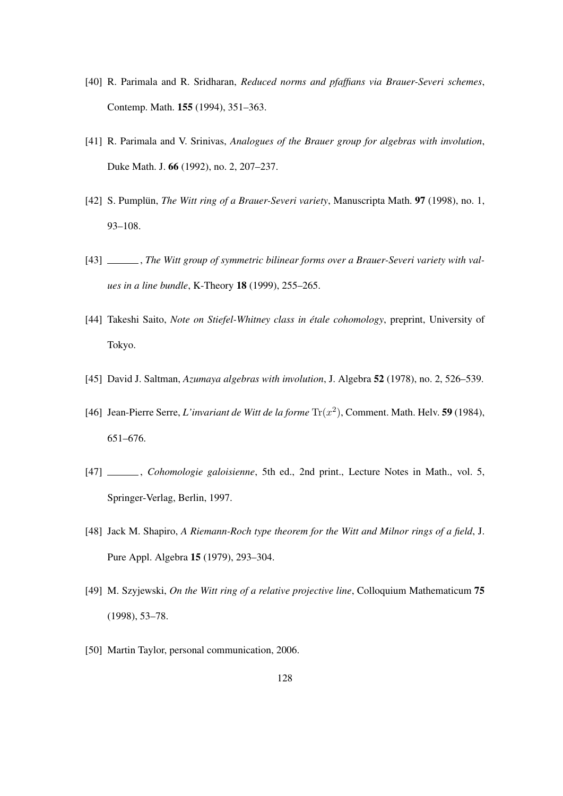- [40] R. Parimala and R. Sridharan, *Reduced norms and pfaffians via Brauer-Severi schemes*, Contemp. Math. 155 (1994), 351–363.
- [41] R. Parimala and V. Srinivas, *Analogues of the Brauer group for algebras with involution*, Duke Math. J. 66 (1992), no. 2, 207–237.
- [42] S. Pumplün, *The Witt ring of a Brauer-Severi variety*, Manuscripta Math. 97 (1998), no. 1, 93–108.
- [43] , *The Witt group of symmetric bilinear forms over a Brauer-Severi variety with values in a line bundle*, K-Theory 18 (1999), 255–265.
- [44] Takeshi Saito, *Note on Stiefel-Whitney class in étale cohomology*, preprint, University of Tokyo.
- [45] David J. Saltman, *Azumaya algebras with involution*, J. Algebra 52 (1978), no. 2, 526–539.
- [46] Jean-Pierre Serre, *L'invariant de Witt de la forme*  $Tr(x^2)$ , Comment. Math. Helv. **59** (1984), 651–676.
- [47] , *Cohomologie galoisienne*, 5th ed., 2nd print., Lecture Notes in Math., vol. 5, Springer-Verlag, Berlin, 1997.
- [48] Jack M. Shapiro, *A Riemann-Roch type theorem for the Witt and Milnor rings of a field*, J. Pure Appl. Algebra 15 (1979), 293–304.
- [49] M. Szyjewski, *On the Witt ring of a relative projective line*, Colloquium Mathematicum 75 (1998), 53–78.
- [50] Martin Taylor, personal communication, 2006.